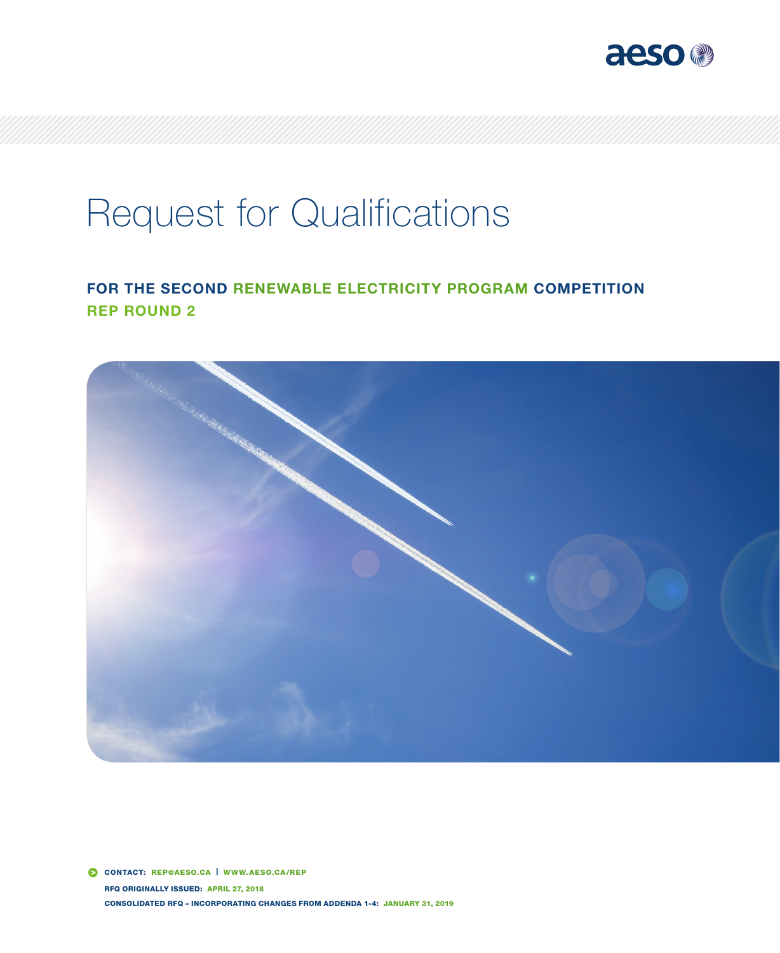

# Request for Qualifications

## FOR THE SECOND RENEWABLE ELECTRICITY PROGRAM COMPETITION REP ROUND 2



 CONTACT: REP@AESO.CA | WWW.AESO.CA/REP RFQ ORIGINALLY ISSUED: APRIL 27, 2018 CONSOLIDATED RFQ – INCORPORATING CHANGES FROM ADDENDA 1-4: JANUARY 31, 2019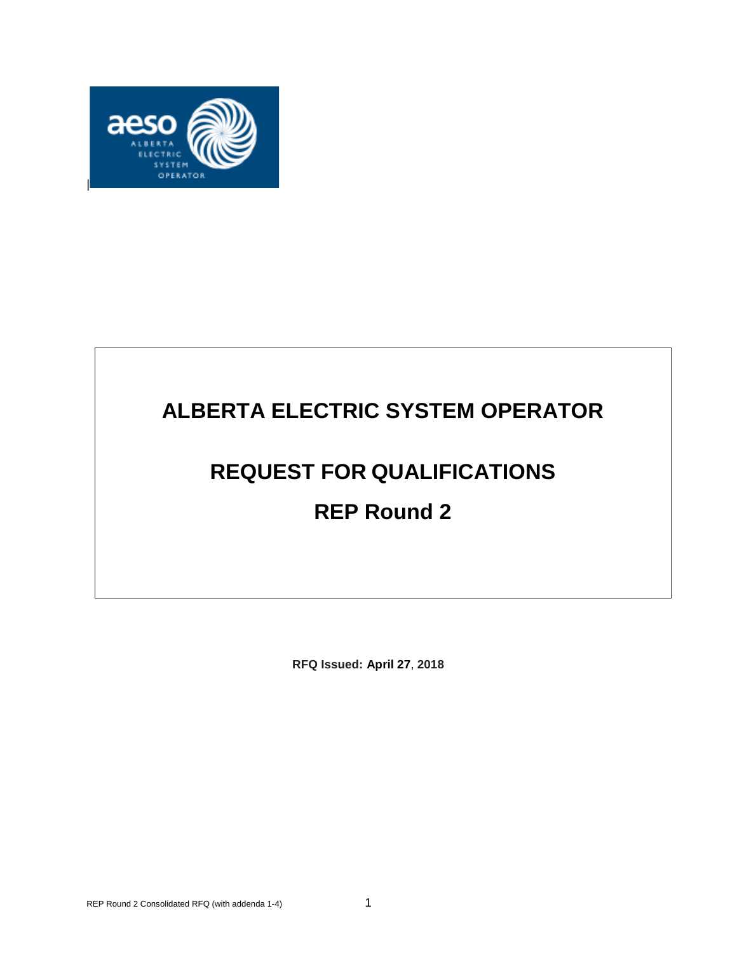

## **ALBERTA ELECTRIC SYSTEM OPERATOR**

## **REQUEST FOR QUALIFICATIONS**

## **REP Round 2**

**RFQ Issued: April 27**, **2018**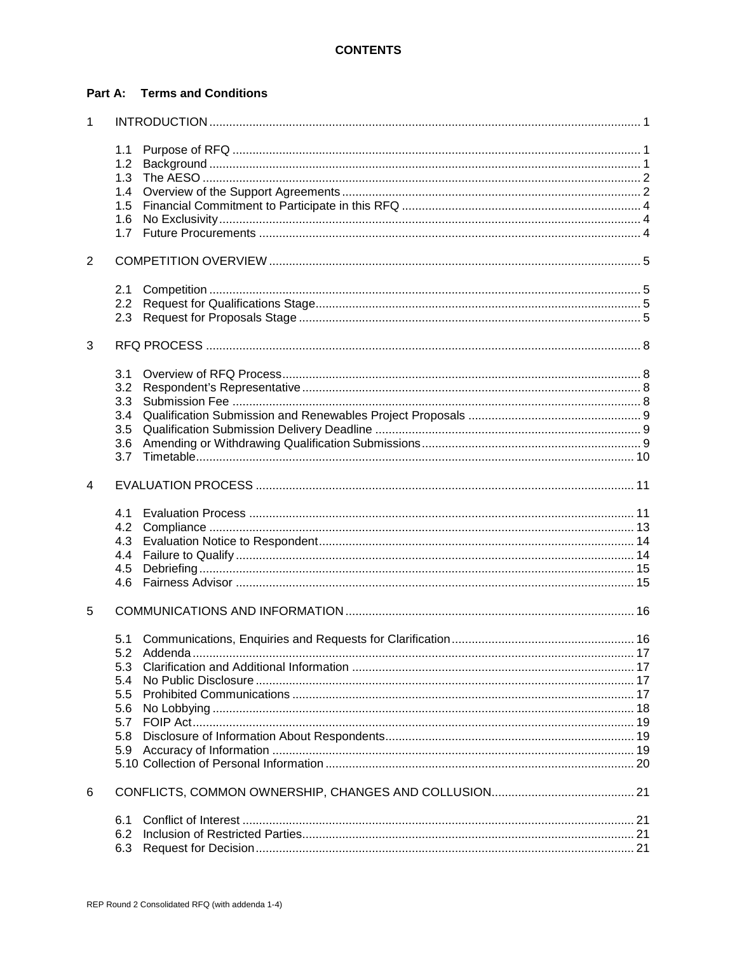#### **Part A: Terms and Conditions**

| $\mathbf{1}$   |            |             |  |  |  |
|----------------|------------|-------------|--|--|--|
|                | 1.1        |             |  |  |  |
|                | 1.2        |             |  |  |  |
|                | 1.3        |             |  |  |  |
|                | 1.4        |             |  |  |  |
|                | 1.5        |             |  |  |  |
|                | 1.6        |             |  |  |  |
|                | 1.7        |             |  |  |  |
| $\overline{2}$ |            |             |  |  |  |
|                | 2.1        |             |  |  |  |
|                | 2.2        |             |  |  |  |
|                | 2.3        |             |  |  |  |
| 3              |            |             |  |  |  |
|                | 3.1        |             |  |  |  |
|                | 3.2        |             |  |  |  |
|                | 3.3        |             |  |  |  |
|                | 3.4        |             |  |  |  |
|                | 3.5        |             |  |  |  |
|                | 3.6<br>3.7 |             |  |  |  |
| 4              |            |             |  |  |  |
|                | 4.1        |             |  |  |  |
|                | 4.2        |             |  |  |  |
|                | 4.3        |             |  |  |  |
|                | 4.4        |             |  |  |  |
|                | 4.5        |             |  |  |  |
|                | 4.6        |             |  |  |  |
| 5              |            |             |  |  |  |
|                |            |             |  |  |  |
|                |            | 5.2 Addenda |  |  |  |
|                | 5.3        |             |  |  |  |
|                | 5.4        |             |  |  |  |
|                | 5.5        |             |  |  |  |
|                | 5.6        |             |  |  |  |
|                | 5.7<br>5.8 |             |  |  |  |
|                | 5.9        |             |  |  |  |
|                |            |             |  |  |  |
| 6              |            |             |  |  |  |
|                |            |             |  |  |  |
|                | 6.1        |             |  |  |  |
|                | 6.2        |             |  |  |  |
|                | 6.3        |             |  |  |  |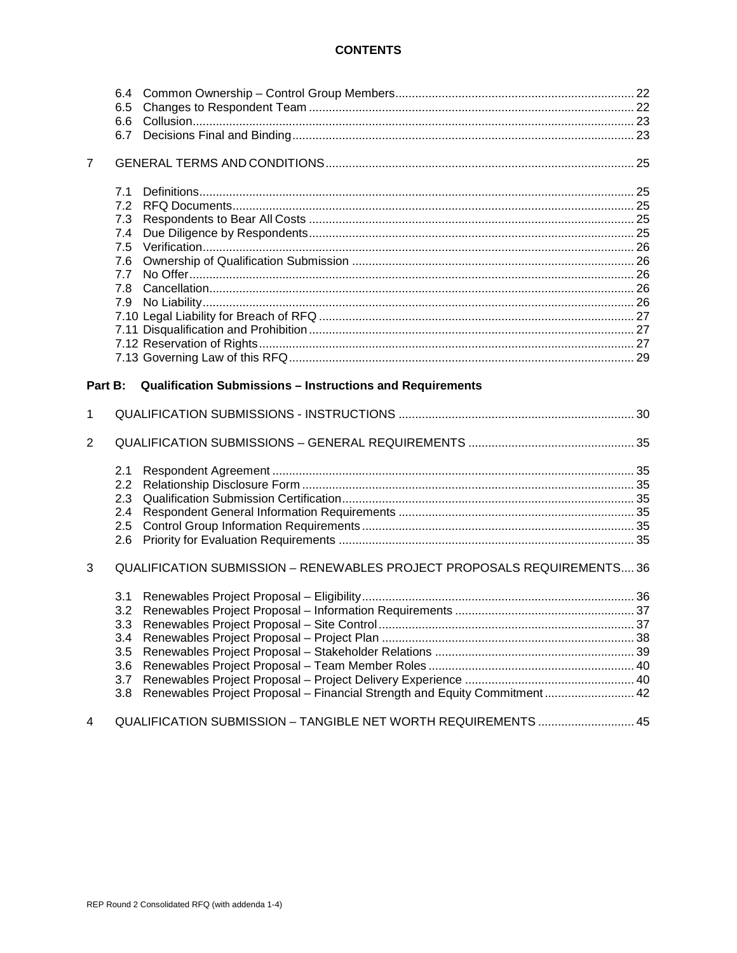#### **CONTENTS**

|                | 6.5        |                                                                           |     |  |  |  |
|----------------|------------|---------------------------------------------------------------------------|-----|--|--|--|
|                | 6.6        |                                                                           |     |  |  |  |
|                | 6.7        |                                                                           |     |  |  |  |
| $\overline{7}$ |            |                                                                           |     |  |  |  |
|                | 7.1        |                                                                           |     |  |  |  |
|                | 7.2        |                                                                           |     |  |  |  |
|                | 7.3        |                                                                           |     |  |  |  |
|                | 7.4        |                                                                           |     |  |  |  |
|                | 7.5        |                                                                           |     |  |  |  |
|                | 7.6        |                                                                           |     |  |  |  |
|                | 7.7<br>7.8 |                                                                           |     |  |  |  |
|                | 7.9        |                                                                           |     |  |  |  |
|                |            |                                                                           |     |  |  |  |
|                |            |                                                                           |     |  |  |  |
|                |            |                                                                           |     |  |  |  |
|                |            |                                                                           |     |  |  |  |
| Part B:        |            | Qualification Submissions - Instructions and Requirements                 |     |  |  |  |
|                |            |                                                                           |     |  |  |  |
| 1              |            |                                                                           |     |  |  |  |
| 2              |            |                                                                           |     |  |  |  |
|                | 2.1        |                                                                           |     |  |  |  |
|                | 2.2        |                                                                           |     |  |  |  |
|                | 2.3        |                                                                           |     |  |  |  |
|                | 2.4        |                                                                           |     |  |  |  |
|                | 2.5<br>2.6 |                                                                           |     |  |  |  |
|                |            |                                                                           |     |  |  |  |
| 3              |            | QUALIFICATION SUBMISSION - RENEWABLES PROJECT PROPOSALS REQUIREMENTS 36   |     |  |  |  |
|                | 3.1        |                                                                           |     |  |  |  |
|                | 3.2        |                                                                           |     |  |  |  |
|                | 3.3        |                                                                           |     |  |  |  |
|                | 3.4        |                                                                           |     |  |  |  |
|                | 3.5        |                                                                           |     |  |  |  |
|                | 3.6        |                                                                           |     |  |  |  |
|                | 3.7        |                                                                           |     |  |  |  |
|                | 3.8        | Renewables Project Proposal - Financial Strength and Equity Commitment 42 |     |  |  |  |
|                |            | QUALIFICATION SUBMISSION - TANGIBLE NET WORTH REQUIREMENTS                | .45 |  |  |  |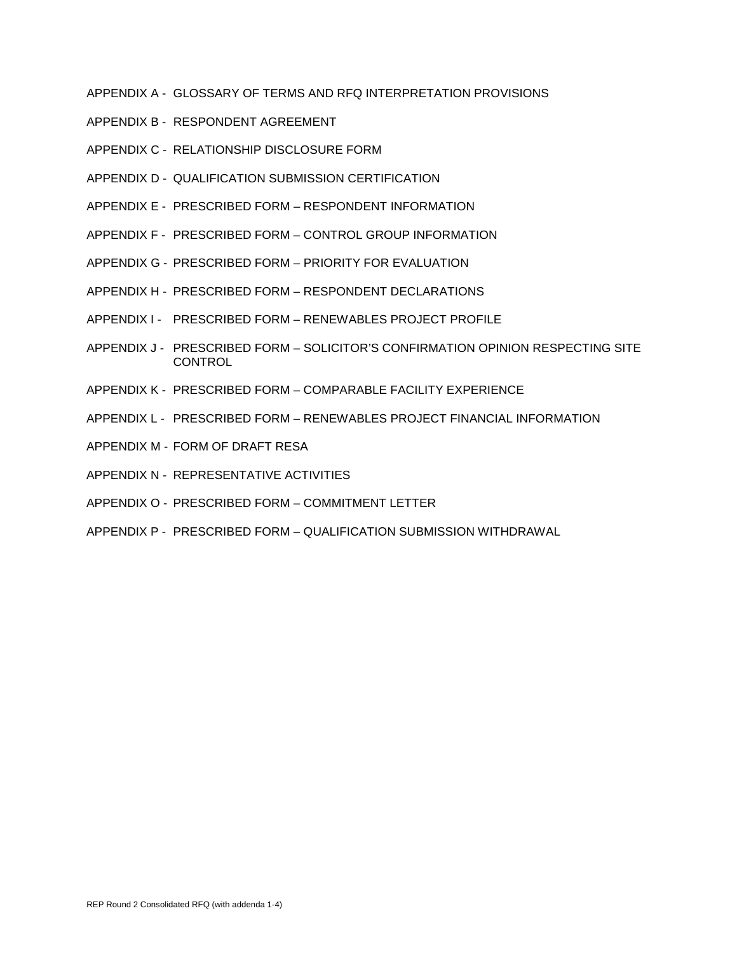- APPENDIX A GLOSSARY OF TERMS AND RFQ INTERPRETATION PROVISIONS
- APPENDIX B RESPONDENT AGREEMENT
- APPENDIX C RELATIONSHIP DISCLOSURE FORM
- APPENDIX D QUALIFICATION SUBMISSION CERTIFICATION
- APPENDIX E PRESCRIBED FORM RESPONDENT INFORMATION
- APPENDIX F PRESCRIBED FORM CONTROL GROUP INFORMATION
- APPENDIX G PRESCRIBED FORM PRIORITY FOR EVALUATION
- APPENDIX H PRESCRIBED FORM RESPONDENT DECLARATIONS
- APPENDIX I PRESCRIBED FORM RENEWABLES PROJECT PROFILE
- APPENDIX J PRESCRIBED FORM SOLICITOR'S CONFIRMATION OPINION RESPECTING SITE **CONTROL**
- APPENDIX K PRESCRIBED FORM COMPARABLE FACILITY EXPERIENCE
- APPENDIX L PRESCRIBED FORM RENEWABLES PROJECT FINANCIAL INFORMATION
- APPENDIX M FORM OF DRAFT RESA
- APPENDIX N REPRESENTATIVE ACTIVITIES
- APPENDIX O PRESCRIBED FORM COMMITMENT LETTER
- APPENDIX P PRESCRIBED FORM QUALIFICATION SUBMISSION WITHDRAWAL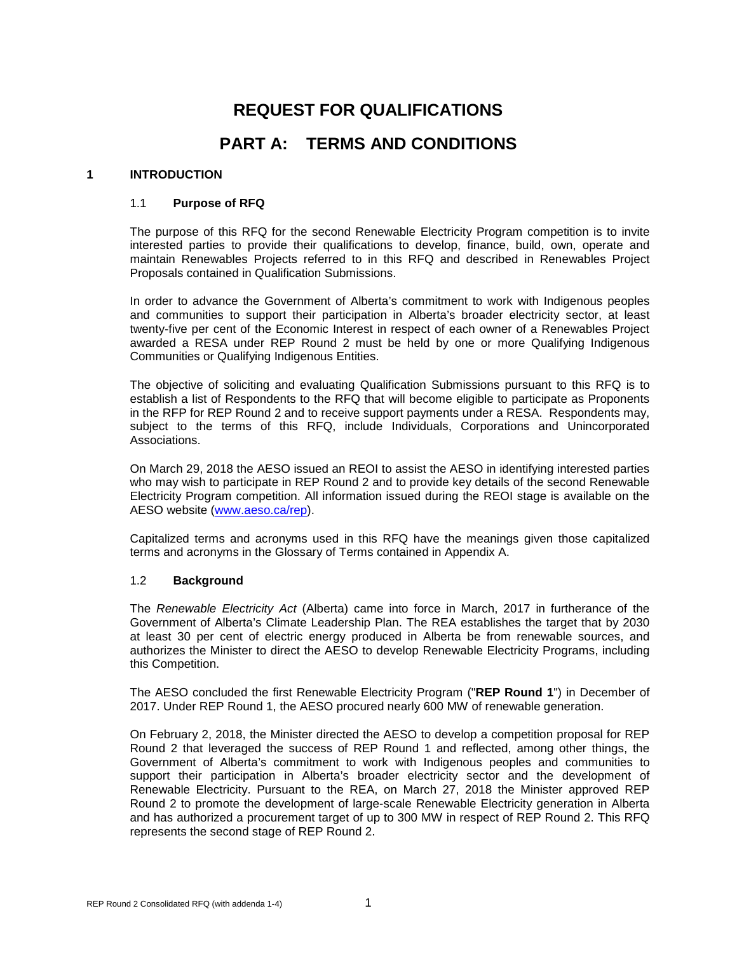## **REQUEST FOR QUALIFICATIONS**

### **PART A: TERMS AND CONDITIONS**

#### <span id="page-5-1"></span><span id="page-5-0"></span>**1 INTRODUCTION**

#### 1.1 **Purpose of RFQ**

The purpose of this RFQ for the second Renewable Electricity Program competition is to invite interested parties to provide their qualifications to develop, finance, build, own, operate and maintain Renewables Projects referred to in this RFQ and described in Renewables Project Proposals contained in Qualification Submissions.

In order to advance the Government of Alberta's commitment to work with Indigenous peoples and communities to support their participation in Alberta's broader electricity sector, at least twenty-five per cent of the Economic Interest in respect of each owner of a Renewables Project awarded a RESA under REP Round 2 must be held by one or more Qualifying Indigenous Communities or Qualifying Indigenous Entities.

The objective of soliciting and evaluating Qualification Submissions pursuant to this RFQ is to establish a list of Respondents to the RFQ that will become eligible to participate as Proponents in the RFP for REP Round 2 and to receive support payments under a RESA. Respondents may, subject to the terms of this RFQ, include Individuals, Corporations and Unincorporated Associations.

On March 29, 2018 the AESO issued an REOI to assist the AESO in identifying interested parties who may wish to participate in REP Round 2 and to provide key details of the second Renewable Electricity Program competition. All information issued during the REOI stage is available on the AESO website [\(www.aeso.ca/rep\)](http://www.aeso.ca/rep/).

Capitalized terms and acronyms used in this RFQ have the meanings given those capitalized terms and acronyms in the Glossary of Terms contained in Appendix A.

#### <span id="page-5-2"></span>1.2 **Background**

The *Renewable Electricity Act* (Alberta) came into force in March, 2017 in furtherance of the Government of Alberta's Climate Leadership Plan. The REA establishes the target that by 2030 at least 30 per cent of electric energy produced in Alberta be from renewable sources, and authorizes the Minister to direct the AESO to develop Renewable Electricity Programs, including this Competition.

The AESO concluded the first Renewable Electricity Program ("**REP Round 1**") in December of 2017. Under REP Round 1, the AESO procured nearly 600 MW of renewable generation.

On February 2, 2018, the Minister directed the AESO to develop a competition proposal for REP Round 2 that leveraged the success of REP Round 1 and reflected, among other things, the Government of Alberta's commitment to work with Indigenous peoples and communities to support their participation in Alberta's broader electricity sector and the development of Renewable Electricity. Pursuant to the REA, on March 27, 2018 the Minister approved REP Round 2 to promote the development of large-scale Renewable Electricity generation in Alberta and has authorized a procurement target of up to 300 MW in respect of REP Round 2. This RFQ represents the second stage of REP Round 2.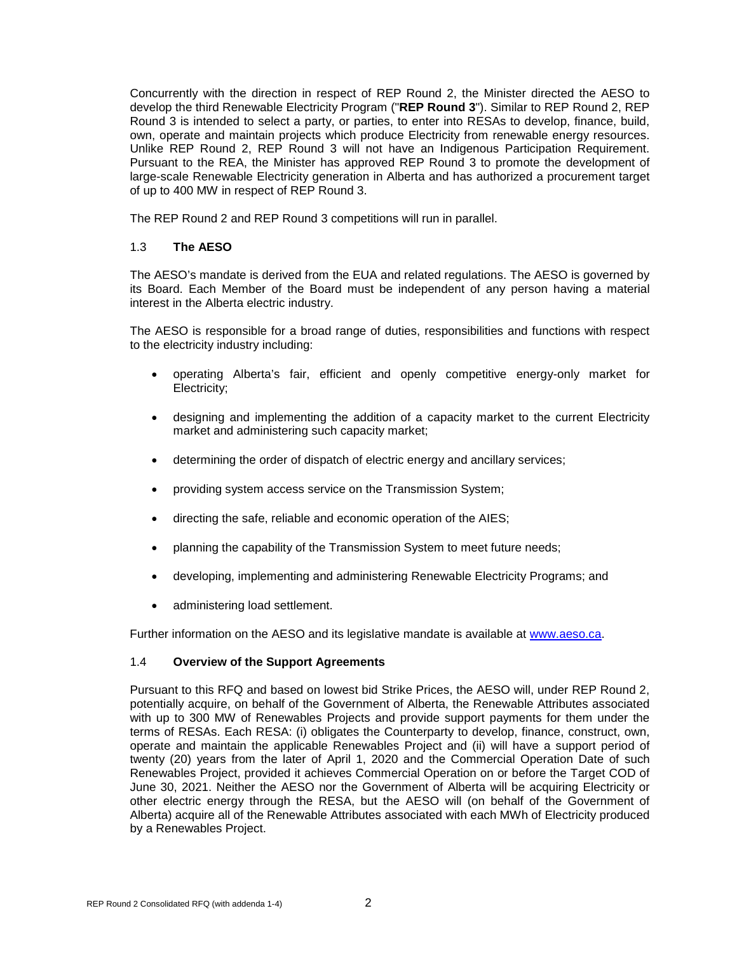Concurrently with the direction in respect of REP Round 2, the Minister directed the AESO to develop the third Renewable Electricity Program ("**REP Round 3**"). Similar to REP Round 2, REP Round 3 is intended to select a party, or parties, to enter into RESAs to develop, finance, build, own, operate and maintain projects which produce Electricity from renewable energy resources. Unlike REP Round 2, REP Round 3 will not have an Indigenous Participation Requirement. Pursuant to the REA, the Minister has approved REP Round 3 to promote the development of large-scale Renewable Electricity generation in Alberta and has authorized a procurement target of up to 400 MW in respect of REP Round 3.

The REP Round 2 and REP Round 3 competitions will run in parallel.

#### <span id="page-6-0"></span>1.3 **The AESO**

The AESO's mandate is derived from the EUA and related regulations. The AESO is governed by its Board. Each Member of the Board must be independent of any person having a material interest in the Alberta electric industry.

The AESO is responsible for a broad range of duties, responsibilities and functions with respect to the electricity industry including:

- operating Alberta's fair, efficient and openly competitive energy-only market for Electricity;
- designing and implementing the addition of a capacity market to the current Electricity market and administering such capacity market;
- determining the order of dispatch of electric energy and ancillary services;
- providing system access service on the Transmission System;
- directing the safe, reliable and economic operation of the AIES;
- planning the capability of the Transmission System to meet future needs;
- developing, implementing and administering Renewable Electricity Programs; and
- administering load settlement.

Further information on the AESO and its legislative mandate is available at [www.aeso.ca.](http://www.aeso.ca/)

#### <span id="page-6-1"></span>1.4 **Overview of the Support Agreements**

Pursuant to this RFQ and based on lowest bid Strike Prices, the AESO will, under REP Round 2, potentially acquire, on behalf of the Government of Alberta, the Renewable Attributes associated with up to 300 MW of Renewables Projects and provide support payments for them under the terms of RESAs. Each RESA: (i) obligates the Counterparty to develop, finance, construct, own, operate and maintain the applicable Renewables Project and (ii) will have a support period of twenty (20) years from the later of April 1, 2020 and the Commercial Operation Date of such Renewables Project, provided it achieves Commercial Operation on or before the Target COD of June 30, 2021. Neither the AESO nor the Government of Alberta will be acquiring Electricity or other electric energy through the RESA, but the AESO will (on behalf of the Government of Alberta) acquire all of the Renewable Attributes associated with each MWh of Electricity produced by a Renewables Project.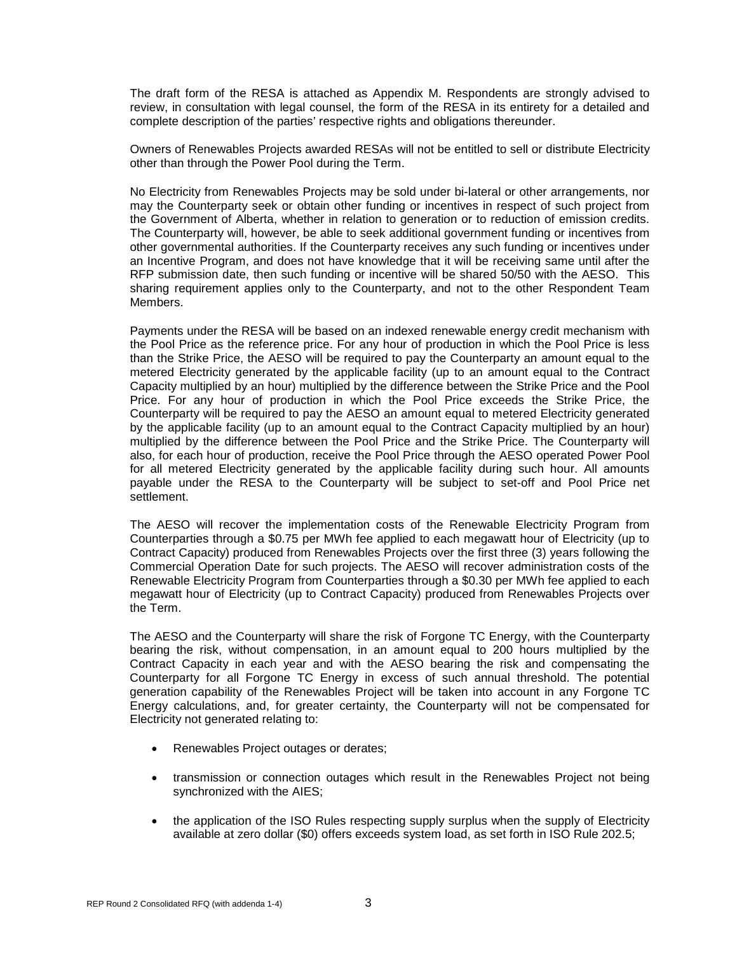The draft form of the RESA is attached as Appendix M. Respondents are strongly advised to review, in consultation with legal counsel, the form of the RESA in its entirety for a detailed and complete description of the parties' respective rights and obligations thereunder.

Owners of Renewables Projects awarded RESAs will not be entitled to sell or distribute Electricity other than through the Power Pool during the Term.

No Electricity from Renewables Projects may be sold under bi-lateral or other arrangements, nor may the Counterparty seek or obtain other funding or incentives in respect of such project from the Government of Alberta, whether in relation to generation or to reduction of emission credits. The Counterparty will, however, be able to seek additional government funding or incentives from other governmental authorities. If the Counterparty receives any such funding or incentives under an Incentive Program, and does not have knowledge that it will be receiving same until after the RFP submission date, then such funding or incentive will be shared 50/50 with the AESO. This sharing requirement applies only to the Counterparty, and not to the other Respondent Team Members.

Payments under the RESA will be based on an indexed renewable energy credit mechanism with the Pool Price as the reference price. For any hour of production in which the Pool Price is less than the Strike Price, the AESO will be required to pay the Counterparty an amount equal to the metered Electricity generated by the applicable facility (up to an amount equal to the Contract Capacity multiplied by an hour) multiplied by the difference between the Strike Price and the Pool Price. For any hour of production in which the Pool Price exceeds the Strike Price, the Counterparty will be required to pay the AESO an amount equal to metered Electricity generated by the applicable facility (up to an amount equal to the Contract Capacity multiplied by an hour) multiplied by the difference between the Pool Price and the Strike Price. The Counterparty will also, for each hour of production, receive the Pool Price through the AESO operated Power Pool for all metered Electricity generated by the applicable facility during such hour. All amounts payable under the RESA to the Counterparty will be subject to set-off and Pool Price net settlement.

The AESO will recover the implementation costs of the Renewable Electricity Program from Counterparties through a \$0.75 per MWh fee applied to each megawatt hour of Electricity (up to Contract Capacity) produced from Renewables Projects over the first three (3) years following the Commercial Operation Date for such projects. The AESO will recover administration costs of the Renewable Electricity Program from Counterparties through a \$0.30 per MWh fee applied to each megawatt hour of Electricity (up to Contract Capacity) produced from Renewables Projects over the Term.

The AESO and the Counterparty will share the risk of Forgone TC Energy, with the Counterparty bearing the risk, without compensation, in an amount equal to 200 hours multiplied by the Contract Capacity in each year and with the AESO bearing the risk and compensating the Counterparty for all Forgone TC Energy in excess of such annual threshold. The potential generation capability of the Renewables Project will be taken into account in any Forgone TC Energy calculations, and, for greater certainty, the Counterparty will not be compensated for Electricity not generated relating to:

- Renewables Project outages or derates;
- transmission or connection outages which result in the Renewables Project not being synchronized with the AIES;
- the application of the ISO Rules respecting supply surplus when the supply of Electricity available at zero dollar (\$0) offers exceeds system load, as set forth in ISO Rule 202.5;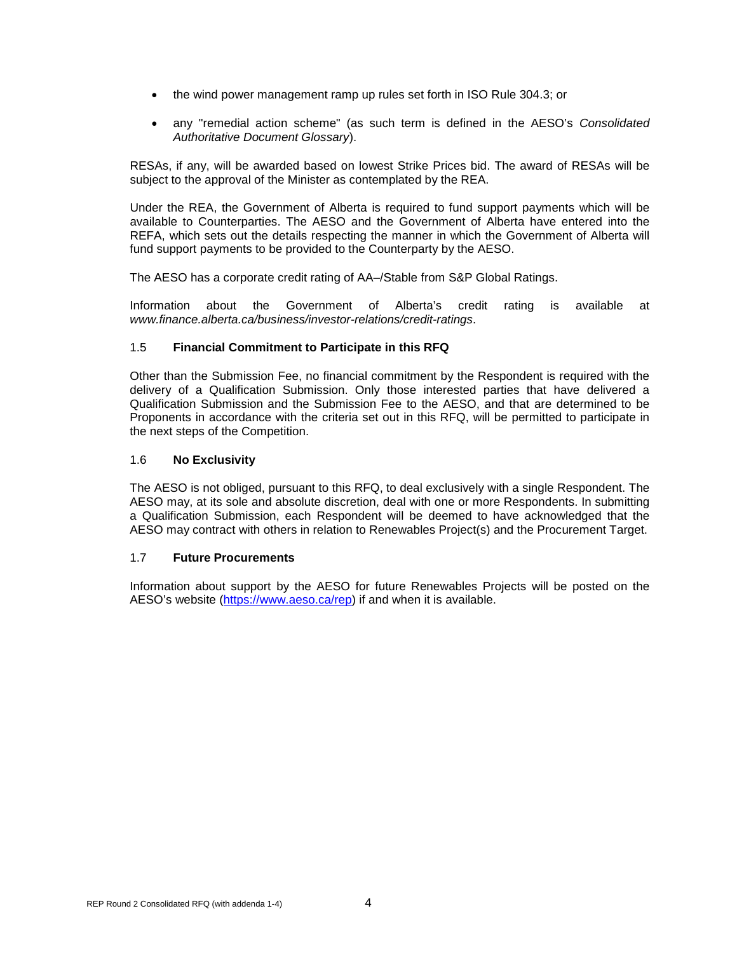- the wind power management ramp up rules set forth in ISO Rule 304.3; or
- any "remedial action scheme" (as such term is defined in the AESO's *Consolidated Authoritative Document Glossary*).

RESAs, if any, will be awarded based on lowest Strike Prices bid. The award of RESAs will be subject to the approval of the Minister as contemplated by the REA.

Under the REA, the Government of Alberta is required to fund support payments which will be available to Counterparties. The AESO and the Government of Alberta have entered into the REFA, which sets out the details respecting the manner in which the Government of Alberta will fund support payments to be provided to the Counterparty by the AESO.

The AESO has a corporate credit rating of AA–/Stable from S&P Global Ratings.

Information about the Government of Alberta's credit rating is available at *www.finance.alberta.ca/business/investor-relations/credit-ratings*.

#### <span id="page-8-0"></span>1.5 **Financial Commitment to Participate in this RFQ**

Other than the Submission Fee, no financial commitment by the Respondent is required with the delivery of a Qualification Submission. Only those interested parties that have delivered a Qualification Submission and the Submission Fee to the AESO, and that are determined to be Proponents in accordance with the criteria set out in this RFQ, will be permitted to participate in the next steps of the Competition.

#### <span id="page-8-1"></span>1.6 **No Exclusivity**

The AESO is not obliged, pursuant to this RFQ, to deal exclusively with a single Respondent. The AESO may, at its sole and absolute discretion, deal with one or more Respondents. In submitting a Qualification Submission, each Respondent will be deemed to have acknowledged that the AESO may contract with others in relation to Renewables Project(s) and the Procurement Target.

#### <span id="page-8-2"></span>1.7 **Future Procurements**

Information about support by the AESO for future Renewables Projects will be posted on the AESO's website [\(https://www.aeso.ca/rep\)](https://www.aeso.ca/rep) if and when it is available.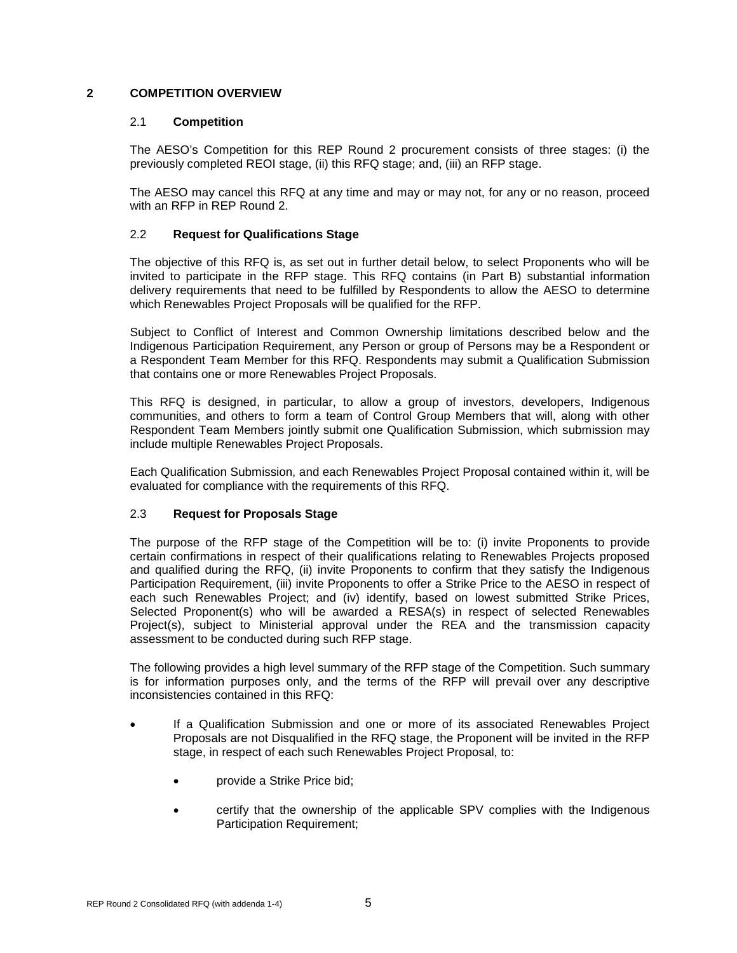#### <span id="page-9-1"></span><span id="page-9-0"></span>**2 COMPETITION OVERVIEW**

#### 2.1 **Competition**

The AESO's Competition for this REP Round 2 procurement consists of three stages: (i) the previously completed REOI stage, (ii) this RFQ stage; and, (iii) an RFP stage.

The AESO may cancel this RFQ at any time and may or may not, for any or no reason, proceed with an RFP in REP Round 2.

#### <span id="page-9-2"></span>2.2 **Request for Qualifications Stage**

The objective of this RFQ is, as set out in further detail below, to select Proponents who will be invited to participate in the RFP stage. This RFQ contains (in Part B) substantial information delivery requirements that need to be fulfilled by Respondents to allow the AESO to determine which Renewables Project Proposals will be qualified for the RFP.

Subject to Conflict of Interest and Common Ownership limitations described below and the Indigenous Participation Requirement, any Person or group of Persons may be a Respondent or a Respondent Team Member for this RFQ. Respondents may submit a Qualification Submission that contains one or more Renewables Project Proposals.

This RFQ is designed, in particular, to allow a group of investors, developers, Indigenous communities, and others to form a team of Control Group Members that will, along with other Respondent Team Members jointly submit one Qualification Submission, which submission may include multiple Renewables Project Proposals.

Each Qualification Submission, and each Renewables Project Proposal contained within it, will be evaluated for compliance with the requirements of this RFQ.

#### <span id="page-9-3"></span>2.3 **Request for Proposals Stage**

The purpose of the RFP stage of the Competition will be to: (i) invite Proponents to provide certain confirmations in respect of their qualifications relating to Renewables Projects proposed and qualified during the RFQ, (ii) invite Proponents to confirm that they satisfy the Indigenous Participation Requirement, (iii) invite Proponents to offer a Strike Price to the AESO in respect of each such Renewables Project; and (iv) identify, based on lowest submitted Strike Prices, Selected Proponent(s) who will be awarded a RESA(s) in respect of selected Renewables Project(s), subject to Ministerial approval under the REA and the transmission capacity assessment to be conducted during such RFP stage.

The following provides a high level summary of the RFP stage of the Competition. Such summary is for information purposes only, and the terms of the RFP will prevail over any descriptive inconsistencies contained in this RFQ:

- If a Qualification Submission and one or more of its associated Renewables Project Proposals are not Disqualified in the RFQ stage, the Proponent will be invited in the RFP stage, in respect of each such Renewables Project Proposal, to:
	- provide a Strike Price bid;
	- certify that the ownership of the applicable SPV complies with the Indigenous Participation Requirement;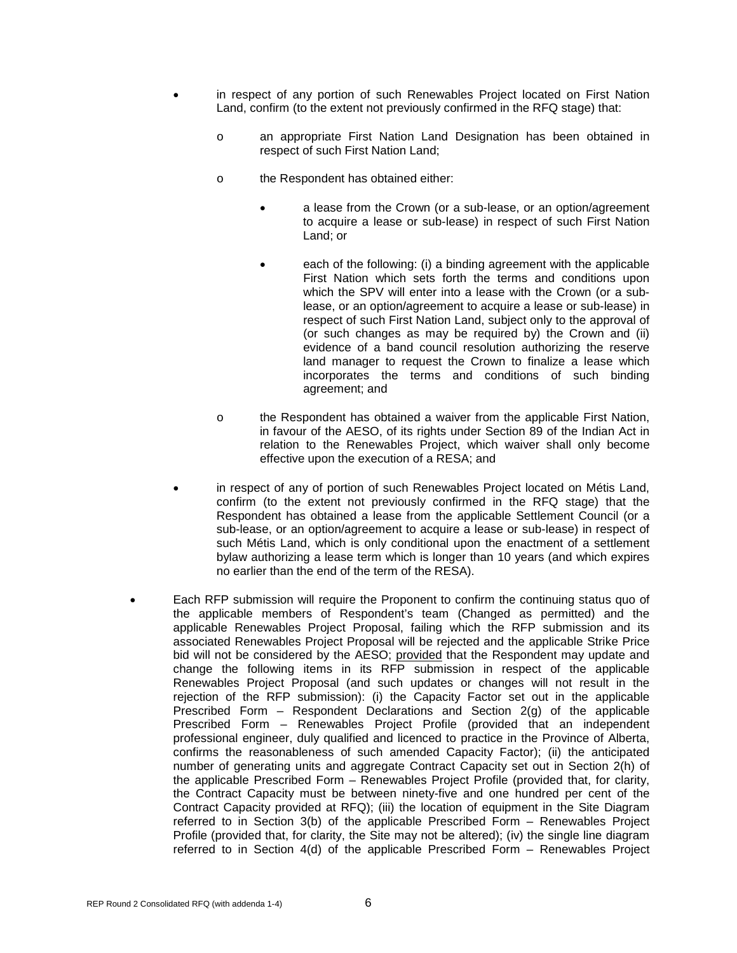- in respect of any portion of such Renewables Project located on First Nation Land, confirm (to the extent not previously confirmed in the RFQ stage) that:
	- o an appropriate First Nation Land Designation has been obtained in respect of such First Nation Land;
	- o the Respondent has obtained either:
		- a lease from the Crown (or a sub-lease, or an option/agreement to acquire a lease or sub-lease) in respect of such First Nation Land; or
		- each of the following: (i) a binding agreement with the applicable First Nation which sets forth the terms and conditions upon which the SPV will enter into a lease with the Crown (or a sublease, or an option/agreement to acquire a lease or sub-lease) in respect of such First Nation Land, subject only to the approval of (or such changes as may be required by) the Crown and (ii) evidence of a band council resolution authorizing the reserve land manager to request the Crown to finalize a lease which incorporates the terms and conditions of such binding agreement; and
	- o the Respondent has obtained a waiver from the applicable First Nation, in favour of the AESO, of its rights under Section 89 of the Indian Act in relation to the Renewables Project, which waiver shall only become effective upon the execution of a RESA; and
- in respect of any of portion of such Renewables Project located on Métis Land, confirm (to the extent not previously confirmed in the RFQ stage) that the Respondent has obtained a lease from the applicable Settlement Council (or a sub-lease, or an option/agreement to acquire a lease or sub-lease) in respect of such Métis Land, which is only conditional upon the enactment of a settlement bylaw authorizing a lease term which is longer than 10 years (and which expires no earlier than the end of the term of the RESA).
- Each RFP submission will require the Proponent to confirm the continuing status quo of the applicable members of Respondent's team (Changed as permitted) and the applicable Renewables Project Proposal, failing which the RFP submission and its associated Renewables Project Proposal will be rejected and the applicable Strike Price bid will not be considered by the AESO; provided that the Respondent may update and change the following items in its RFP submission in respect of the applicable Renewables Project Proposal (and such updates or changes will not result in the rejection of the RFP submission): (i) the Capacity Factor set out in the applicable Prescribed Form – Respondent Declarations and Section 2(g) of the applicable Prescribed Form – Renewables Project Profile (provided that an independent professional engineer, duly qualified and licenced to practice in the Province of Alberta, confirms the reasonableness of such amended Capacity Factor); (ii) the anticipated number of generating units and aggregate Contract Capacity set out in Section 2(h) of the applicable Prescribed Form – Renewables Project Profile (provided that, for clarity, the Contract Capacity must be between ninety-five and one hundred per cent of the Contract Capacity provided at RFQ); (iii) the location of equipment in the Site Diagram referred to in Section 3(b) of the applicable Prescribed Form – Renewables Project Profile (provided that, for clarity, the Site may not be altered); (iv) the single line diagram referred to in Section 4(d) of the applicable Prescribed Form – Renewables Project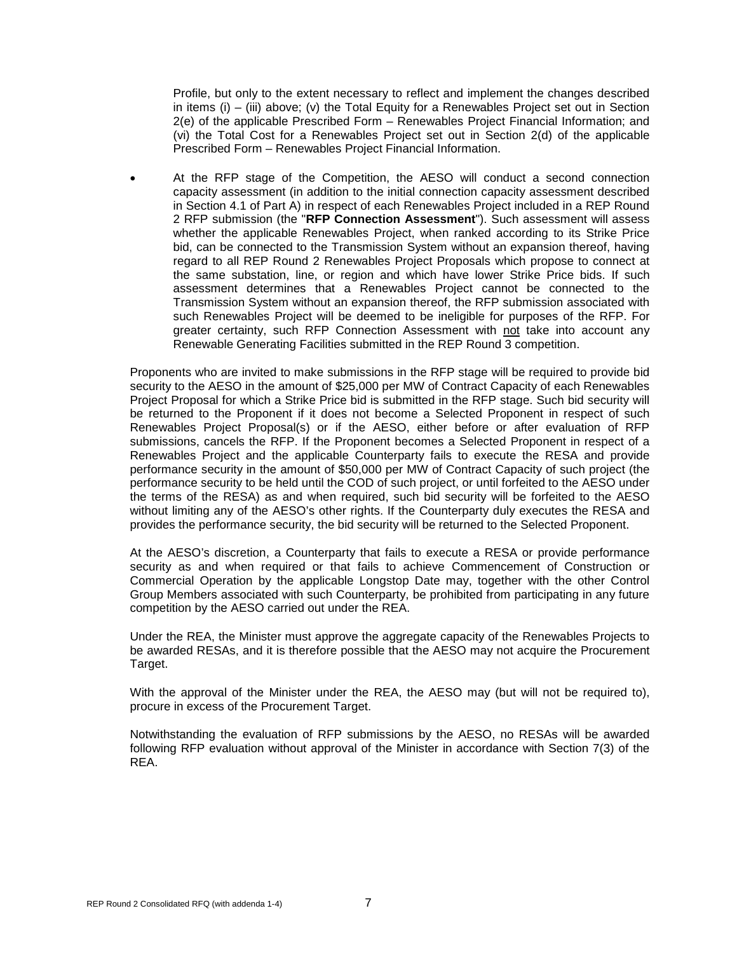Profile, but only to the extent necessary to reflect and implement the changes described in items (i) – (iii) above; (v) the Total Equity for a Renewables Project set out in Section 2(e) of the applicable Prescribed Form – Renewables Project Financial Information; and (vi) the Total Cost for a Renewables Project set out in Section 2(d) of the applicable Prescribed Form – Renewables Project Financial Information.

• At the RFP stage of the Competition, the AESO will conduct a second connection capacity assessment (in addition to the initial connection capacity assessment described in Section 4.1 of Part A) in respect of each Renewables Project included in a REP Round 2 RFP submission (the "**RFP Connection Assessment**"). Such assessment will assess whether the applicable Renewables Project, when ranked according to its Strike Price bid, can be connected to the Transmission System without an expansion thereof, having regard to all REP Round 2 Renewables Project Proposals which propose to connect at the same substation, line, or region and which have lower Strike Price bids. If such assessment determines that a Renewables Project cannot be connected to the Transmission System without an expansion thereof, the RFP submission associated with such Renewables Project will be deemed to be ineligible for purposes of the RFP. For greater certainty, such RFP Connection Assessment with not take into account any Renewable Generating Facilities submitted in the REP Round 3 competition.

Proponents who are invited to make submissions in the RFP stage will be required to provide bid security to the AESO in the amount of \$25,000 per MW of Contract Capacity of each Renewables Proiect Proposal for which a Strike Price bid is submitted in the RFP stage. Such bid security will be returned to the Proponent if it does not become a Selected Proponent in respect of such Renewables Project Proposal(s) or if the AESO, either before or after evaluation of RFP submissions, cancels the RFP. If the Proponent becomes a Selected Proponent in respect of a Renewables Project and the applicable Counterparty fails to execute the RESA and provide performance security in the amount of \$50,000 per MW of Contract Capacity of such project (the performance security to be held until the COD of such project, or until forfeited to the AESO under the terms of the RESA) as and when required, such bid security will be forfeited to the AESO without limiting any of the AESO's other rights. If the Counterparty duly executes the RESA and provides the performance security, the bid security will be returned to the Selected Proponent.

At the AESO's discretion, a Counterparty that fails to execute a RESA or provide performance security as and when required or that fails to achieve Commencement of Construction or Commercial Operation by the applicable Longstop Date may, together with the other Control Group Members associated with such Counterparty, be prohibited from participating in any future competition by the AESO carried out under the REA.

Under the REA, the Minister must approve the aggregate capacity of the Renewables Projects to be awarded RESAs, and it is therefore possible that the AESO may not acquire the Procurement Target.

With the approval of the Minister under the REA, the AESO may (but will not be required to), procure in excess of the Procurement Target.

Notwithstanding the evaluation of RFP submissions by the AESO, no RESAs will be awarded following RFP evaluation without approval of the Minister in accordance with Section 7(3) of the REA.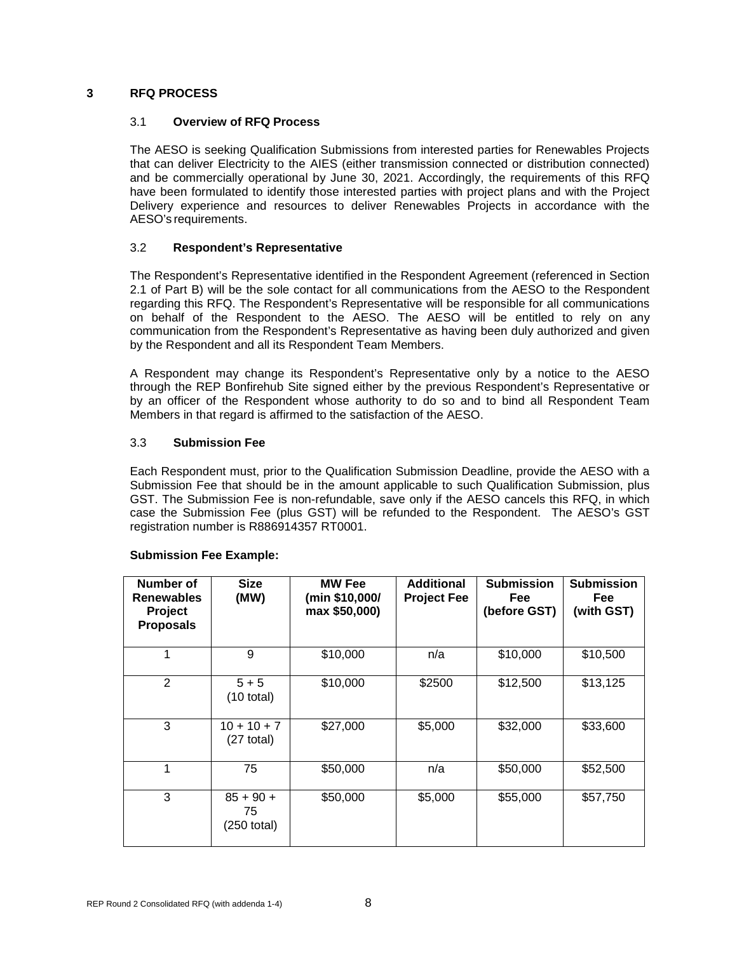#### <span id="page-12-1"></span><span id="page-12-0"></span>**3 RFQ PROCESS**

#### 3.1 **Overview of RFQ Process**

The AESO is seeking Qualification Submissions from interested parties for Renewables Projects that can deliver Electricity to the AIES (either transmission connected or distribution connected) and be commercially operational by June 30, 2021. Accordingly, the requirements of this RFQ have been formulated to identify those interested parties with project plans and with the Project Delivery experience and resources to deliver Renewables Projects in accordance with the AESO's requirements.

#### <span id="page-12-2"></span>3.2 **Respondent's Representative**

The Respondent's Representative identified in the Respondent Agreement (referenced in Section 2.1 of Part B) will be the sole contact for all communications from the AESO to the Respondent regarding this RFQ. The Respondent's Representative will be responsible for all communications on behalf of the Respondent to the AESO. The AESO will be entitled to rely on any communication from the Respondent's Representative as having been duly authorized and given by the Respondent and all its Respondent Team Members.

A Respondent may change its Respondent's Representative only by a notice to the AESO through the REP Bonfirehub Site signed either by the previous Respondent's Representative or by an officer of the Respondent whose authority to do so and to bind all Respondent Team Members in that regard is affirmed to the satisfaction of the AESO.

#### <span id="page-12-3"></span>3.3 **Submission Fee**

Each Respondent must, prior to the Qualification Submission Deadline, provide the AESO with a Submission Fee that should be in the amount applicable to such Qualification Submission, plus GST. The Submission Fee is non-refundable, save only if the AESO cancels this RFQ, in which case the Submission Fee (plus GST) will be refunded to the Respondent. The AESO's GST registration number is R886914357 RT0001.

| Number of<br><b>Renewables</b><br>Project<br><b>Proposals</b> | <b>Size</b><br>(MW)                | <b>MW Fee</b><br>(min \$10,000/<br>max \$50,000) | <b>Additional</b><br><b>Project Fee</b> | <b>Submission</b><br><b>Fee</b><br>(before GST) | <b>Submission</b><br><b>Fee</b><br>(with GST) |
|---------------------------------------------------------------|------------------------------------|--------------------------------------------------|-----------------------------------------|-------------------------------------------------|-----------------------------------------------|
| 1                                                             | 9                                  | \$10,000                                         | n/a                                     | \$10,000                                        | \$10,500                                      |
| 2                                                             | $5 + 5$<br>$(10 \text{ total})$    | \$10,000                                         | \$2500                                  | \$12,500                                        | \$13,125                                      |
| 3                                                             | $10 + 10 + 7$<br>$(27$ total)      | \$27,000                                         | \$5,000                                 | \$32,000                                        | \$33,600                                      |
| 1                                                             | 75                                 | \$50,000                                         | n/a                                     | \$50,000                                        | \$52,500                                      |
| 3                                                             | $85 + 90 +$<br>75<br>$(250$ total) | \$50,000                                         | \$5,000                                 | \$55,000                                        | \$57,750                                      |

#### **Submission Fee Example:**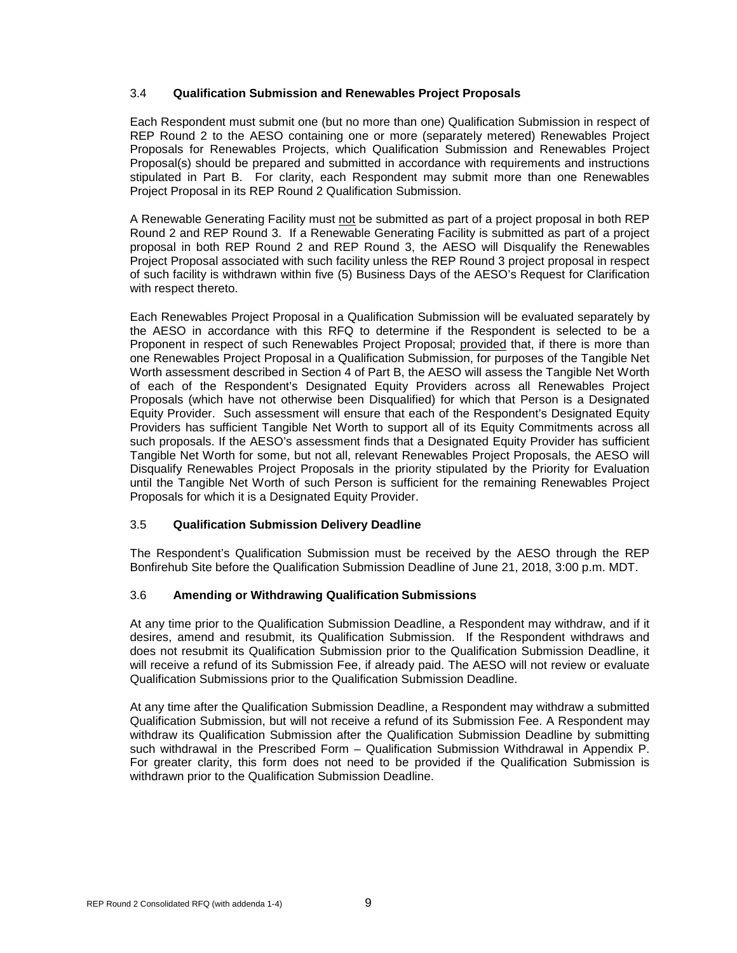#### <span id="page-13-0"></span>3.4 **Qualification Submission and Renewables Project Proposals**

Each Respondent must submit one (but no more than one) Qualification Submission in respect of REP Round 2 to the AESO containing one or more (separately metered) Renewables Project Proposals for Renewables Projects, which Qualification Submission and Renewables Project Proposal(s) should be prepared and submitted in accordance with requirements and instructions stipulated in Part B. For clarity, each Respondent may submit more than one Renewables Project Proposal in its REP Round 2 Qualification Submission.

A Renewable Generating Facility must not be submitted as part of a project proposal in both REP Round 2 and REP Round 3. If a Renewable Generating Facility is submitted as part of a project proposal in both REP Round 2 and REP Round 3, the AESO will Disqualify the Renewables Project Proposal associated with such facility unless the REP Round 3 project proposal in respect of such facility is withdrawn within five (5) Business Days of the AESO's Request for Clarification with respect thereto.

Each Renewables Project Proposal in a Qualification Submission will be evaluated separately by the AESO in accordance with this RFQ to determine if the Respondent is selected to be a Proponent in respect of such Renewables Project Proposal; provided that, if there is more than one Renewables Project Proposal in a Qualification Submission, for purposes of the Tangible Net Worth assessment described in Section 4 of Part B, the AESO will assess the Tangible Net Worth of each of the Respondent's Designated Equity Providers across all Renewables Project Proposals (which have not otherwise been Disqualified) for which that Person is a Designated Equity Provider. Such assessment will ensure that each of the Respondent's Designated Equity Providers has sufficient Tangible Net Worth to support all of its Equity Commitments across all such proposals. If the AESO's assessment finds that a Designated Equity Provider has sufficient Tangible Net Worth for some, but not all, relevant Renewables Project Proposals, the AESO will Disqualify Renewables Project Proposals in the priority stipulated by the Priority for Evaluation until the Tangible Net Worth of such Person is sufficient for the remaining Renewables Project Proposals for which it is a Designated Equity Provider.

#### <span id="page-13-1"></span>3.5 **Qualification Submission Delivery Deadline**

The Respondent's Qualification Submission must be received by the AESO through the REP Bonfirehub Site before the Qualification Submission Deadline of June 21, 2018, 3:00 p.m. MDT.

#### <span id="page-13-2"></span>3.6 **Amending or Withdrawing Qualification Submissions**

At any time prior to the Qualification Submission Deadline, a Respondent may withdraw, and if it desires, amend and resubmit, its Qualification Submission. If the Respondent withdraws and does not resubmit its Qualification Submission prior to the Qualification Submission Deadline, it will receive a refund of its Submission Fee, if already paid. The AESO will not review or evaluate Qualification Submissions prior to the Qualification Submission Deadline.

At any time after the Qualification Submission Deadline, a Respondent may withdraw a submitted Qualification Submission, but will not receive a refund of its Submission Fee. A Respondent may withdraw its Qualification Submission after the Qualification Submission Deadline by submitting such withdrawal in the Prescribed Form - Qualification Submission Withdrawal in Appendix P. For greater clarity, this form does not need to be provided if the Qualification Submission is withdrawn prior to the Qualification Submission Deadline.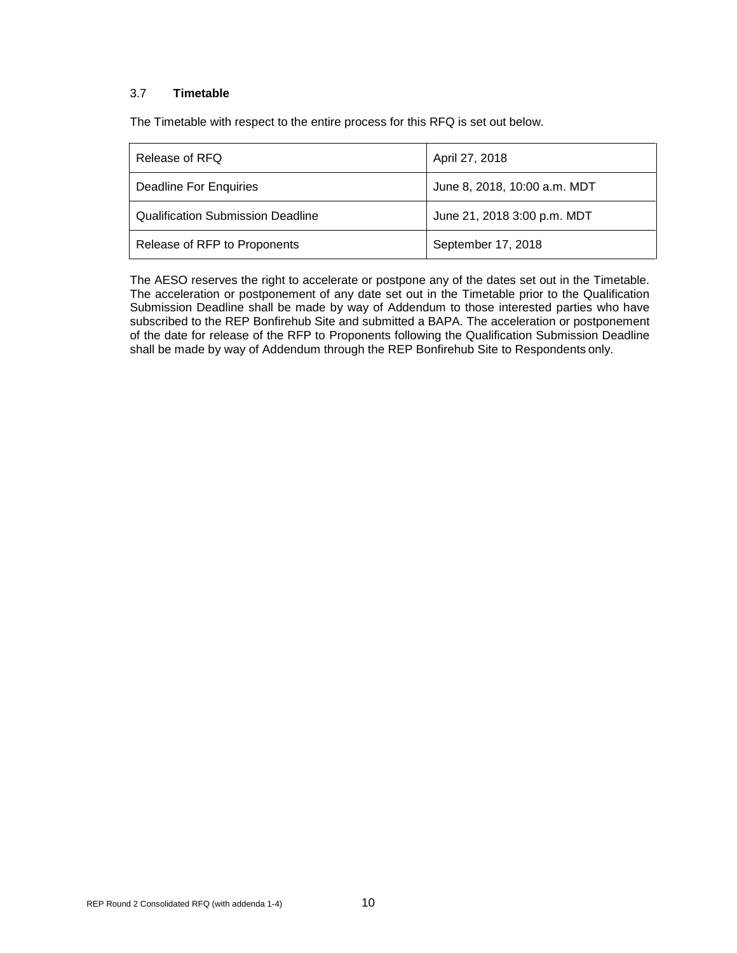#### <span id="page-14-0"></span>3.7 **Timetable**

The Timetable with respect to the entire process for this RFQ is set out below.

| Release of RFQ                           | April 27, 2018               |  |  |
|------------------------------------------|------------------------------|--|--|
| Deadline For Enquiries                   | June 8, 2018, 10:00 a.m. MDT |  |  |
| <b>Qualification Submission Deadline</b> | June 21, 2018 3:00 p.m. MDT  |  |  |
| Release of RFP to Proponents             | September 17, 2018           |  |  |

The AESO reserves the right to accelerate or postpone any of the dates set out in the Timetable. The acceleration or postponement of any date set out in the Timetable prior to the Qualification Submission Deadline shall be made by way of Addendum to those interested parties who have subscribed to the REP Bonfirehub Site and submitted a BAPA. The acceleration or postponement of the date for release of the RFP to Proponents following the Qualification Submission Deadline shall be made by way of Addendum through the REP Bonfirehub Site to Respondents only.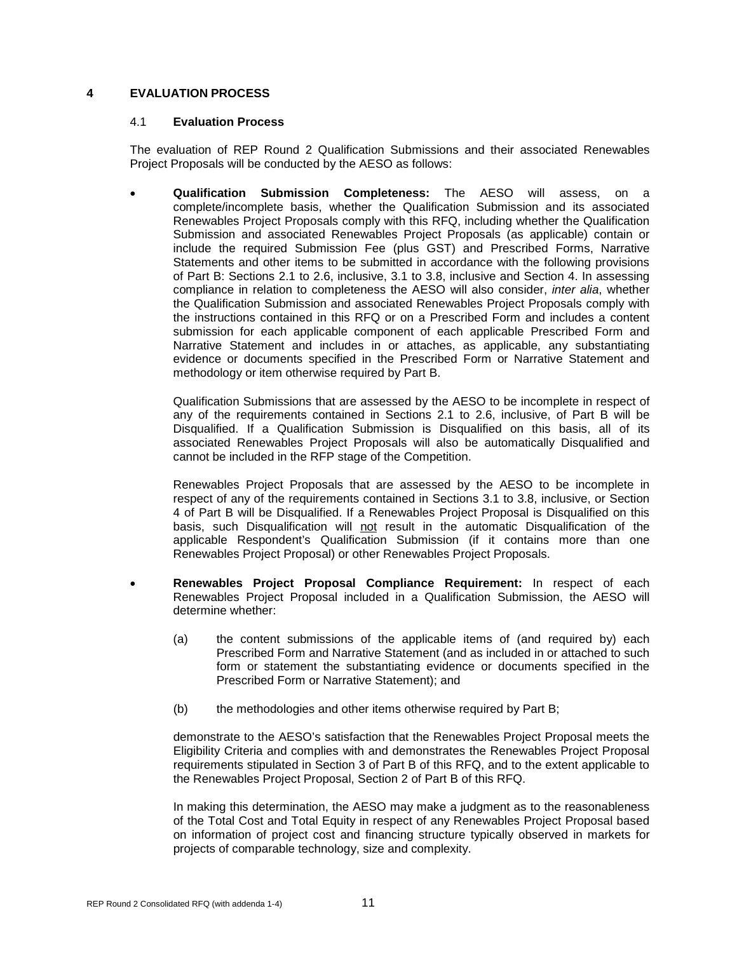#### <span id="page-15-1"></span><span id="page-15-0"></span>**4 EVALUATION PROCESS**

#### 4.1 **Evaluation Process**

The evaluation of REP Round 2 Qualification Submissions and their associated Renewables Project Proposals will be conducted by the AESO as follows:

• **Qualification Submission Completeness:** The AESO will assess, on a complete/incomplete basis, whether the Qualification Submission and its associated Renewables Project Proposals comply with this RFQ, including whether the Qualification Submission and associated Renewables Project Proposals (as applicable) contain or include the required Submission Fee (plus GST) and Prescribed Forms, Narrative Statements and other items to be submitted in accordance with the following provisions of Part B: Sections 2.1 to 2.6, inclusive, 3.1 to 3.8, inclusive and Section 4. In assessing compliance in relation to completeness the AESO will also consider, *inter alia*, whether the Qualification Submission and associated Renewables Project Proposals comply with the instructions contained in this RFQ or on a Prescribed Form and includes a content submission for each applicable component of each applicable Prescribed Form and Narrative Statement and includes in or attaches, as applicable, any substantiating evidence or documents specified in the Prescribed Form or Narrative Statement and methodology or item otherwise required by Part B.

Qualification Submissions that are assessed by the AESO to be incomplete in respect of any of the requirements contained in Sections 2.1 to 2.6, inclusive, of Part B will be Disqualified. If a Qualification Submission is Disqualified on this basis, all of its associated Renewables Project Proposals will also be automatically Disqualified and cannot be included in the RFP stage of the Competition.

Renewables Project Proposals that are assessed by the AESO to be incomplete in respect of any of the requirements contained in Sections 3.1 to 3.8, inclusive, or Section 4 of Part B will be Disqualified. If a Renewables Project Proposal is Disqualified on this basis, such Disqualification will not result in the automatic Disqualification of the applicable Respondent's Qualification Submission (if it contains more than one Renewables Project Proposal) or other Renewables Project Proposals.

- **Renewables Project Proposal Compliance Requirement:** In respect of each Renewables Project Proposal included in a Qualification Submission, the AESO will determine whether:
	- (a) the content submissions of the applicable items of (and required by) each Prescribed Form and Narrative Statement (and as included in or attached to such form or statement the substantiating evidence or documents specified in the Prescribed Form or Narrative Statement); and
	- (b) the methodologies and other items otherwise required by Part B;

demonstrate to the AESO's satisfaction that the Renewables Project Proposal meets the Eligibility Criteria and complies with and demonstrates the Renewables Project Proposal requirements stipulated in Section 3 of Part B of this RFQ, and to the extent applicable to the Renewables Project Proposal, Section 2 of Part B of this RFQ.

In making this determination, the AESO may make a judgment as to the reasonableness of the Total Cost and Total Equity in respect of any Renewables Project Proposal based on information of project cost and financing structure typically observed in markets for projects of comparable technology, size and complexity.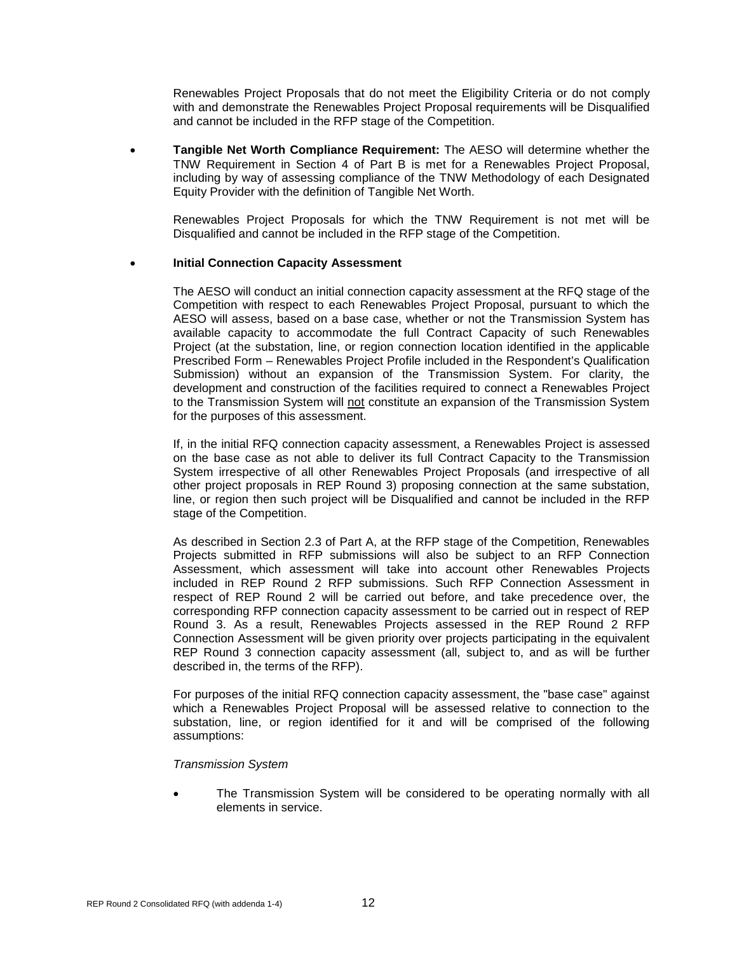Renewables Project Proposals that do not meet the Eligibility Criteria or do not comply with and demonstrate the Renewables Project Proposal requirements will be Disqualified and cannot be included in the RFP stage of the Competition.

• **Tangible Net Worth Compliance Requirement:** The AESO will determine whether the TNW Requirement in Section 4 of Part B is met for a Renewables Project Proposal, including by way of assessing compliance of the TNW Methodology of each Designated Equity Provider with the definition of Tangible Net Worth.

Renewables Project Proposals for which the TNW Requirement is not met will be Disqualified and cannot be included in the RFP stage of the Competition.

#### **Initial Connection Capacity Assessment**

The AESO will conduct an initial connection capacity assessment at the RFQ stage of the Competition with respect to each Renewables Project Proposal, pursuant to which the AESO will assess, based on a base case, whether or not the Transmission System has available capacity to accommodate the full Contract Capacity of such Renewables Project (at the substation, line, or region connection location identified in the applicable Prescribed Form – Renewables Project Profile included in the Respondent's Qualification Submission) without an expansion of the Transmission System. For clarity, the development and construction of the facilities required to connect a Renewables Project to the Transmission System will not constitute an expansion of the Transmission System for the purposes of this assessment.

If, in the initial RFQ connection capacity assessment, a Renewables Project is assessed on the base case as not able to deliver its full Contract Capacity to the Transmission System irrespective of all other Renewables Project Proposals (and irrespective of all other project proposals in REP Round 3) proposing connection at the same substation, line, or region then such project will be Disqualified and cannot be included in the RFP stage of the Competition.

As described in Section 2.3 of Part A, at the RFP stage of the Competition, Renewables Projects submitted in RFP submissions will also be subject to an RFP Connection Assessment, which assessment will take into account other Renewables Projects included in REP Round 2 RFP submissions. Such RFP Connection Assessment in respect of REP Round 2 will be carried out before, and take precedence over, the corresponding RFP connection capacity assessment to be carried out in respect of REP Round 3. As a result, Renewables Projects assessed in the REP Round 2 RFP Connection Assessment will be given priority over projects participating in the equivalent REP Round 3 connection capacity assessment (all, subject to, and as will be further described in, the terms of the RFP).

For purposes of the initial RFQ connection capacity assessment, the "base case" against which a Renewables Project Proposal will be assessed relative to connection to the substation, line, or region identified for it and will be comprised of the following assumptions:

#### *Transmission System*

• The Transmission System will be considered to be operating normally with all elements in service.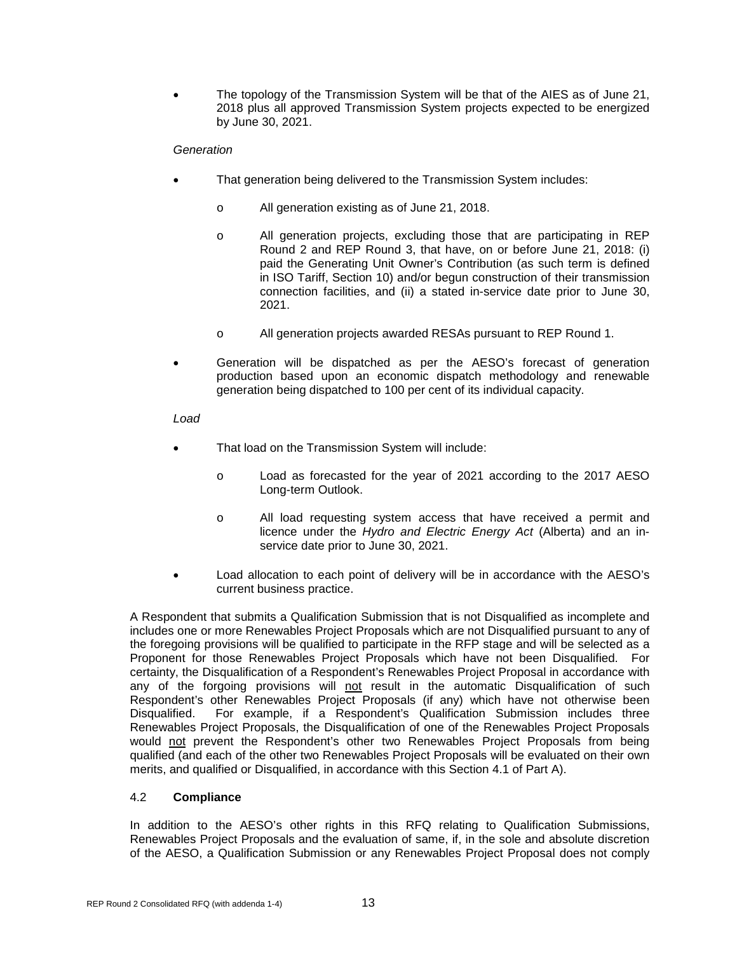• The topology of the Transmission System will be that of the AIES as of June 21, 2018 plus all approved Transmission System projects expected to be energized by June 30, 2021.

#### *Generation*

- That generation being delivered to the Transmission System includes:
	- o All generation existing as of June 21, 2018.
	- o All generation projects, excluding those that are participating in REP Round 2 and REP Round 3, that have, on or before June 21, 2018: (i) paid the Generating Unit Owner's Contribution (as such term is defined in ISO Tariff, Section 10) and/or begun construction of their transmission connection facilities, and (ii) a stated in-service date prior to June 30, 2021.
	- o All generation projects awarded RESAs pursuant to REP Round 1.
- Generation will be dispatched as per the AESO's forecast of generation production based upon an economic dispatch methodology and renewable generation being dispatched to 100 per cent of its individual capacity.

#### *Load*

- That load on the Transmission System will include:
	- o Load as forecasted for the year of 2021 according to the 2017 AESO Long-term Outlook.
	- o All load requesting system access that have received a permit and licence under the *Hydro and Electric Energy Act* (Alberta) and an inservice date prior to June 30, 2021.
- Load allocation to each point of delivery will be in accordance with the AESO's current business practice.

A Respondent that submits a Qualification Submission that is not Disqualified as incomplete and includes one or more Renewables Project Proposals which are not Disqualified pursuant to any of the foregoing provisions will be qualified to participate in the RFP stage and will be selected as a Proponent for those Renewables Project Proposals which have not been Disqualified. For certainty, the Disqualification of a Respondent's Renewables Project Proposal in accordance with any of the forgoing provisions will not result in the automatic Disqualification of such Respondent's other Renewables Project Proposals (if any) which have not otherwise been<br>Disqualified. For example, if a Respondent's Qualification Submission includes three For example, if a Respondent's Qualification Submission includes three Renewables Project Proposals, the Disqualification of one of the Renewables Project Proposals would not prevent the Respondent's other two Renewables Project Proposals from being qualified (and each of the other two Renewables Project Proposals will be evaluated on their own merits, and qualified or Disqualified, in accordance with this Section 4.1 of Part A).

#### <span id="page-17-0"></span>4.2 **Compliance**

In addition to the AESO's other rights in this RFQ relating to Qualification Submissions, Renewables Project Proposals and the evaluation of same, if, in the sole and absolute discretion of the AESO, a Qualification Submission or any Renewables Project Proposal does not comply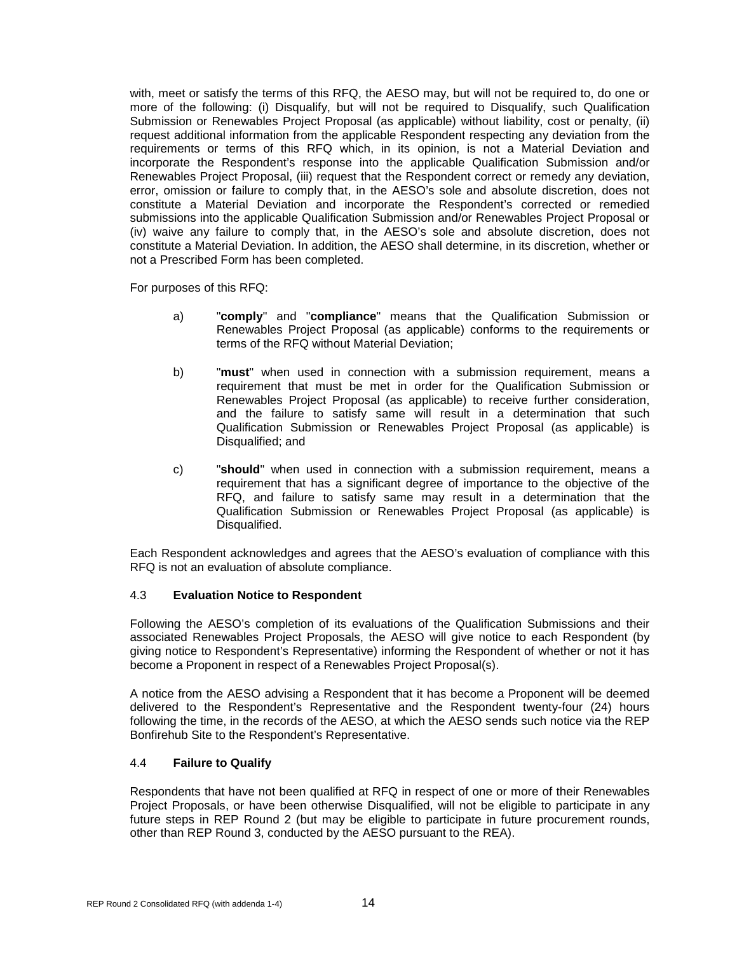with, meet or satisfy the terms of this RFQ, the AESO may, but will not be required to, do one or more of the following: (i) Disqualify, but will not be required to Disqualify, such Qualification Submission or Renewables Project Proposal (as applicable) without liability, cost or penalty, (ii) request additional information from the applicable Respondent respecting any deviation from the requirements or terms of this RFQ which, in its opinion, is not a Material Deviation and incorporate the Respondent's response into the applicable Qualification Submission and/or Renewables Project Proposal, (iii) request that the Respondent correct or remedy any deviation, error, omission or failure to comply that, in the AESO's sole and absolute discretion, does not constitute a Material Deviation and incorporate the Respondent's corrected or remedied submissions into the applicable Qualification Submission and/or Renewables Project Proposal or (iv) waive any failure to comply that, in the AESO's sole and absolute discretion, does not constitute a Material Deviation. In addition, the AESO shall determine, in its discretion, whether or not a Prescribed Form has been completed.

For purposes of this RFQ:

- a) "**comply**" and "**compliance**" means that the Qualification Submission or Renewables Project Proposal (as applicable) conforms to the requirements or terms of the RFQ without Material Deviation;
- b) "**must**" when used in connection with a submission requirement, means a requirement that must be met in order for the Qualification Submission or Renewables Project Proposal (as applicable) to receive further consideration, and the failure to satisfy same will result in a determination that such Qualification Submission or Renewables Project Proposal (as applicable) is Disqualified; and
- c) "**should**" when used in connection with a submission requirement, means a requirement that has a significant degree of importance to the objective of the RFQ, and failure to satisfy same may result in a determination that the Qualification Submission or Renewables Project Proposal (as applicable) is Disqualified.

Each Respondent acknowledges and agrees that the AESO's evaluation of compliance with this RFQ is not an evaluation of absolute compliance.

#### <span id="page-18-0"></span>4.3 **Evaluation Notice to Respondent**

Following the AESO's completion of its evaluations of the Qualification Submissions and their associated Renewables Project Proposals, the AESO will give notice to each Respondent (by giving notice to Respondent's Representative) informing the Respondent of whether or not it has become a Proponent in respect of a Renewables Project Proposal(s).

A notice from the AESO advising a Respondent that it has become a Proponent will be deemed delivered to the Respondent's Representative and the Respondent twenty-four (24) hours following the time, in the records of the AESO, at which the AESO sends such notice via the REP Bonfirehub Site to the Respondent's Representative.

#### <span id="page-18-1"></span>4.4 **Failure to Qualify**

Respondents that have not been qualified at RFQ in respect of one or more of their Renewables Project Proposals, or have been otherwise Disqualified, will not be eligible to participate in any future steps in REP Round 2 (but may be eligible to participate in future procurement rounds, other than REP Round 3, conducted by the AESO pursuant to the REA).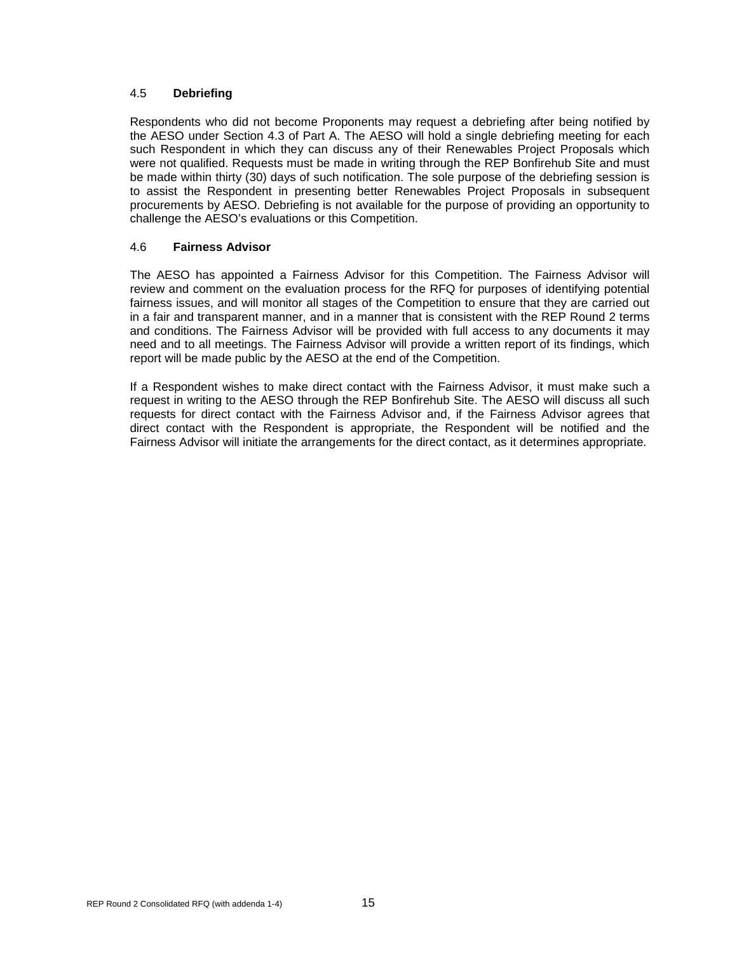#### <span id="page-19-0"></span>4.5 **Debriefing**

Respondents who did not become Proponents may request a debriefing after being notified by the AESO under Section 4.3 of Part A. The AESO will hold a single debriefing meeting for each such Respondent in which they can discuss any of their Renewables Project Proposals which were not qualified. Requests must be made in writing through the REP Bonfirehub Site and must be made within thirty (30) days of such notification. The sole purpose of the debriefing session is to assist the Respondent in presenting better Renewables Project Proposals in subsequent procurements by AESO. Debriefing is not available for the purpose of providing an opportunity to challenge the AESO's evaluations or this Competition.

#### <span id="page-19-1"></span>4.6 **Fairness Advisor**

The AESO has appointed a Fairness Advisor for this Competition. The Fairness Advisor will review and comment on the evaluation process for the RFQ for purposes of identifying potential fairness issues, and will monitor all stages of the Competition to ensure that they are carried out in a fair and transparent manner, and in a manner that is consistent with the REP Round 2 terms and conditions. The Fairness Advisor will be provided with full access to any documents it may need and to all meetings. The Fairness Advisor will provide a written report of its findings, which report will be made public by the AESO at the end of the Competition.

If a Respondent wishes to make direct contact with the Fairness Advisor, it must make such a request in writing to the AESO through the REP Bonfirehub Site. The AESO will discuss all such requests for direct contact with the Fairness Advisor and, if the Fairness Advisor agrees that direct contact with the Respondent is appropriate, the Respondent will be notified and the Fairness Advisor will initiate the arrangements for the direct contact, as it determines appropriate.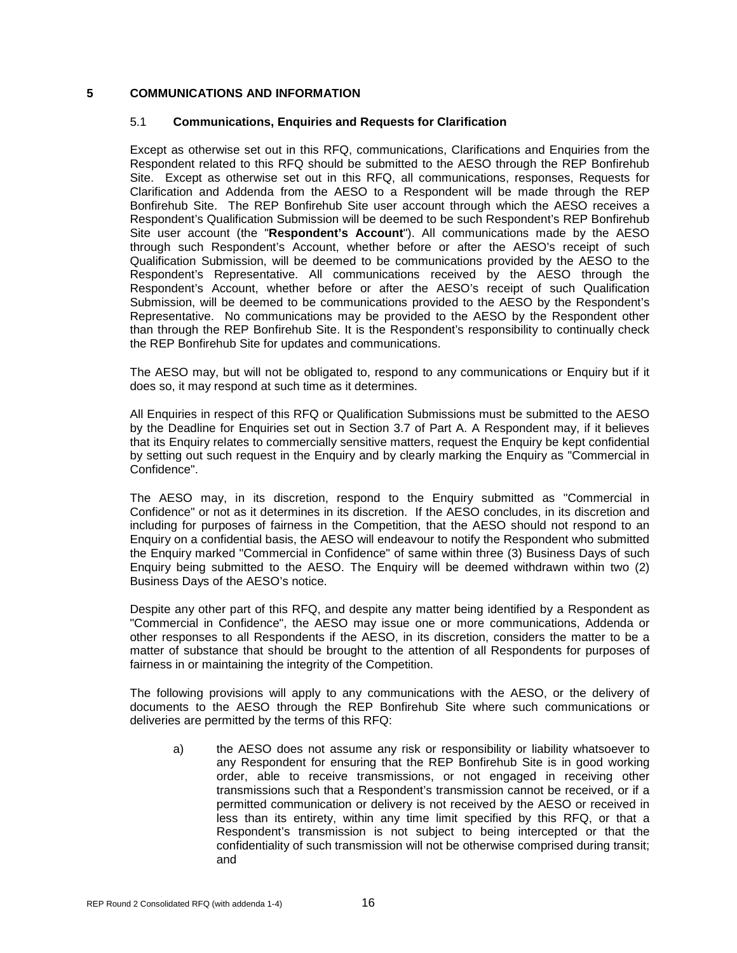#### <span id="page-20-1"></span><span id="page-20-0"></span>**5 COMMUNICATIONS AND INFORMATION**

#### 5.1 **Communications, Enquiries and Requests for Clarification**

Except as otherwise set out in this RFQ, communications, Clarifications and Enquiries from the Respondent related to this RFQ should be submitted to the AESO through the REP Bonfirehub Site. Except as otherwise set out in this RFQ, all communications, responses, Requests for Clarification and Addenda from the AESO to a Respondent will be made through the REP Bonfirehub Site. The REP Bonfirehub Site user account through which the AESO receives a Respondent's Qualification Submission will be deemed to be such Respondent's REP Bonfirehub Site user account (the "**Respondent's Account**"). All communications made by the AESO through such Respondent's Account, whether before or after the AESO's receipt of such Qualification Submission, will be deemed to be communications provided by the AESO to the Respondent's Representative. All communications received by the AESO through the Respondent's Account, whether before or after the AESO's receipt of such Qualification Submission, will be deemed to be communications provided to the AESO by the Respondent's Representative. No communications may be provided to the AESO by the Respondent other than through the REP Bonfirehub Site. It is the Respondent's responsibility to continually check the REP Bonfirehub Site for updates and communications.

The AESO may, but will not be obligated to, respond to any communications or Enquiry but if it does so, it may respond at such time as it determines.

All Enquiries in respect of this RFQ or Qualification Submissions must be submitted to the AESO by the Deadline for Enquiries set out in Section 3.7 of Part A. A Respondent may, if it believes that its Enquiry relates to commercially sensitive matters, request the Enquiry be kept confidential by setting out such request in the Enquiry and by clearly marking the Enquiry as "Commercial in Confidence".

The AESO may, in its discretion, respond to the Enquiry submitted as "Commercial in Confidence" or not as it determines in its discretion. If the AESO concludes, in its discretion and including for purposes of fairness in the Competition, that the AESO should not respond to an Enquiry on a confidential basis, the AESO will endeavour to notify the Respondent who submitted the Enquiry marked "Commercial in Confidence" of same within three (3) Business Days of such Enquiry being submitted to the AESO. The Enquiry will be deemed withdrawn within two (2) Business Days of the AESO's notice.

Despite any other part of this RFQ, and despite any matter being identified by a Respondent as "Commercial in Confidence", the AESO may issue one or more communications, Addenda or other responses to all Respondents if the AESO, in its discretion, considers the matter to be a matter of substance that should be brought to the attention of all Respondents for purposes of fairness in or maintaining the integrity of the Competition.

The following provisions will apply to any communications with the AESO, or the delivery of documents to the AESO through the REP Bonfirehub Site where such communications or deliveries are permitted by the terms of this RFQ:

a) the AESO does not assume any risk or responsibility or liability whatsoever to any Respondent for ensuring that the REP Bonfirehub Site is in good working order, able to receive transmissions, or not engaged in receiving other transmissions such that a Respondent's transmission cannot be received, or if a permitted communication or delivery is not received by the AESO or received in less than its entirety, within any time limit specified by this RFQ, or that a Respondent's transmission is not subject to being intercepted or that the confidentiality of such transmission will not be otherwise comprised during transit; and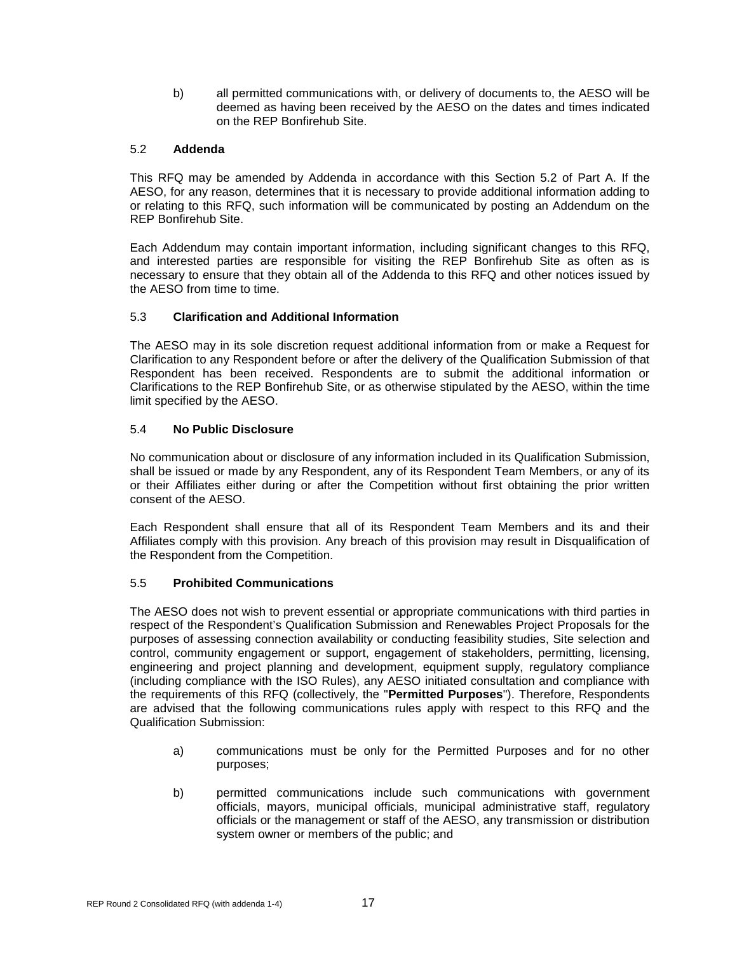b) all permitted communications with, or delivery of documents to, the AESO will be deemed as having been received by the AESO on the dates and times indicated on the REP Bonfirehub Site.

#### <span id="page-21-0"></span>5.2 **Addenda**

This RFQ may be amended by Addenda in accordance with this Section 5.2 of Part A. If the AESO, for any reason, determines that it is necessary to provide additional information adding to or relating to this RFQ, such information will be communicated by posting an Addendum on the REP Bonfirehub Site.

Each Addendum may contain important information, including significant changes to this RFQ, and interested parties are responsible for visiting the REP Bonfirehub Site as often as is necessary to ensure that they obtain all of the Addenda to this RFQ and other notices issued by the AESO from time to time.

#### <span id="page-21-1"></span>5.3 **Clarification and Additional Information**

The AESO may in its sole discretion request additional information from or make a Request for Clarification to any Respondent before or after the delivery of the Qualification Submission of that Respondent has been received. Respondents are to submit the additional information or Clarifications to the REP Bonfirehub Site, or as otherwise stipulated by the AESO, within the time limit specified by the AESO.

#### <span id="page-21-2"></span>5.4 **No Public Disclosure**

No communication about or disclosure of any information included in its Qualification Submission, shall be issued or made by any Respondent, any of its Respondent Team Members, or any of its or their Affiliates either during or after the Competition without first obtaining the prior written consent of the AESO.

Each Respondent shall ensure that all of its Respondent Team Members and its and their Affiliates comply with this provision. Any breach of this provision may result in Disqualification of the Respondent from the Competition.

#### <span id="page-21-3"></span>5.5 **Prohibited Communications**

The AESO does not wish to prevent essential or appropriate communications with third parties in respect of the Respondent's Qualification Submission and Renewables Project Proposals for the purposes of assessing connection availability or conducting feasibility studies, Site selection and control, community engagement or support, engagement of stakeholders, permitting, licensing, engineering and project planning and development, equipment supply, regulatory compliance (including compliance with the ISO Rules), any AESO initiated consultation and compliance with the requirements of this RFQ (collectively, the "**Permitted Purposes**"). Therefore, Respondents are advised that the following communications rules apply with respect to this RFQ and the Qualification Submission:

- a) communications must be only for the Permitted Purposes and for no other purposes;
- b) permitted communications include such communications with government officials, mayors, municipal officials, municipal administrative staff, regulatory officials or the management or staff of the AESO, any transmission or distribution system owner or members of the public; and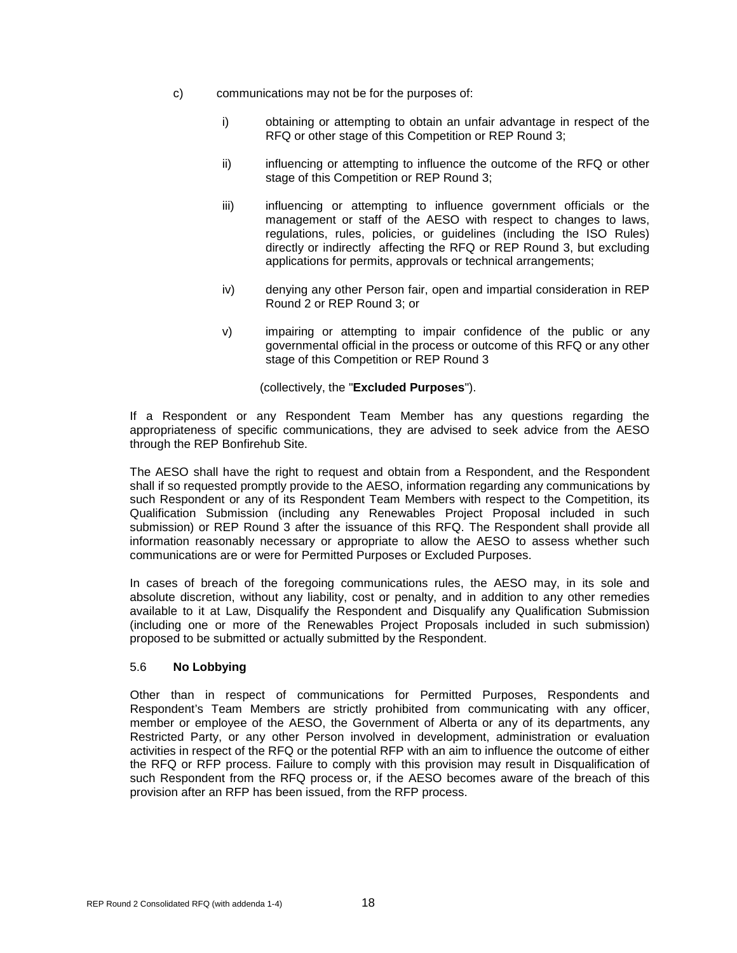- c) communications may not be for the purposes of:
	- i) obtaining or attempting to obtain an unfair advantage in respect of the RFQ or other stage of this Competition or REP Round 3;
	- ii) influencing or attempting to influence the outcome of the RFQ or other stage of this Competition or REP Round 3;
	- iii) influencing or attempting to influence government officials or the management or staff of the AESO with respect to changes to laws, regulations, rules, policies, or guidelines (including the ISO Rules) directly or indirectly affecting the RFQ or REP Round 3, but excluding applications for permits, approvals or technical arrangements;
	- iv) denying any other Person fair, open and impartial consideration in REP Round 2 or REP Round 3; or
	- v) impairing or attempting to impair confidence of the public or any governmental official in the process or outcome of this RFQ or any other stage of this Competition or REP Round 3

(collectively, the "**Excluded Purposes**").

If a Respondent or any Respondent Team Member has any questions regarding the appropriateness of specific communications, they are advised to seek advice from the AESO through the REP Bonfirehub Site.

The AESO shall have the right to request and obtain from a Respondent, and the Respondent shall if so requested promptly provide to the AESO, information regarding any communications by such Respondent or any of its Respondent Team Members with respect to the Competition, its Qualification Submission (including any Renewables Project Proposal included in such submission) or REP Round 3 after the issuance of this RFQ. The Respondent shall provide all information reasonably necessary or appropriate to allow the AESO to assess whether such communications are or were for Permitted Purposes or Excluded Purposes.

In cases of breach of the foregoing communications rules, the AESO may, in its sole and absolute discretion, without any liability, cost or penalty, and in addition to any other remedies available to it at Law, Disqualify the Respondent and Disqualify any Qualification Submission (including one or more of the Renewables Project Proposals included in such submission) proposed to be submitted or actually submitted by the Respondent.

#### <span id="page-22-0"></span>5.6 **No Lobbying**

Other than in respect of communications for Permitted Purposes, Respondents and Respondent's Team Members are strictly prohibited from communicating with any officer, member or employee of the AESO, the Government of Alberta or any of its departments, any Restricted Party, or any other Person involved in development, administration or evaluation activities in respect of the RFQ or the potential RFP with an aim to influence the outcome of either the RFQ or RFP process. Failure to comply with this provision may result in Disqualification of such Respondent from the RFQ process or, if the AESO becomes aware of the breach of this provision after an RFP has been issued, from the RFP process.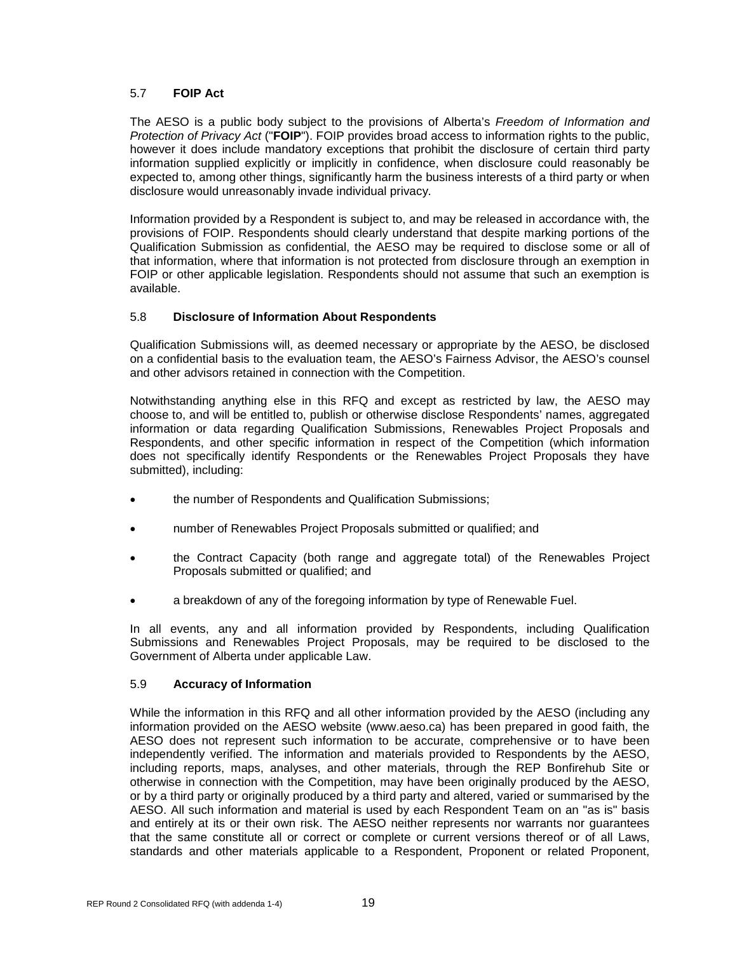#### <span id="page-23-0"></span>5.7 **FOIP Act**

The AESO is a public body subject to the provisions of Alberta's *Freedom of Information and Protection of Privacy Act* ("**FOIP**"). FOIP provides broad access to information rights to the public, however it does include mandatory exceptions that prohibit the disclosure of certain third party information supplied explicitly or implicitly in confidence, when disclosure could reasonably be expected to, among other things, significantly harm the business interests of a third party or when disclosure would unreasonably invade individual privacy.

Information provided by a Respondent is subject to, and may be released in accordance with, the provisions of FOIP. Respondents should clearly understand that despite marking portions of the Qualification Submission as confidential, the AESO may be required to disclose some or all of that information, where that information is not protected from disclosure through an exemption in FOIP or other applicable legislation. Respondents should not assume that such an exemption is available.

#### <span id="page-23-1"></span>5.8 **Disclosure of Information About Respondents**

Qualification Submissions will, as deemed necessary or appropriate by the AESO, be disclosed on a confidential basis to the evaluation team, the AESO's Fairness Advisor, the AESO's counsel and other advisors retained in connection with the Competition.

Notwithstanding anything else in this RFQ and except as restricted by law, the AESO may choose to, and will be entitled to, publish or otherwise disclose Respondents' names, aggregated information or data regarding Qualification Submissions, Renewables Project Proposals and Respondents, and other specific information in respect of the Competition (which information does not specifically identify Respondents or the Renewables Project Proposals they have submitted), including:

- the number of Respondents and Qualification Submissions;
- number of Renewables Project Proposals submitted or qualified; and
- the Contract Capacity (both range and aggregate total) of the Renewables Project Proposals submitted or qualified; and
- a breakdown of any of the foregoing information by type of Renewable Fuel.

In all events, any and all information provided by Respondents, including Qualification Submissions and Renewables Project Proposals, may be required to be disclosed to the Government of Alberta under applicable Law.

#### <span id="page-23-2"></span>5.9 **Accuracy of Information**

While the information in this RFQ and all other information provided by the AESO (including any information provided on the AESO website (www.aeso.ca) has been prepared in good faith, the AESO does not represent such information to be accurate, comprehensive or to have been independently verified. The information and materials provided to Respondents by the AESO, including reports, maps, analyses, and other materials, through the REP Bonfirehub Site or otherwise in connection with the Competition, may have been originally produced by the AESO, or by a third party or originally produced by a third party and altered, varied or summarised by the AESO. All such information and material is used by each Respondent Team on an "as is" basis and entirely at its or their own risk. The AESO neither represents nor warrants nor guarantees that the same constitute all or correct or complete or current versions thereof or of all Laws, standards and other materials applicable to a Respondent, Proponent or related Proponent,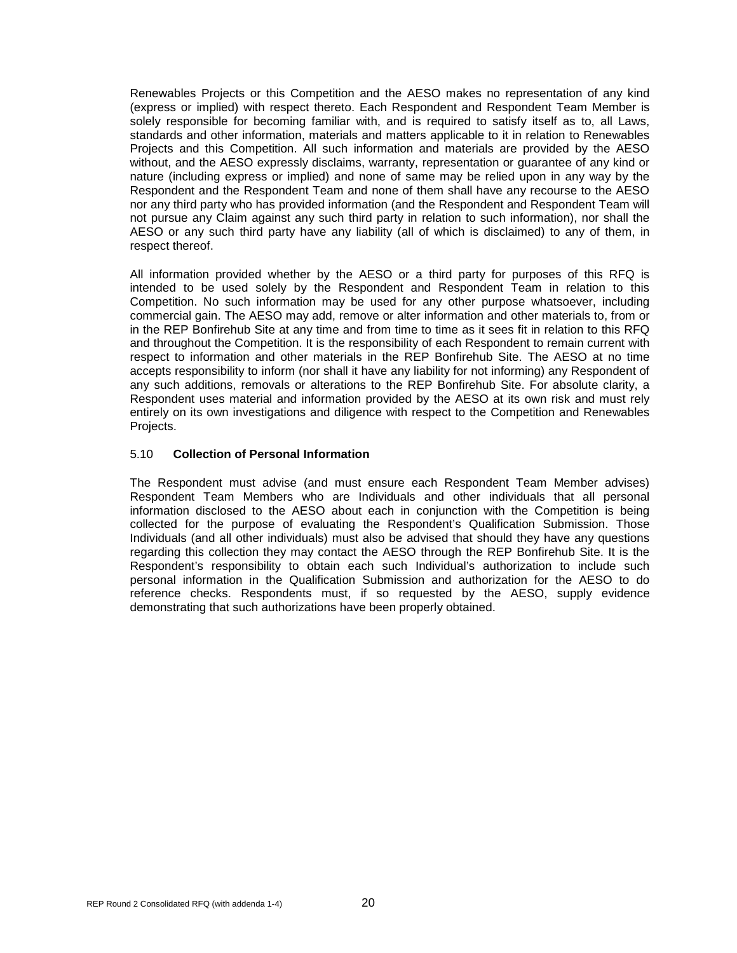Renewables Projects or this Competition and the AESO makes no representation of any kind (express or implied) with respect thereto. Each Respondent and Respondent Team Member is solely responsible for becoming familiar with, and is required to satisfy itself as to, all Laws, standards and other information, materials and matters applicable to it in relation to Renewables Projects and this Competition. All such information and materials are provided by the AESO without, and the AESO expressly disclaims, warranty, representation or guarantee of any kind or nature (including express or implied) and none of same may be relied upon in any way by the Respondent and the Respondent Team and none of them shall have any recourse to the AESO nor any third party who has provided information (and the Respondent and Respondent Team will not pursue any Claim against any such third party in relation to such information), nor shall the AESO or any such third party have any liability (all of which is disclaimed) to any of them, in respect thereof.

All information provided whether by the AESO or a third party for purposes of this RFQ is intended to be used solely by the Respondent and Respondent Team in relation to this Competition. No such information may be used for any other purpose whatsoever, including commercial gain. The AESO may add, remove or alter information and other materials to, from or in the REP Bonfirehub Site at any time and from time to time as it sees fit in relation to this RFQ and throughout the Competition. It is the responsibility of each Respondent to remain current with respect to information and other materials in the REP Bonfirehub Site. The AESO at no time accepts responsibility to inform (nor shall it have any liability for not informing) any Respondent of any such additions, removals or alterations to the REP Bonfirehub Site. For absolute clarity, a Respondent uses material and information provided by the AESO at its own risk and must rely entirely on its own investigations and diligence with respect to the Competition and Renewables Projects.

#### <span id="page-24-0"></span>5.10 **Collection of Personal Information**

The Respondent must advise (and must ensure each Respondent Team Member advises) Respondent Team Members who are Individuals and other individuals that all personal information disclosed to the AESO about each in conjunction with the Competition is being collected for the purpose of evaluating the Respondent's Qualification Submission. Those Individuals (and all other individuals) must also be advised that should they have any questions regarding this collection they may contact the AESO through the REP Bonfirehub Site. It is the Respondent's responsibility to obtain each such Individual's authorization to include such personal information in the Qualification Submission and authorization for the AESO to do reference checks. Respondents must, if so requested by the AESO, supply evidence demonstrating that such authorizations have been properly obtained.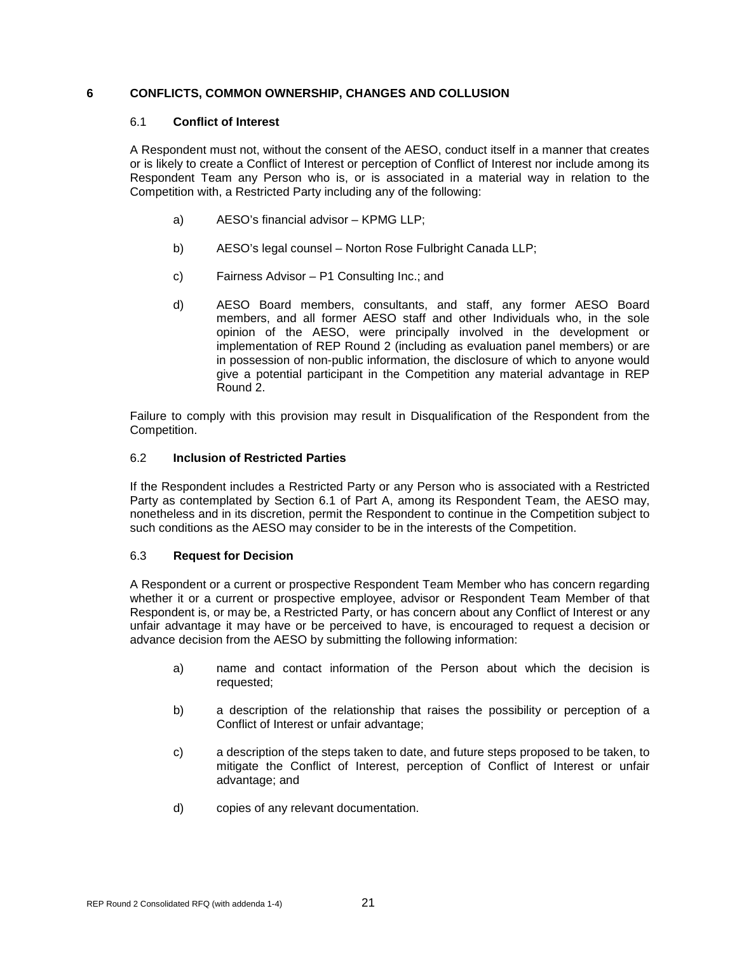#### <span id="page-25-1"></span><span id="page-25-0"></span>**6 CONFLICTS, COMMON OWNERSHIP, CHANGES AND COLLUSION**

#### 6.1 **Conflict of Interest**

A Respondent must not, without the consent of the AESO, conduct itself in a manner that creates or is likely to create a Conflict of Interest or perception of Conflict of Interest nor include among its Respondent Team any Person who is, or is associated in a material way in relation to the Competition with, a Restricted Party including any of the following:

- a) AESO's financial advisor KPMG LLP;
- b) AESO's legal counsel Norton Rose Fulbright Canada LLP;
- c) Fairness Advisor P1 Consulting Inc.; and
- d) AESO Board members, consultants, and staff, any former AESO Board members, and all former AESO staff and other Individuals who, in the sole opinion of the AESO, were principally involved in the development or implementation of REP Round 2 (including as evaluation panel members) or are in possession of non-public information, the disclosure of which to anyone would give a potential participant in the Competition any material advantage in REP Round 2.

Failure to comply with this provision may result in Disqualification of the Respondent from the Competition.

#### <span id="page-25-2"></span>6.2 **Inclusion of Restricted Parties**

If the Respondent includes a Restricted Party or any Person who is associated with a Restricted Party as contemplated by Section 6.1 of Part A, among its Respondent Team, the AESO may, nonetheless and in its discretion, permit the Respondent to continue in the Competition subject to such conditions as the AESO may consider to be in the interests of the Competition.

#### <span id="page-25-3"></span>6.3 **Request for Decision**

A Respondent or a current or prospective Respondent Team Member who has concern regarding whether it or a current or prospective employee, advisor or Respondent Team Member of that Respondent is, or may be, a Restricted Party, or has concern about any Conflict of Interest or any unfair advantage it may have or be perceived to have, is encouraged to request a decision or advance decision from the AESO by submitting the following information:

- a) name and contact information of the Person about which the decision is requested;
- b) a description of the relationship that raises the possibility or perception of a Conflict of Interest or unfair advantage;
- c) a description of the steps taken to date, and future steps proposed to be taken, to mitigate the Conflict of Interest, perception of Conflict of Interest or unfair advantage; and
- d) copies of any relevant documentation.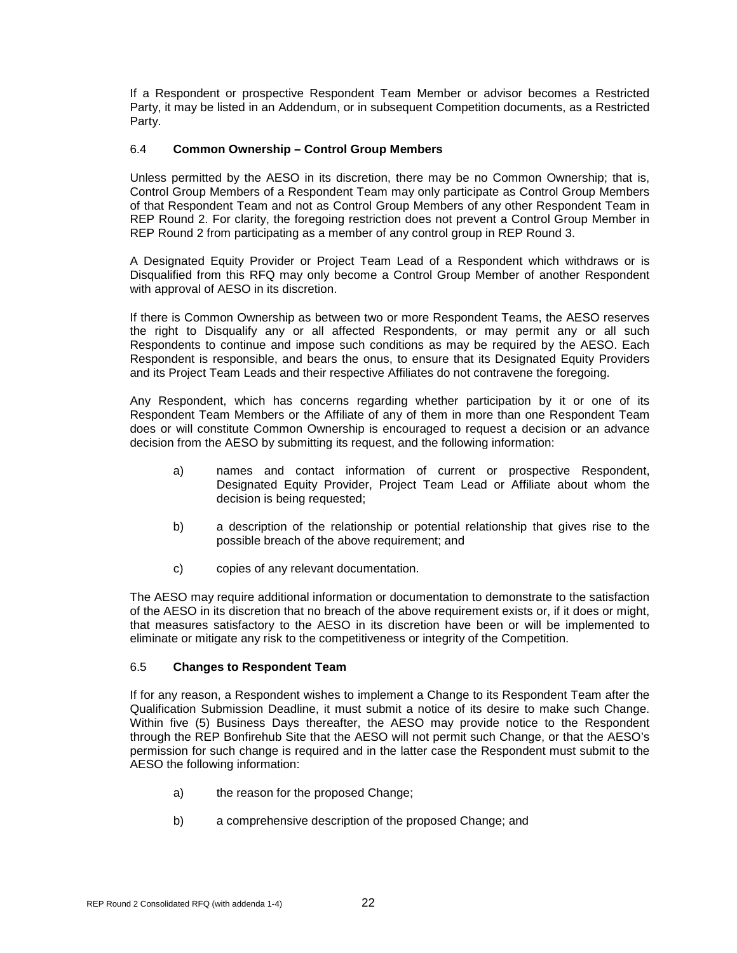If a Respondent or prospective Respondent Team Member or advisor becomes a Restricted Party, it may be listed in an Addendum, or in subsequent Competition documents, as a Restricted Party.

#### <span id="page-26-0"></span>6.4 **Common Ownership – Control Group Members**

Unless permitted by the AESO in its discretion, there may be no Common Ownership; that is, Control Group Members of a Respondent Team may only participate as Control Group Members of that Respondent Team and not as Control Group Members of any other Respondent Team in REP Round 2. For clarity, the foregoing restriction does not prevent a Control Group Member in REP Round 2 from participating as a member of any control group in REP Round 3.

A Designated Equity Provider or Project Team Lead of a Respondent which withdraws or is Disqualified from this RFQ may only become a Control Group Member of another Respondent with approval of AESO in its discretion.

If there is Common Ownership as between two or more Respondent Teams, the AESO reserves the right to Disqualify any or all affected Respondents, or may permit any or all such Respondents to continue and impose such conditions as may be required by the AESO. Each Respondent is responsible, and bears the onus, to ensure that its Designated Equity Providers and its Project Team Leads and their respective Affiliates do not contravene the foregoing.

Any Respondent, which has concerns regarding whether participation by it or one of its Respondent Team Members or the Affiliate of any of them in more than one Respondent Team does or will constitute Common Ownership is encouraged to request a decision or an advance decision from the AESO by submitting its request, and the following information:

- a) names and contact information of current or prospective Respondent, Designated Equity Provider, Project Team Lead or Affiliate about whom the decision is being requested;
- b) a description of the relationship or potential relationship that gives rise to the possible breach of the above requirement; and
- c) copies of any relevant documentation.

The AESO may require additional information or documentation to demonstrate to the satisfaction of the AESO in its discretion that no breach of the above requirement exists or, if it does or might, that measures satisfactory to the AESO in its discretion have been or will be implemented to eliminate or mitigate any risk to the competitiveness or integrity of the Competition.

#### <span id="page-26-1"></span>6.5 **Changes to Respondent Team**

If for any reason, a Respondent wishes to implement a Change to its Respondent Team after the Qualification Submission Deadline, it must submit a notice of its desire to make such Change. Within five (5) Business Days thereafter, the AESO may provide notice to the Respondent through the REP Bonfirehub Site that the AESO will not permit such Change, or that the AESO's permission for such change is required and in the latter case the Respondent must submit to the AESO the following information:

- a) the reason for the proposed Change;
- b) a comprehensive description of the proposed Change; and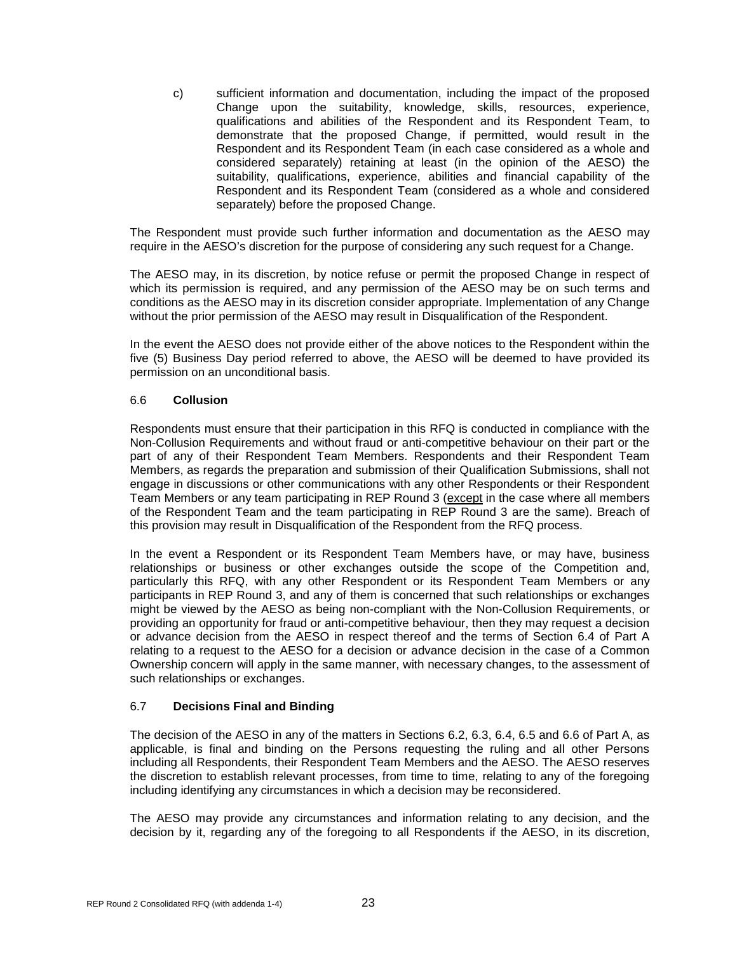c) sufficient information and documentation, including the impact of the proposed Change upon the suitability, knowledge, skills, resources, experience, qualifications and abilities of the Respondent and its Respondent Team, to demonstrate that the proposed Change, if permitted, would result in the Respondent and its Respondent Team (in each case considered as a whole and considered separately) retaining at least (in the opinion of the AESO) the suitability, qualifications, experience, abilities and financial capability of the Respondent and its Respondent Team (considered as a whole and considered separately) before the proposed Change.

The Respondent must provide such further information and documentation as the AESO may require in the AESO's discretion for the purpose of considering any such request for a Change.

The AESO may, in its discretion, by notice refuse or permit the proposed Change in respect of which its permission is required, and any permission of the AESO may be on such terms and conditions as the AESO may in its discretion consider appropriate. Implementation of any Change without the prior permission of the AESO may result in Disqualification of the Respondent.

In the event the AESO does not provide either of the above notices to the Respondent within the five (5) Business Day period referred to above, the AESO will be deemed to have provided its permission on an unconditional basis.

#### <span id="page-27-0"></span>6.6 **Collusion**

Respondents must ensure that their participation in this RFQ is conducted in compliance with the Non-Collusion Requirements and without fraud or anti-competitive behaviour on their part or the part of any of their Respondent Team Members. Respondents and their Respondent Team Members, as regards the preparation and submission of their Qualification Submissions, shall not engage in discussions or other communications with any other Respondents or their Respondent Team Members or any team participating in REP Round 3 (except in the case where all members of the Respondent Team and the team participating in REP Round 3 are the same). Breach of this provision may result in Disqualification of the Respondent from the RFQ process.

In the event a Respondent or its Respondent Team Members have, or may have, business relationships or business or other exchanges outside the scope of the Competition and, particularly this RFQ, with any other Respondent or its Respondent Team Members or any participants in REP Round 3, and any of them is concerned that such relationships or exchanges might be viewed by the AESO as being non-compliant with the Non-Collusion Requirements, or providing an opportunity for fraud or anti-competitive behaviour, then they may request a decision or advance decision from the AESO in respect thereof and the terms of Section 6.4 of Part A relating to a request to the AESO for a decision or advance decision in the case of a Common Ownership concern will apply in the same manner, with necessary changes, to the assessment of such relationships or exchanges.

#### <span id="page-27-1"></span>6.7 **Decisions Final and Binding**

The decision of the AESO in any of the matters in Sections 6.2, 6.3, 6.4, 6.5 and 6.6 of Part A, as applicable, is final and binding on the Persons requesting the ruling and all other Persons including all Respondents, their Respondent Team Members and the AESO. The AESO reserves the discretion to establish relevant processes, from time to time, relating to any of the foregoing including identifying any circumstances in which a decision may be reconsidered.

The AESO may provide any circumstances and information relating to any decision, and the decision by it, regarding any of the foregoing to all Respondents if the AESO, in its discretion,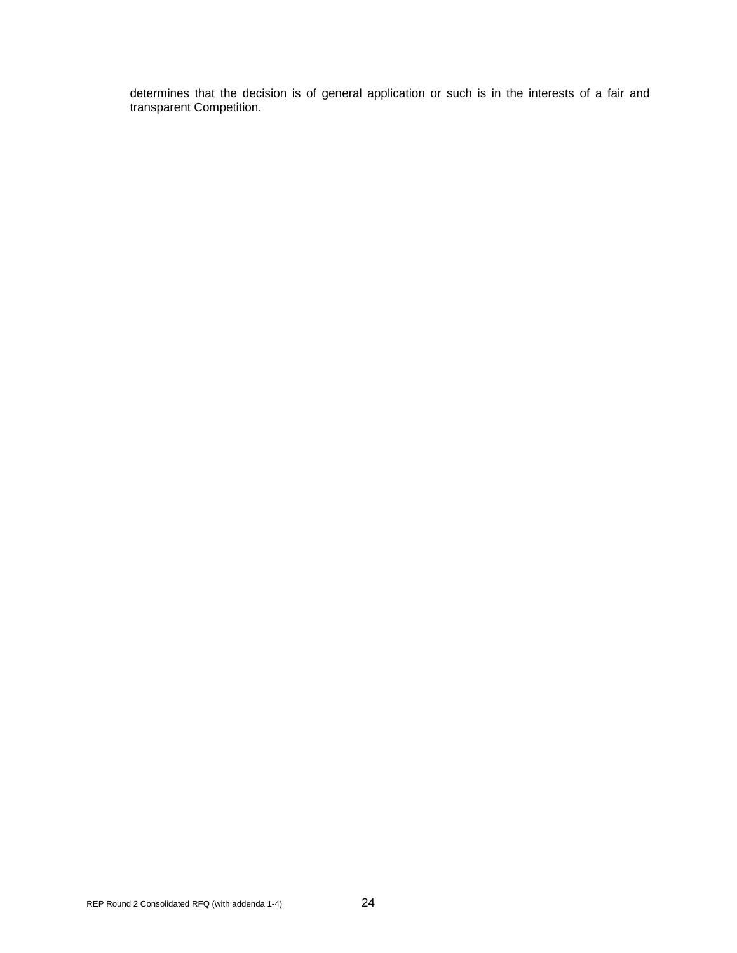determines that the decision is of general application or such is in the interests of a fair and transparent Competition.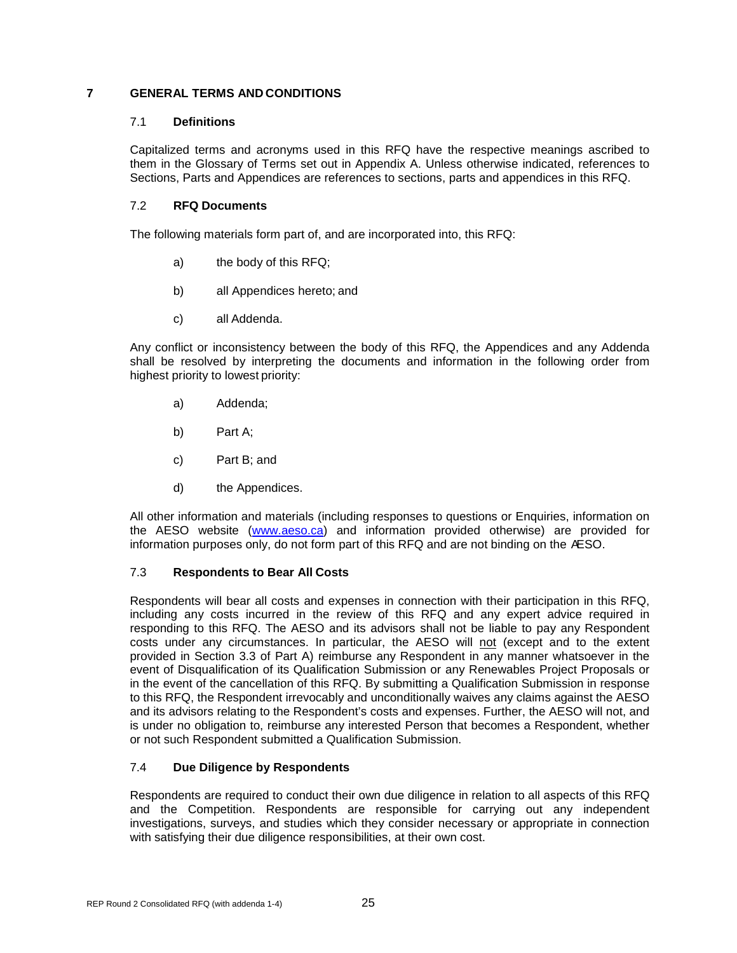#### <span id="page-29-1"></span><span id="page-29-0"></span>**7 GENERAL TERMS AND CONDITIONS**

#### 7.1 **Definitions**

Capitalized terms and acronyms used in this RFQ have the respective meanings ascribed to them in the Glossary of Terms set out in Appendix A. Unless otherwise indicated, references to Sections, Parts and Appendices are references to sections, parts and appendices in this RFQ.

#### <span id="page-29-2"></span>7.2 **RFQ Documents**

The following materials form part of, and are incorporated into, this RFQ:

- a) the body of this RFQ;
- b) all Appendices hereto; and
- c) all Addenda.

Any conflict or inconsistency between the body of this RFQ, the Appendices and any Addenda shall be resolved by interpreting the documents and information in the following order from highest priority to lowest priority:

- a) Addenda;
- b) Part A;
- c) Part B; and
- d) the Appendices.

All other information and materials (including responses to questions or Enquiries, information on the AESO website [\(www.aeso.ca\)](http://www.aeso.ca/) and information provided otherwise) are provided for information purposes only, do not form part of this RFQ and are not binding on the AESO.

#### <span id="page-29-3"></span>7.3 **Respondents to Bear All Costs**

Respondents will bear all costs and expenses in connection with their participation in this RFQ, including any costs incurred in the review of this RFQ and any expert advice required in responding to this RFQ. The AESO and its advisors shall not be liable to pay any Respondent costs under any circumstances. In particular, the AESO will not (except and to the extent provided in Section 3.3 of Part A) reimburse any Respondent in any manner whatsoever in the event of Disqualification of its Qualification Submission or any Renewables Project Proposals or in the event of the cancellation of this RFQ. By submitting a Qualification Submission in response to this RFQ, the Respondent irrevocably and unconditionally waives any claims against the AESO and its advisors relating to the Respondent's costs and expenses. Further, the AESO will not, and is under no obligation to, reimburse any interested Person that becomes a Respondent, whether or not such Respondent submitted a Qualification Submission.

#### <span id="page-29-4"></span>7.4 **Due Diligence by Respondents**

Respondents are required to conduct their own due diligence in relation to all aspects of this RFQ and the Competition. Respondents are responsible for carrying out any independent investigations, surveys, and studies which they consider necessary or appropriate in connection with satisfying their due diligence responsibilities, at their own cost.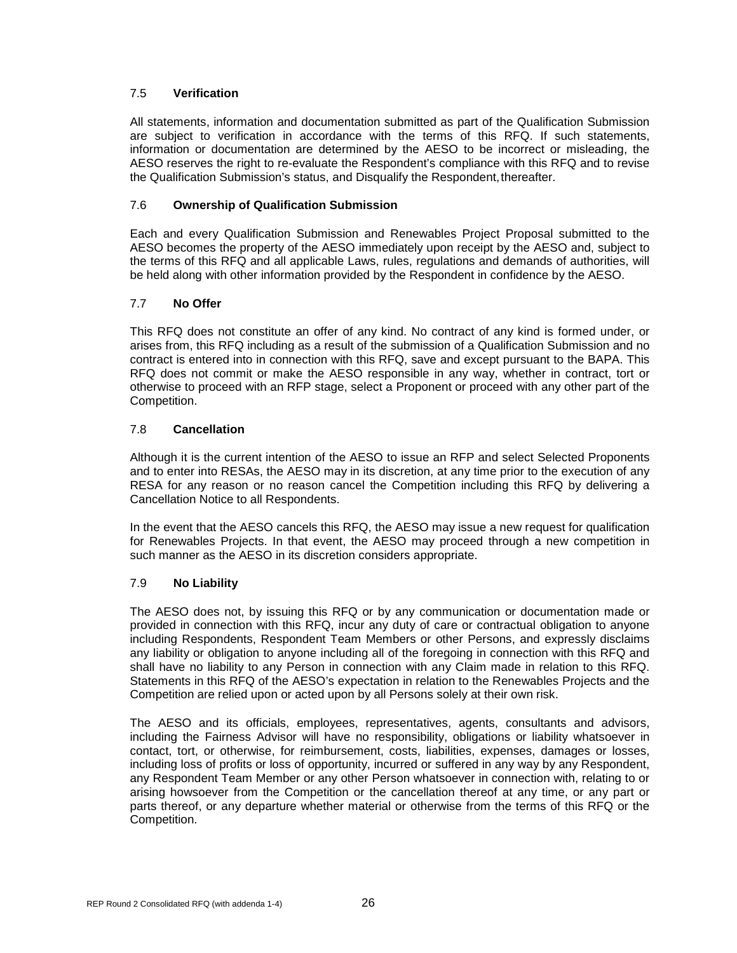#### <span id="page-30-0"></span>7.5 **Verification**

All statements, information and documentation submitted as part of the Qualification Submission are subject to verification in accordance with the terms of this RFQ. If such statements, information or documentation are determined by the AESO to be incorrect or misleading, the AESO reserves the right to re-evaluate the Respondent's compliance with this RFQ and to revise the Qualification Submission's status, and Disqualify the Respondent, thereafter.

#### <span id="page-30-1"></span>7.6 **Ownership of Qualification Submission**

Each and every Qualification Submission and Renewables Project Proposal submitted to the AESO becomes the property of the AESO immediately upon receipt by the AESO and, subject to the terms of this RFQ and all applicable Laws, rules, regulations and demands of authorities, will be held along with other information provided by the Respondent in confidence by the AESO.

#### <span id="page-30-2"></span>7.7 **No Offer**

This RFQ does not constitute an offer of any kind. No contract of any kind is formed under, or arises from, this RFQ including as a result of the submission of a Qualification Submission and no contract is entered into in connection with this RFQ, save and except pursuant to the BAPA. This RFQ does not commit or make the AESO responsible in any way, whether in contract, tort or otherwise to proceed with an RFP stage, select a Proponent or proceed with any other part of the Competition.

#### <span id="page-30-3"></span>7.8 **Cancellation**

Although it is the current intention of the AESO to issue an RFP and select Selected Proponents and to enter into RESAs, the AESO may in its discretion, at any time prior to the execution of any RESA for any reason or no reason cancel the Competition including this RFQ by delivering a Cancellation Notice to all Respondents.

In the event that the AESO cancels this RFQ, the AESO may issue a new request for qualification for Renewables Projects. In that event, the AESO may proceed through a new competition in such manner as the AESO in its discretion considers appropriate.

#### <span id="page-30-4"></span>7.9 **No Liability**

The AESO does not, by issuing this RFQ or by any communication or documentation made or provided in connection with this RFQ, incur any duty of care or contractual obligation to anyone including Respondents, Respondent Team Members or other Persons, and expressly disclaims any liability or obligation to anyone including all of the foregoing in connection with this RFQ and shall have no liability to any Person in connection with any Claim made in relation to this RFQ. Statements in this RFQ of the AESO's expectation in relation to the Renewables Projects and the Competition are relied upon or acted upon by all Persons solely at their own risk.

The AESO and its officials, employees, representatives, agents, consultants and advisors, including the Fairness Advisor will have no responsibility, obligations or liability whatsoever in contact, tort, or otherwise, for reimbursement, costs, liabilities, expenses, damages or losses, including loss of profits or loss of opportunity, incurred or suffered in any way by any Respondent, any Respondent Team Member or any other Person whatsoever in connection with, relating to or arising howsoever from the Competition or the cancellation thereof at any time, or any part or parts thereof, or any departure whether material or otherwise from the terms of this RFQ or the Competition.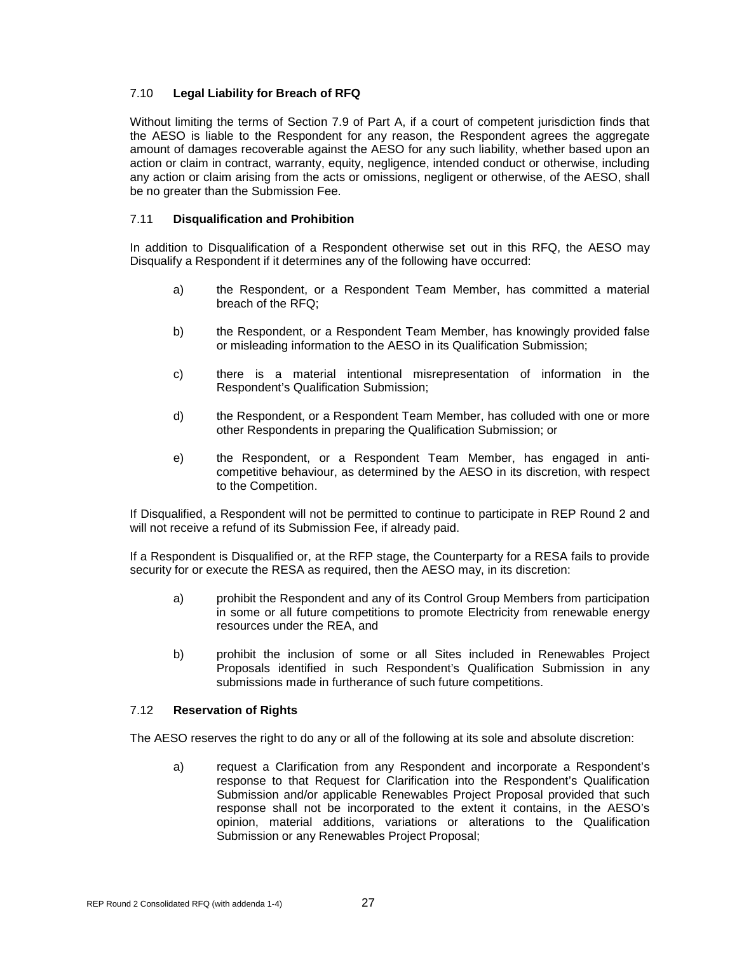#### <span id="page-31-0"></span>7.10 **Legal Liability for Breach of RFQ**

Without limiting the terms of Section 7.9 of Part A, if a court of competent jurisdiction finds that the AESO is liable to the Respondent for any reason, the Respondent agrees the aggregate amount of damages recoverable against the AESO for any such liability, whether based upon an action or claim in contract, warranty, equity, negligence, intended conduct or otherwise, including any action or claim arising from the acts or omissions, negligent or otherwise, of the AESO, shall be no greater than the Submission Fee.

#### <span id="page-31-1"></span>7.11 **Disqualification and Prohibition**

In addition to Disqualification of a Respondent otherwise set out in this RFQ, the AESO may Disqualify a Respondent if it determines any of the following have occurred:

- a) the Respondent, or a Respondent Team Member, has committed a material breach of the RFQ;
- b) the Respondent, or a Respondent Team Member, has knowingly provided false or misleading information to the AESO in its Qualification Submission;
- c) there is a material intentional misrepresentation of information in the Respondent's Qualification Submission;
- d) the Respondent, or a Respondent Team Member, has colluded with one or more other Respondents in preparing the Qualification Submission; or
- e) the Respondent, or a Respondent Team Member, has engaged in anticompetitive behaviour, as determined by the AESO in its discretion, with respect to the Competition.

If Disqualified, a Respondent will not be permitted to continue to participate in REP Round 2 and will not receive a refund of its Submission Fee, if already paid.

If a Respondent is Disqualified or, at the RFP stage, the Counterparty for a RESA fails to provide security for or execute the RESA as required, then the AESO may, in its discretion:

- a) prohibit the Respondent and any of its Control Group Members from participation in some or all future competitions to promote Electricity from renewable energy resources under the REA, and
- b) prohibit the inclusion of some or all Sites included in Renewables Project Proposals identified in such Respondent's Qualification Submission in any submissions made in furtherance of such future competitions.

#### <span id="page-31-2"></span>7.12 **Reservation of Rights**

The AESO reserves the right to do any or all of the following at its sole and absolute discretion:

a) request a Clarification from any Respondent and incorporate a Respondent's response to that Request for Clarification into the Respondent's Qualification Submission and/or applicable Renewables Project Proposal provided that such response shall not be incorporated to the extent it contains, in the AESO's opinion, material additions, variations or alterations to the Qualification Submission or any Renewables Project Proposal;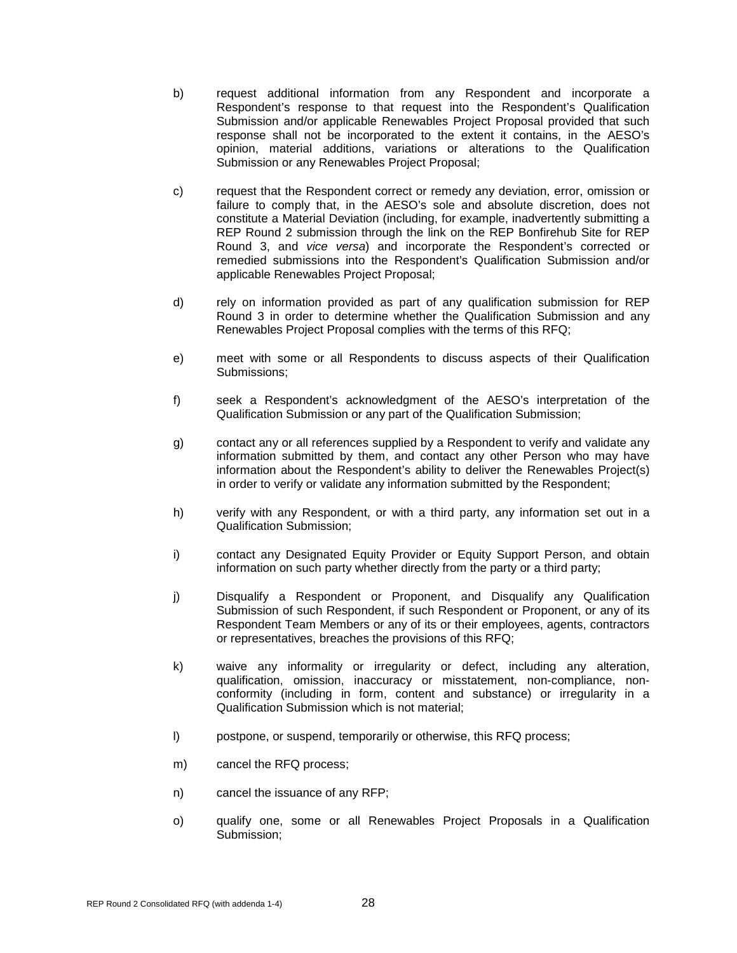- b) request additional information from any Respondent and incorporate a Respondent's response to that request into the Respondent's Qualification Submission and/or applicable Renewables Project Proposal provided that such response shall not be incorporated to the extent it contains, in the AESO's opinion, material additions, variations or alterations to the Qualification Submission or any Renewables Project Proposal;
- c) request that the Respondent correct or remedy any deviation, error, omission or failure to comply that, in the AESO's sole and absolute discretion, does not constitute a Material Deviation (including, for example, inadvertently submitting a REP Round 2 submission through the link on the REP Bonfirehub Site for REP Round 3, and *vice versa*) and incorporate the Respondent's corrected or remedied submissions into the Respondent's Qualification Submission and/or applicable Renewables Project Proposal;
- d) rely on information provided as part of any qualification submission for REP Round 3 in order to determine whether the Qualification Submission and any Renewables Project Proposal complies with the terms of this RFQ;
- e) meet with some or all Respondents to discuss aspects of their Qualification Submissions;
- f) seek a Respondent's acknowledgment of the AESO's interpretation of the Qualification Submission or any part of the Qualification Submission;
- g) contact any or all references supplied by a Respondent to verify and validate any information submitted by them, and contact any other Person who may have information about the Respondent's ability to deliver the Renewables Project(s) in order to verify or validate any information submitted by the Respondent;
- h) verify with any Respondent, or with a third party, any information set out in a Qualification Submission;
- i) contact any Designated Equity Provider or Equity Support Person, and obtain information on such party whether directly from the party or a third party;
- j) Disqualify a Respondent or Proponent, and Disqualify any Qualification Submission of such Respondent, if such Respondent or Proponent, or any of its Respondent Team Members or any of its or their employees, agents, contractors or representatives, breaches the provisions of this RFQ;
- k) waive any informality or irregularity or defect, including any alteration, qualification, omission, inaccuracy or misstatement, non-compliance, nonconformity (including in form, content and substance) or irregularity in a Qualification Submission which is not material;
- l) postpone, or suspend, temporarily or otherwise, this RFQ process;
- m) cancel the RFQ process;
- n) cancel the issuance of any RFP;
- o) qualify one, some or all Renewables Project Proposals in a Qualification Submission;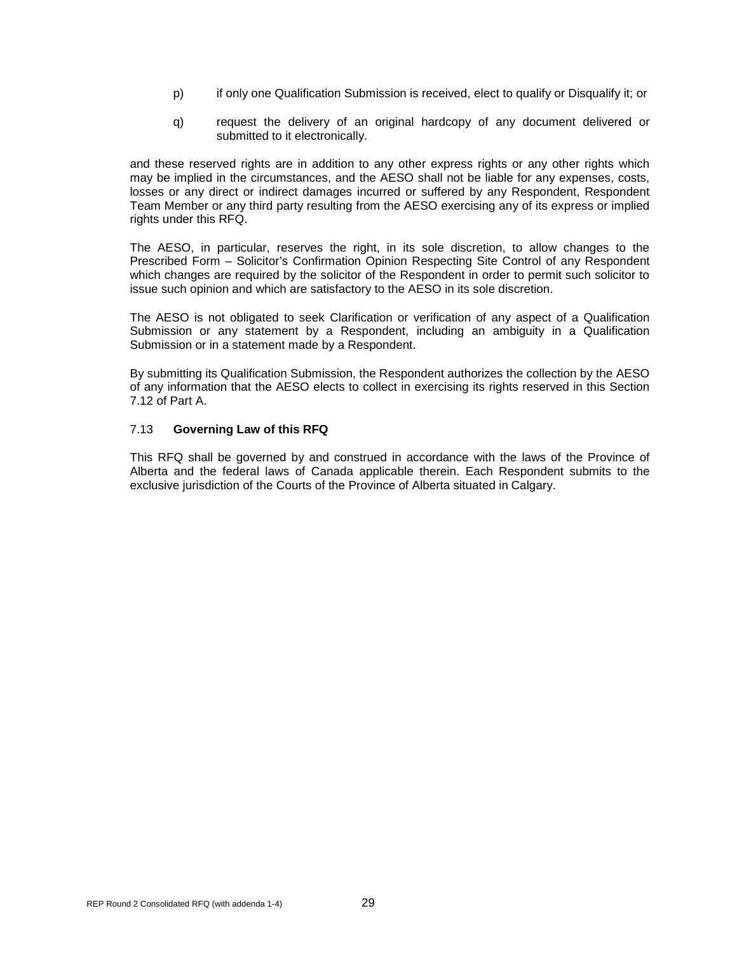- p) if only one Qualification Submission is received, elect to qualify or Disqualify it; or
- q) request the delivery of an original hardcopy of any document delivered or submitted to it electronically.

and these reserved rights are in addition to any other express rights or any other rights which may be implied in the circumstances, and the AESO shall not be liable for any expenses, costs, losses or any direct or indirect damages incurred or suffered by any Respondent, Respondent Team Member or any third party resulting from the AESO exercising any of its express or implied rights under this RFQ.

The AESO, in particular, reserves the right, in its sole discretion, to allow changes to the Prescribed Form – Solicitor's Confirmation Opinion Respecting Site Control of any Respondent which changes are required by the solicitor of the Respondent in order to permit such solicitor to issue such opinion and which are satisfactory to the AESO in its sole discretion.

The AESO is not obligated to seek Clarification or verification of any aspect of a Qualification Submission or any statement by a Respondent, including an ambiguity in a Qualification Submission or in a statement made by a Respondent.

By submitting its Qualification Submission, the Respondent authorizes the collection by the AESO of any information that the AESO elects to collect in exercising its rights reserved in this Section 7.12 of Part A.

#### <span id="page-33-0"></span>7.13 **Governing Law of this RFQ**

This RFQ shall be governed by and construed in accordance with the laws of the Province of Alberta and the federal laws of Canada applicable therein. Each Respondent submits to the exclusive jurisdiction of the Courts of the Province of Alberta situated in Calgary.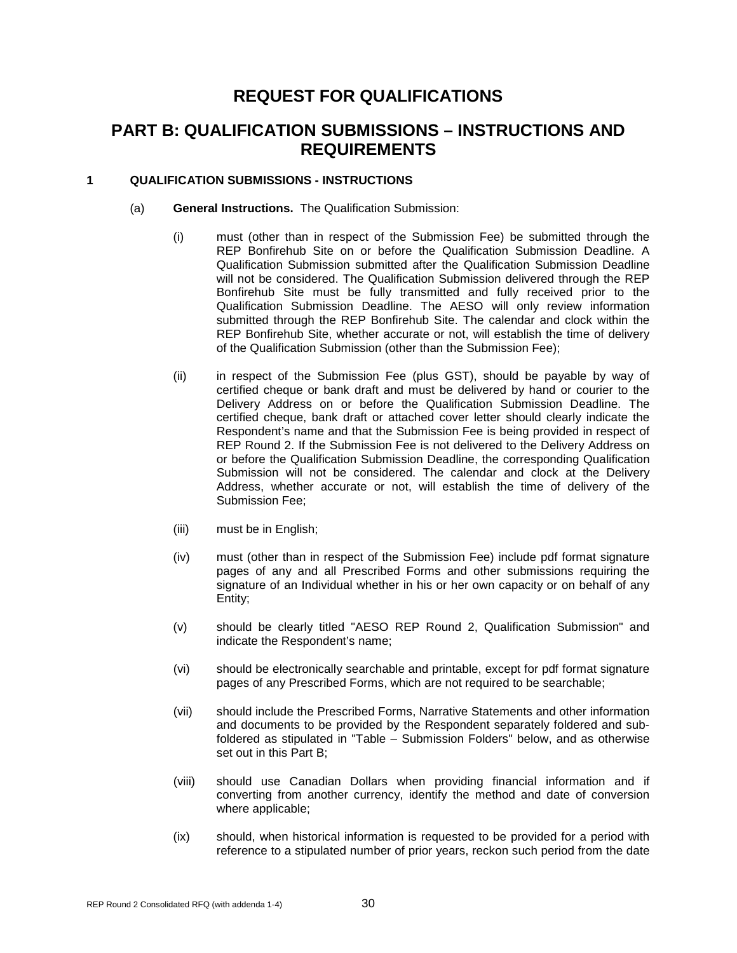### **REQUEST FOR QUALIFICATIONS**

### **PART B: QUALIFICATION SUBMISSIONS – INSTRUCTIONS AND REQUIREMENTS**

#### <span id="page-34-0"></span>**1 QUALIFICATION SUBMISSIONS - INSTRUCTIONS**

- (a) **General Instructions.** The Qualification Submission:
	- (i) must (other than in respect of the Submission Fee) be submitted through the REP Bonfirehub Site on or before the Qualification Submission Deadline. A Qualification Submission submitted after the Qualification Submission Deadline will not be considered. The Qualification Submission delivered through the REP Bonfirehub Site must be fully transmitted and fully received prior to the Qualification Submission Deadline. The AESO will only review information submitted through the REP Bonfirehub Site. The calendar and clock within the REP Bonfirehub Site, whether accurate or not, will establish the time of delivery of the Qualification Submission (other than the Submission Fee);
	- (ii) in respect of the Submission Fee (plus GST), should be payable by way of certified cheque or bank draft and must be delivered by hand or courier to the Delivery Address on or before the Qualification Submission Deadline. The certified cheque, bank draft or attached cover letter should clearly indicate the Respondent's name and that the Submission Fee is being provided in respect of REP Round 2. If the Submission Fee is not delivered to the Delivery Address on or before the Qualification Submission Deadline, the corresponding Qualification Submission will not be considered. The calendar and clock at the Delivery Address, whether accurate or not, will establish the time of delivery of the Submission Fee;
	- (iii) must be in English;
	- (iv) must (other than in respect of the Submission Fee) include pdf format signature pages of any and all Prescribed Forms and other submissions requiring the signature of an Individual whether in his or her own capacity or on behalf of any Entity;
	- (v) should be clearly titled "AESO REP Round 2, Qualification Submission" and indicate the Respondent's name;
	- (vi) should be electronically searchable and printable, except for pdf format signature pages of any Prescribed Forms, which are not required to be searchable;
	- (vii) should include the Prescribed Forms, Narrative Statements and other information and documents to be provided by the Respondent separately foldered and subfoldered as stipulated in "Table – Submission Folders" below, and as otherwise set out in this Part B;
	- (viii) should use Canadian Dollars when providing financial information and if converting from another currency, identify the method and date of conversion where applicable;
	- (ix) should, when historical information is requested to be provided for a period with reference to a stipulated number of prior years, reckon such period from the date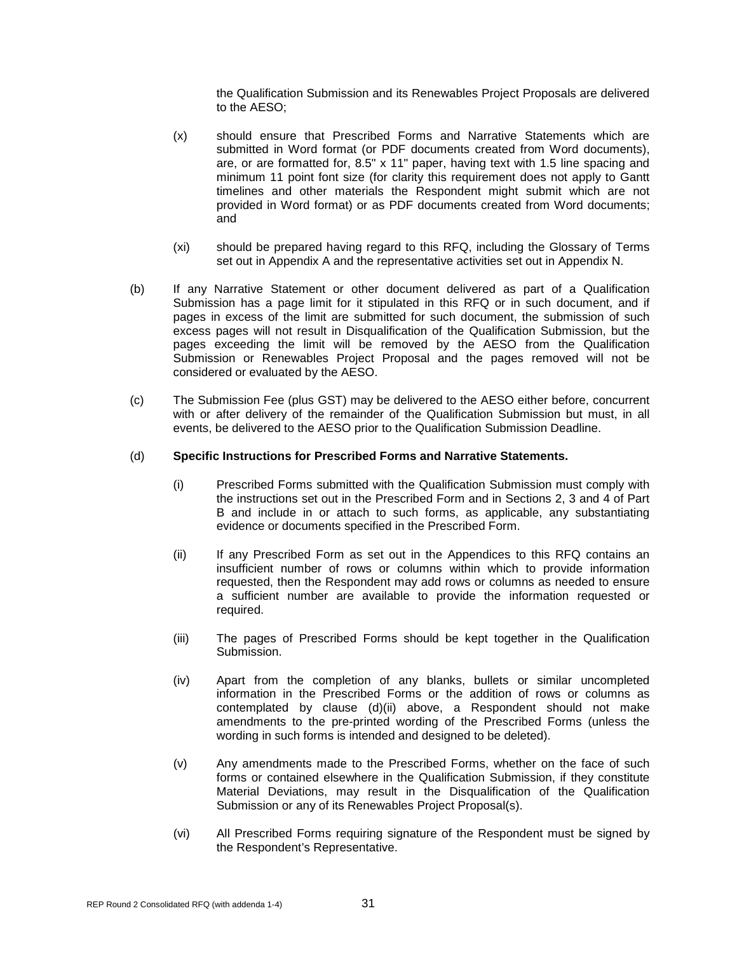the Qualification Submission and its Renewables Project Proposals are delivered to the AESO;

- (x) should ensure that Prescribed Forms and Narrative Statements which are submitted in Word format (or PDF documents created from Word documents), are, or are formatted for, 8.5" x 11" paper, having text with 1.5 line spacing and minimum 11 point font size (for clarity this requirement does not apply to Gantt timelines and other materials the Respondent might submit which are not provided in Word format) or as PDF documents created from Word documents; and
- (xi) should be prepared having regard to this RFQ, including the Glossary of Terms set out in Appendix A and the representative activities set out in Appendix N.
- (b) If any Narrative Statement or other document delivered as part of a Qualification Submission has a page limit for it stipulated in this RFQ or in such document, and if pages in excess of the limit are submitted for such document, the submission of such excess pages will not result in Disqualification of the Qualification Submission, but the pages exceeding the limit will be removed by the AESO from the Qualification Submission or Renewables Project Proposal and the pages removed will not be considered or evaluated by the AESO.
- (c) The Submission Fee (plus GST) may be delivered to the AESO either before, concurrent with or after delivery of the remainder of the Qualification Submission but must, in all events, be delivered to the AESO prior to the Qualification Submission Deadline.

#### (d) **Specific Instructions for Prescribed Forms and Narrative Statements.**

- (i) Prescribed Forms submitted with the Qualification Submission must comply with the instructions set out in the Prescribed Form and in Sections 2, 3 and 4 of Part B and include in or attach to such forms, as applicable, any substantiating evidence or documents specified in the Prescribed Form.
- (ii) If any Prescribed Form as set out in the Appendices to this RFQ contains an insufficient number of rows or columns within which to provide information requested, then the Respondent may add rows or columns as needed to ensure a sufficient number are available to provide the information requested or required.
- (iii) The pages of Prescribed Forms should be kept together in the Qualification Submission.
- (iv) Apart from the completion of any blanks, bullets or similar uncompleted information in the Prescribed Forms or the addition of rows or columns as contemplated by clause (d)(ii) above, a Respondent should not make amendments to the pre-printed wording of the Prescribed Forms (unless the wording in such forms is intended and designed to be deleted).
- (v) Any amendments made to the Prescribed Forms, whether on the face of such forms or contained elsewhere in the Qualification Submission, if they constitute Material Deviations, may result in the Disqualification of the Qualification Submission or any of its Renewables Project Proposal(s).
- (vi) All Prescribed Forms requiring signature of the Respondent must be signed by the Respondent's Representative.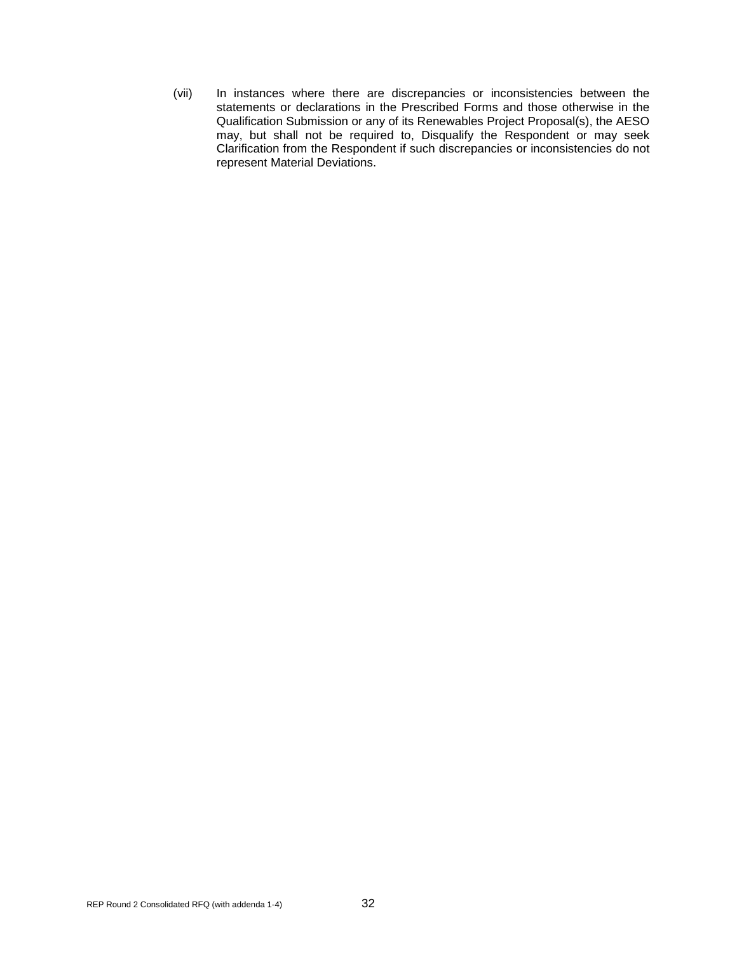(vii) In instances where there are discrepancies or inconsistencies between the statements or declarations in the Prescribed Forms and those otherwise in the Qualification Submission or any of its Renewables Project Proposal(s), the AESO may, but shall not be required to, Disqualify the Respondent or may seek Clarification from the Respondent if such discrepancies or inconsistencies do not represent Material Deviations.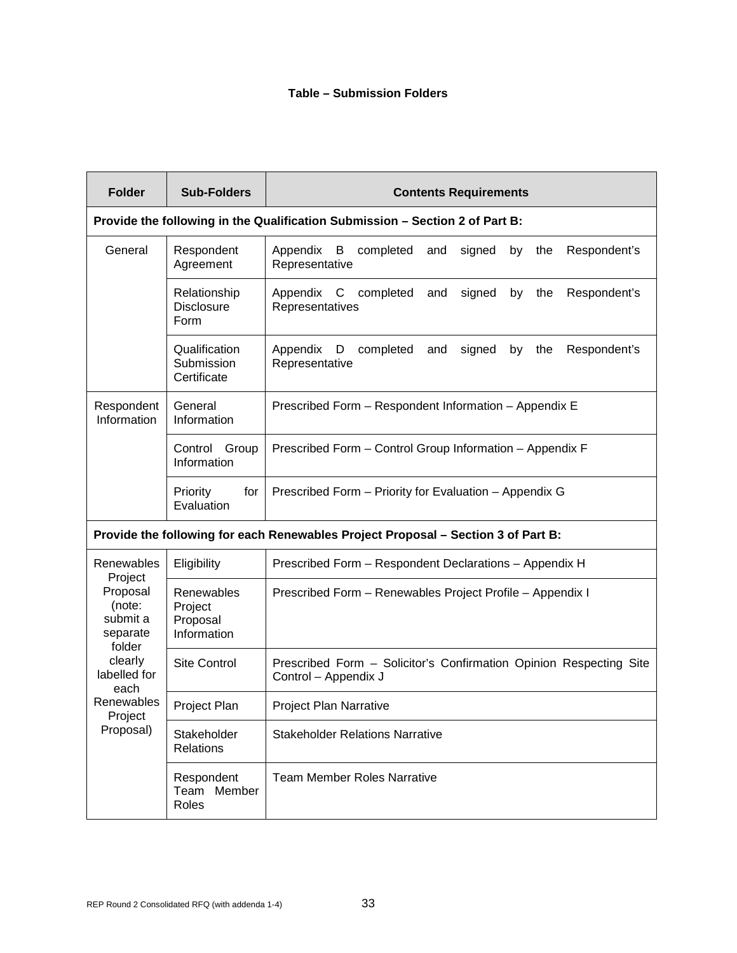# **Table – Submission Folders**

| <b>Folder</b>                                                                                      | <b>Sub-Folders</b>                               | <b>Contents Requirements</b>                                                               |
|----------------------------------------------------------------------------------------------------|--------------------------------------------------|--------------------------------------------------------------------------------------------|
|                                                                                                    |                                                  | Provide the following in the Qualification Submission - Section 2 of Part B:               |
| General                                                                                            | Respondent<br>Agreement                          | Appendix<br>B<br>completed<br>signed<br>by the<br>Respondent's<br>and<br>Representative    |
|                                                                                                    | Relationship<br><b>Disclosure</b><br>Form        | Appendix C completed<br>signed<br>by the<br>Respondent's<br>and<br>Representatives         |
|                                                                                                    | Qualification<br>Submission<br>Certificate       | D completed<br>Appendix<br>and<br>signed<br>the<br>Respondent's<br>by<br>Representative    |
| Respondent<br>Information                                                                          | General<br>Information                           | Prescribed Form - Respondent Information - Appendix E                                      |
|                                                                                                    | Control<br>Group<br>Information                  | Prescribed Form - Control Group Information - Appendix F                                   |
|                                                                                                    | Priority<br>for<br>Evaluation                    | Prescribed Form - Priority for Evaluation - Appendix G                                     |
|                                                                                                    |                                                  | Provide the following for each Renewables Project Proposal - Section 3 of Part B:          |
| Renewables                                                                                         | Eligibility                                      | Prescribed Form - Respondent Declarations - Appendix H                                     |
| Project<br>Proposal<br>(note:<br>submit a<br>separate<br>folder<br>clearly<br>labelled for<br>each | Renewables<br>Project<br>Proposal<br>Information | Prescribed Form - Renewables Project Profile - Appendix I                                  |
|                                                                                                    | <b>Site Control</b>                              | Prescribed Form - Solicitor's Confirmation Opinion Respecting Site<br>Control - Appendix J |
| Renewables<br>Project                                                                              | <b>Project Plan</b>                              | <b>Project Plan Narrative</b>                                                              |
| Proposal)                                                                                          | Stakeholder<br>Relations                         | <b>Stakeholder Relations Narrative</b>                                                     |
|                                                                                                    | Respondent<br>Team Member<br>Roles               | <b>Team Member Roles Narrative</b>                                                         |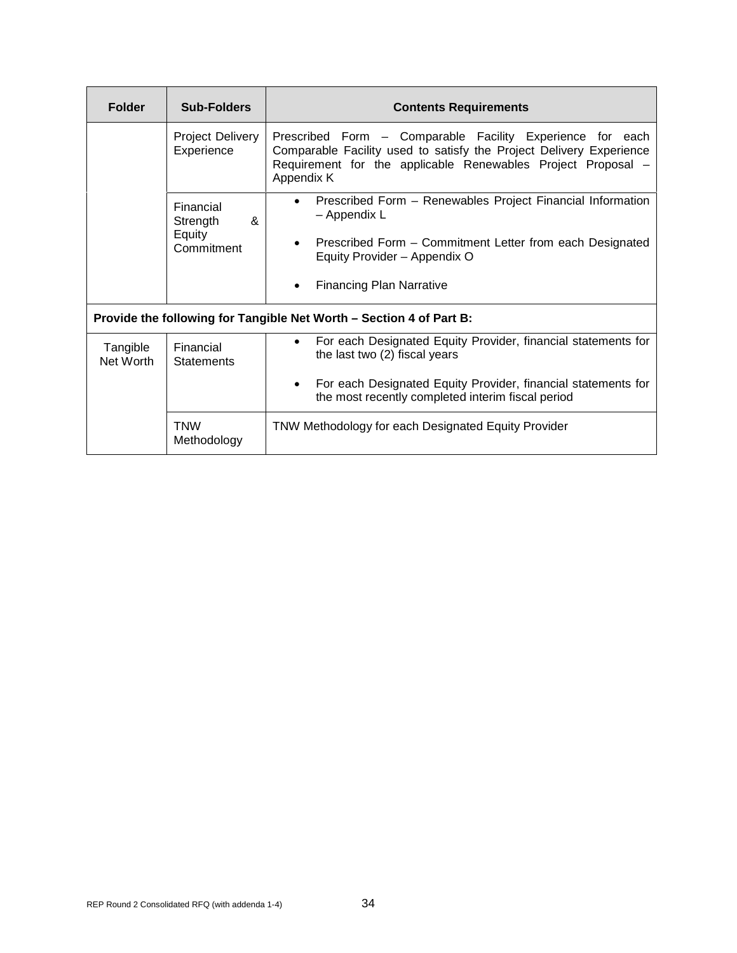| <b>Folder</b>                                                       | <b>Sub-Folders</b>                                                         | <b>Contents Requirements</b>                                                                                                                                                                                                                     |  |
|---------------------------------------------------------------------|----------------------------------------------------------------------------|--------------------------------------------------------------------------------------------------------------------------------------------------------------------------------------------------------------------------------------------------|--|
|                                                                     | <b>Project Delivery</b><br>Experience                                      | Prescribed Form - Comparable Facility Experience for each<br>Comparable Facility used to satisfy the Project Delivery Experience<br>Requirement for the applicable Renewables Project Proposal -<br>Appendix K                                   |  |
|                                                                     | Financial<br>$\boldsymbol{\mathsf{R}}$<br>Strength<br>Equity<br>Commitment | Prescribed Form - Renewables Project Financial Information<br>$\bullet$<br>– Appendix L<br>Prescribed Form - Commitment Letter from each Designated<br>$\bullet$<br>Equity Provider - Appendix O<br><b>Financing Plan Narrative</b><br>$\bullet$ |  |
| Provide the following for Tangible Net Worth - Section 4 of Part B: |                                                                            |                                                                                                                                                                                                                                                  |  |
| Tangible<br>Net Worth                                               | Financial<br><b>Statements</b>                                             | For each Designated Equity Provider, financial statements for<br>$\bullet$<br>the last two (2) fiscal years<br>For each Designated Equity Provider, financial statements for<br>$\bullet$                                                        |  |
|                                                                     |                                                                            | the most recently completed interim fiscal period                                                                                                                                                                                                |  |
|                                                                     | <b>TNW</b><br>Methodology                                                  | TNW Methodology for each Designated Equity Provider                                                                                                                                                                                              |  |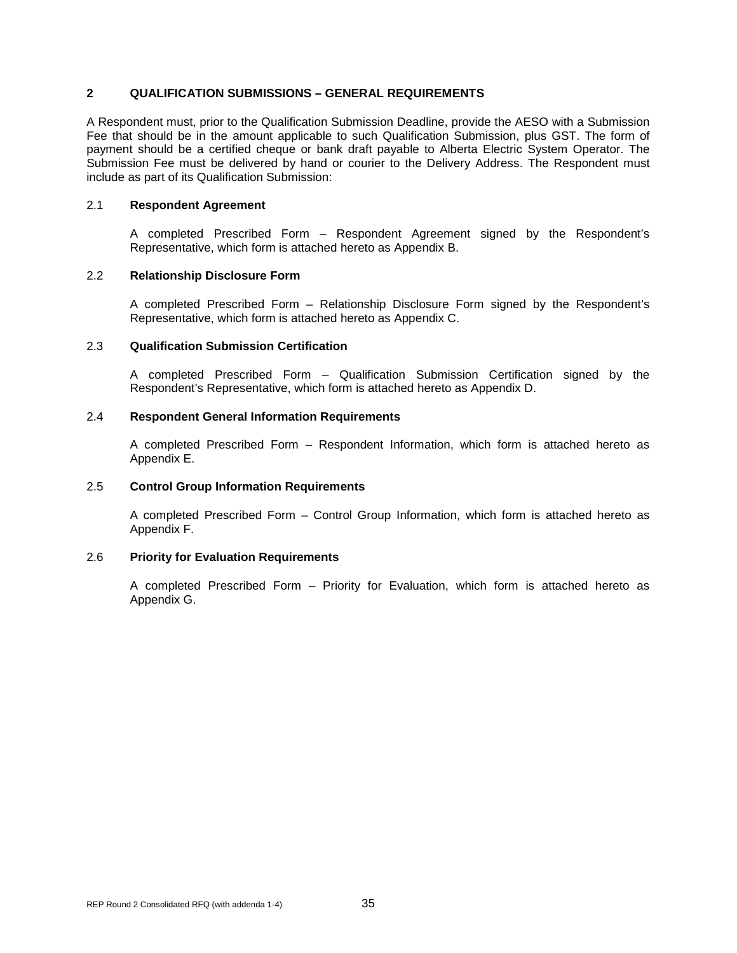## **2 QUALIFICATION SUBMISSIONS – GENERAL REQUIREMENTS**

A Respondent must, prior to the Qualification Submission Deadline, provide the AESO with a Submission Fee that should be in the amount applicable to such Qualification Submission, plus GST. The form of payment should be a certified cheque or bank draft payable to Alberta Electric System Operator. The Submission Fee must be delivered by hand or courier to the Delivery Address. The Respondent must include as part of its Qualification Submission:

# 2.1 **Respondent Agreement**

A completed Prescribed Form – Respondent Agreement signed by the Respondent's Representative, which form is attached hereto as Appendix B.

### 2.2 **Relationship Disclosure Form**

A completed Prescribed Form – Relationship Disclosure Form signed by the Respondent's Representative, which form is attached hereto as Appendix C.

#### 2.3 **Qualification Submission Certification**

A completed Prescribed Form – Qualification Submission Certification signed by the Respondent's Representative, which form is attached hereto as Appendix D.

#### 2.4 **Respondent General Information Requirements**

A completed Prescribed Form – Respondent Information, which form is attached hereto as Appendix E.

#### 2.5 **Control Group Information Requirements**

A completed Prescribed Form – Control Group Information, which form is attached hereto as Appendix F.

#### 2.6 **Priority for Evaluation Requirements**

A completed Prescribed Form – Priority for Evaluation, which form is attached hereto as Appendix G.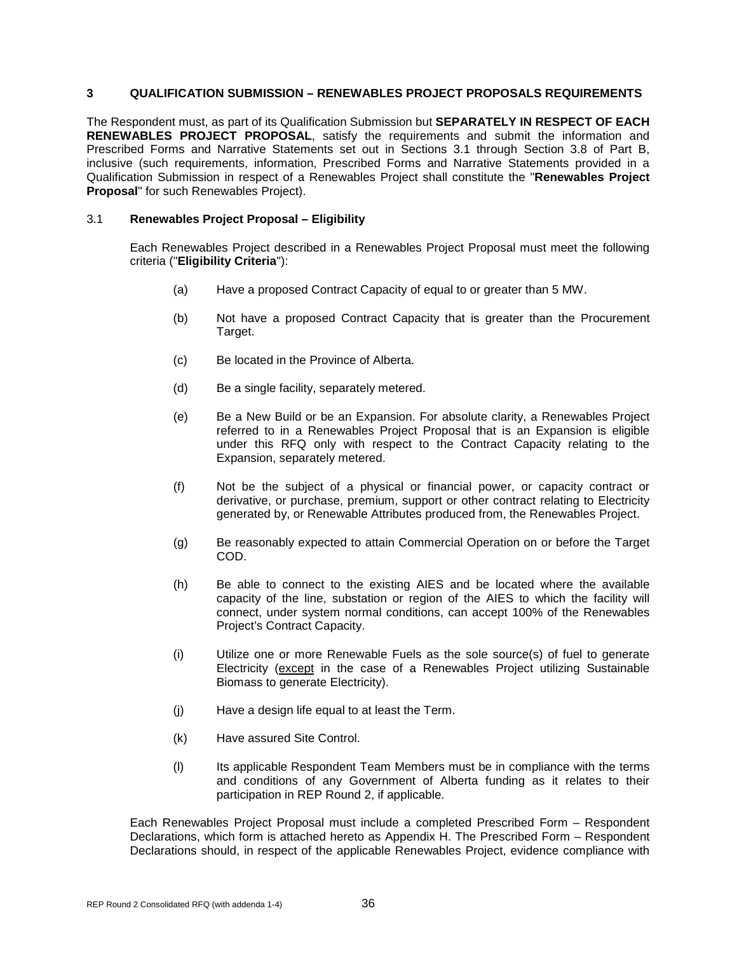# **3 QUALIFICATION SUBMISSION – RENEWABLES PROJECT PROPOSALS REQUIREMENTS**

The Respondent must, as part of its Qualification Submission but **SEPARATELY IN RESPECT OF EACH RENEWABLES PROJECT PROPOSAL**, satisfy the requirements and submit the information and Prescribed Forms and Narrative Statements set out in Sections 3.1 through Section 3.8 of Part B, inclusive (such requirements, information, Prescribed Forms and Narrative Statements provided in a Qualification Submission in respect of a Renewables Project shall constitute the "**Renewables Project Proposal**" for such Renewables Project).

# 3.1 **Renewables Project Proposal – Eligibility**

Each Renewables Project described in a Renewables Project Proposal must meet the following criteria ("**Eligibility Criteria**"):

- (a) Have a proposed Contract Capacity of equal to or greater than 5 MW.
- (b) Not have a proposed Contract Capacity that is greater than the Procurement Target.
- (c) Be located in the Province of Alberta.
- (d) Be a single facility, separately metered.
- (e) Be a New Build or be an Expansion. For absolute clarity, a Renewables Project referred to in a Renewables Project Proposal that is an Expansion is eligible under this RFQ only with respect to the Contract Capacity relating to the Expansion, separately metered.
- (f) Not be the subject of a physical or financial power, or capacity contract or derivative, or purchase, premium, support or other contract relating to Electricity generated by, or Renewable Attributes produced from, the Renewables Project.
- (g) Be reasonably expected to attain Commercial Operation on or before the Target COD.
- (h) Be able to connect to the existing AIES and be located where the available capacity of the line, substation or region of the AIES to which the facility will connect, under system normal conditions, can accept 100% of the Renewables Project's Contract Capacity.
- (i) Utilize one or more Renewable Fuels as the sole source(s) of fuel to generate Electricity (except in the case of a Renewables Project utilizing Sustainable Biomass to generate Electricity).
- (j) Have a design life equal to at least the Term.
- (k) Have assured Site Control.
- (l) Its applicable Respondent Team Members must be in compliance with the terms and conditions of any Government of Alberta funding as it relates to their participation in REP Round 2, if applicable.

Each Renewables Project Proposal must include a completed Prescribed Form – Respondent Declarations, which form is attached hereto as Appendix H. The Prescribed Form – Respondent Declarations should, in respect of the applicable Renewables Project, evidence compliance with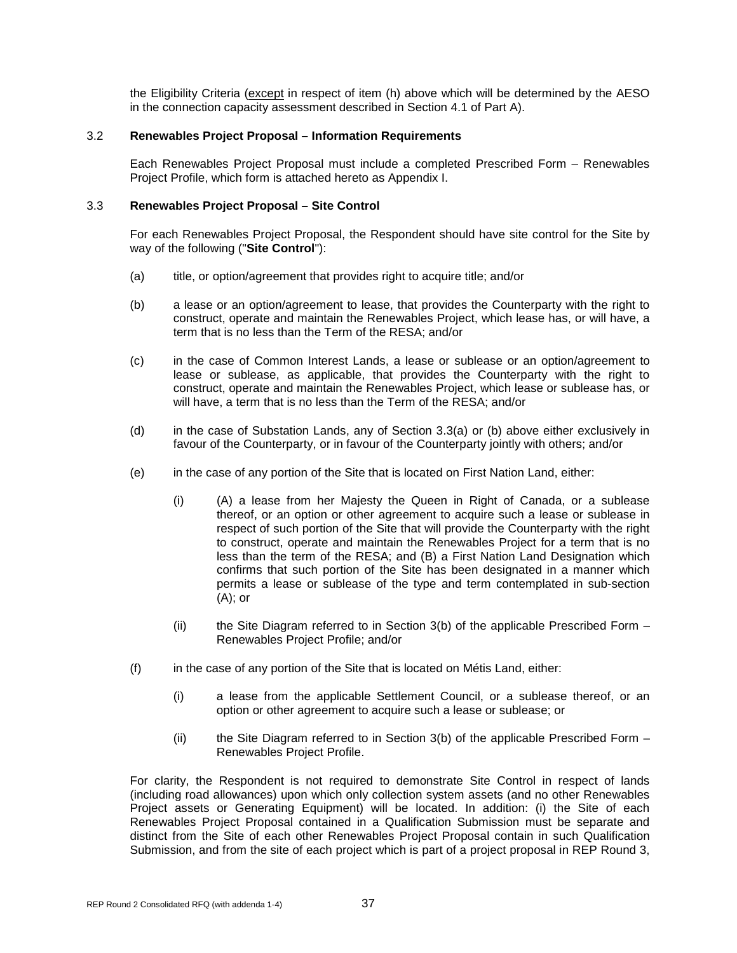the Eligibility Criteria (except in respect of item (h) above which will be determined by the AESO in the connection capacity assessment described in Section 4.1 of Part A).

# 3.2 **Renewables Project Proposal – Information Requirements**

Each Renewables Project Proposal must include a completed Prescribed Form – Renewables Project Profile, which form is attached hereto as Appendix I.

# 3.3 **Renewables Project Proposal – Site Control**

For each Renewables Project Proposal, the Respondent should have site control for the Site by way of the following ("**Site Control**"):

- (a) title, or option/agreement that provides right to acquire title; and/or
- (b) a lease or an option/agreement to lease, that provides the Counterparty with the right to construct, operate and maintain the Renewables Project, which lease has, or will have, a term that is no less than the Term of the RESA; and/or
- (c) in the case of Common Interest Lands, a lease or sublease or an option/agreement to lease or sublease, as applicable, that provides the Counterparty with the right to construct, operate and maintain the Renewables Project, which lease or sublease has, or will have, a term that is no less than the Term of the RESA; and/or
- (d) in the case of Substation Lands, any of Section 3.3(a) or (b) above either exclusively in favour of the Counterparty, or in favour of the Counterparty jointly with others; and/or
- (e) in the case of any portion of the Site that is located on First Nation Land, either:
	- (i) (A) a lease from her Majesty the Queen in Right of Canada, or a sublease thereof, or an option or other agreement to acquire such a lease or sublease in respect of such portion of the Site that will provide the Counterparty with the right to construct, operate and maintain the Renewables Project for a term that is no less than the term of the RESA; and (B) a First Nation Land Designation which confirms that such portion of the Site has been designated in a manner which permits a lease or sublease of the type and term contemplated in sub-section  $(A)$ ; or
	- $(i)$  the Site Diagram referred to in Section 3(b) of the applicable Prescribed Form  $-$ Renewables Project Profile; and/or
- (f) in the case of any portion of the Site that is located on Métis Land, either:
	- (i) a lease from the applicable Settlement Council, or a sublease thereof, or an option or other agreement to acquire such a lease or sublease; or
	- $(i)$  the Site Diagram referred to in Section 3(b) of the applicable Prescribed Form Renewables Project Profile.

For clarity, the Respondent is not required to demonstrate Site Control in respect of lands (including road allowances) upon which only collection system assets (and no other Renewables Project assets or Generating Equipment) will be located. In addition: (i) the Site of each Renewables Project Proposal contained in a Qualification Submission must be separate and distinct from the Site of each other Renewables Project Proposal contain in such Qualification Submission, and from the site of each project which is part of a project proposal in REP Round 3,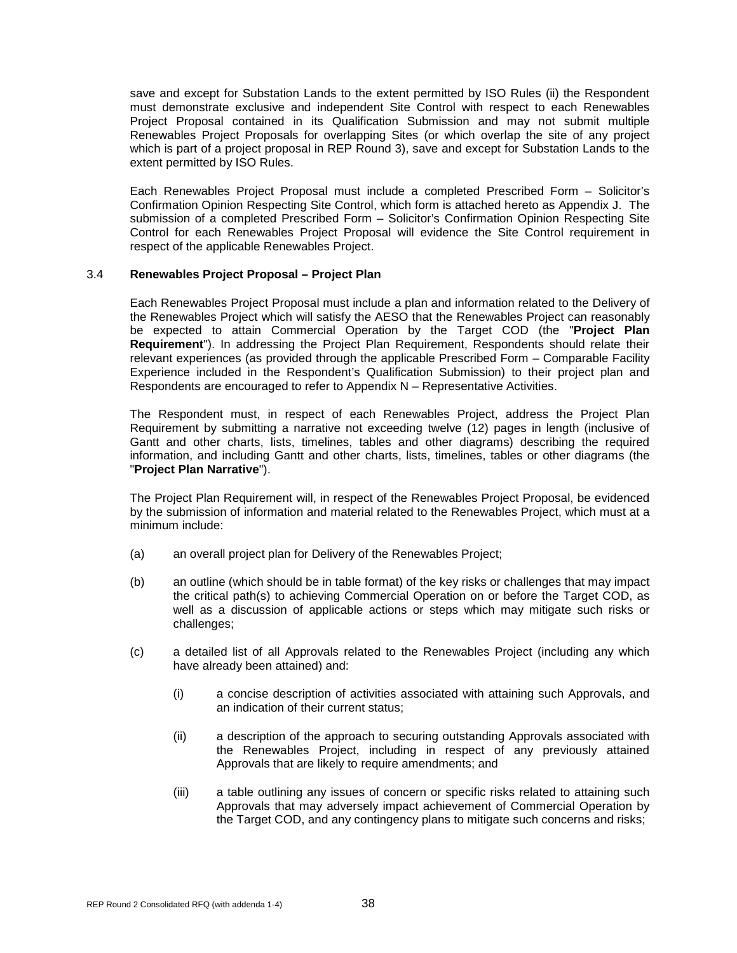save and except for Substation Lands to the extent permitted by ISO Rules (ii) the Respondent must demonstrate exclusive and independent Site Control with respect to each Renewables Project Proposal contained in its Qualification Submission and may not submit multiple Renewables Project Proposals for overlapping Sites (or which overlap the site of any project which is part of a project proposal in REP Round 3), save and except for Substation Lands to the extent permitted by ISO Rules.

Each Renewables Project Proposal must include a completed Prescribed Form – Solicitor's Confirmation Opinion Respecting Site Control, which form is attached hereto as Appendix J. The submission of a completed Prescribed Form – Solicitor's Confirmation Opinion Respecting Site Control for each Renewables Project Proposal will evidence the Site Control requirement in respect of the applicable Renewables Project.

### 3.4 **Renewables Project Proposal – Project Plan**

Each Renewables Project Proposal must include a plan and information related to the Delivery of the Renewables Project which will satisfy the AESO that the Renewables Project can reasonably be expected to attain Commercial Operation by the Target COD (the "**Project Plan Requirement**"). In addressing the Project Plan Requirement, Respondents should relate their relevant experiences (as provided through the applicable Prescribed Form – Comparable Facility Experience included in the Respondent's Qualification Submission) to their project plan and Respondents are encouraged to refer to Appendix N – Representative Activities.

The Respondent must, in respect of each Renewables Project, address the Project Plan Requirement by submitting a narrative not exceeding twelve (12) pages in length (inclusive of Gantt and other charts, lists, timelines, tables and other diagrams) describing the required information, and including Gantt and other charts, lists, timelines, tables or other diagrams (the "**Project Plan Narrative**").

The Project Plan Requirement will, in respect of the Renewables Project Proposal, be evidenced by the submission of information and material related to the Renewables Project, which must at a minimum include:

- (a) an overall project plan for Delivery of the Renewables Project;
- (b) an outline (which should be in table format) of the key risks or challenges that may impact the critical path(s) to achieving Commercial Operation on or before the Target COD, as well as a discussion of applicable actions or steps which may mitigate such risks or challenges;
- (c) a detailed list of all Approvals related to the Renewables Project (including any which have already been attained) and:
	- (i) a concise description of activities associated with attaining such Approvals, and an indication of their current status;
	- (ii) a description of the approach to securing outstanding Approvals associated with the Renewables Project, including in respect of any previously attained Approvals that are likely to require amendments; and
	- (iii) a table outlining any issues of concern or specific risks related to attaining such Approvals that may adversely impact achievement of Commercial Operation by the Target COD, and any contingency plans to mitigate such concerns and risks;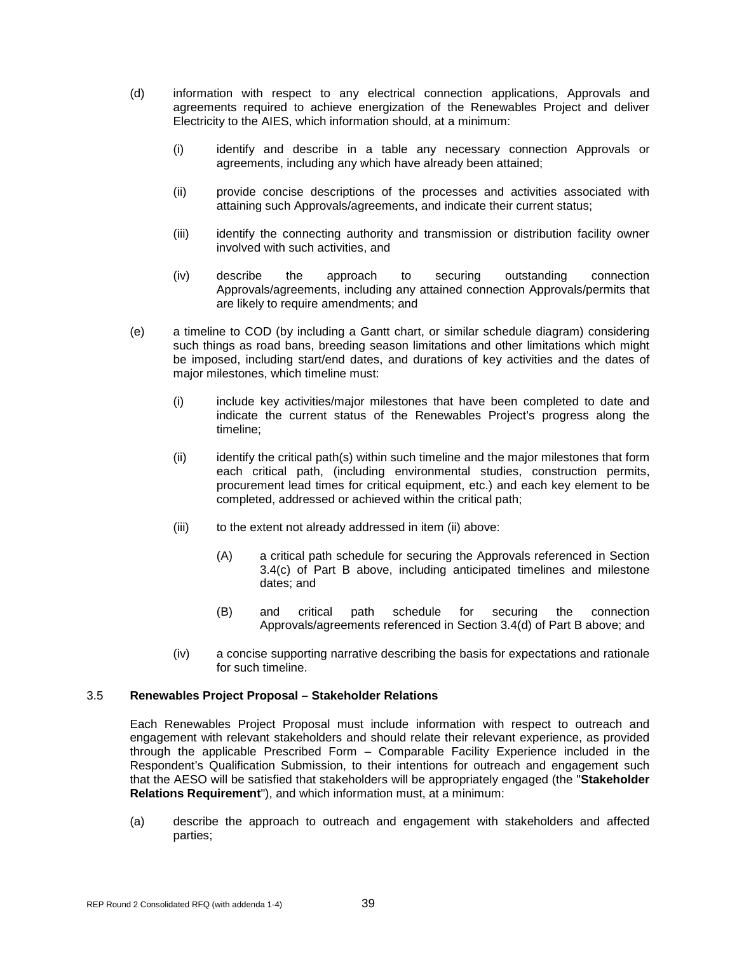- (d) information with respect to any electrical connection applications, Approvals and agreements required to achieve energization of the Renewables Project and deliver Electricity to the AIES, which information should, at a minimum:
	- (i) identify and describe in a table any necessary connection Approvals or agreements, including any which have already been attained;
	- (ii) provide concise descriptions of the processes and activities associated with attaining such Approvals/agreements, and indicate their current status;
	- (iii) identify the connecting authority and transmission or distribution facility owner involved with such activities, and
	- (iv) describe the approach to securing outstanding connection Approvals/agreements, including any attained connection Approvals/permits that are likely to require amendments; and
- (e) a timeline to COD (by including a Gantt chart, or similar schedule diagram) considering such things as road bans, breeding season limitations and other limitations which might be imposed, including start/end dates, and durations of key activities and the dates of major milestones, which timeline must:
	- (i) include key activities/major milestones that have been completed to date and indicate the current status of the Renewables Project's progress along the timeline;
	- (ii) identify the critical path(s) within such timeline and the major milestones that form each critical path, (including environmental studies, construction permits, procurement lead times for critical equipment, etc.) and each key element to be completed, addressed or achieved within the critical path;
	- (iii) to the extent not already addressed in item (ii) above:
		- (A) a critical path schedule for securing the Approvals referenced in Section 3.4(c) of Part B above, including anticipated timelines and milestone dates; and
		- (B) and critical path schedule for securing the connection Approvals/agreements referenced in Section 3.4(d) of Part B above; and
	- (iv) a concise supporting narrative describing the basis for expectations and rationale for such timeline.

### 3.5 **Renewables Project Proposal – Stakeholder Relations**

Each Renewables Project Proposal must include information with respect to outreach and engagement with relevant stakeholders and should relate their relevant experience, as provided through the applicable Prescribed Form – Comparable Facility Experience included in the Respondent's Qualification Submission, to their intentions for outreach and engagement such that the AESO will be satisfied that stakeholders will be appropriately engaged (the "**Stakeholder Relations Requirement**"), and which information must, at a minimum:

(a) describe the approach to outreach and engagement with stakeholders and affected parties;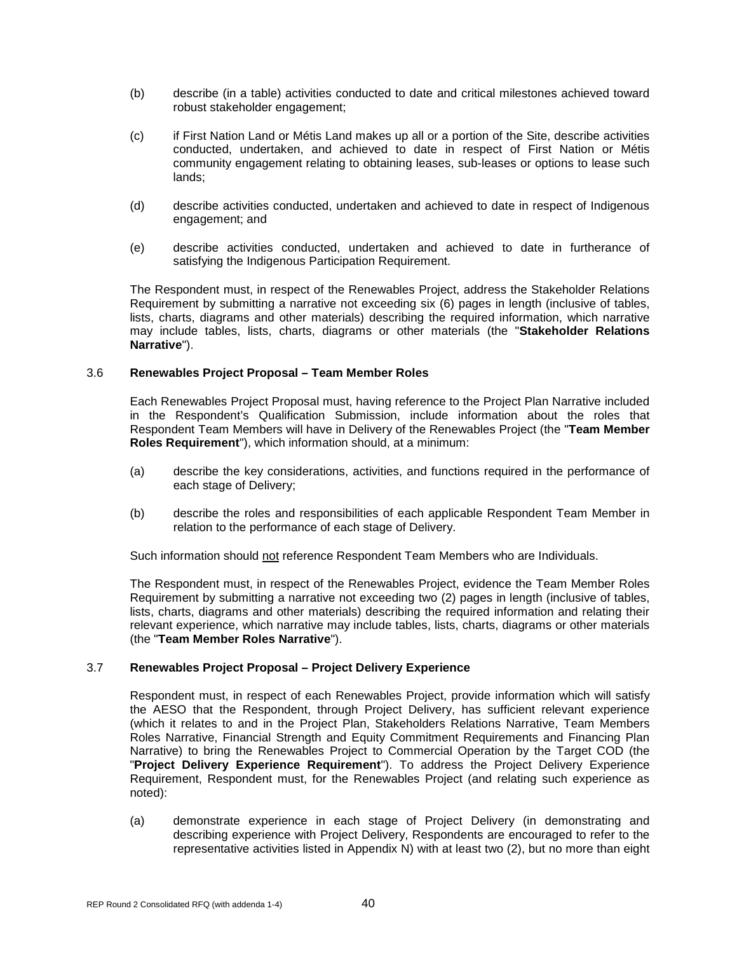- (b) describe (in a table) activities conducted to date and critical milestones achieved toward robust stakeholder engagement;
- (c) if First Nation Land or Métis Land makes up all or a portion of the Site, describe activities conducted, undertaken, and achieved to date in respect of First Nation or Métis community engagement relating to obtaining leases, sub-leases or options to lease such lands;
- (d) describe activities conducted, undertaken and achieved to date in respect of Indigenous engagement; and
- (e) describe activities conducted, undertaken and achieved to date in furtherance of satisfying the Indigenous Participation Requirement.

The Respondent must, in respect of the Renewables Project, address the Stakeholder Relations Requirement by submitting a narrative not exceeding six (6) pages in length (inclusive of tables, lists, charts, diagrams and other materials) describing the required information, which narrative may include tables, lists, charts, diagrams or other materials (the "**Stakeholder Relations Narrative**").

### 3.6 **Renewables Project Proposal – Team Member Roles**

Each Renewables Project Proposal must, having reference to the Project Plan Narrative included in the Respondent's Qualification Submission, include information about the roles that Respondent Team Members will have in Delivery of the Renewables Project (the "**Team Member Roles Requirement**"), which information should, at a minimum:

- (a) describe the key considerations, activities, and functions required in the performance of each stage of Delivery;
- (b) describe the roles and responsibilities of each applicable Respondent Team Member in relation to the performance of each stage of Delivery.

Such information should not reference Respondent Team Members who are Individuals.

The Respondent must, in respect of the Renewables Project, evidence the Team Member Roles Requirement by submitting a narrative not exceeding two (2) pages in length (inclusive of tables, lists, charts, diagrams and other materials) describing the required information and relating their relevant experience, which narrative may include tables, lists, charts, diagrams or other materials (the "**Team Member Roles Narrative**").

### 3.7 **Renewables Project Proposal – Project Delivery Experience**

Respondent must, in respect of each Renewables Project, provide information which will satisfy the AESO that the Respondent, through Project Delivery, has sufficient relevant experience (which it relates to and in the Project Plan, Stakeholders Relations Narrative, Team Members Roles Narrative, Financial Strength and Equity Commitment Requirements and Financing Plan Narrative) to bring the Renewables Project to Commercial Operation by the Target COD (the "**Project Delivery Experience Requirement**"). To address the Project Delivery Experience Requirement, Respondent must, for the Renewables Project (and relating such experience as noted):

(a) demonstrate experience in each stage of Project Delivery (in demonstrating and describing experience with Project Delivery, Respondents are encouraged to refer to the representative activities listed in Appendix N) with at least two (2), but no more than eight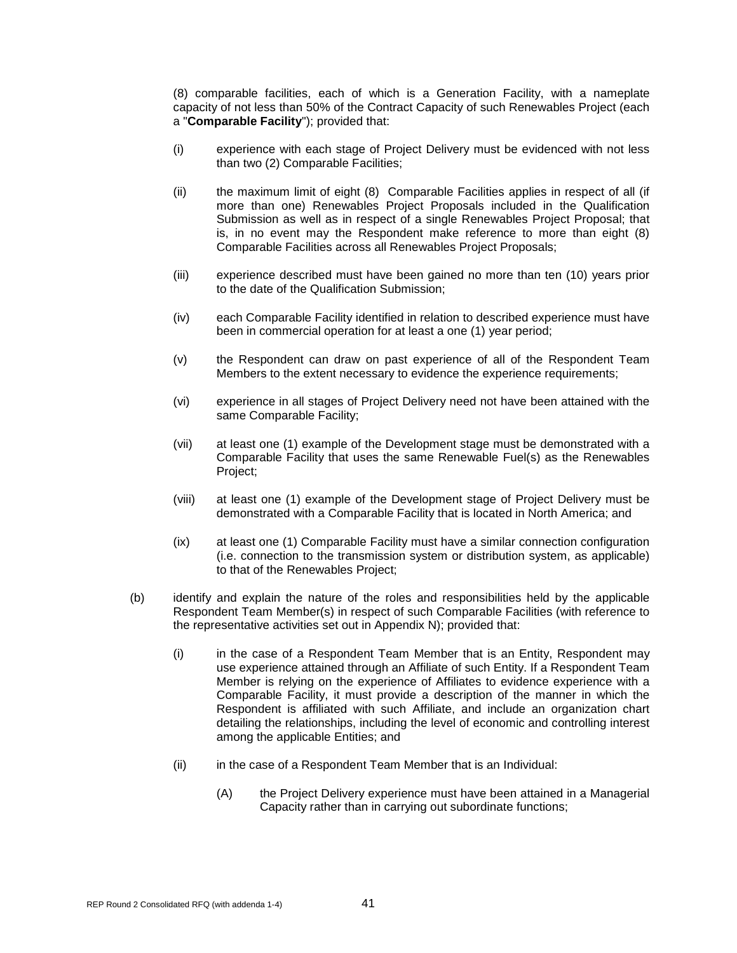(8) comparable facilities, each of which is a Generation Facility, with a nameplate capacity of not less than 50% of the Contract Capacity of such Renewables Project (each a "**Comparable Facility**"); provided that:

- (i) experience with each stage of Project Delivery must be evidenced with not less than two (2) Comparable Facilities;
- (ii) the maximum limit of eight (8) Comparable Facilities applies in respect of all (if more than one) Renewables Project Proposals included in the Qualification Submission as well as in respect of a single Renewables Project Proposal; that is, in no event may the Respondent make reference to more than eight (8) Comparable Facilities across all Renewables Project Proposals;
- (iii) experience described must have been gained no more than ten (10) years prior to the date of the Qualification Submission;
- (iv) each Comparable Facility identified in relation to described experience must have been in commercial operation for at least a one (1) year period;
- (v) the Respondent can draw on past experience of all of the Respondent Team Members to the extent necessary to evidence the experience requirements;
- (vi) experience in all stages of Project Delivery need not have been attained with the same Comparable Facility;
- (vii) at least one (1) example of the Development stage must be demonstrated with a Comparable Facility that uses the same Renewable Fuel(s) as the Renewables Project;
- (viii) at least one (1) example of the Development stage of Project Delivery must be demonstrated with a Comparable Facility that is located in North America; and
- (ix) at least one (1) Comparable Facility must have a similar connection configuration (i.e. connection to the transmission system or distribution system, as applicable) to that of the Renewables Project;
- (b) identify and explain the nature of the roles and responsibilities held by the applicable Respondent Team Member(s) in respect of such Comparable Facilities (with reference to the representative activities set out in Appendix N); provided that:
	- (i) in the case of a Respondent Team Member that is an Entity, Respondent may use experience attained through an Affiliate of such Entity. If a Respondent Team Member is relying on the experience of Affiliates to evidence experience with a Comparable Facility, it must provide a description of the manner in which the Respondent is affiliated with such Affiliate, and include an organization chart detailing the relationships, including the level of economic and controlling interest among the applicable Entities; and
	- (ii) in the case of a Respondent Team Member that is an Individual:
		- (A) the Project Delivery experience must have been attained in a Managerial Capacity rather than in carrying out subordinate functions;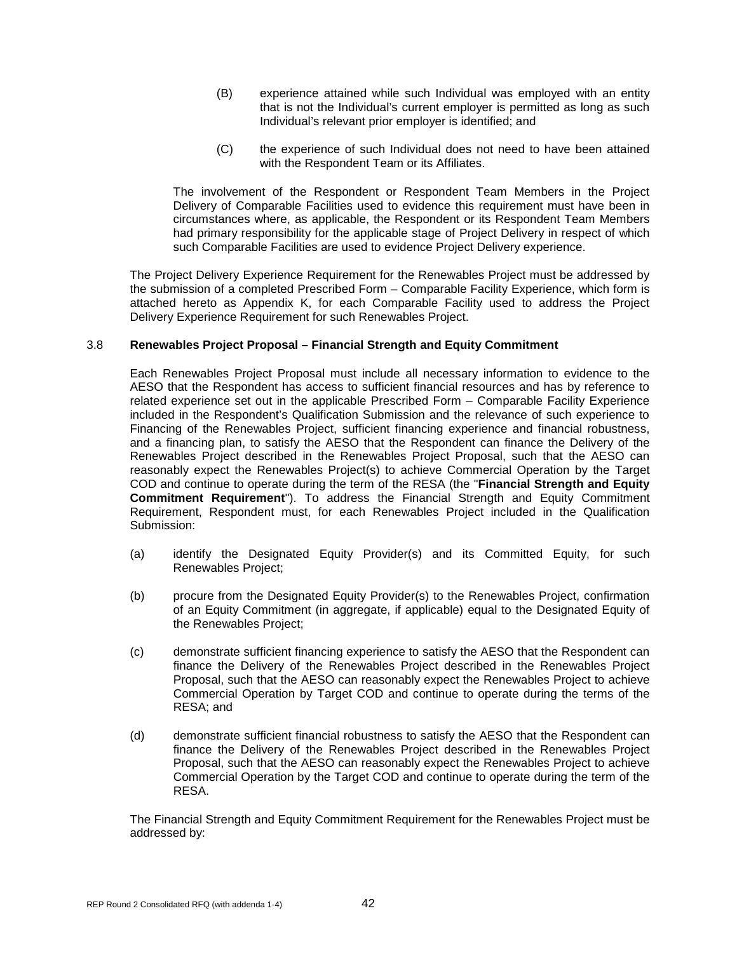- (B) experience attained while such Individual was employed with an entity that is not the Individual's current employer is permitted as long as such Individual's relevant prior employer is identified; and
- (C) the experience of such Individual does not need to have been attained with the Respondent Team or its Affiliates.

The involvement of the Respondent or Respondent Team Members in the Project Delivery of Comparable Facilities used to evidence this requirement must have been in circumstances where, as applicable, the Respondent or its Respondent Team Members had primary responsibility for the applicable stage of Project Delivery in respect of which such Comparable Facilities are used to evidence Project Delivery experience.

The Project Delivery Experience Requirement for the Renewables Project must be addressed by the submission of a completed Prescribed Form – Comparable Facility Experience, which form is attached hereto as Appendix K, for each Comparable Facility used to address the Project Delivery Experience Requirement for such Renewables Project.

# 3.8 **Renewables Project Proposal – Financial Strength and Equity Commitment**

Each Renewables Project Proposal must include all necessary information to evidence to the AESO that the Respondent has access to sufficient financial resources and has by reference to related experience set out in the applicable Prescribed Form – Comparable Facility Experience included in the Respondent's Qualification Submission and the relevance of such experience to Financing of the Renewables Project, sufficient financing experience and financial robustness, and a financing plan, to satisfy the AESO that the Respondent can finance the Delivery of the Renewables Project described in the Renewables Project Proposal, such that the AESO can reasonably expect the Renewables Project(s) to achieve Commercial Operation by the Target COD and continue to operate during the term of the RESA (the "**Financial Strength and Equity Commitment Requirement**"). To address the Financial Strength and Equity Commitment Requirement, Respondent must, for each Renewables Project included in the Qualification Submission:

- (a) identify the Designated Equity Provider(s) and its Committed Equity, for such Renewables Project;
- (b) procure from the Designated Equity Provider(s) to the Renewables Project, confirmation of an Equity Commitment (in aggregate, if applicable) equal to the Designated Equity of the Renewables Project;
- (c) demonstrate sufficient financing experience to satisfy the AESO that the Respondent can finance the Delivery of the Renewables Project described in the Renewables Project Proposal, such that the AESO can reasonably expect the Renewables Project to achieve Commercial Operation by Target COD and continue to operate during the terms of the RESA; and
- (d) demonstrate sufficient financial robustness to satisfy the AESO that the Respondent can finance the Delivery of the Renewables Project described in the Renewables Project Proposal, such that the AESO can reasonably expect the Renewables Project to achieve Commercial Operation by the Target COD and continue to operate during the term of the RESA.

The Financial Strength and Equity Commitment Requirement for the Renewables Project must be addressed by: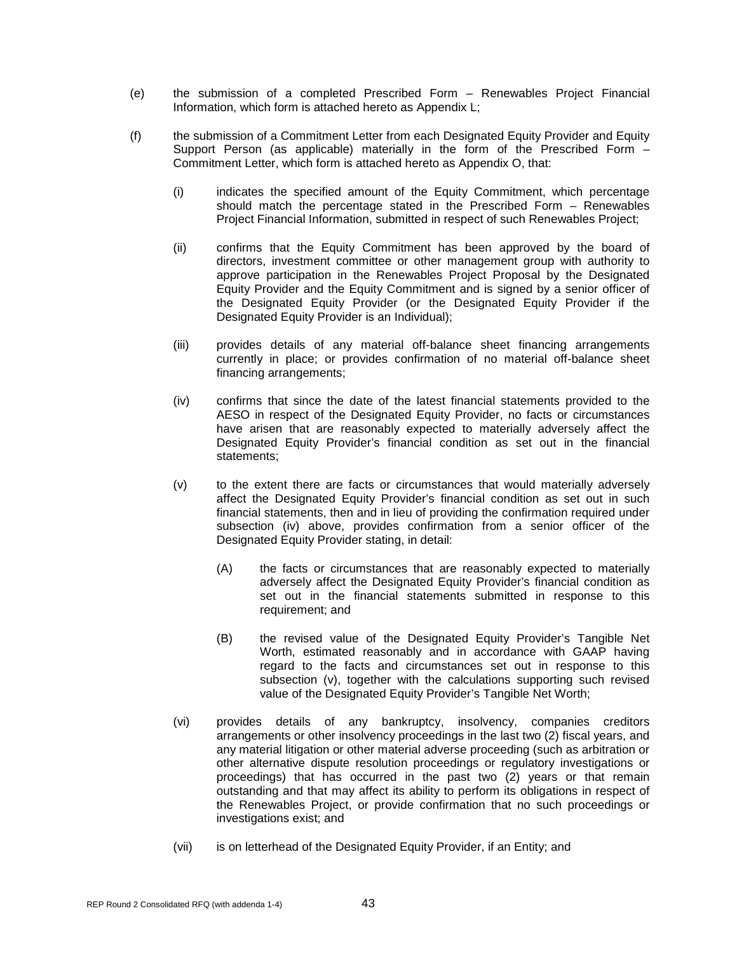- (e) the submission of a completed Prescribed Form Renewables Project Financial Information, which form is attached hereto as Appendix L;
- (f) the submission of a Commitment Letter from each Designated Equity Provider and Equity Support Person (as applicable) materially in the form of the Prescribed Form – Commitment Letter, which form is attached hereto as Appendix O, that:
	- (i) indicates the specified amount of the Equity Commitment, which percentage should match the percentage stated in the Prescribed Form – Renewables Project Financial Information, submitted in respect of such Renewables Project;
	- (ii) confirms that the Equity Commitment has been approved by the board of directors, investment committee or other management group with authority to approve participation in the Renewables Project Proposal by the Designated Equity Provider and the Equity Commitment and is signed by a senior officer of the Designated Equity Provider (or the Designated Equity Provider if the Designated Equity Provider is an Individual);
	- (iii) provides details of any material off-balance sheet financing arrangements currently in place; or provides confirmation of no material off-balance sheet financing arrangements;
	- (iv) confirms that since the date of the latest financial statements provided to the AESO in respect of the Designated Equity Provider, no facts or circumstances have arisen that are reasonably expected to materially adversely affect the Designated Equity Provider's financial condition as set out in the financial statements;
	- (v) to the extent there are facts or circumstances that would materially adversely affect the Designated Equity Provider's financial condition as set out in such financial statements, then and in lieu of providing the confirmation required under subsection (iv) above, provides confirmation from a senior officer of the Designated Equity Provider stating, in detail:
		- (A) the facts or circumstances that are reasonably expected to materially adversely affect the Designated Equity Provider's financial condition as set out in the financial statements submitted in response to this requirement; and
		- (B) the revised value of the Designated Equity Provider's Tangible Net Worth, estimated reasonably and in accordance with GAAP having regard to the facts and circumstances set out in response to this subsection (v), together with the calculations supporting such revised value of the Designated Equity Provider's Tangible Net Worth;
	- (vi) provides details of any bankruptcy, insolvency, companies creditors arrangements or other insolvency proceedings in the last two (2) fiscal years, and any material litigation or other material adverse proceeding (such as arbitration or other alternative dispute resolution proceedings or regulatory investigations or proceedings) that has occurred in the past two (2) years or that remain outstanding and that may affect its ability to perform its obligations in respect of the Renewables Project, or provide confirmation that no such proceedings or investigations exist; and
	- (vii) is on letterhead of the Designated Equity Provider, if an Entity; and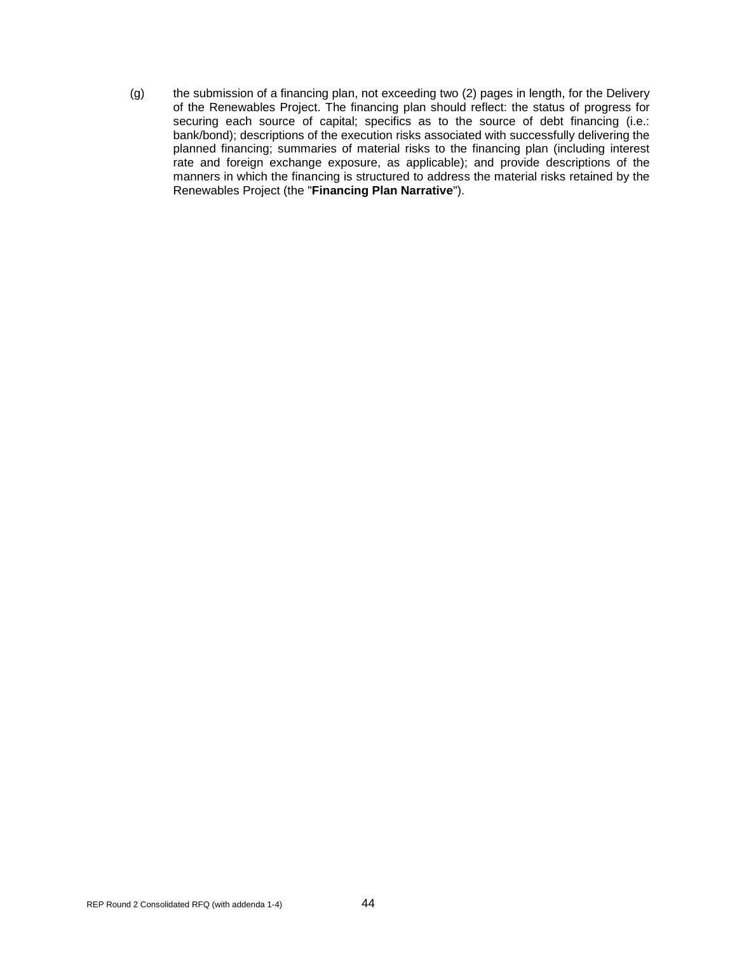(g) the submission of a financing plan, not exceeding two (2) pages in length, for the Delivery of the Renewables Project. The financing plan should reflect: the status of progress for securing each source of capital; specifics as to the source of debt financing (i.e.: bank/bond); descriptions of the execution risks associated with successfully delivering the planned financing; summaries of material risks to the financing plan (including interest rate and foreign exchange exposure, as applicable); and provide descriptions of the manners in which the financing is structured to address the material risks retained by the Renewables Project (the "**Financing Plan Narrative**").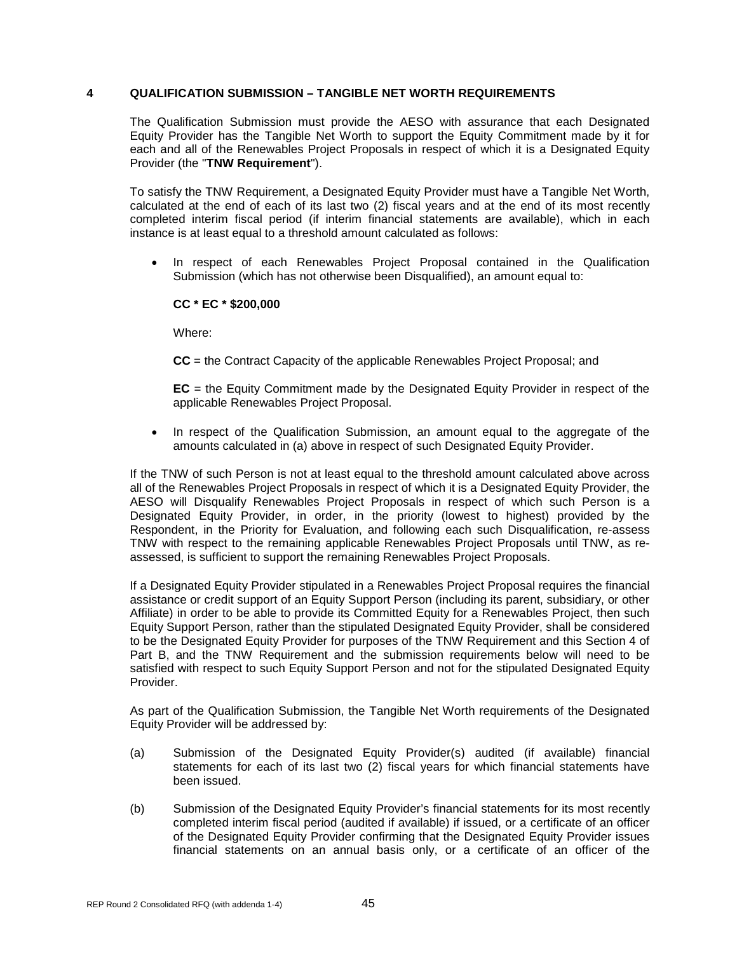# **4 QUALIFICATION SUBMISSION – TANGIBLE NET WORTH REQUIREMENTS**

The Qualification Submission must provide the AESO with assurance that each Designated Equity Provider has the Tangible Net Worth to support the Equity Commitment made by it for each and all of the Renewables Project Proposals in respect of which it is a Designated Equity Provider (the "**TNW Requirement**").

To satisfy the TNW Requirement, a Designated Equity Provider must have a Tangible Net Worth, calculated at the end of each of its last two (2) fiscal years and at the end of its most recently completed interim fiscal period (if interim financial statements are available), which in each instance is at least equal to a threshold amount calculated as follows:

• In respect of each Renewables Project Proposal contained in the Qualification Submission (which has not otherwise been Disqualified), an amount equal to:

# **CC \* EC \* \$200,000**

Where:

**CC** = the Contract Capacity of the applicable Renewables Project Proposal; and

**EC** = the Equity Commitment made by the Designated Equity Provider in respect of the applicable Renewables Project Proposal.

• In respect of the Qualification Submission, an amount equal to the aggregate of the amounts calculated in (a) above in respect of such Designated Equity Provider.

If the TNW of such Person is not at least equal to the threshold amount calculated above across all of the Renewables Project Proposals in respect of which it is a Designated Equity Provider, the AESO will Disqualify Renewables Project Proposals in respect of which such Person is a Designated Equity Provider, in order, in the priority (lowest to highest) provided by the Respondent, in the Priority for Evaluation, and following each such Disqualification, re-assess TNW with respect to the remaining applicable Renewables Project Proposals until TNW, as reassessed, is sufficient to support the remaining Renewables Project Proposals.

If a Designated Equity Provider stipulated in a Renewables Project Proposal requires the financial assistance or credit support of an Equity Support Person (including its parent, subsidiary, or other Affiliate) in order to be able to provide its Committed Equity for a Renewables Project, then such Equity Support Person, rather than the stipulated Designated Equity Provider, shall be considered to be the Designated Equity Provider for purposes of the TNW Requirement and this Section 4 of Part B, and the TNW Requirement and the submission requirements below will need to be satisfied with respect to such Equity Support Person and not for the stipulated Designated Equity Provider.

As part of the Qualification Submission, the Tangible Net Worth requirements of the Designated Equity Provider will be addressed by:

- (a) Submission of the Designated Equity Provider(s) audited (if available) financial statements for each of its last two (2) fiscal years for which financial statements have been issued.
- (b) Submission of the Designated Equity Provider's financial statements for its most recently completed interim fiscal period (audited if available) if issued, or a certificate of an officer of the Designated Equity Provider confirming that the Designated Equity Provider issues financial statements on an annual basis only, or a certificate of an officer of the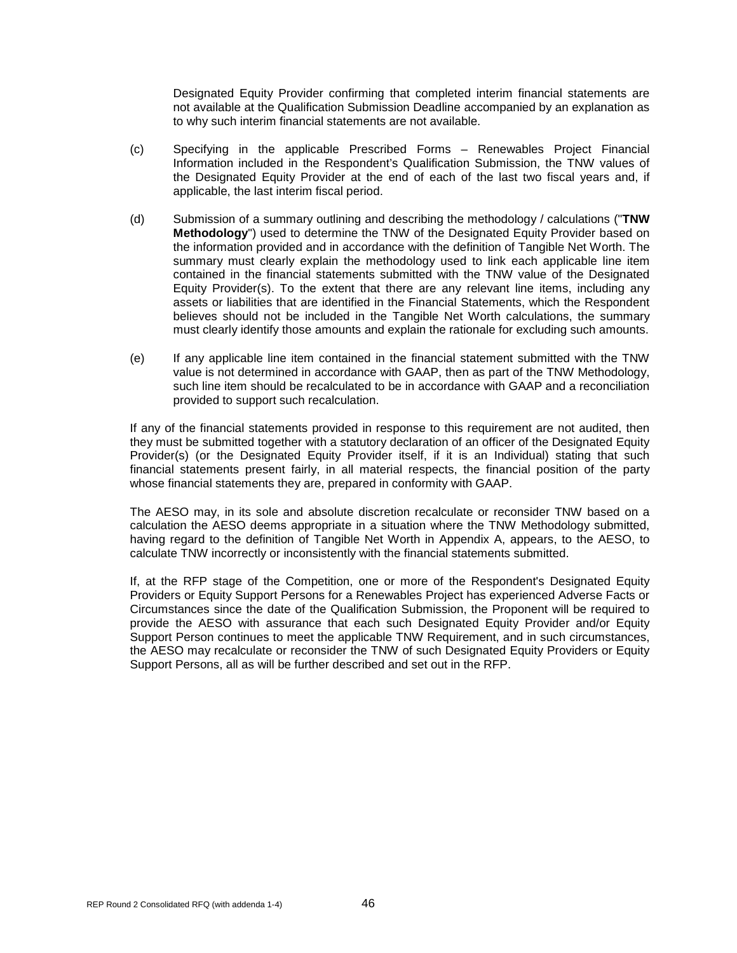Designated Equity Provider confirming that completed interim financial statements are not available at the Qualification Submission Deadline accompanied by an explanation as to why such interim financial statements are not available.

- (c) Specifying in the applicable Prescribed Forms Renewables Project Financial Information included in the Respondent's Qualification Submission, the TNW values of the Designated Equity Provider at the end of each of the last two fiscal years and, if applicable, the last interim fiscal period.
- (d) Submission of a summary outlining and describing the methodology / calculations ("**TNW Methodology**") used to determine the TNW of the Designated Equity Provider based on the information provided and in accordance with the definition of Tangible Net Worth. The summary must clearly explain the methodology used to link each applicable line item contained in the financial statements submitted with the TNW value of the Designated Equity Provider(s). To the extent that there are any relevant line items, including any assets or liabilities that are identified in the Financial Statements, which the Respondent believes should not be included in the Tangible Net Worth calculations, the summary must clearly identify those amounts and explain the rationale for excluding such amounts.
- (e) If any applicable line item contained in the financial statement submitted with the TNW value is not determined in accordance with GAAP, then as part of the TNW Methodology, such line item should be recalculated to be in accordance with GAAP and a reconciliation provided to support such recalculation.

If any of the financial statements provided in response to this requirement are not audited, then they must be submitted together with a statutory declaration of an officer of the Designated Equity Provider(s) (or the Designated Equity Provider itself, if it is an Individual) stating that such financial statements present fairly, in all material respects, the financial position of the party whose financial statements they are, prepared in conformity with GAAP.

The AESO may, in its sole and absolute discretion recalculate or reconsider TNW based on a calculation the AESO deems appropriate in a situation where the TNW Methodology submitted, having regard to the definition of Tangible Net Worth in Appendix A, appears, to the AESO, to calculate TNW incorrectly or inconsistently with the financial statements submitted.

If, at the RFP stage of the Competition, one or more of the Respondent's Designated Equity Providers or Equity Support Persons for a Renewables Project has experienced Adverse Facts or Circumstances since the date of the Qualification Submission, the Proponent will be required to provide the AESO with assurance that each such Designated Equity Provider and/or Equity Support Person continues to meet the applicable TNW Requirement, and in such circumstances, the AESO may recalculate or reconsider the TNW of such Designated Equity Providers or Equity Support Persons, all as will be further described and set out in the RFP.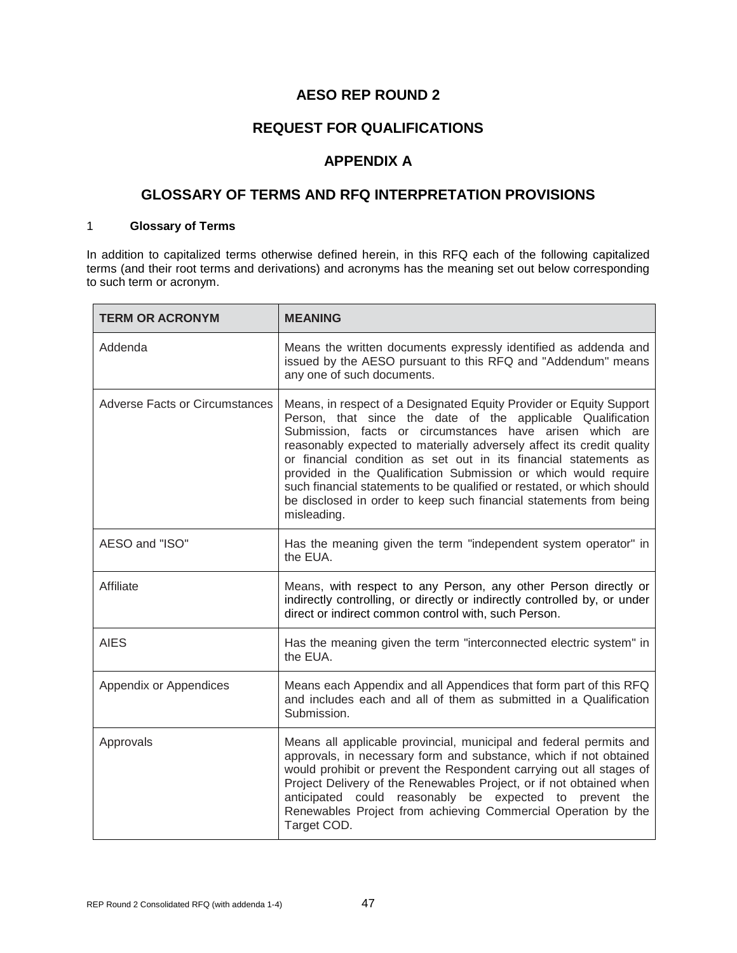# **AESO REP ROUND 2**

# **REQUEST FOR QUALIFICATIONS**

# **APPENDIX A**

# **GLOSSARY OF TERMS AND RFQ INTERPRETATION PROVISIONS**

# 1 **Glossary of Terms**

In addition to capitalized terms otherwise defined herein, in this RFQ each of the following capitalized terms (and their root terms and derivations) and acronyms has the meaning set out below corresponding to such term or acronym.

| <b>TERM OR ACRONYM</b>                | <b>MEANING</b>                                                                                                                                                                                                                                                                                                                                                                                                                                                                                                                                                                |
|---------------------------------------|-------------------------------------------------------------------------------------------------------------------------------------------------------------------------------------------------------------------------------------------------------------------------------------------------------------------------------------------------------------------------------------------------------------------------------------------------------------------------------------------------------------------------------------------------------------------------------|
| Addenda                               | Means the written documents expressly identified as addenda and<br>issued by the AESO pursuant to this RFQ and "Addendum" means<br>any one of such documents.                                                                                                                                                                                                                                                                                                                                                                                                                 |
| <b>Adverse Facts or Circumstances</b> | Means, in respect of a Designated Equity Provider or Equity Support<br>Person, that since the date of the applicable Qualification<br>Submission, facts or circumstances have arisen which are<br>reasonably expected to materially adversely affect its credit quality<br>or financial condition as set out in its financial statements as<br>provided in the Qualification Submission or which would require<br>such financial statements to be qualified or restated, or which should<br>be disclosed in order to keep such financial statements from being<br>misleading. |
| AESO and "ISO"                        | Has the meaning given the term "independent system operator" in<br>the EUA.                                                                                                                                                                                                                                                                                                                                                                                                                                                                                                   |
| Affiliate                             | Means, with respect to any Person, any other Person directly or<br>indirectly controlling, or directly or indirectly controlled by, or under<br>direct or indirect common control with, such Person.                                                                                                                                                                                                                                                                                                                                                                          |
| <b>AIES</b>                           | Has the meaning given the term "interconnected electric system" in<br>the EUA.                                                                                                                                                                                                                                                                                                                                                                                                                                                                                                |
| Appendix or Appendices                | Means each Appendix and all Appendices that form part of this RFQ<br>and includes each and all of them as submitted in a Qualification<br>Submission.                                                                                                                                                                                                                                                                                                                                                                                                                         |
| Approvals                             | Means all applicable provincial, municipal and federal permits and<br>approvals, in necessary form and substance, which if not obtained<br>would prohibit or prevent the Respondent carrying out all stages of<br>Project Delivery of the Renewables Project, or if not obtained when<br>anticipated could reasonably be expected to prevent the<br>Renewables Project from achieving Commercial Operation by the<br>Target COD.                                                                                                                                              |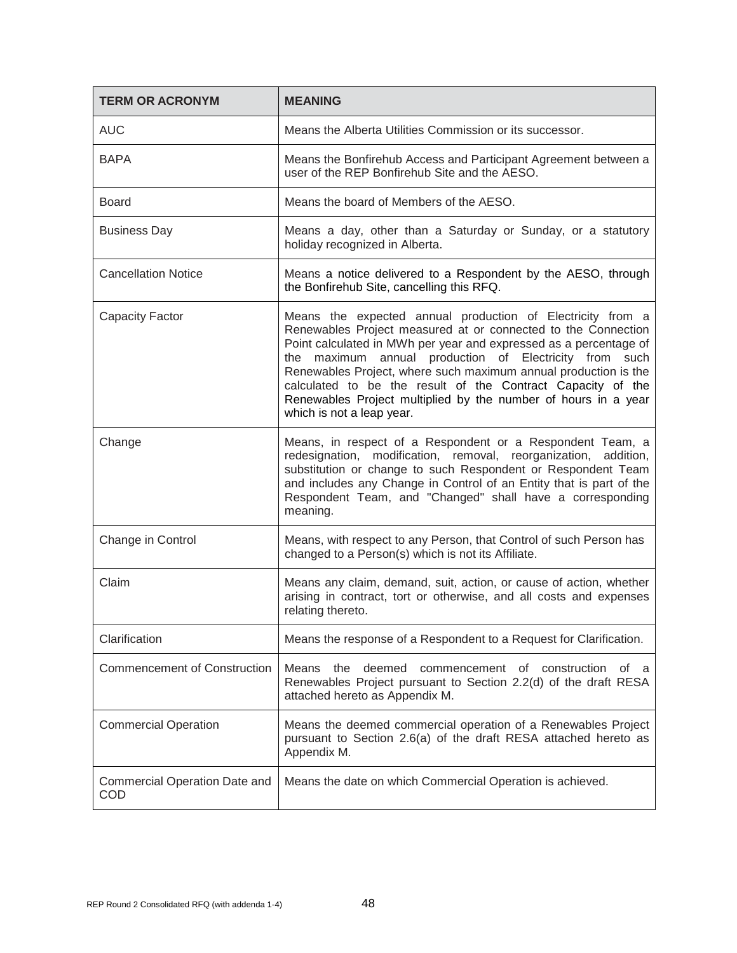| <b>TERM OR ACRONYM</b>                      | <b>MEANING</b>                                                                                                                                                                                                                                                                                                                                                                                                                                                                                 |
|---------------------------------------------|------------------------------------------------------------------------------------------------------------------------------------------------------------------------------------------------------------------------------------------------------------------------------------------------------------------------------------------------------------------------------------------------------------------------------------------------------------------------------------------------|
| <b>AUC</b>                                  | Means the Alberta Utilities Commission or its successor.                                                                                                                                                                                                                                                                                                                                                                                                                                       |
| <b>BAPA</b>                                 | Means the Bonfirehub Access and Participant Agreement between a<br>user of the REP Bonfirehub Site and the AESO.                                                                                                                                                                                                                                                                                                                                                                               |
| <b>Board</b>                                | Means the board of Members of the AESO.                                                                                                                                                                                                                                                                                                                                                                                                                                                        |
| <b>Business Day</b>                         | Means a day, other than a Saturday or Sunday, or a statutory<br>holiday recognized in Alberta.                                                                                                                                                                                                                                                                                                                                                                                                 |
| <b>Cancellation Notice</b>                  | Means a notice delivered to a Respondent by the AESO, through<br>the Bonfirehub Site, cancelling this RFQ.                                                                                                                                                                                                                                                                                                                                                                                     |
| <b>Capacity Factor</b>                      | Means the expected annual production of Electricity from a<br>Renewables Project measured at or connected to the Connection<br>Point calculated in MWh per year and expressed as a percentage of<br>maximum annual production of Electricity from such<br>the<br>Renewables Project, where such maximum annual production is the<br>calculated to be the result of the Contract Capacity of the<br>Renewables Project multiplied by the number of hours in a year<br>which is not a leap year. |
| Change                                      | Means, in respect of a Respondent or a Respondent Team, a<br>redesignation, modification, removal, reorganization, addition,<br>substitution or change to such Respondent or Respondent Team<br>and includes any Change in Control of an Entity that is part of the<br>Respondent Team, and "Changed" shall have a corresponding<br>meaning.                                                                                                                                                   |
| Change in Control                           | Means, with respect to any Person, that Control of such Person has<br>changed to a Person(s) which is not its Affiliate.                                                                                                                                                                                                                                                                                                                                                                       |
| Claim                                       | Means any claim, demand, suit, action, or cause of action, whether<br>arising in contract, tort or otherwise, and all costs and expenses<br>relating thereto.                                                                                                                                                                                                                                                                                                                                  |
| Clarification                               | Means the response of a Respondent to a Request for Clarification.                                                                                                                                                                                                                                                                                                                                                                                                                             |
| <b>Commencement of Construction</b>         | Means<br>the<br>deemed<br>commencement<br>construction<br>of<br>οf<br>a<br>Renewables Project pursuant to Section 2.2(d) of the draft RESA<br>attached hereto as Appendix M.                                                                                                                                                                                                                                                                                                                   |
| <b>Commercial Operation</b>                 | Means the deemed commercial operation of a Renewables Project<br>pursuant to Section 2.6(a) of the draft RESA attached hereto as<br>Appendix M.                                                                                                                                                                                                                                                                                                                                                |
| <b>Commercial Operation Date and</b><br>COD | Means the date on which Commercial Operation is achieved.                                                                                                                                                                                                                                                                                                                                                                                                                                      |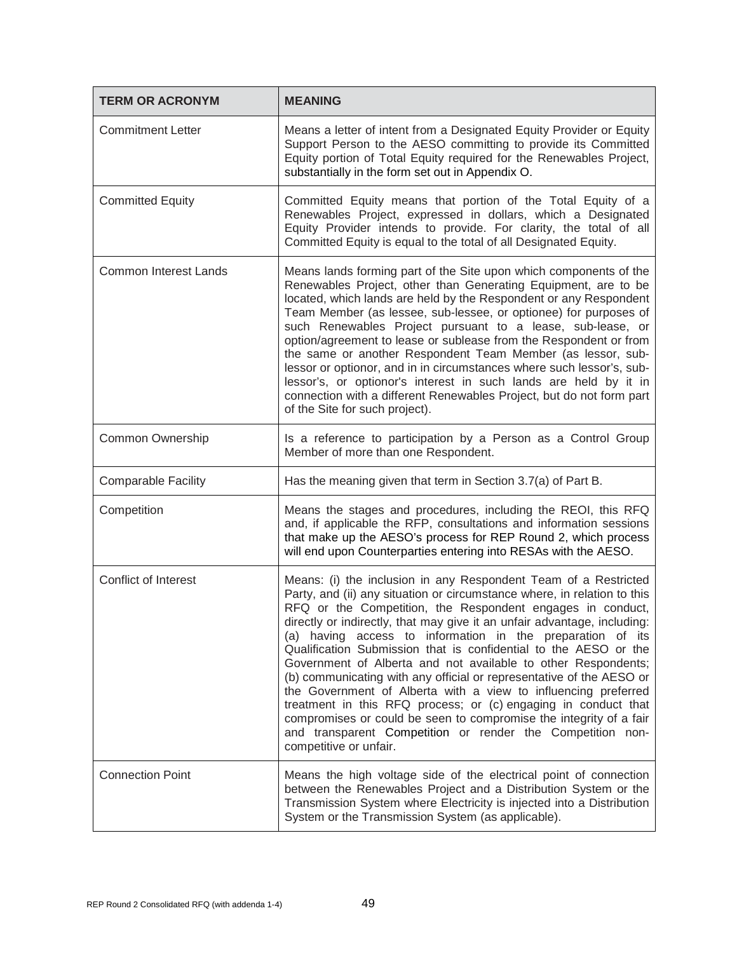| <b>TERM OR ACRONYM</b>       | <b>MEANING</b>                                                                                                                                                                                                                                                                                                                                                                                                                                                                                                                                                                                                                                                                                                                                                                                                                                                     |
|------------------------------|--------------------------------------------------------------------------------------------------------------------------------------------------------------------------------------------------------------------------------------------------------------------------------------------------------------------------------------------------------------------------------------------------------------------------------------------------------------------------------------------------------------------------------------------------------------------------------------------------------------------------------------------------------------------------------------------------------------------------------------------------------------------------------------------------------------------------------------------------------------------|
| <b>Commitment Letter</b>     | Means a letter of intent from a Designated Equity Provider or Equity<br>Support Person to the AESO committing to provide its Committed<br>Equity portion of Total Equity required for the Renewables Project,<br>substantially in the form set out in Appendix O.                                                                                                                                                                                                                                                                                                                                                                                                                                                                                                                                                                                                  |
| <b>Committed Equity</b>      | Committed Equity means that portion of the Total Equity of a<br>Renewables Project, expressed in dollars, which a Designated<br>Equity Provider intends to provide. For clarity, the total of all<br>Committed Equity is equal to the total of all Designated Equity.                                                                                                                                                                                                                                                                                                                                                                                                                                                                                                                                                                                              |
| <b>Common Interest Lands</b> | Means lands forming part of the Site upon which components of the<br>Renewables Project, other than Generating Equipment, are to be<br>located, which lands are held by the Respondent or any Respondent<br>Team Member (as lessee, sub-lessee, or optionee) for purposes of<br>such Renewables Project pursuant to a lease, sub-lease, or<br>option/agreement to lease or sublease from the Respondent or from<br>the same or another Respondent Team Member (as lessor, sub-<br>lessor or optionor, and in in circumstances where such lessor's, sub-<br>lessor's, or optionor's interest in such lands are held by it in<br>connection with a different Renewables Project, but do not form part<br>of the Site for such project).                                                                                                                              |
| Common Ownership             | Is a reference to participation by a Person as a Control Group<br>Member of more than one Respondent.                                                                                                                                                                                                                                                                                                                                                                                                                                                                                                                                                                                                                                                                                                                                                              |
| <b>Comparable Facility</b>   | Has the meaning given that term in Section 3.7(a) of Part B.                                                                                                                                                                                                                                                                                                                                                                                                                                                                                                                                                                                                                                                                                                                                                                                                       |
| Competition                  | Means the stages and procedures, including the REOI, this RFQ<br>and, if applicable the RFP, consultations and information sessions<br>that make up the AESO's process for REP Round 2, which process<br>will end upon Counterparties entering into RESAs with the AESO.                                                                                                                                                                                                                                                                                                                                                                                                                                                                                                                                                                                           |
| Conflict of Interest         | Means: (i) the inclusion in any Respondent Team of a Restricted<br>Party, and (ii) any situation or circumstance where, in relation to this<br>RFQ or the Competition, the Respondent engages in conduct,<br>directly or indirectly, that may give it an unfair advantage, including:<br>(a) having access to information in the preparation of its<br>Qualification Submission that is confidential to the AESO or the<br>Government of Alberta and not available to other Respondents;<br>(b) communicating with any official or representative of the AESO or<br>the Government of Alberta with a view to influencing preferred<br>treatment in this RFQ process; or (c) engaging in conduct that<br>compromises or could be seen to compromise the integrity of a fair<br>and transparent Competition or render the Competition non-<br>competitive or unfair. |
| <b>Connection Point</b>      | Means the high voltage side of the electrical point of connection<br>between the Renewables Project and a Distribution System or the<br>Transmission System where Electricity is injected into a Distribution<br>System or the Transmission System (as applicable).                                                                                                                                                                                                                                                                                                                                                                                                                                                                                                                                                                                                |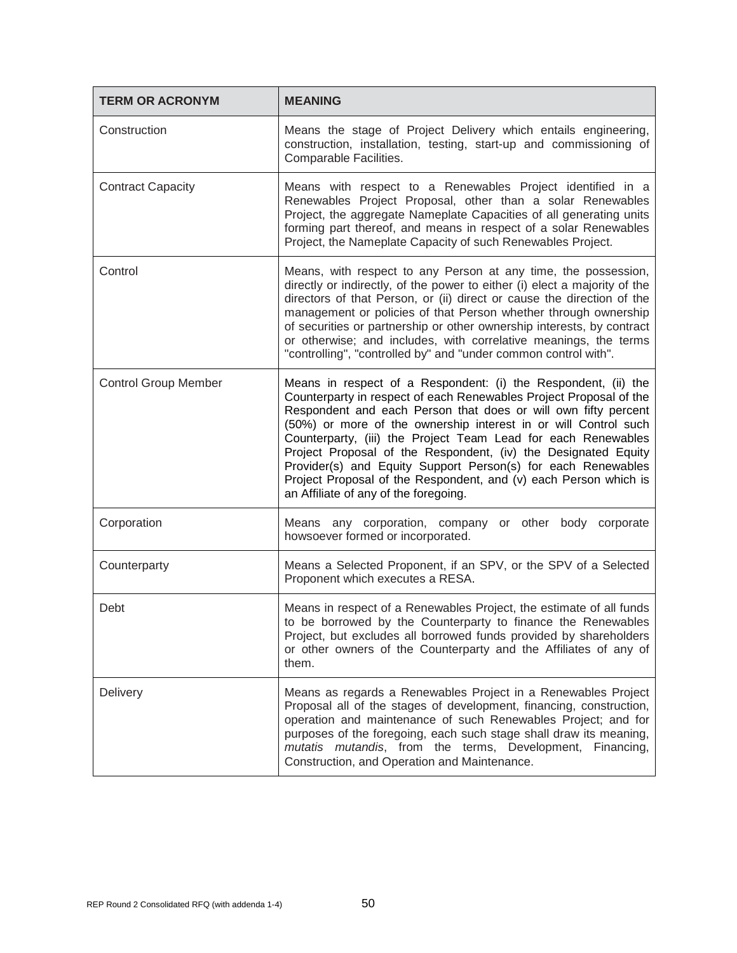| <b>TERM OR ACRONYM</b>      | <b>MEANING</b>                                                                                                                                                                                                                                                                                                                                                                                                                                                                                                                                                                            |
|-----------------------------|-------------------------------------------------------------------------------------------------------------------------------------------------------------------------------------------------------------------------------------------------------------------------------------------------------------------------------------------------------------------------------------------------------------------------------------------------------------------------------------------------------------------------------------------------------------------------------------------|
| Construction                | Means the stage of Project Delivery which entails engineering,<br>construction, installation, testing, start-up and commissioning of<br>Comparable Facilities.                                                                                                                                                                                                                                                                                                                                                                                                                            |
| <b>Contract Capacity</b>    | Means with respect to a Renewables Project identified in a<br>Renewables Project Proposal, other than a solar Renewables<br>Project, the aggregate Nameplate Capacities of all generating units<br>forming part thereof, and means in respect of a solar Renewables<br>Project, the Nameplate Capacity of such Renewables Project.                                                                                                                                                                                                                                                        |
| Control                     | Means, with respect to any Person at any time, the possession,<br>directly or indirectly, of the power to either (i) elect a majority of the<br>directors of that Person, or (ii) direct or cause the direction of the<br>management or policies of that Person whether through ownership<br>of securities or partnership or other ownership interests, by contract<br>or otherwise; and includes, with correlative meanings, the terms<br>"controlling", "controlled by" and "under common control with".                                                                                |
| <b>Control Group Member</b> | Means in respect of a Respondent: (i) the Respondent, (ii) the<br>Counterparty in respect of each Renewables Project Proposal of the<br>Respondent and each Person that does or will own fifty percent<br>(50%) or more of the ownership interest in or will Control such<br>Counterparty, (iii) the Project Team Lead for each Renewables<br>Project Proposal of the Respondent, (iv) the Designated Equity<br>Provider(s) and Equity Support Person(s) for each Renewables<br>Project Proposal of the Respondent, and (v) each Person which is<br>an Affiliate of any of the foregoing. |
| Corporation                 | Means any corporation, company or other body corporate<br>howsoever formed or incorporated.                                                                                                                                                                                                                                                                                                                                                                                                                                                                                               |
| Counterparty                | Means a Selected Proponent, if an SPV, or the SPV of a Selected<br>Proponent which executes a RESA.                                                                                                                                                                                                                                                                                                                                                                                                                                                                                       |
| Debt                        | Means in respect of a Renewables Project, the estimate of all funds<br>to be borrowed by the Counterparty to finance the Renewables<br>Project, but excludes all borrowed funds provided by shareholders<br>or other owners of the Counterparty and the Affiliates of any of<br>them.                                                                                                                                                                                                                                                                                                     |
| <b>Delivery</b>             | Means as regards a Renewables Project in a Renewables Project<br>Proposal all of the stages of development, financing, construction,<br>operation and maintenance of such Renewables Project; and for<br>purposes of the foregoing, each such stage shall draw its meaning,<br>mutatis mutandis, from the terms, Development, Financing,<br>Construction, and Operation and Maintenance.                                                                                                                                                                                                  |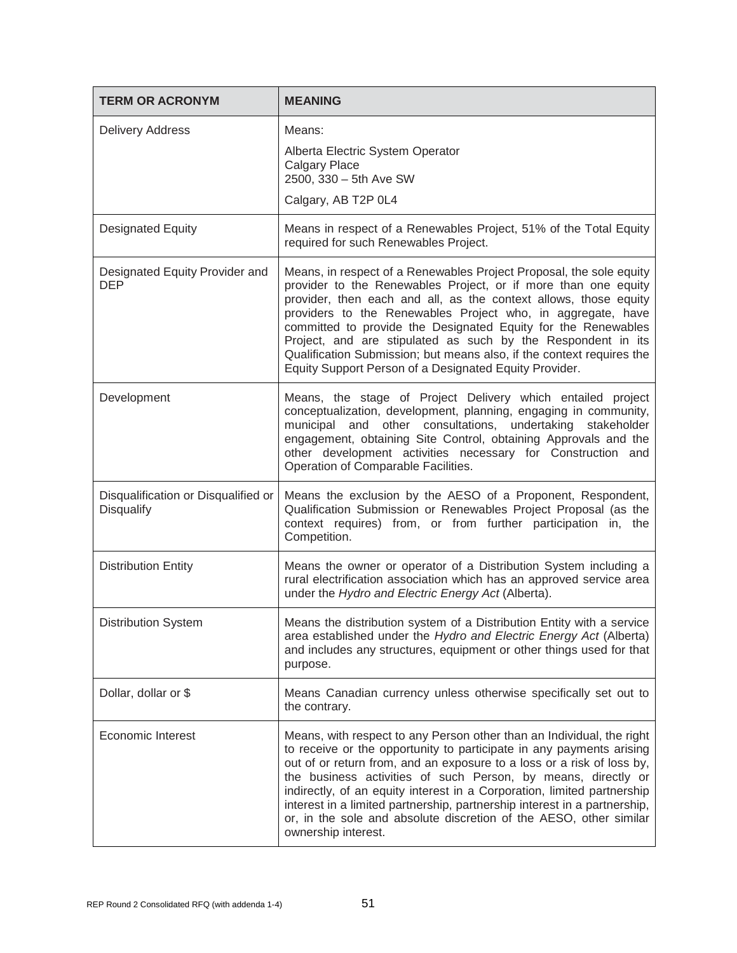| <b>TERM OR ACRONYM</b>                            | <b>MEANING</b>                                                                                                                                                                                                                                                                                                                                                                                                                                                                                                                                |
|---------------------------------------------------|-----------------------------------------------------------------------------------------------------------------------------------------------------------------------------------------------------------------------------------------------------------------------------------------------------------------------------------------------------------------------------------------------------------------------------------------------------------------------------------------------------------------------------------------------|
| <b>Delivery Address</b>                           | Means:<br>Alberta Electric System Operator<br><b>Calgary Place</b><br>2500, 330 - 5th Ave SW<br>Calgary, AB T2P 0L4                                                                                                                                                                                                                                                                                                                                                                                                                           |
| <b>Designated Equity</b>                          | Means in respect of a Renewables Project, 51% of the Total Equity<br>required for such Renewables Project.                                                                                                                                                                                                                                                                                                                                                                                                                                    |
| Designated Equity Provider and<br><b>DEP</b>      | Means, in respect of a Renewables Project Proposal, the sole equity<br>provider to the Renewables Project, or if more than one equity<br>provider, then each and all, as the context allows, those equity<br>providers to the Renewables Project who, in aggregate, have<br>committed to provide the Designated Equity for the Renewables<br>Project, and are stipulated as such by the Respondent in its<br>Qualification Submission; but means also, if the context requires the<br>Equity Support Person of a Designated Equity Provider.  |
| Development                                       | Means, the stage of Project Delivery which entailed project<br>conceptualization, development, planning, engaging in community,<br>municipal and other consultations, undertaking stakeholder<br>engagement, obtaining Site Control, obtaining Approvals and the<br>other development activities necessary for Construction and<br>Operation of Comparable Facilities.                                                                                                                                                                        |
| Disqualification or Disqualified or<br>Disqualify | Means the exclusion by the AESO of a Proponent, Respondent,<br>Qualification Submission or Renewables Project Proposal (as the<br>context requires) from, or from further participation in, the<br>Competition.                                                                                                                                                                                                                                                                                                                               |
| <b>Distribution Entity</b>                        | Means the owner or operator of a Distribution System including a<br>rural electrification association which has an approved service area<br>under the Hydro and Electric Energy Act (Alberta).                                                                                                                                                                                                                                                                                                                                                |
| <b>Distribution System</b>                        | Means the distribution system of a Distribution Entity with a service<br>area established under the Hydro and Electric Energy Act (Alberta)<br>and includes any structures, equipment or other things used for that<br>purpose.                                                                                                                                                                                                                                                                                                               |
| Dollar, dollar or \$                              | Means Canadian currency unless otherwise specifically set out to<br>the contrary.                                                                                                                                                                                                                                                                                                                                                                                                                                                             |
| <b>Economic Interest</b>                          | Means, with respect to any Person other than an Individual, the right<br>to receive or the opportunity to participate in any payments arising<br>out of or return from, and an exposure to a loss or a risk of loss by,<br>the business activities of such Person, by means, directly or<br>indirectly, of an equity interest in a Corporation, limited partnership<br>interest in a limited partnership, partnership interest in a partnership,<br>or, in the sole and absolute discretion of the AESO, other similar<br>ownership interest. |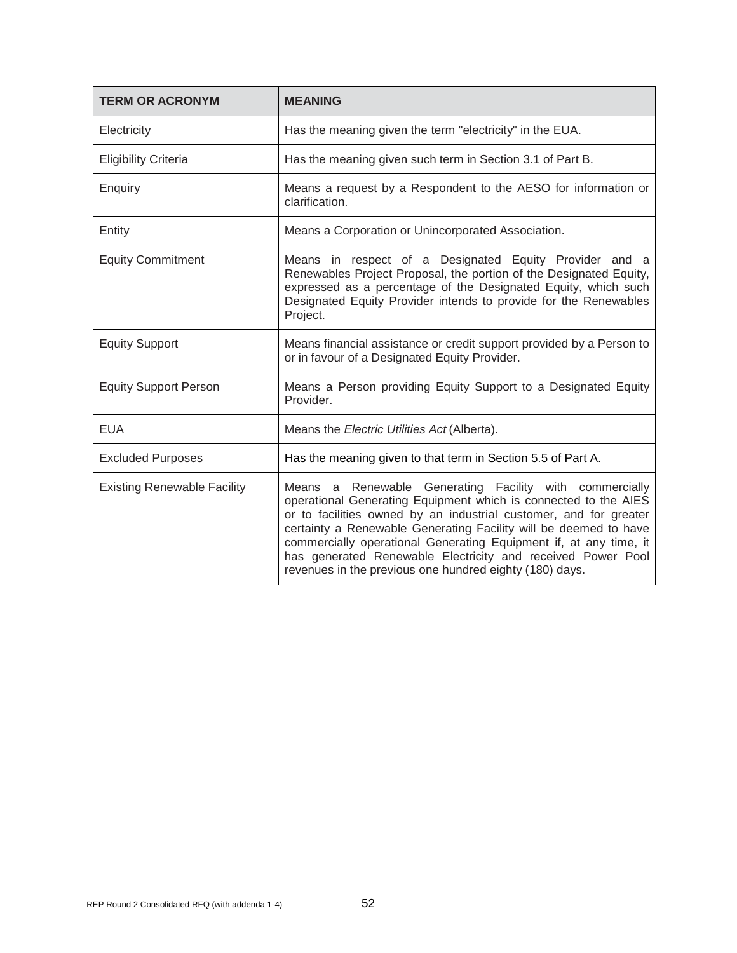| <b>TERM OR ACRONYM</b>             | <b>MEANING</b>                                                                                                                                                                                                                                                                                                                                                                                                                                                     |
|------------------------------------|--------------------------------------------------------------------------------------------------------------------------------------------------------------------------------------------------------------------------------------------------------------------------------------------------------------------------------------------------------------------------------------------------------------------------------------------------------------------|
| Electricity                        | Has the meaning given the term "electricity" in the EUA.                                                                                                                                                                                                                                                                                                                                                                                                           |
| <b>Eligibility Criteria</b>        | Has the meaning given such term in Section 3.1 of Part B.                                                                                                                                                                                                                                                                                                                                                                                                          |
| Enquiry                            | Means a request by a Respondent to the AESO for information or<br>clarification.                                                                                                                                                                                                                                                                                                                                                                                   |
| Entity                             | Means a Corporation or Unincorporated Association.                                                                                                                                                                                                                                                                                                                                                                                                                 |
| <b>Equity Commitment</b>           | Means in respect of a Designated Equity Provider and a<br>Renewables Project Proposal, the portion of the Designated Equity,<br>expressed as a percentage of the Designated Equity, which such<br>Designated Equity Provider intends to provide for the Renewables<br>Project.                                                                                                                                                                                     |
| <b>Equity Support</b>              | Means financial assistance or credit support provided by a Person to<br>or in favour of a Designated Equity Provider.                                                                                                                                                                                                                                                                                                                                              |
| <b>Equity Support Person</b>       | Means a Person providing Equity Support to a Designated Equity<br>Provider.                                                                                                                                                                                                                                                                                                                                                                                        |
| <b>EUA</b>                         | Means the Electric Utilities Act (Alberta).                                                                                                                                                                                                                                                                                                                                                                                                                        |
| <b>Excluded Purposes</b>           | Has the meaning given to that term in Section 5.5 of Part A.                                                                                                                                                                                                                                                                                                                                                                                                       |
| <b>Existing Renewable Facility</b> | Means a Renewable Generating Facility with commercially<br>operational Generating Equipment which is connected to the AIES<br>or to facilities owned by an industrial customer, and for greater<br>certainty a Renewable Generating Facility will be deemed to have<br>commercially operational Generating Equipment if, at any time, it<br>has generated Renewable Electricity and received Power Pool<br>revenues in the previous one hundred eighty (180) days. |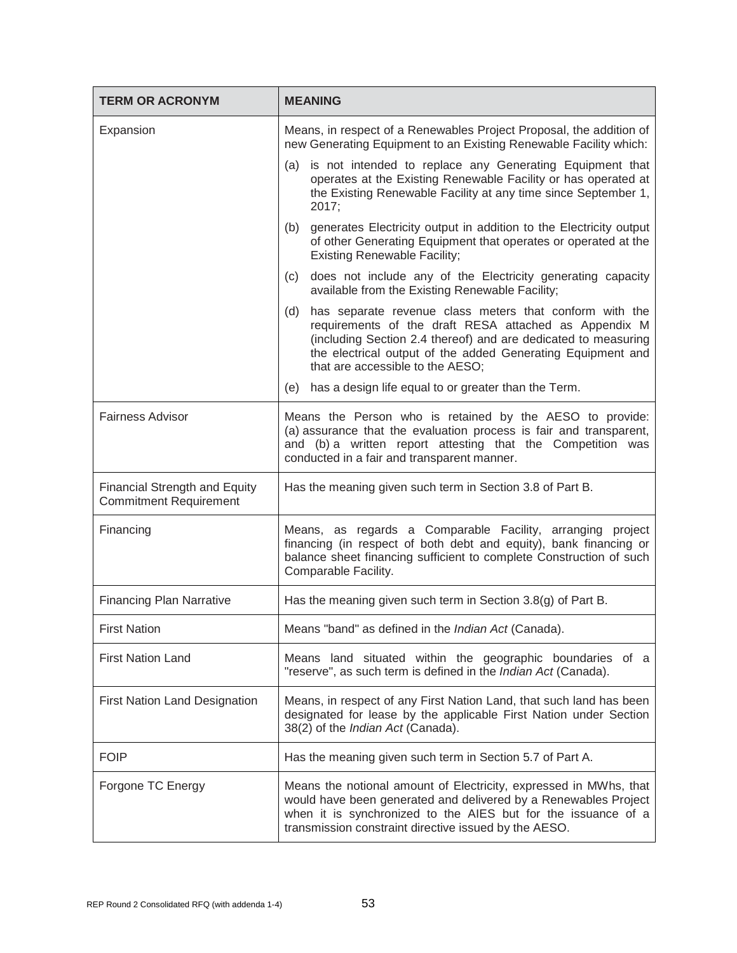| <b>TERM OR ACRONYM</b>                                                | <b>MEANING</b>                                                                                                                                                                                                                                                                               |
|-----------------------------------------------------------------------|----------------------------------------------------------------------------------------------------------------------------------------------------------------------------------------------------------------------------------------------------------------------------------------------|
| Expansion                                                             | Means, in respect of a Renewables Project Proposal, the addition of<br>new Generating Equipment to an Existing Renewable Facility which:                                                                                                                                                     |
|                                                                       | (a) is not intended to replace any Generating Equipment that<br>operates at the Existing Renewable Facility or has operated at<br>the Existing Renewable Facility at any time since September 1,<br>2017;                                                                                    |
|                                                                       | generates Electricity output in addition to the Electricity output<br>(b)<br>of other Generating Equipment that operates or operated at the<br><b>Existing Renewable Facility;</b>                                                                                                           |
|                                                                       | does not include any of the Electricity generating capacity<br>(c)<br>available from the Existing Renewable Facility;                                                                                                                                                                        |
|                                                                       | has separate revenue class meters that conform with the<br>(d)<br>requirements of the draft RESA attached as Appendix M<br>(including Section 2.4 thereof) and are dedicated to measuring<br>the electrical output of the added Generating Equipment and<br>that are accessible to the AESO; |
|                                                                       | has a design life equal to or greater than the Term.<br>(e)                                                                                                                                                                                                                                  |
| <b>Fairness Advisor</b>                                               | Means the Person who is retained by the AESO to provide:<br>(a) assurance that the evaluation process is fair and transparent,<br>and (b) a written report attesting that the Competition was<br>conducted in a fair and transparent manner.                                                 |
| <b>Financial Strength and Equity</b><br><b>Commitment Requirement</b> | Has the meaning given such term in Section 3.8 of Part B.                                                                                                                                                                                                                                    |
| Financing                                                             | Means, as regards a Comparable Facility, arranging project<br>financing (in respect of both debt and equity), bank financing or<br>balance sheet financing sufficient to complete Construction of such<br>Comparable Facility.                                                               |
| <b>Financing Plan Narrative</b>                                       | Has the meaning given such term in Section 3.8(g) of Part B.                                                                                                                                                                                                                                 |
| <b>First Nation</b>                                                   | Means "band" as defined in the Indian Act (Canada).                                                                                                                                                                                                                                          |
| <b>First Nation Land</b>                                              | Means land situated within the geographic boundaries of a<br>"reserve", as such term is defined in the Indian Act (Canada).                                                                                                                                                                  |
| <b>First Nation Land Designation</b>                                  | Means, in respect of any First Nation Land, that such land has been<br>designated for lease by the applicable First Nation under Section<br>38(2) of the Indian Act (Canada).                                                                                                                |
| <b>FOIP</b>                                                           | Has the meaning given such term in Section 5.7 of Part A.                                                                                                                                                                                                                                    |
| Forgone TC Energy                                                     | Means the notional amount of Electricity, expressed in MWhs, that<br>would have been generated and delivered by a Renewables Project<br>when it is synchronized to the AIES but for the issuance of a<br>transmission constraint directive issued by the AESO.                               |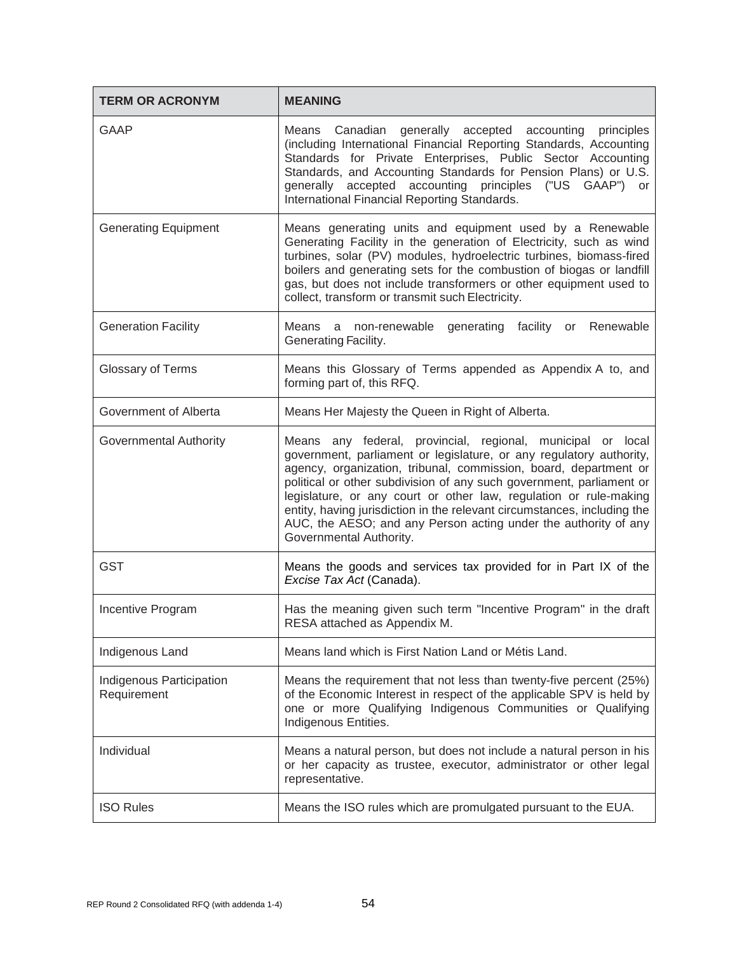| <b>TERM OR ACRONYM</b>                  | <b>MEANING</b>                                                                                                                                                                                                                                                                                                                                                                                                                                                                                                                |
|-----------------------------------------|-------------------------------------------------------------------------------------------------------------------------------------------------------------------------------------------------------------------------------------------------------------------------------------------------------------------------------------------------------------------------------------------------------------------------------------------------------------------------------------------------------------------------------|
| <b>GAAP</b>                             | Means Canadian generally accepted accounting principles<br>(including International Financial Reporting Standards, Accounting<br>Standards for Private Enterprises, Public Sector Accounting<br>Standards, and Accounting Standards for Pension Plans) or U.S.<br>generally accepted accounting principles ("US GAAP") or<br>International Financial Reporting Standards.                                                                                                                                                     |
| <b>Generating Equipment</b>             | Means generating units and equipment used by a Renewable<br>Generating Facility in the generation of Electricity, such as wind<br>turbines, solar (PV) modules, hydroelectric turbines, biomass-fired<br>boilers and generating sets for the combustion of biogas or landfill<br>gas, but does not include transformers or other equipment used to<br>collect, transform or transmit such Electricity.                                                                                                                        |
| <b>Generation Facility</b>              | Means a non-renewable generating facility<br>or Renewable<br>Generating Facility.                                                                                                                                                                                                                                                                                                                                                                                                                                             |
| Glossary of Terms                       | Means this Glossary of Terms appended as Appendix A to, and<br>forming part of, this RFQ.                                                                                                                                                                                                                                                                                                                                                                                                                                     |
| Government of Alberta                   | Means Her Majesty the Queen in Right of Alberta.                                                                                                                                                                                                                                                                                                                                                                                                                                                                              |
| Governmental Authority                  | Means any federal, provincial, regional, municipal or local<br>government, parliament or legislature, or any regulatory authority,<br>agency, organization, tribunal, commission, board, department or<br>political or other subdivision of any such government, parliament or<br>legislature, or any court or other law, regulation or rule-making<br>entity, having jurisdiction in the relevant circumstances, including the<br>AUC, the AESO; and any Person acting under the authority of any<br>Governmental Authority. |
| <b>GST</b>                              | Means the goods and services tax provided for in Part IX of the<br>Excise Tax Act (Canada).                                                                                                                                                                                                                                                                                                                                                                                                                                   |
| Incentive Program                       | Has the meaning given such term "Incentive Program" in the draft<br>RESA attached as Appendix M.                                                                                                                                                                                                                                                                                                                                                                                                                              |
| Indigenous Land                         | Means land which is First Nation Land or Métis Land.                                                                                                                                                                                                                                                                                                                                                                                                                                                                          |
| Indigenous Participation<br>Requirement | Means the requirement that not less than twenty-five percent (25%)<br>of the Economic Interest in respect of the applicable SPV is held by<br>one or more Qualifying Indigenous Communities or Qualifying<br>Indigenous Entities.                                                                                                                                                                                                                                                                                             |
| Individual                              | Means a natural person, but does not include a natural person in his<br>or her capacity as trustee, executor, administrator or other legal<br>representative.                                                                                                                                                                                                                                                                                                                                                                 |
| <b>ISO Rules</b>                        | Means the ISO rules which are promulgated pursuant to the EUA.                                                                                                                                                                                                                                                                                                                                                                                                                                                                |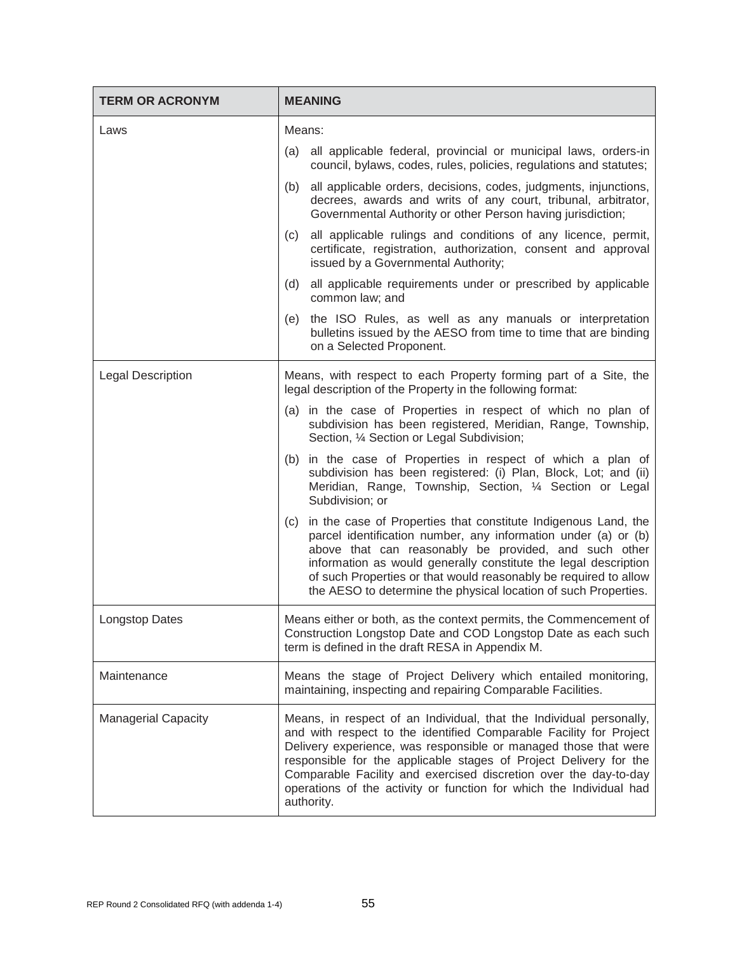| <b>TERM OR ACRONYM</b>     | <b>MEANING</b>                                                                                                                                                                                                                                                                                                                                                                                                                             |
|----------------------------|--------------------------------------------------------------------------------------------------------------------------------------------------------------------------------------------------------------------------------------------------------------------------------------------------------------------------------------------------------------------------------------------------------------------------------------------|
| Laws                       | Means:                                                                                                                                                                                                                                                                                                                                                                                                                                     |
|                            | all applicable federal, provincial or municipal laws, orders-in<br>(a)<br>council, bylaws, codes, rules, policies, regulations and statutes;                                                                                                                                                                                                                                                                                               |
|                            | all applicable orders, decisions, codes, judgments, injunctions,<br>(b)<br>decrees, awards and writs of any court, tribunal, arbitrator,<br>Governmental Authority or other Person having jurisdiction;                                                                                                                                                                                                                                    |
|                            | all applicable rulings and conditions of any licence, permit,<br>(c)<br>certificate, registration, authorization, consent and approval<br>issued by a Governmental Authority;                                                                                                                                                                                                                                                              |
|                            | (d)<br>all applicable requirements under or prescribed by applicable<br>common law; and                                                                                                                                                                                                                                                                                                                                                    |
|                            | the ISO Rules, as well as any manuals or interpretation<br>(e)<br>bulletins issued by the AESO from time to time that are binding<br>on a Selected Proponent.                                                                                                                                                                                                                                                                              |
| <b>Legal Description</b>   | Means, with respect to each Property forming part of a Site, the<br>legal description of the Property in the following format:                                                                                                                                                                                                                                                                                                             |
|                            | (a) in the case of Properties in respect of which no plan of<br>subdivision has been registered, Meridian, Range, Township,<br>Section, 1/4 Section or Legal Subdivision;                                                                                                                                                                                                                                                                  |
|                            | in the case of Properties in respect of which a plan of<br>(b)<br>subdivision has been registered: (i) Plan, Block, Lot; and (ii)<br>Meridian, Range, Township, Section, 1/4 Section or Legal<br>Subdivision; or                                                                                                                                                                                                                           |
|                            | in the case of Properties that constitute Indigenous Land, the<br>(c)<br>parcel identification number, any information under (a) or (b)<br>above that can reasonably be provided, and such other<br>information as would generally constitute the legal description<br>of such Properties or that would reasonably be required to allow<br>the AESO to determine the physical location of such Properties.                                 |
| <b>Longstop Dates</b>      | Means either or both, as the context permits, the Commencement of<br>Construction Longstop Date and COD Longstop Date as each such<br>term is defined in the draft RESA in Appendix M.                                                                                                                                                                                                                                                     |
| Maintenance                | Means the stage of Project Delivery which entailed monitoring,<br>maintaining, inspecting and repairing Comparable Facilities.                                                                                                                                                                                                                                                                                                             |
| <b>Managerial Capacity</b> | Means, in respect of an Individual, that the Individual personally,<br>and with respect to the identified Comparable Facility for Project<br>Delivery experience, was responsible or managed those that were<br>responsible for the applicable stages of Project Delivery for the<br>Comparable Facility and exercised discretion over the day-to-day<br>operations of the activity or function for which the Individual had<br>authority. |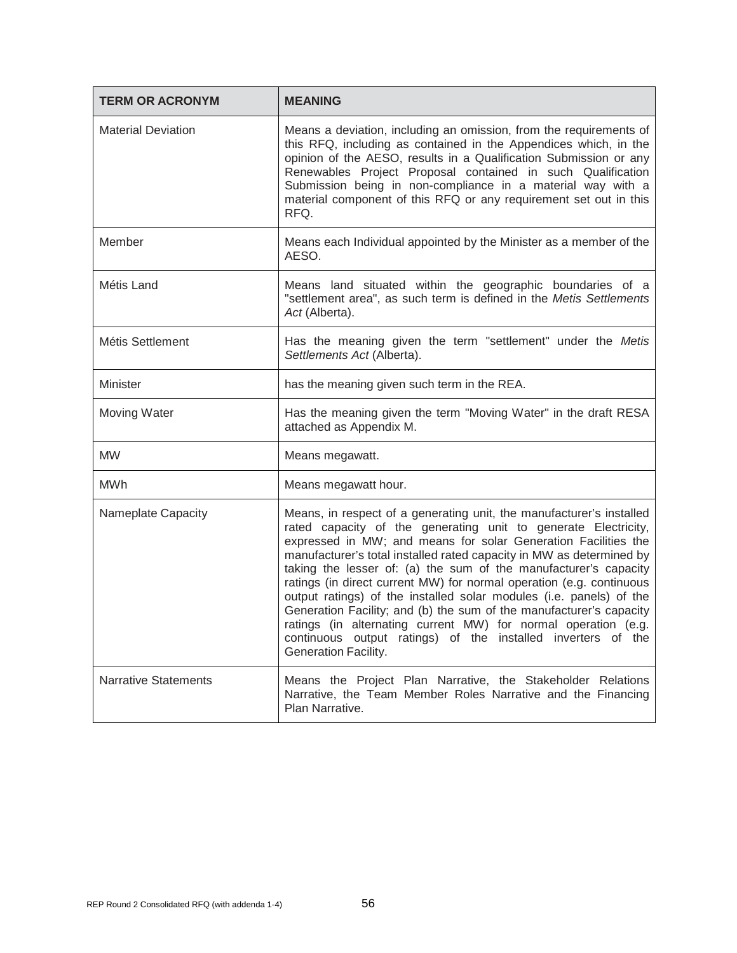| <b>TERM OR ACRONYM</b>      | <b>MEANING</b>                                                                                                                                                                                                                                                                                                                                                                                                                                                                                                                                                                                                                                                                                                                       |
|-----------------------------|--------------------------------------------------------------------------------------------------------------------------------------------------------------------------------------------------------------------------------------------------------------------------------------------------------------------------------------------------------------------------------------------------------------------------------------------------------------------------------------------------------------------------------------------------------------------------------------------------------------------------------------------------------------------------------------------------------------------------------------|
| <b>Material Deviation</b>   | Means a deviation, including an omission, from the requirements of<br>this RFQ, including as contained in the Appendices which, in the<br>opinion of the AESO, results in a Qualification Submission or any<br>Renewables Project Proposal contained in such Qualification<br>Submission being in non-compliance in a material way with a<br>material component of this RFQ or any requirement set out in this<br>RFQ.                                                                                                                                                                                                                                                                                                               |
| Member                      | Means each Individual appointed by the Minister as a member of the<br>AESO.                                                                                                                                                                                                                                                                                                                                                                                                                                                                                                                                                                                                                                                          |
| Métis Land                  | Means land situated within the geographic boundaries of a<br>"settlement area", as such term is defined in the Metis Settlements<br>Act (Alberta).                                                                                                                                                                                                                                                                                                                                                                                                                                                                                                                                                                                   |
| Métis Settlement            | Has the meaning given the term "settlement" under the Metis<br>Settlements Act (Alberta).                                                                                                                                                                                                                                                                                                                                                                                                                                                                                                                                                                                                                                            |
| Minister                    | has the meaning given such term in the REA.                                                                                                                                                                                                                                                                                                                                                                                                                                                                                                                                                                                                                                                                                          |
| Moving Water                | Has the meaning given the term "Moving Water" in the draft RESA<br>attached as Appendix M.                                                                                                                                                                                                                                                                                                                                                                                                                                                                                                                                                                                                                                           |
| <b>MW</b>                   | Means megawatt.                                                                                                                                                                                                                                                                                                                                                                                                                                                                                                                                                                                                                                                                                                                      |
| <b>MWh</b>                  | Means megawatt hour.                                                                                                                                                                                                                                                                                                                                                                                                                                                                                                                                                                                                                                                                                                                 |
| Nameplate Capacity          | Means, in respect of a generating unit, the manufacturer's installed<br>rated capacity of the generating unit to generate Electricity,<br>expressed in MW; and means for solar Generation Facilities the<br>manufacturer's total installed rated capacity in MW as determined by<br>taking the lesser of: (a) the sum of the manufacturer's capacity<br>ratings (in direct current MW) for normal operation (e.g. continuous<br>output ratings) of the installed solar modules (i.e. panels) of the<br>Generation Facility; and (b) the sum of the manufacturer's capacity<br>ratings (in alternating current MW) for normal operation (e.g.<br>continuous output ratings) of the installed inverters of the<br>Generation Facility. |
| <b>Narrative Statements</b> | Means the Project Plan Narrative, the Stakeholder Relations<br>Narrative, the Team Member Roles Narrative and the Financing<br>Plan Narrative.                                                                                                                                                                                                                                                                                                                                                                                                                                                                                                                                                                                       |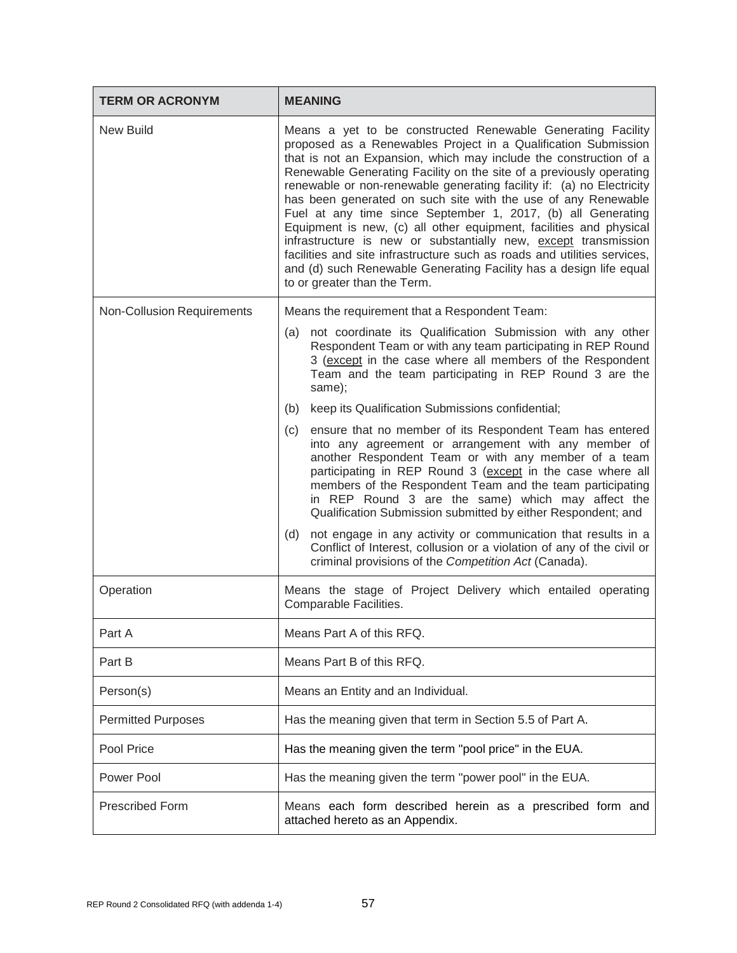| <b>TERM OR ACRONYM</b>            | <b>MEANING</b>                                                                                                                                                                                                                                                                                                                                                                                                                                                                                                                                                                                                                                                                                                                                                                                                 |
|-----------------------------------|----------------------------------------------------------------------------------------------------------------------------------------------------------------------------------------------------------------------------------------------------------------------------------------------------------------------------------------------------------------------------------------------------------------------------------------------------------------------------------------------------------------------------------------------------------------------------------------------------------------------------------------------------------------------------------------------------------------------------------------------------------------------------------------------------------------|
| New Build                         | Means a yet to be constructed Renewable Generating Facility<br>proposed as a Renewables Project in a Qualification Submission<br>that is not an Expansion, which may include the construction of a<br>Renewable Generating Facility on the site of a previously operating<br>renewable or non-renewable generating facility if: (a) no Electricity<br>has been generated on such site with the use of any Renewable<br>Fuel at any time since September 1, 2017, (b) all Generating<br>Equipment is new, (c) all other equipment, facilities and physical<br>infrastructure is new or substantially new, except transmission<br>facilities and site infrastructure such as roads and utilities services,<br>and (d) such Renewable Generating Facility has a design life equal<br>to or greater than the Term. |
| <b>Non-Collusion Requirements</b> | Means the requirement that a Respondent Team:                                                                                                                                                                                                                                                                                                                                                                                                                                                                                                                                                                                                                                                                                                                                                                  |
|                                   | (a) not coordinate its Qualification Submission with any other<br>Respondent Team or with any team participating in REP Round<br>3 (except in the case where all members of the Respondent<br>Team and the team participating in REP Round 3 are the<br>same);                                                                                                                                                                                                                                                                                                                                                                                                                                                                                                                                                 |
|                                   | keep its Qualification Submissions confidential;<br>(b)                                                                                                                                                                                                                                                                                                                                                                                                                                                                                                                                                                                                                                                                                                                                                        |
|                                   | ensure that no member of its Respondent Team has entered<br>(c)<br>into any agreement or arrangement with any member of<br>another Respondent Team or with any member of a team<br>participating in REP Round 3 (except in the case where all<br>members of the Respondent Team and the team participating<br>in REP Round 3 are the same) which may affect the<br>Qualification Submission submitted by either Respondent; and                                                                                                                                                                                                                                                                                                                                                                                |
|                                   | not engage in any activity or communication that results in a<br>(d)<br>Conflict of Interest, collusion or a violation of any of the civil or<br>criminal provisions of the Competition Act (Canada).                                                                                                                                                                                                                                                                                                                                                                                                                                                                                                                                                                                                          |
| Operation                         | Means the stage of Project Delivery which entailed operating<br>Comparable Facilities.                                                                                                                                                                                                                                                                                                                                                                                                                                                                                                                                                                                                                                                                                                                         |
| Part A                            | Means Part A of this RFQ.                                                                                                                                                                                                                                                                                                                                                                                                                                                                                                                                                                                                                                                                                                                                                                                      |
| Part B                            | Means Part B of this RFQ.                                                                                                                                                                                                                                                                                                                                                                                                                                                                                                                                                                                                                                                                                                                                                                                      |
| Person(s)                         | Means an Entity and an Individual.                                                                                                                                                                                                                                                                                                                                                                                                                                                                                                                                                                                                                                                                                                                                                                             |
| <b>Permitted Purposes</b>         | Has the meaning given that term in Section 5.5 of Part A.                                                                                                                                                                                                                                                                                                                                                                                                                                                                                                                                                                                                                                                                                                                                                      |
| Pool Price                        | Has the meaning given the term "pool price" in the EUA.                                                                                                                                                                                                                                                                                                                                                                                                                                                                                                                                                                                                                                                                                                                                                        |
| Power Pool                        | Has the meaning given the term "power pool" in the EUA.                                                                                                                                                                                                                                                                                                                                                                                                                                                                                                                                                                                                                                                                                                                                                        |
| <b>Prescribed Form</b>            | Means each form described herein as a prescribed form and<br>attached hereto as an Appendix.                                                                                                                                                                                                                                                                                                                                                                                                                                                                                                                                                                                                                                                                                                                   |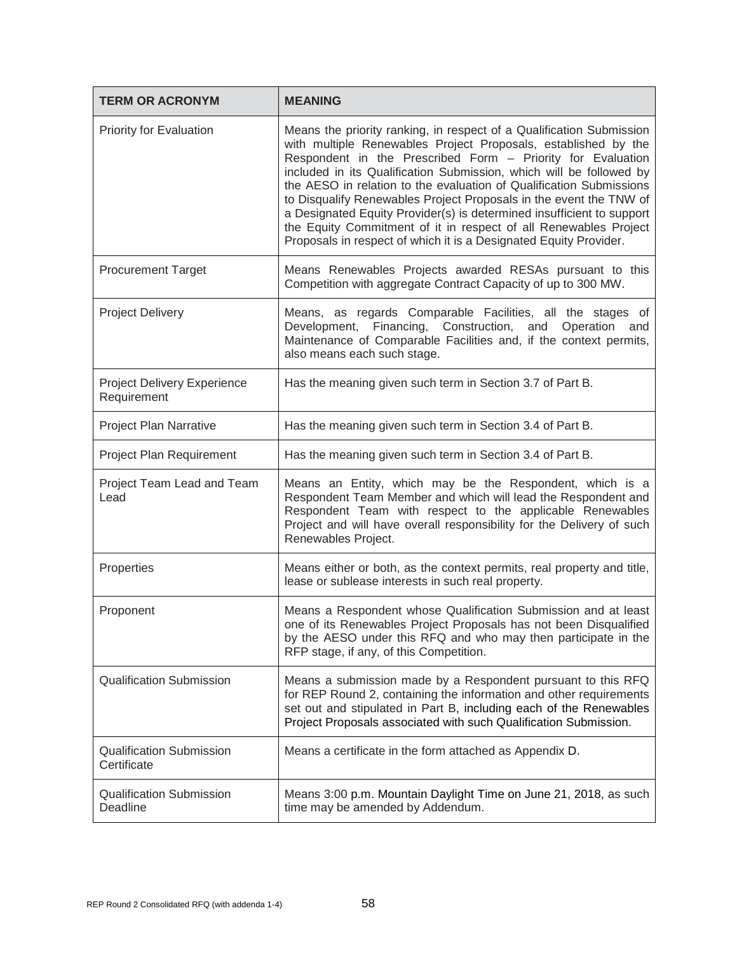| <b>TERM OR ACRONYM</b>                         | <b>MEANING</b>                                                                                                                                                                                                                                                                                                                                                                                                                                                                                                                                                                                                                              |
|------------------------------------------------|---------------------------------------------------------------------------------------------------------------------------------------------------------------------------------------------------------------------------------------------------------------------------------------------------------------------------------------------------------------------------------------------------------------------------------------------------------------------------------------------------------------------------------------------------------------------------------------------------------------------------------------------|
| <b>Priority for Evaluation</b>                 | Means the priority ranking, in respect of a Qualification Submission<br>with multiple Renewables Project Proposals, established by the<br>Respondent in the Prescribed Form - Priority for Evaluation<br>included in its Qualification Submission, which will be followed by<br>the AESO in relation to the evaluation of Qualification Submissions<br>to Disqualify Renewables Project Proposals in the event the TNW of<br>a Designated Equity Provider(s) is determined insufficient to support<br>the Equity Commitment of it in respect of all Renewables Project<br>Proposals in respect of which it is a Designated Equity Provider. |
| <b>Procurement Target</b>                      | Means Renewables Projects awarded RESAs pursuant to this<br>Competition with aggregate Contract Capacity of up to 300 MW.                                                                                                                                                                                                                                                                                                                                                                                                                                                                                                                   |
| <b>Project Delivery</b>                        | Means, as regards Comparable Facilities, all the stages of<br>Development, Financing, Construction, and Operation and<br>Maintenance of Comparable Facilities and, if the context permits,<br>also means each such stage.                                                                                                                                                                                                                                                                                                                                                                                                                   |
| Project Delivery Experience<br>Requirement     | Has the meaning given such term in Section 3.7 of Part B.                                                                                                                                                                                                                                                                                                                                                                                                                                                                                                                                                                                   |
| <b>Project Plan Narrative</b>                  | Has the meaning given such term in Section 3.4 of Part B.                                                                                                                                                                                                                                                                                                                                                                                                                                                                                                                                                                                   |
| Project Plan Requirement                       | Has the meaning given such term in Section 3.4 of Part B.                                                                                                                                                                                                                                                                                                                                                                                                                                                                                                                                                                                   |
| Project Team Lead and Team<br>Lead             | Means an Entity, which may be the Respondent, which is a<br>Respondent Team Member and which will lead the Respondent and<br>Respondent Team with respect to the applicable Renewables<br>Project and will have overall responsibility for the Delivery of such<br>Renewables Project.                                                                                                                                                                                                                                                                                                                                                      |
| Properties                                     | Means either or both, as the context permits, real property and title,<br>lease or sublease interests in such real property.                                                                                                                                                                                                                                                                                                                                                                                                                                                                                                                |
| Proponent                                      | Means a Respondent whose Qualification Submission and at least<br>one of its Renewables Project Proposals has not been Disqualified<br>by the AESO under this RFQ and who may then participate in the<br>RFP stage, if any, of this Competition.                                                                                                                                                                                                                                                                                                                                                                                            |
| <b>Qualification Submission</b>                | Means a submission made by a Respondent pursuant to this RFQ<br>for REP Round 2, containing the information and other requirements<br>set out and stipulated in Part B, including each of the Renewables<br>Project Proposals associated with such Qualification Submission.                                                                                                                                                                                                                                                                                                                                                                |
| <b>Qualification Submission</b><br>Certificate | Means a certificate in the form attached as Appendix D.                                                                                                                                                                                                                                                                                                                                                                                                                                                                                                                                                                                     |
| <b>Qualification Submission</b><br>Deadline    | Means 3:00 p.m. Mountain Daylight Time on June 21, 2018, as such<br>time may be amended by Addendum.                                                                                                                                                                                                                                                                                                                                                                                                                                                                                                                                        |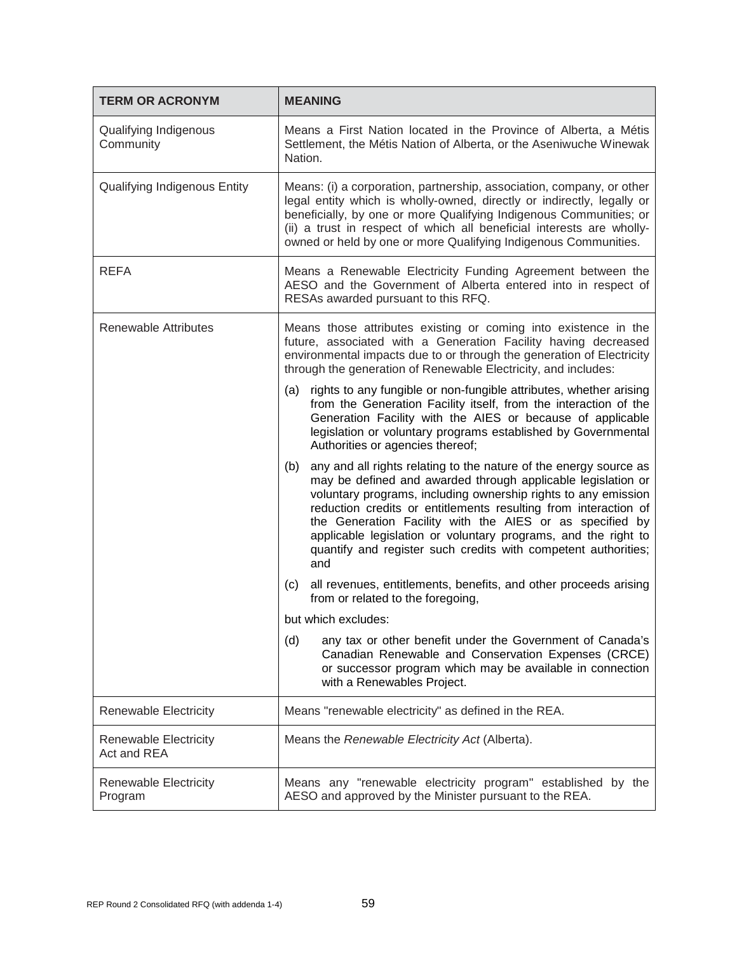| <b>TERM OR ACRONYM</b>                      | <b>MEANING</b>                                                                                                                                                                                                                                                                                                                                                                                                                                                                       |
|---------------------------------------------|--------------------------------------------------------------------------------------------------------------------------------------------------------------------------------------------------------------------------------------------------------------------------------------------------------------------------------------------------------------------------------------------------------------------------------------------------------------------------------------|
| Qualifying Indigenous<br>Community          | Means a First Nation located in the Province of Alberta, a Métis<br>Settlement, the Métis Nation of Alberta, or the Aseniwuche Winewak<br>Nation.                                                                                                                                                                                                                                                                                                                                    |
| Qualifying Indigenous Entity                | Means: (i) a corporation, partnership, association, company, or other<br>legal entity which is wholly-owned, directly or indirectly, legally or<br>beneficially, by one or more Qualifying Indigenous Communities; or<br>(ii) a trust in respect of which all beneficial interests are wholly-<br>owned or held by one or more Qualifying Indigenous Communities.                                                                                                                    |
| <b>REFA</b>                                 | Means a Renewable Electricity Funding Agreement between the<br>AESO and the Government of Alberta entered into in respect of<br>RESAs awarded pursuant to this RFQ.                                                                                                                                                                                                                                                                                                                  |
| <b>Renewable Attributes</b>                 | Means those attributes existing or coming into existence in the<br>future, associated with a Generation Facility having decreased<br>environmental impacts due to or through the generation of Electricity<br>through the generation of Renewable Electricity, and includes:                                                                                                                                                                                                         |
|                                             | rights to any fungible or non-fungible attributes, whether arising<br>(a)<br>from the Generation Facility itself, from the interaction of the<br>Generation Facility with the AIES or because of applicable<br>legislation or voluntary programs established by Governmental<br>Authorities or agencies thereof;                                                                                                                                                                     |
|                                             | any and all rights relating to the nature of the energy source as<br>(b)<br>may be defined and awarded through applicable legislation or<br>voluntary programs, including ownership rights to any emission<br>reduction credits or entitlements resulting from interaction of<br>the Generation Facility with the AIES or as specified by<br>applicable legislation or voluntary programs, and the right to<br>quantify and register such credits with competent authorities;<br>and |
|                                             | all revenues, entitlements, benefits, and other proceeds arising<br>(c)<br>from or related to the foregoing,                                                                                                                                                                                                                                                                                                                                                                         |
|                                             | but which excludes:                                                                                                                                                                                                                                                                                                                                                                                                                                                                  |
|                                             | (d)<br>any tax or other benefit under the Government of Canada's<br>Canadian Renewable and Conservation Expenses (CRCE)<br>or successor program which may be available in connection<br>with a Renewables Project.                                                                                                                                                                                                                                                                   |
| <b>Renewable Electricity</b>                | Means "renewable electricity" as defined in the REA.                                                                                                                                                                                                                                                                                                                                                                                                                                 |
| <b>Renewable Electricity</b><br>Act and REA | Means the Renewable Electricity Act (Alberta).                                                                                                                                                                                                                                                                                                                                                                                                                                       |
| <b>Renewable Electricity</b><br>Program     | Means any "renewable electricity program" established by the<br>AESO and approved by the Minister pursuant to the REA.                                                                                                                                                                                                                                                                                                                                                               |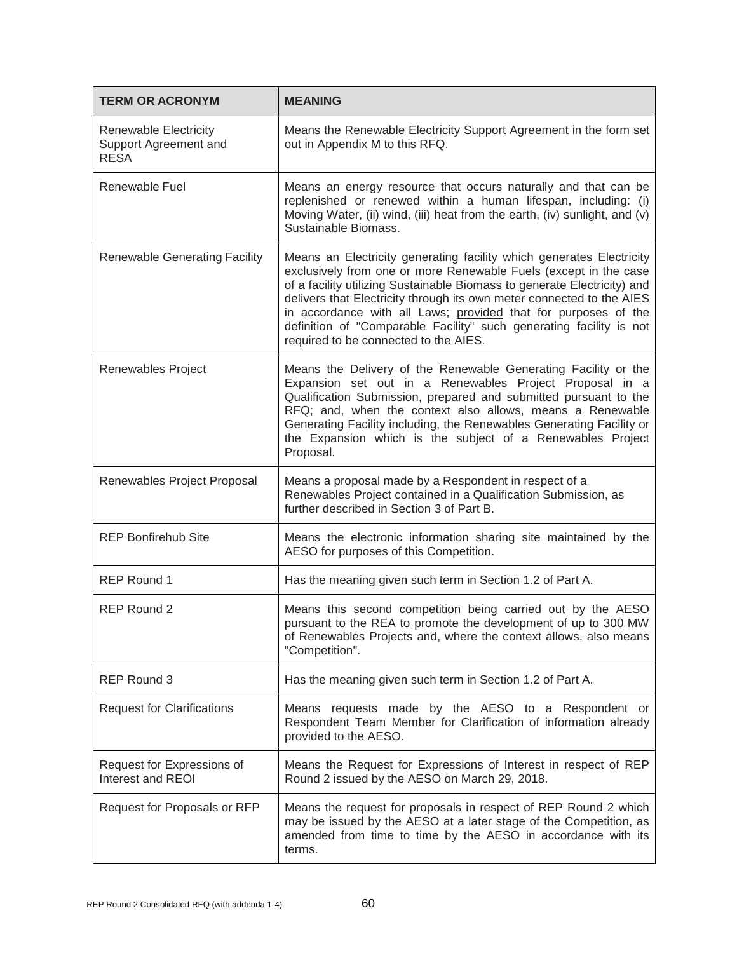| <b>TERM OR ACRONYM</b>                                        | <b>MEANING</b>                                                                                                                                                                                                                                                                                                                                                                                                                                                                  |
|---------------------------------------------------------------|---------------------------------------------------------------------------------------------------------------------------------------------------------------------------------------------------------------------------------------------------------------------------------------------------------------------------------------------------------------------------------------------------------------------------------------------------------------------------------|
| Renewable Electricity<br>Support Agreement and<br><b>RESA</b> | Means the Renewable Electricity Support Agreement in the form set<br>out in Appendix M to this RFQ.                                                                                                                                                                                                                                                                                                                                                                             |
| Renewable Fuel                                                | Means an energy resource that occurs naturally and that can be<br>replenished or renewed within a human lifespan, including: (i)<br>Moving Water, (ii) wind, (iii) heat from the earth, (iv) sunlight, and (v)<br>Sustainable Biomass.                                                                                                                                                                                                                                          |
| <b>Renewable Generating Facility</b>                          | Means an Electricity generating facility which generates Electricity<br>exclusively from one or more Renewable Fuels (except in the case<br>of a facility utilizing Sustainable Biomass to generate Electricity) and<br>delivers that Electricity through its own meter connected to the AIES<br>in accordance with all Laws; provided that for purposes of the<br>definition of "Comparable Facility" such generating facility is not<br>required to be connected to the AIES. |
| Renewables Project                                            | Means the Delivery of the Renewable Generating Facility or the<br>Expansion set out in a Renewables Project Proposal in a<br>Qualification Submission, prepared and submitted pursuant to the<br>RFQ; and, when the context also allows, means a Renewable<br>Generating Facility including, the Renewables Generating Facility or<br>the Expansion which is the subject of a Renewables Project<br>Proposal.                                                                   |
| Renewables Project Proposal                                   | Means a proposal made by a Respondent in respect of a<br>Renewables Project contained in a Qualification Submission, as<br>further described in Section 3 of Part B.                                                                                                                                                                                                                                                                                                            |
| <b>REP Bonfirehub Site</b>                                    | Means the electronic information sharing site maintained by the<br>AESO for purposes of this Competition.                                                                                                                                                                                                                                                                                                                                                                       |
| <b>REP Round 1</b>                                            | Has the meaning given such term in Section 1.2 of Part A.                                                                                                                                                                                                                                                                                                                                                                                                                       |
| REP Round 2                                                   | Means this second competition being carried out by the AESO<br>pursuant to the REA to promote the development of up to 300 MW<br>of Renewables Projects and, where the context allows, also means<br>"Competition".                                                                                                                                                                                                                                                             |
| <b>REP Round 3</b>                                            | Has the meaning given such term in Section 1.2 of Part A.                                                                                                                                                                                                                                                                                                                                                                                                                       |
| <b>Request for Clarifications</b>                             | Means requests made by the AESO to a Respondent or<br>Respondent Team Member for Clarification of information already<br>provided to the AESO.                                                                                                                                                                                                                                                                                                                                  |
| Request for Expressions of<br>Interest and REOI               | Means the Request for Expressions of Interest in respect of REP<br>Round 2 issued by the AESO on March 29, 2018.                                                                                                                                                                                                                                                                                                                                                                |
| Request for Proposals or RFP                                  | Means the request for proposals in respect of REP Round 2 which<br>may be issued by the AESO at a later stage of the Competition, as<br>amended from time to time by the AESO in accordance with its<br>terms.                                                                                                                                                                                                                                                                  |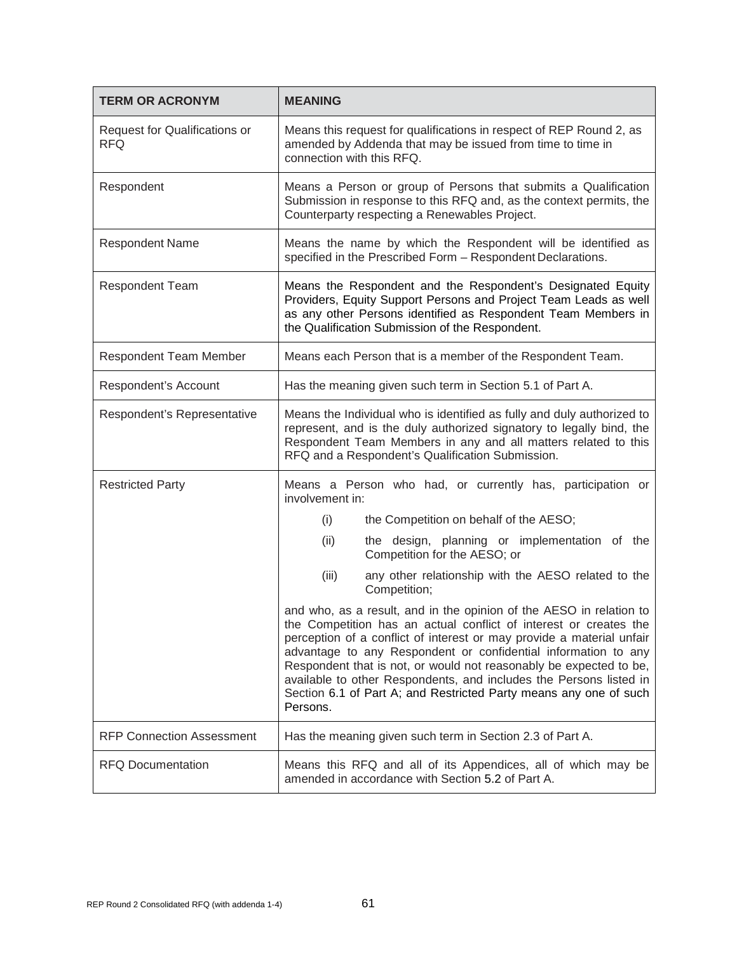| <b>TERM OR ACRONYM</b>                      | <b>MEANING</b>                                                                                                                                                                                                                                                                                                                                                                                                                                                                                                   |
|---------------------------------------------|------------------------------------------------------------------------------------------------------------------------------------------------------------------------------------------------------------------------------------------------------------------------------------------------------------------------------------------------------------------------------------------------------------------------------------------------------------------------------------------------------------------|
| Request for Qualifications or<br><b>RFQ</b> | Means this request for qualifications in respect of REP Round 2, as<br>amended by Addenda that may be issued from time to time in<br>connection with this RFQ.                                                                                                                                                                                                                                                                                                                                                   |
| Respondent                                  | Means a Person or group of Persons that submits a Qualification<br>Submission in response to this RFQ and, as the context permits, the<br>Counterparty respecting a Renewables Project.                                                                                                                                                                                                                                                                                                                          |
| <b>Respondent Name</b>                      | Means the name by which the Respondent will be identified as<br>specified in the Prescribed Form - Respondent Declarations.                                                                                                                                                                                                                                                                                                                                                                                      |
| Respondent Team                             | Means the Respondent and the Respondent's Designated Equity<br>Providers, Equity Support Persons and Project Team Leads as well<br>as any other Persons identified as Respondent Team Members in<br>the Qualification Submission of the Respondent.                                                                                                                                                                                                                                                              |
| <b>Respondent Team Member</b>               | Means each Person that is a member of the Respondent Team.                                                                                                                                                                                                                                                                                                                                                                                                                                                       |
| Respondent's Account                        | Has the meaning given such term in Section 5.1 of Part A.                                                                                                                                                                                                                                                                                                                                                                                                                                                        |
| Respondent's Representative                 | Means the Individual who is identified as fully and duly authorized to<br>represent, and is the duly authorized signatory to legally bind, the<br>Respondent Team Members in any and all matters related to this<br>RFQ and a Respondent's Qualification Submission.                                                                                                                                                                                                                                             |
| <b>Restricted Party</b>                     | Means a Person who had, or currently has, participation or<br>involvement in:                                                                                                                                                                                                                                                                                                                                                                                                                                    |
|                                             | the Competition on behalf of the AESO;<br>(i)                                                                                                                                                                                                                                                                                                                                                                                                                                                                    |
|                                             | the design, planning or implementation of the<br>(ii)<br>Competition for the AESO; or                                                                                                                                                                                                                                                                                                                                                                                                                            |
|                                             | (iii)<br>any other relationship with the AESO related to the<br>Competition;                                                                                                                                                                                                                                                                                                                                                                                                                                     |
|                                             | and who, as a result, and in the opinion of the AESO in relation to<br>the Competition has an actual conflict of interest or creates the<br>perception of a conflict of interest or may provide a material unfair<br>advantage to any Respondent or confidential information to any<br>Respondent that is not, or would not reasonably be expected to be,<br>available to other Respondents, and includes the Persons listed in<br>Section 6.1 of Part A; and Restricted Party means any one of such<br>Persons. |
| <b>RFP Connection Assessment</b>            | Has the meaning given such term in Section 2.3 of Part A.                                                                                                                                                                                                                                                                                                                                                                                                                                                        |
| <b>RFQ Documentation</b>                    | Means this RFQ and all of its Appendices, all of which may be<br>amended in accordance with Section 5.2 of Part A.                                                                                                                                                                                                                                                                                                                                                                                               |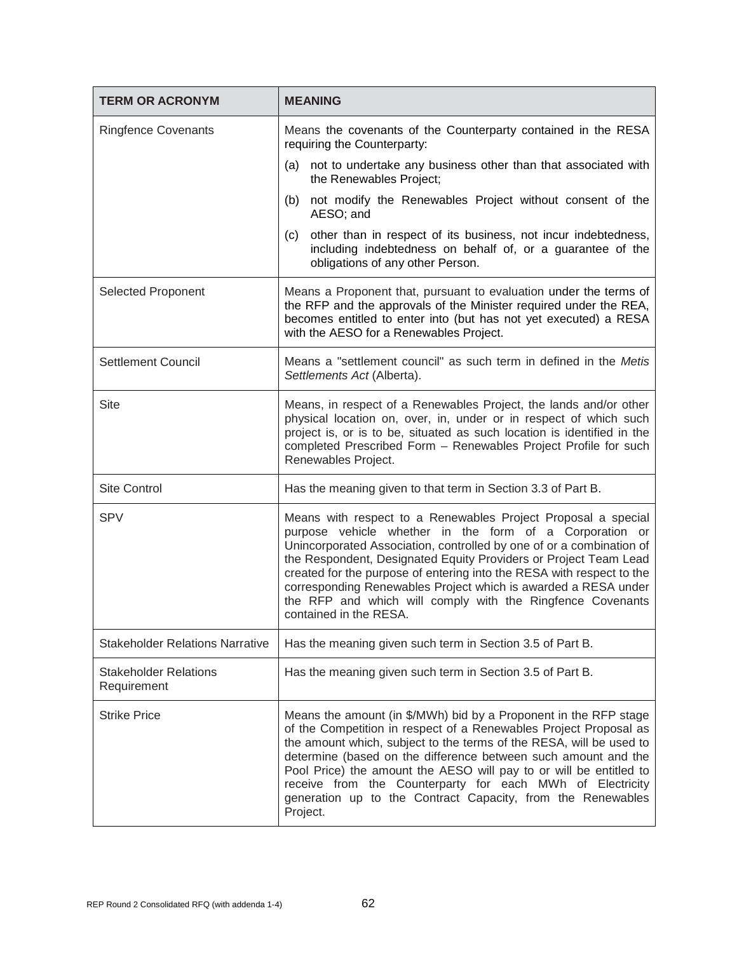| <b>TERM OR ACRONYM</b>                      | <b>MEANING</b>                                                                                                                                                                                                                                                                                                                                                                                                                                                                                          |
|---------------------------------------------|---------------------------------------------------------------------------------------------------------------------------------------------------------------------------------------------------------------------------------------------------------------------------------------------------------------------------------------------------------------------------------------------------------------------------------------------------------------------------------------------------------|
| <b>Ringfence Covenants</b>                  | Means the covenants of the Counterparty contained in the RESA<br>requiring the Counterparty:                                                                                                                                                                                                                                                                                                                                                                                                            |
|                                             | (a) not to undertake any business other than that associated with<br>the Renewables Project;                                                                                                                                                                                                                                                                                                                                                                                                            |
|                                             | not modify the Renewables Project without consent of the<br>(b)<br>AESO; and                                                                                                                                                                                                                                                                                                                                                                                                                            |
|                                             | other than in respect of its business, not incur indebtedness,<br>(c)<br>including indebtedness on behalf of, or a guarantee of the<br>obligations of any other Person.                                                                                                                                                                                                                                                                                                                                 |
| Selected Proponent                          | Means a Proponent that, pursuant to evaluation under the terms of<br>the RFP and the approvals of the Minister required under the REA,<br>becomes entitled to enter into (but has not yet executed) a RESA<br>with the AESO for a Renewables Project.                                                                                                                                                                                                                                                   |
| <b>Settlement Council</b>                   | Means a "settlement council" as such term in defined in the Metis<br>Settlements Act (Alberta).                                                                                                                                                                                                                                                                                                                                                                                                         |
| Site                                        | Means, in respect of a Renewables Project, the lands and/or other<br>physical location on, over, in, under or in respect of which such<br>project is, or is to be, situated as such location is identified in the<br>completed Prescribed Form - Renewables Project Profile for such<br>Renewables Project.                                                                                                                                                                                             |
| <b>Site Control</b>                         | Has the meaning given to that term in Section 3.3 of Part B.                                                                                                                                                                                                                                                                                                                                                                                                                                            |
| <b>SPV</b>                                  | Means with respect to a Renewables Project Proposal a special<br>purpose vehicle whether in the form of a Corporation or<br>Unincorporated Association, controlled by one of or a combination of<br>the Respondent, Designated Equity Providers or Project Team Lead<br>created for the purpose of entering into the RESA with respect to the<br>corresponding Renewables Project which is awarded a RESA under<br>the RFP and which will comply with the Ringfence Covenants<br>contained in the RESA. |
| <b>Stakeholder Relations Narrative</b>      | Has the meaning given such term in Section 3.5 of Part B.                                                                                                                                                                                                                                                                                                                                                                                                                                               |
| <b>Stakeholder Relations</b><br>Requirement | Has the meaning given such term in Section 3.5 of Part B.                                                                                                                                                                                                                                                                                                                                                                                                                                               |
| <b>Strike Price</b>                         | Means the amount (in \$/MWh) bid by a Proponent in the RFP stage<br>of the Competition in respect of a Renewables Project Proposal as<br>the amount which, subject to the terms of the RESA, will be used to<br>determine (based on the difference between such amount and the<br>Pool Price) the amount the AESO will pay to or will be entitled to<br>receive from the Counterparty for each MWh of Electricity<br>generation up to the Contract Capacity, from the Renewables<br>Project.            |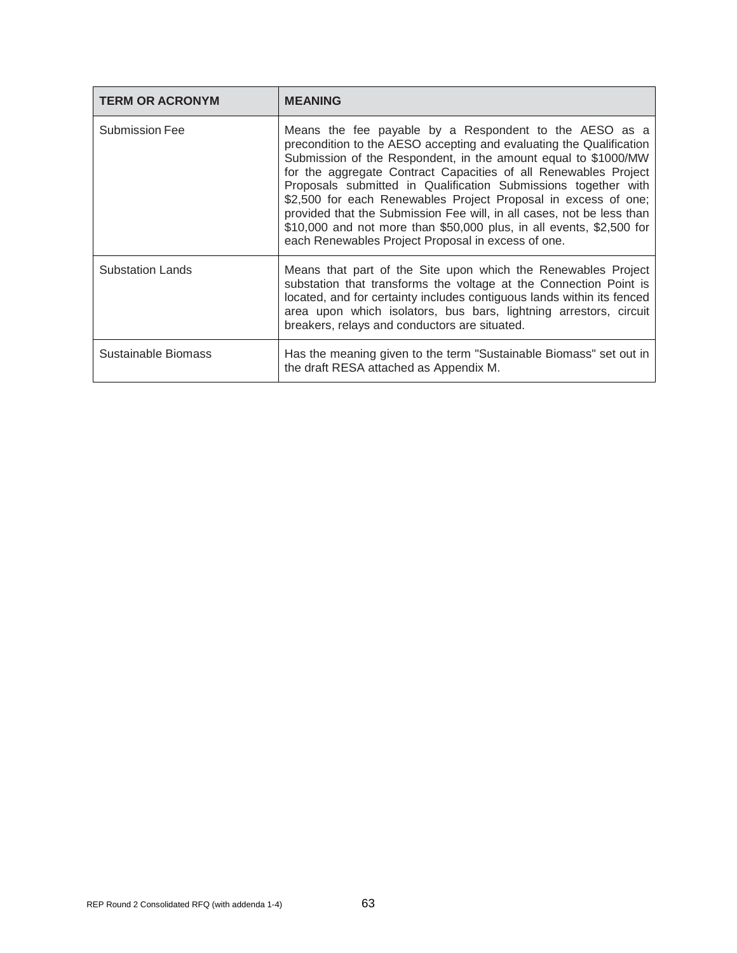| <b>TERM OR ACRONYM</b>  | <b>MEANING</b>                                                                                                                                                                                                                                                                                                                                                                                                                                                                                                                                                                                                |
|-------------------------|---------------------------------------------------------------------------------------------------------------------------------------------------------------------------------------------------------------------------------------------------------------------------------------------------------------------------------------------------------------------------------------------------------------------------------------------------------------------------------------------------------------------------------------------------------------------------------------------------------------|
| <b>Submission Fee</b>   | Means the fee payable by a Respondent to the AESO as a<br>precondition to the AESO accepting and evaluating the Qualification<br>Submission of the Respondent, in the amount equal to \$1000/MW<br>for the aggregate Contract Capacities of all Renewables Project<br>Proposals submitted in Qualification Submissions together with<br>\$2,500 for each Renewables Project Proposal in excess of one;<br>provided that the Submission Fee will, in all cases, not be less than<br>\$10,000 and not more than \$50,000 plus, in all events, \$2,500 for<br>each Renewables Project Proposal in excess of one. |
| <b>Substation Lands</b> | Means that part of the Site upon which the Renewables Project<br>substation that transforms the voltage at the Connection Point is<br>located, and for certainty includes contiguous lands within its fenced<br>area upon which isolators, bus bars, lightning arrestors, circuit<br>breakers, relays and conductors are situated.                                                                                                                                                                                                                                                                            |
| Sustainable Biomass     | Has the meaning given to the term "Sustainable Biomass" set out in<br>the draft RESA attached as Appendix M.                                                                                                                                                                                                                                                                                                                                                                                                                                                                                                  |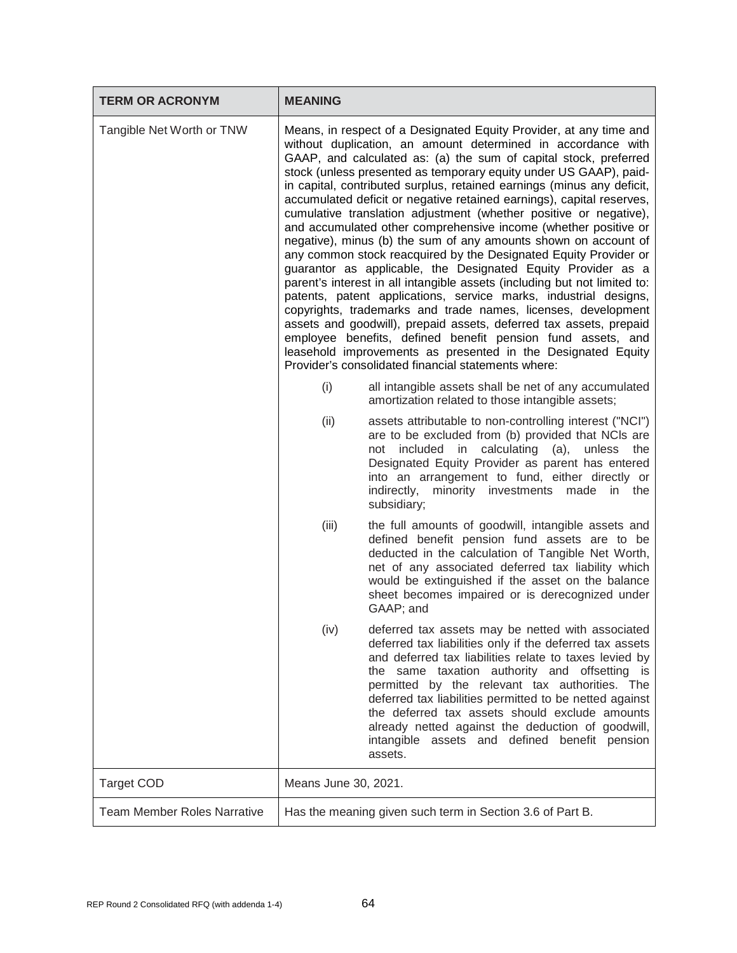| <b>TERM OR ACRONYM</b>             | <b>MEANING</b>                                                                                                                                                                                                                                                                                                                                                                                                                                                                                                                                                                                                                                                                                                                                                                                                                                                                                                                                                                                                                                                                                                                                                                                                                                              |                                                                                                                                                                                                                                                                                                                                                                                                                                                                                                          |
|------------------------------------|-------------------------------------------------------------------------------------------------------------------------------------------------------------------------------------------------------------------------------------------------------------------------------------------------------------------------------------------------------------------------------------------------------------------------------------------------------------------------------------------------------------------------------------------------------------------------------------------------------------------------------------------------------------------------------------------------------------------------------------------------------------------------------------------------------------------------------------------------------------------------------------------------------------------------------------------------------------------------------------------------------------------------------------------------------------------------------------------------------------------------------------------------------------------------------------------------------------------------------------------------------------|----------------------------------------------------------------------------------------------------------------------------------------------------------------------------------------------------------------------------------------------------------------------------------------------------------------------------------------------------------------------------------------------------------------------------------------------------------------------------------------------------------|
| Tangible Net Worth or TNW          | Means, in respect of a Designated Equity Provider, at any time and<br>without duplication, an amount determined in accordance with<br>GAAP, and calculated as: (a) the sum of capital stock, preferred<br>stock (unless presented as temporary equity under US GAAP), paid-<br>in capital, contributed surplus, retained earnings (minus any deficit,<br>accumulated deficit or negative retained earnings), capital reserves,<br>cumulative translation adjustment (whether positive or negative),<br>and accumulated other comprehensive income (whether positive or<br>negative), minus (b) the sum of any amounts shown on account of<br>any common stock reacquired by the Designated Equity Provider or<br>guarantor as applicable, the Designated Equity Provider as a<br>parent's interest in all intangible assets (including but not limited to:<br>patents, patent applications, service marks, industrial designs,<br>copyrights, trademarks and trade names, licenses, development<br>assets and goodwill), prepaid assets, deferred tax assets, prepaid<br>employee benefits, defined benefit pension fund assets, and<br>leasehold improvements as presented in the Designated Equity<br>Provider's consolidated financial statements where: |                                                                                                                                                                                                                                                                                                                                                                                                                                                                                                          |
|                                    | (i)                                                                                                                                                                                                                                                                                                                                                                                                                                                                                                                                                                                                                                                                                                                                                                                                                                                                                                                                                                                                                                                                                                                                                                                                                                                         | all intangible assets shall be net of any accumulated<br>amortization related to those intangible assets;                                                                                                                                                                                                                                                                                                                                                                                                |
|                                    | (ii)                                                                                                                                                                                                                                                                                                                                                                                                                                                                                                                                                                                                                                                                                                                                                                                                                                                                                                                                                                                                                                                                                                                                                                                                                                                        | assets attributable to non-controlling interest ("NCI")<br>are to be excluded from (b) provided that NCIs are<br>included in calculating (a),<br>unless<br>the<br>not<br>Designated Equity Provider as parent has entered<br>into an arrangement to fund, either directly or<br>indirectly, minority investments made in the<br>subsidiary;                                                                                                                                                              |
|                                    | (iii)                                                                                                                                                                                                                                                                                                                                                                                                                                                                                                                                                                                                                                                                                                                                                                                                                                                                                                                                                                                                                                                                                                                                                                                                                                                       | the full amounts of goodwill, intangible assets and<br>defined benefit pension fund assets are to be<br>deducted in the calculation of Tangible Net Worth,<br>net of any associated deferred tax liability which<br>would be extinguished if the asset on the balance<br>sheet becomes impaired or is derecognized under<br>GAAP; and                                                                                                                                                                    |
|                                    | (iv)                                                                                                                                                                                                                                                                                                                                                                                                                                                                                                                                                                                                                                                                                                                                                                                                                                                                                                                                                                                                                                                                                                                                                                                                                                                        | deferred tax assets may be netted with associated<br>deferred tax liabilities only if the deferred tax assets<br>and deferred tax liabilities relate to taxes levied by<br>the same taxation authority and offsetting is<br>permitted by the relevant tax authorities. The<br>deferred tax liabilities permitted to be netted against<br>the deferred tax assets should exclude amounts<br>already netted against the deduction of goodwill,<br>intangible assets and defined benefit pension<br>assets. |
| <b>Target COD</b>                  | Means June 30, 2021.                                                                                                                                                                                                                                                                                                                                                                                                                                                                                                                                                                                                                                                                                                                                                                                                                                                                                                                                                                                                                                                                                                                                                                                                                                        |                                                                                                                                                                                                                                                                                                                                                                                                                                                                                                          |
| <b>Team Member Roles Narrative</b> |                                                                                                                                                                                                                                                                                                                                                                                                                                                                                                                                                                                                                                                                                                                                                                                                                                                                                                                                                                                                                                                                                                                                                                                                                                                             | Has the meaning given such term in Section 3.6 of Part B.                                                                                                                                                                                                                                                                                                                                                                                                                                                |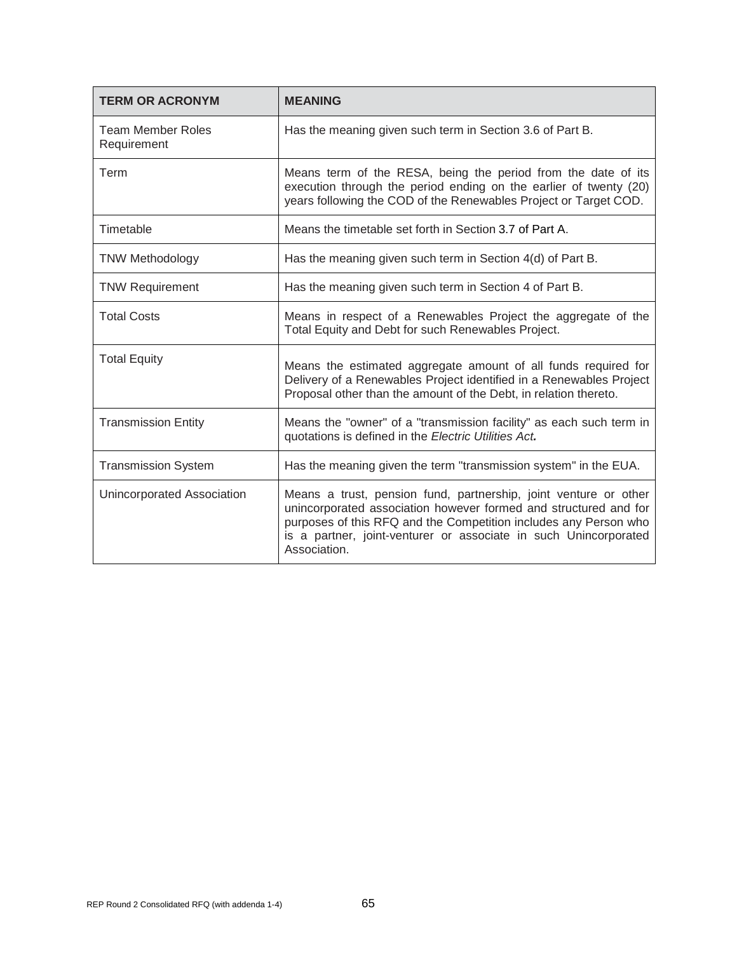| <b>TERM OR ACRONYM</b>                  | <b>MEANING</b>                                                                                                                                                                                                                                                                               |
|-----------------------------------------|----------------------------------------------------------------------------------------------------------------------------------------------------------------------------------------------------------------------------------------------------------------------------------------------|
| <b>Team Member Roles</b><br>Requirement | Has the meaning given such term in Section 3.6 of Part B.                                                                                                                                                                                                                                    |
| Term                                    | Means term of the RESA, being the period from the date of its<br>execution through the period ending on the earlier of twenty (20)<br>years following the COD of the Renewables Project or Target COD.                                                                                       |
| Timetable                               | Means the timetable set forth in Section 3.7 of Part A.                                                                                                                                                                                                                                      |
| <b>TNW Methodology</b>                  | Has the meaning given such term in Section 4(d) of Part B.                                                                                                                                                                                                                                   |
| <b>TNW Requirement</b>                  | Has the meaning given such term in Section 4 of Part B.                                                                                                                                                                                                                                      |
| <b>Total Costs</b>                      | Means in respect of a Renewables Project the aggregate of the<br>Total Equity and Debt for such Renewables Project.                                                                                                                                                                          |
| <b>Total Equity</b>                     | Means the estimated aggregate amount of all funds required for<br>Delivery of a Renewables Project identified in a Renewables Project<br>Proposal other than the amount of the Debt, in relation thereto.                                                                                    |
| <b>Transmission Entity</b>              | Means the "owner" of a "transmission facility" as each such term in<br>quotations is defined in the Electric Utilities Act.                                                                                                                                                                  |
| <b>Transmission System</b>              | Has the meaning given the term "transmission system" in the EUA.                                                                                                                                                                                                                             |
| Unincorporated Association              | Means a trust, pension fund, partnership, joint venture or other<br>unincorporated association however formed and structured and for<br>purposes of this RFQ and the Competition includes any Person who<br>is a partner, joint-venturer or associate in such Unincorporated<br>Association. |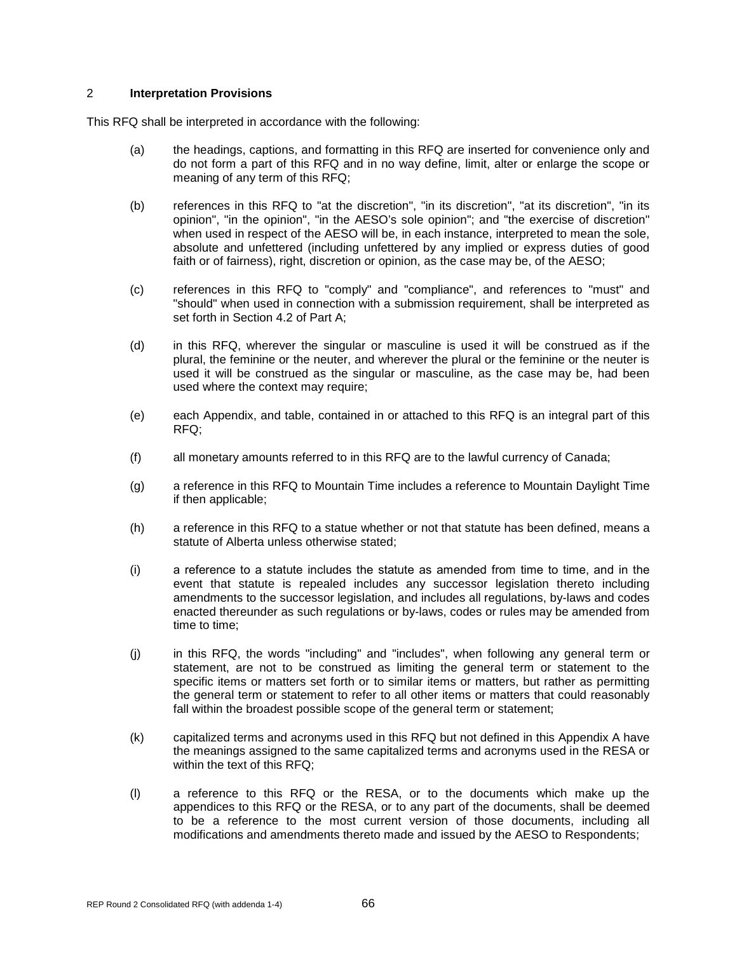# 2 **Interpretation Provisions**

This RFQ shall be interpreted in accordance with the following:

- (a) the headings, captions, and formatting in this RFQ are inserted for convenience only and do not form a part of this RFQ and in no way define, limit, alter or enlarge the scope or meaning of any term of this RFQ;
- (b) references in this RFQ to "at the discretion", "in its discretion", "at its discretion", "in its opinion", "in the opinion", "in the AESO's sole opinion"; and "the exercise of discretion" when used in respect of the AESO will be, in each instance, interpreted to mean the sole, absolute and unfettered (including unfettered by any implied or express duties of good faith or of fairness), right, discretion or opinion, as the case may be, of the AESO;
- (c) references in this RFQ to "comply" and "compliance", and references to "must" and "should" when used in connection with a submission requirement, shall be interpreted as set forth in Section 4.2 of Part A;
- (d) in this RFQ, wherever the singular or masculine is used it will be construed as if the plural, the feminine or the neuter, and wherever the plural or the feminine or the neuter is used it will be construed as the singular or masculine, as the case may be, had been used where the context may require;
- (e) each Appendix, and table, contained in or attached to this RFQ is an integral part of this RFQ;
- (f) all monetary amounts referred to in this RFQ are to the lawful currency of Canada;
- (g) a reference in this RFQ to Mountain Time includes a reference to Mountain Daylight Time if then applicable;
- (h) a reference in this RFQ to a statue whether or not that statute has been defined, means a statute of Alberta unless otherwise stated;
- (i) a reference to а statute includes the statute as amended from time to time, and in the event that statute is repealed includes any successor legislation thereto including amendments to the successor legislation, and includes all regulations, by-laws and codes enacted thereunder as such regulations or by-laws, codes or rules may be amended from time to time;
- (j) in this RFQ, the words "including" and "includes", when following any general term or statement, are not to be construed as limiting the general term or statement to the specific items or matters set forth or to similar items or matters, but rather as permitting the general term or statement to refer to all other items or matters that could reasonably fall within the broadest possible scope of the general term or statement;
- (k) capitalized terms and acronyms used in this RFQ but not defined in this Appendix A have the meanings assigned to the same capitalized terms and acronyms used in the RESA or within the text of this RFQ;
- (l) a reference to this RFQ or the RESA, or to the documents which make up the appendices to this RFQ or the RESA, or to any part of the documents, shall be deemed to be a reference to the most current version of those documents, including all modifications and amendments thereto made and issued by the AESO to Respondents;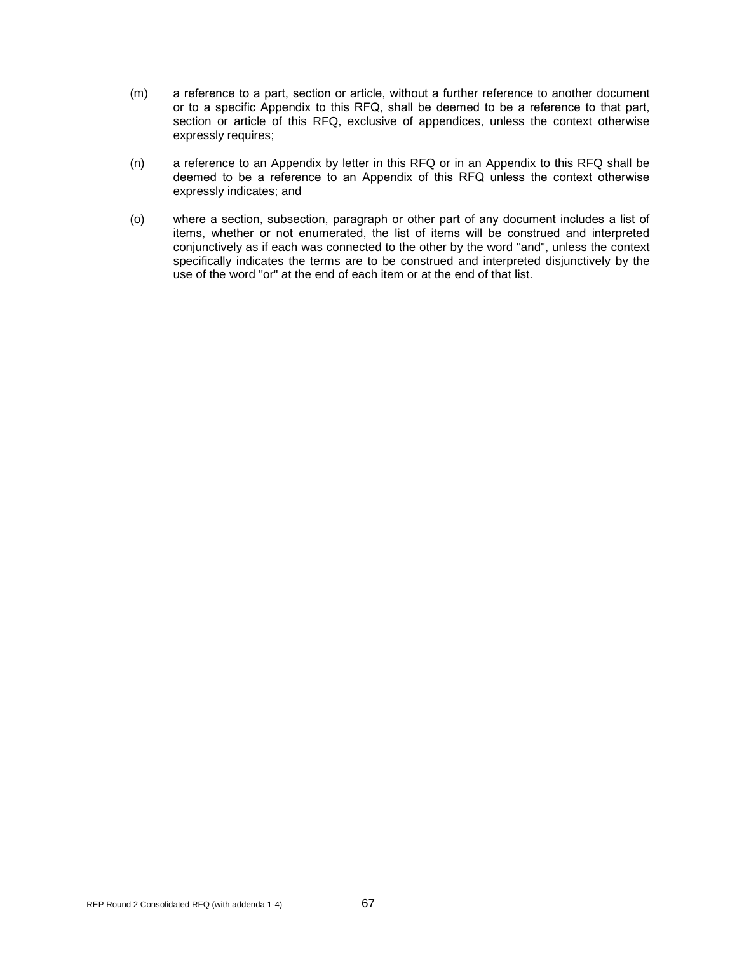- (m) a reference to а part, section or article, without а further reference to another document or to а specific Appendix to this RFQ, shall be deemed to be a reference to that part, section or article of this RFQ, exclusive of appendices, unless the context otherwise expressly requires;
- (n) a reference to an Appendix by letter in this RFQ or in an Appendix to this RFQ shall be deemed to be а reference to an Appendix of this RFQ unless the context otherwise expressly indicates; and
- (o) where а section, subsection, paragraph or other part of any document includes а list of items, whether or not enumerаted, the list of items will be construed and interpreted conjunctively as if each was connected to the other by the word "and", unless the context specifically indicates the terms are to be construed and interpreted disjunctively by the use of the word "or" at the end of each item or at the end of that list.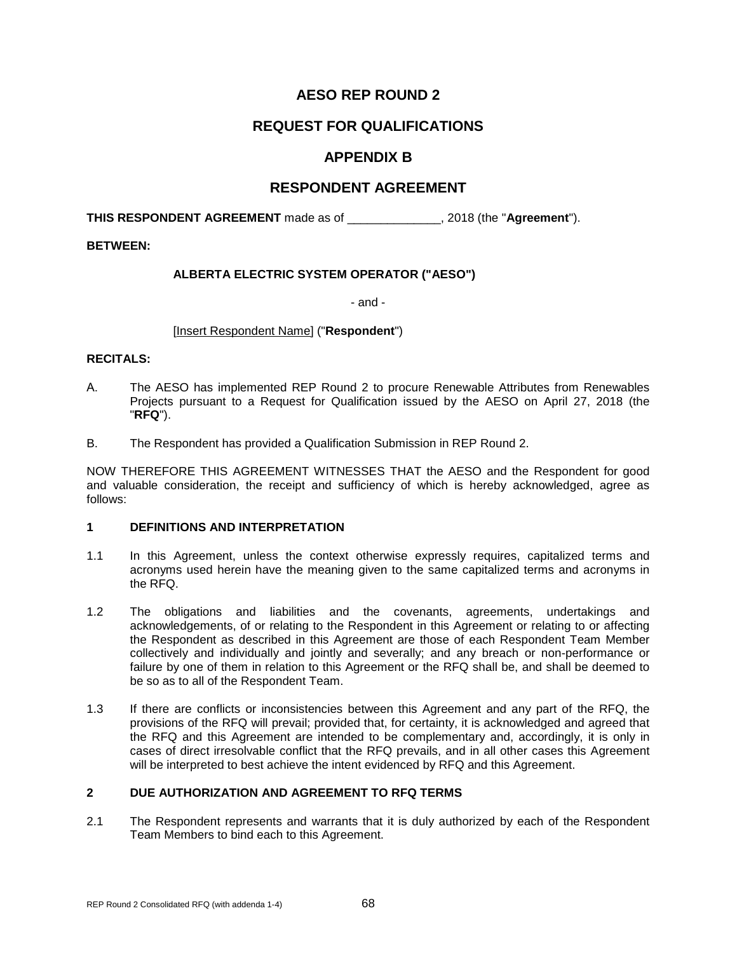# **REQUEST FOR QUALIFICATIONS**

# **APPENDIX B**

## **RESPONDENT AGREEMENT**

**THIS RESPONDENT AGREEMENT** made as of \_\_\_\_\_\_\_\_\_\_\_\_\_\_, 2018 (the "**Agreement**").

#### **BETWEEN:**

### **ALBERTA ELECTRIC SYSTEM OPERATOR ("AESO")**

- and -

#### [Insert Respondent Name] ("**Respondent**")

#### **RECITALS:**

- А. The AESO has implemented REP Round 2 to procure Renewable Attributes from Renewables Projects pursuant to a Request for Qualification issued by the AESO on April 27, 2018 (the "**RFQ**").
- B. The Respondent has provided a Qualification Submission in REP Round 2.

NOW THEREFORE THIS AGREEMENT WITNESSES THAT the AESO and the Respondent for good and valuable consideration, the receipt and sufficiency of which is hereby acknowledged, agree as follows:

#### **1 DEFINITIONS AND INTERPRETATION**

- 1.1 In this Agreement, unless the context otherwise expressly requires, capitalized terms and acronyms used herein have the meaning given to the same capitalized terms and acronyms in the RFQ.
- 1.2 The obligations and liabilities and the covenants, agreements, undertakings and acknowledgements, of or relating to the Respondent in this Agreement or relating to or affecting the Respondent as described in this Agreement are those of each Respondent Team Member collectively and individually and jointly and severally; and any breach or non-performance or failure by one of them in relation to this Agreement or the RFQ shall be, and shall be deemed to be so as to all of the Respondent Team.
- 1.3 If there are conflicts or inconsistencies between this Agreement and any part of the RFQ, the provisions of the RFQ will prevail; provided that, for certainty, it is acknowledged and agreed that the RFQ and this Agreement are intended to be complementary and, accordingly, it is only in cases of direct irresolvable conflict that the RFQ prevails, and in all other cases this Agreement will be interpreted to best achieve the intent evidenced by RFQ and this Agreement.

### **2 DUE AUTHORIZATION AND AGREEMENT TO RFQ TERMS**

2.1 The Respondent represents and warrants that it is duly authorized by each of the Respondent Team Members to bind each to this Agreement.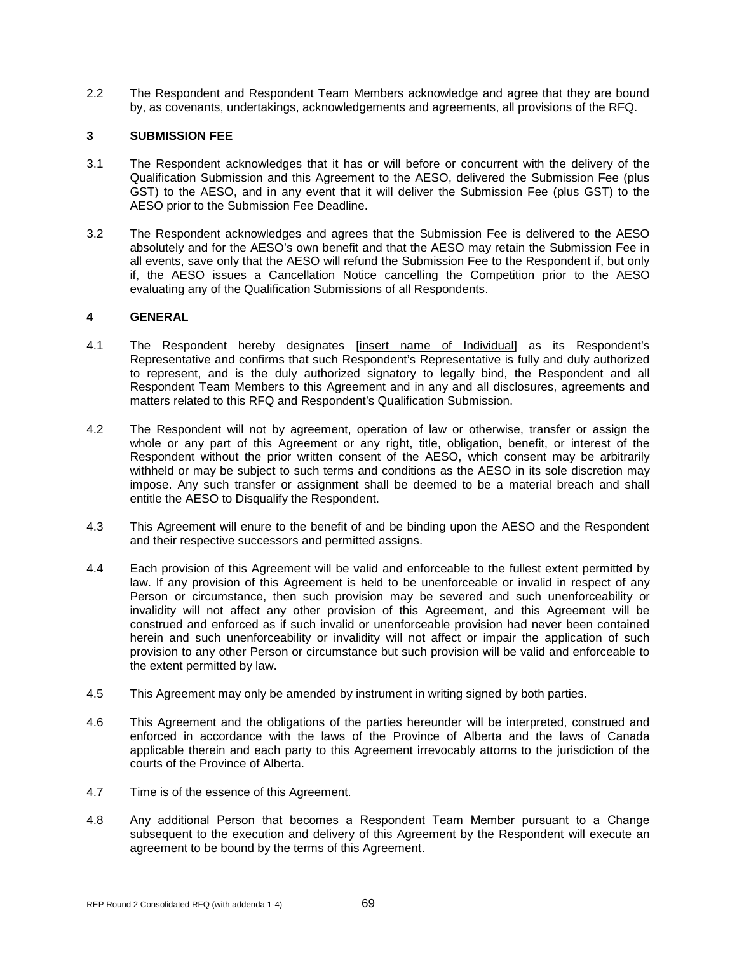2.2 The Respondent and Respondent Team Members acknowledge and agree that they are bound by, as covenants, undertakings, acknowledgements and agreements, all provisions of the RFQ.

### **3 SUBMISSION FEE**

- 3.1 The Respondent acknowledges that it has or will before or concurrent with the delivery of the Qualification Submission and this Agreement to the AESO, delivered the Submission Fee (plus GST) to the AESO, and in any event that it will deliver the Submission Fee (plus GST) to the AESO prior to the Submission Fee Deadline.
- 3.2 The Respondent acknowledges and agrees that the Submission Fee is delivered to the AESO absolutely and for the AESO's own benefit and that the AESO may retain the Submission Fee in all events, save only that the AESO will refund the Submission Fee to the Respondent if, but only if, the AESO issues a Cancellation Notice cancelling the Competition prior to the AESO evaluating any of the Qualification Submissions of all Respondents.

#### **4 GENERAL**

- 4.1 The Respondent hereby designates [insert name of Individual] as its Respondent's Representative and confirms that such Respondent's Representative is fully and duly authorized to represent, and is the duly authorized signatory to legally bind, the Respondent and all Respondent Team Members to this Agreement and in any and all disclosures, agreements and matters related to this RFQ and Respondent's Qualification Submission.
- 4.2 The Respondent will not by agreement, operation of law or otherwise, transfer or assign the whole or any part of this Agreement or any right, title, obligation, benefit, or interest of the Respondent without the prior written consent of the AESO, which consent may be arbitrarily withheld or may be subject to such terms and conditions as the AESO in its sole discretion may impose. Any such transfer or assignment shall be deemed to be a material breach and shall entitle the AESO to Disqualify the Respondent.
- 4.3 This Agreement will enure to the benefit of and be binding upon the AESO and the Respondent and their respective successors and permitted assigns.
- 4.4 Each provision of this Agreement will be valid and enforceable to the fullest extent permitted by law. If any provision of this Agreement is held to be unenforceable or invalid in respect of any Person or circumstance, then such provision may be severed and such unenforceability or invalidity will not affect any other provision of this Agreement, and this Agreement will be construed and enforced as if such invalid or unenforceable provision had never been contained herein and such unenforceability or invalidity will not affect or impair the application of such provision to any other Person or circumstance but such provision will be valid and enforceable to the extent permitted by law.
- 4.5 This Agreement may only be amended by instrument in writing signed by both parties.
- 4.6 This Agreement and the obligations of the parties hereunder will be interpreted, construed and enforced in accordance with the laws of the Province of Alberta and the laws of Canada applicable therein and each party to this Agreement irrevocably attorns to the jurisdiction of the courts of the Province of Alberta.
- 4.7 Time is of the essence of this Agreement.
- 4.8 Any additional Person that becomes а Respondent Team Member pursuant to a Change subsequent to the execution and delivery of this Agreement by the Respondent will execute an agreement to be bound by the terms of this Agreement.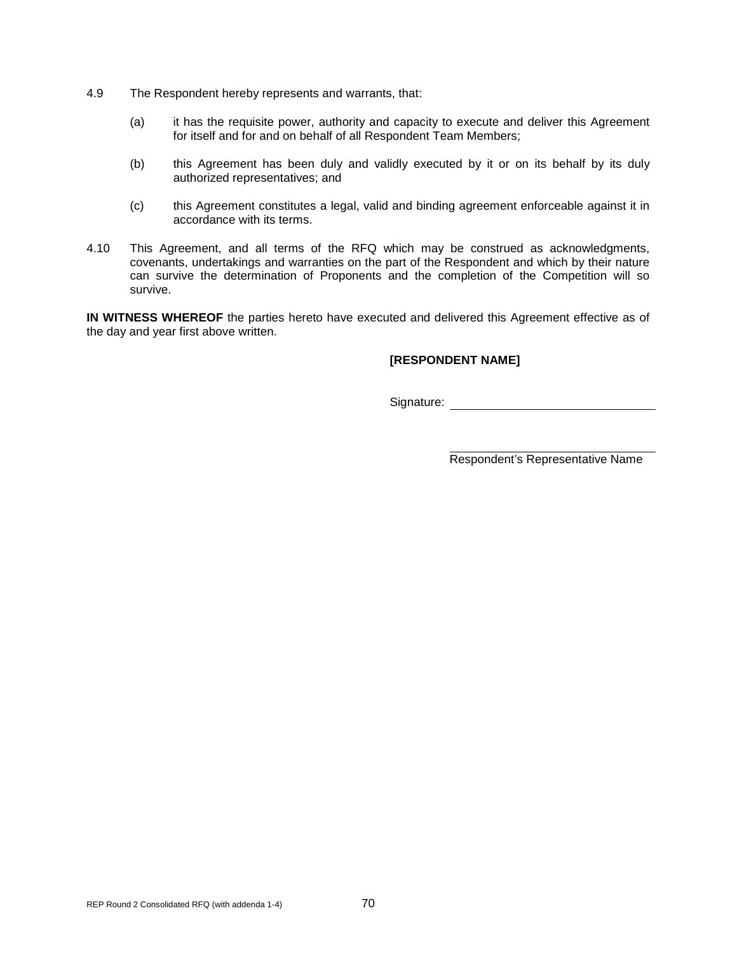- 4.9 The Respondent hereby represents and warrants, that:
	- (a) it has the requisite power, authority and capacity to execute and deliver this Agreement for itself and for and on behalf of all Respondent Team Members;
	- (b) this Agreement has been duly and validly executed by it or on its behalf by its duly authorized representatives; and
	- (c) this Agreement constitutes a legal, valid and binding agreement enforceable against it in accordance with its terms.
- 4.10 This Agreement, and all terms of the RFQ which may be construed as acknowledgments, covenants, undertakings and warranties on the part of the Respondent and which by their nature can survive the determination of Proponents and the completion of the Competition will so survive.

**IN WITNESS WHEREOF** the parties hereto have executed and delivered this Agreement effective as of the day and year first above written.

### **[RESPONDENT NAME]**

Signature: experience of the state of the state of the state of the state of the state of the state of the state of the state of the state of the state of the state of the state of the state of the state of the state of th

Respondent's Representative Name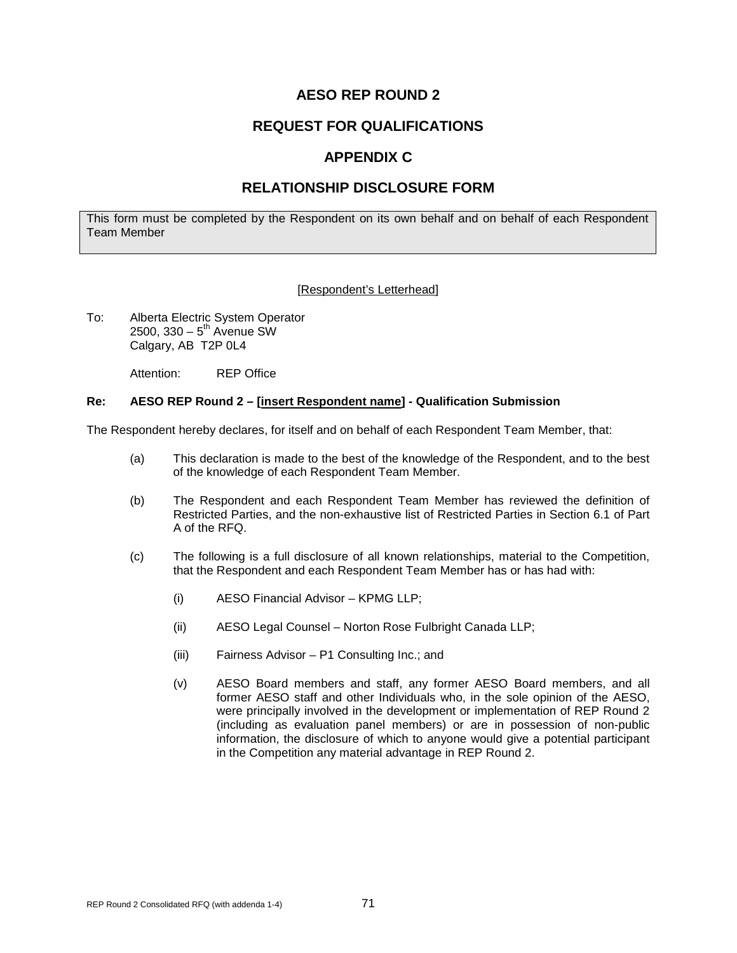# **REQUEST FOR QUALIFICATIONS**

# **APPENDIX C**

# **RELATIONSHIP DISCLOSURE FORM**

This form must be completed by the Respondent on its own behalf and on behalf of each Respondent Team Member

#### [Respondent's Letterhead]

To: Alberta Electric System Operator  $2500, 330 - 5<sup>th</sup>$  Avenue SW Calgary, AB T2P 0L4

Attention: REP Office

#### **Re: AESO REP Round 2 – [insert Respondent name] - Qualification Submission**

The Respondent hereby declares, for itself and on behalf of each Respondent Team Member, that:

- (a) This declaration is made to the best of the knowledge of the Respondent, and to the best of the knowledge of each Respondent Team Member.
- (b) The Respondent and each Respondent Team Member has reviewed the definition of Restricted Parties, and the non-exhaustive list of Restricted Parties in Section 6.1 of Part A of the RFQ.
- (c) The following is a full disclosure of all known relationships, material to the Competition, that the Respondent and each Respondent Team Member has or has had with:
	- (i) AESO Financial Advisor KPMG LLP;
	- (ii) AESO Legal Counsel Norton Rose Fulbright Canada LLP;
	- (iii) Fairness Advisor P1 Consulting Inc.; and
	- (v) AESO Board members and staff, any former AESO Board members, and all former AESO staff and other Individuals who, in the sole opinion of the AESO, were principally involved in the development or implementation of REP Round 2 (including as evaluation panel members) or are in possession of non-public information, the disclosure of which to anyone would give a potential participant in the Competition any material advantage in REP Round 2.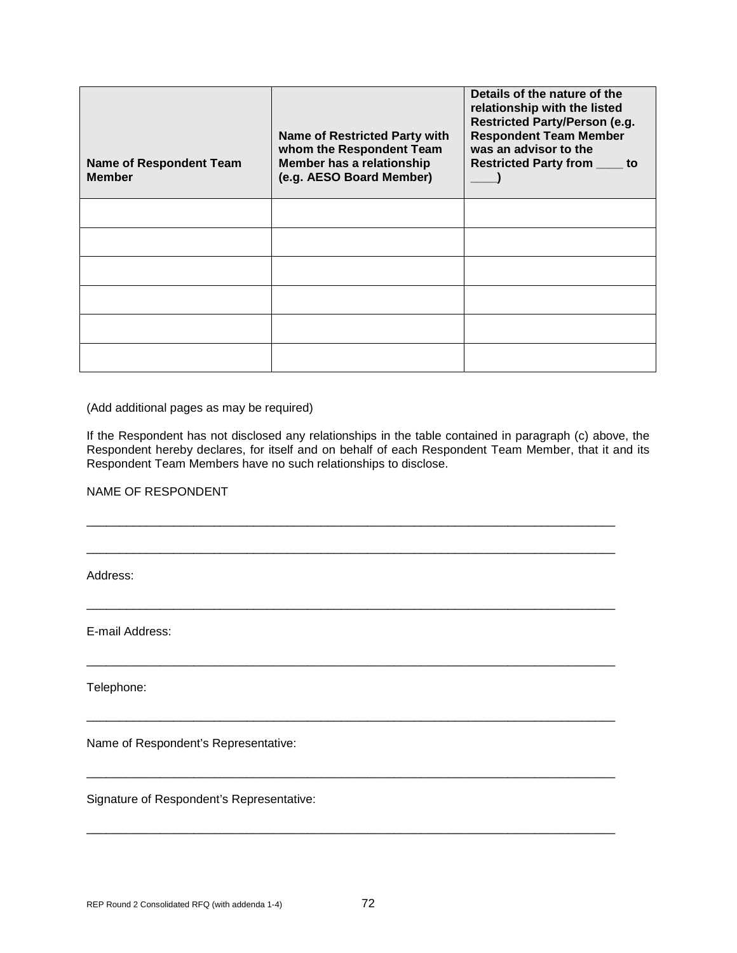| <b>Name of Respondent Team</b><br><b>Member</b> | <b>Name of Restricted Party with</b><br>whom the Respondent Team<br>Member has a relationship<br>(e.g. AESO Board Member) | Details of the nature of the<br>relationship with the listed<br><b>Restricted Party/Person (e.g.</b><br><b>Respondent Team Member</b><br>was an advisor to the<br><b>Restricted Party from ____</b><br>to |
|-------------------------------------------------|---------------------------------------------------------------------------------------------------------------------------|-----------------------------------------------------------------------------------------------------------------------------------------------------------------------------------------------------------|
|                                                 |                                                                                                                           |                                                                                                                                                                                                           |
|                                                 |                                                                                                                           |                                                                                                                                                                                                           |
|                                                 |                                                                                                                           |                                                                                                                                                                                                           |
|                                                 |                                                                                                                           |                                                                                                                                                                                                           |
|                                                 |                                                                                                                           |                                                                                                                                                                                                           |
|                                                 |                                                                                                                           |                                                                                                                                                                                                           |

(Add additional pages as may be required)

If the Respondent has not disclosed any relationships in the table contained in paragraph (c) above, the Respondent hereby declares, for itself and on behalf of each Respondent Team Member, that it and its Respondent Team Members have no such relationships to disclose.

\_\_\_\_\_\_\_\_\_\_\_\_\_\_\_\_\_\_\_\_\_\_\_\_\_\_\_\_\_\_\_\_\_\_\_\_\_\_\_\_\_\_\_\_\_\_\_\_\_\_\_\_\_\_\_\_\_\_\_\_\_\_\_\_\_\_\_\_\_\_\_\_\_\_\_\_\_\_\_

\_\_\_\_\_\_\_\_\_\_\_\_\_\_\_\_\_\_\_\_\_\_\_\_\_\_\_\_\_\_\_\_\_\_\_\_\_\_\_\_\_\_\_\_\_\_\_\_\_\_\_\_\_\_\_\_\_\_\_\_\_\_\_\_\_\_\_\_\_\_\_\_\_\_\_\_\_\_\_

\_\_\_\_\_\_\_\_\_\_\_\_\_\_\_\_\_\_\_\_\_\_\_\_\_\_\_\_\_\_\_\_\_\_\_\_\_\_\_\_\_\_\_\_\_\_\_\_\_\_\_\_\_\_\_\_\_\_\_\_\_\_\_\_\_\_\_\_\_\_\_\_\_\_\_\_\_\_\_

\_\_\_\_\_\_\_\_\_\_\_\_\_\_\_\_\_\_\_\_\_\_\_\_\_\_\_\_\_\_\_\_\_\_\_\_\_\_\_\_\_\_\_\_\_\_\_\_\_\_\_\_\_\_\_\_\_\_\_\_\_\_\_\_\_\_\_\_\_\_\_\_\_\_\_\_\_\_\_

\_\_\_\_\_\_\_\_\_\_\_\_\_\_\_\_\_\_\_\_\_\_\_\_\_\_\_\_\_\_\_\_\_\_\_\_\_\_\_\_\_\_\_\_\_\_\_\_\_\_\_\_\_\_\_\_\_\_\_\_\_\_\_\_\_\_\_\_\_\_\_\_\_\_\_\_\_\_\_

\_\_\_\_\_\_\_\_\_\_\_\_\_\_\_\_\_\_\_\_\_\_\_\_\_\_\_\_\_\_\_\_\_\_\_\_\_\_\_\_\_\_\_\_\_\_\_\_\_\_\_\_\_\_\_\_\_\_\_\_\_\_\_\_\_\_\_\_\_\_\_\_\_\_\_\_\_\_\_

\_\_\_\_\_\_\_\_\_\_\_\_\_\_\_\_\_\_\_\_\_\_\_\_\_\_\_\_\_\_\_\_\_\_\_\_\_\_\_\_\_\_\_\_\_\_\_\_\_\_\_\_\_\_\_\_\_\_\_\_\_\_\_\_\_\_\_\_\_\_\_\_\_\_\_\_\_\_\_

NAME OF RESPONDENT

Address:

E-mail Address:

Telephone:

Name of Respondent's Representative:

Signature of Respondent's Representative: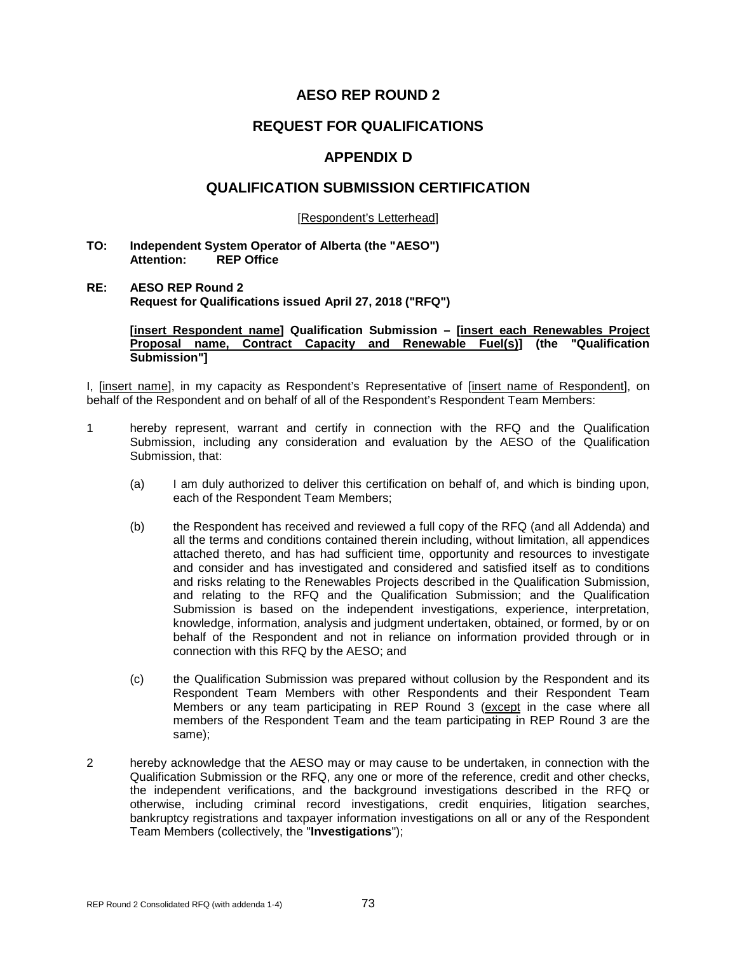### **REQUEST FOR QUALIFICATIONS**

### **APPENDIX D**

### **QUALIFICATION SUBMISSION CERTIFICATION**

[Respondent's Letterhead]

#### **TO: Independent System Operator of Alberta (the "AESO") REP Office**

#### **RE: AESO REP Round 2 Request for Qualifications issued April 27, 2018 ("RFQ")**

**[insert Respondent name] Qualification Submission – [insert each Renewables Project Proposal name, Contract Capacity and Renewable Fuel(s)] (the "Qualification Submission"]**

I, [insert name], in my capacity as Respondent's Representative of [insert name of Respondent], on behalf of the Respondent and on behalf of all of the Respondent's Respondent Team Members:

- 1 hereby represent, warrant and certify in connection with the RFQ and the Qualification Submission, including any consideration and evaluation by the AESO of the Qualification Submission, that:
	- (a) I am duly authorized to deliver this certification on behalf of, and which is binding upon, each of the Respondent Team Members;
	- (b) the Respondent has received and reviewed a full copy of the RFQ (and all Addenda) and all the terms and conditions contained therein including, without limitation, all appendices attached thereto, and has had sufficient time, opportunity and resources to investigate and consider and has investigated and considered and satisfied itself as to conditions and risks relating to the Renewables Projects described in the Qualification Submission, and relating to the RFQ and the Qualification Submission; and the Qualification Submission is based on the independent investigations, experience, interpretation, knowledge, information, analysis and judgment undertaken, obtained, or formed, by or on behalf of the Respondent and not in reliance on information provided through or in connection with this RFQ by the AESO; and
	- (c) the Qualification Submission was prepared without collusion by the Respondent and its Respondent Team Members with other Respondents and their Respondent Team Members or any team participating in REP Round 3 (except in the case where all members of the Respondent Team and the team participating in REP Round 3 are the same);
- 2 hereby acknowledge that the AESO may or may cause to be undertaken, in connection with the Qualification Submission or the RFQ, any one or more of the reference, credit and other checks, the independent verifications, and the background investigations described in the RFQ or otherwise, including criminal record investigations, credit enquiries, litigation searches, bankruptcy registrations and taxpayer information investigations on all or any of the Respondent Team Members (collectively, the "**Investigations**");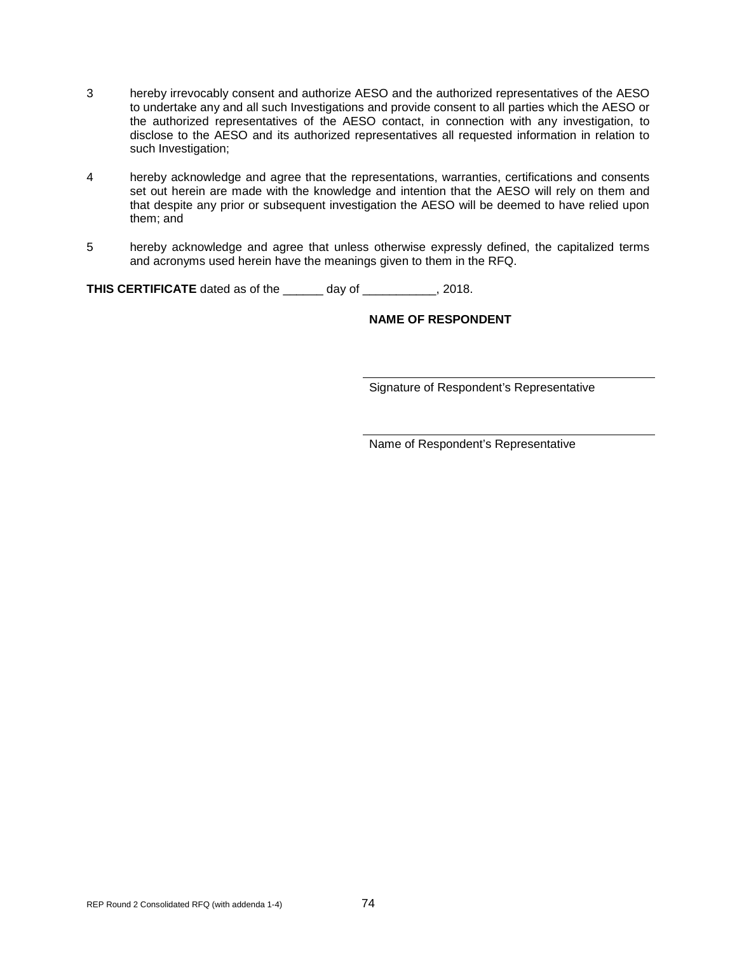- 3 hereby irrevocably consent and authorize AESO and the authorized representatives of the AESO to undertake any and all such Investigations and provide consent to all parties which the AESO or the authorized representatives of the AESO contact, in connection with any investigation, to disclose to the AESO and its authorized representatives all requested information in relation to such Investigation;
- 4 hereby acknowledge and agree that the representations, warranties, certifications and consents set out herein are made with the knowledge and intention that the AESO will rely on them and that despite any prior or subsequent investigation the AESO will be deemed to have relied upon them; and
- 5 hereby acknowledge and agree that unless otherwise expressly defined, the capitalized terms and acronyms used herein have the meanings given to them in the RFQ.

**THIS CERTIFICATE** dated as of the \_\_\_\_\_\_ day of \_\_\_\_\_\_\_\_\_\_\_, 2018.

#### **NAME OF RESPONDENT**

Signature of Respondent's Representative

Name of Respondent's Representative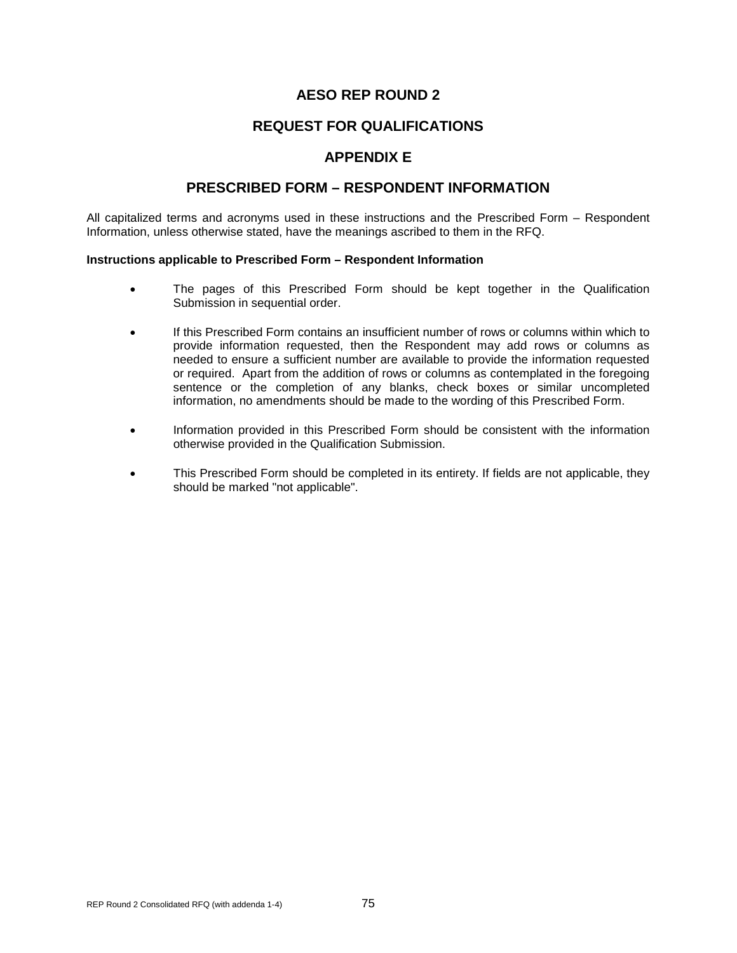## **REQUEST FOR QUALIFICATIONS**

## **APPENDIX E**

### **PRESCRIBED FORM – RESPONDENT INFORMATION**

All capitalized terms and acronyms used in these instructions and the Prescribed Form – Respondent Information, unless otherwise stated, have the meanings ascribed to them in the RFQ.

#### **Instructions applicable to Prescribed Form – Respondent Information**

- The pages of this Prescribed Form should be kept together in the Qualification Submission in sequential order.
- If this Prescribed Form contains an insufficient number of rows or columns within which to provide information requested, then the Respondent may add rows or columns as needed to ensure a sufficient number are available to provide the information requested or required. Apart from the addition of rows or columns as contemplated in the foregoing sentence or the completion of any blanks, check boxes or similar uncompleted information, no amendments should be made to the wording of this Prescribed Form.
- Information provided in this Prescribed Form should be consistent with the information otherwise provided in the Qualification Submission.
- This Prescribed Form should be completed in its entirety. If fields are not applicable, they should be marked "not applicable".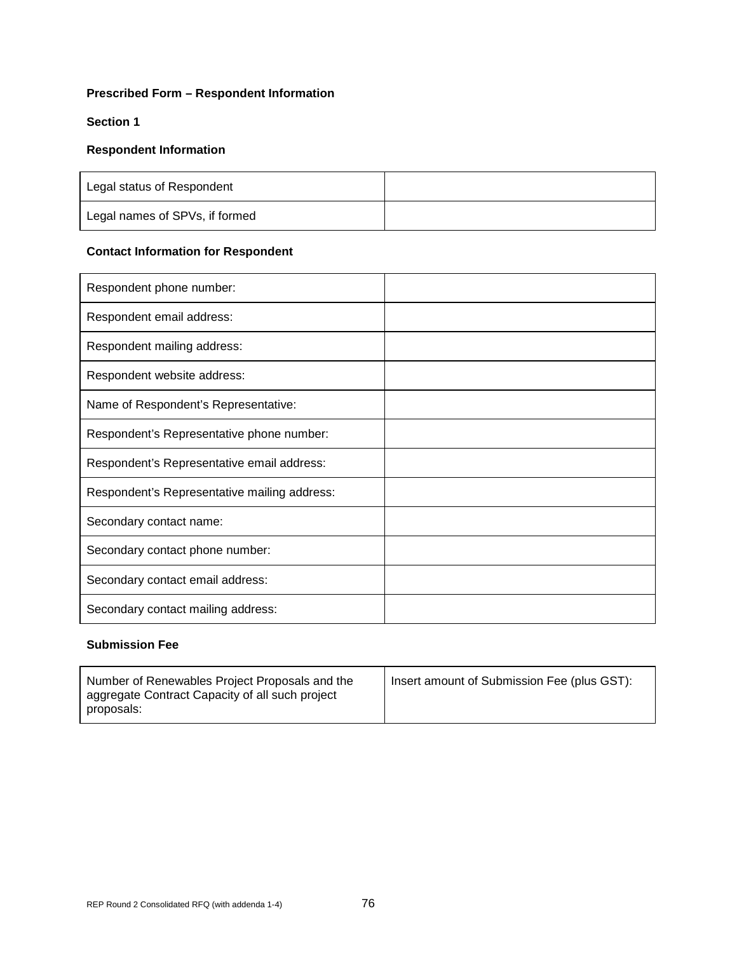### **Prescribed Form – Respondent Information**

### **Section 1**

#### **Respondent Information**

| Legal status of Respondent     |  |
|--------------------------------|--|
| Legal names of SPVs, if formed |  |

# **Contact Information for Respondent**

| Respondent phone number:                     |  |
|----------------------------------------------|--|
| Respondent email address:                    |  |
| Respondent mailing address:                  |  |
| Respondent website address:                  |  |
| Name of Respondent's Representative:         |  |
| Respondent's Representative phone number:    |  |
| Respondent's Representative email address:   |  |
| Respondent's Representative mailing address: |  |
| Secondary contact name:                      |  |
| Secondary contact phone number:              |  |
| Secondary contact email address:             |  |
| Secondary contact mailing address:           |  |

# **Submission Fee**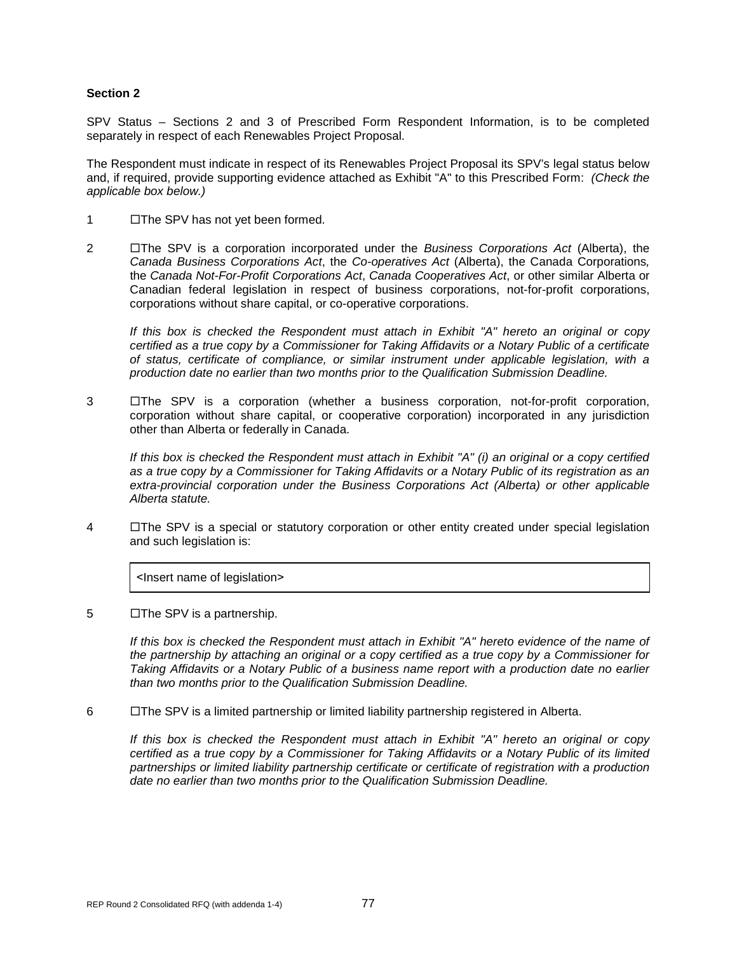#### **Section 2**

SPV Status – Sections 2 and 3 of Prescribed Form Respondent Information, is to be completed separately in respect of each Renewables Project Proposal.

The Respondent must indicate in respect of its Renewables Project Proposal its SPV's legal status below and, if required, provide supporting evidence attached as Exhibit "A" to this Prescribed Form: *(Check the applicable box below.)*

- 1 **I** The SPV has not yet been formed.
- 2 The SPV is a corporation incorporated under the *Business Corporations Act* (Alberta), the *Canada Business Corporations Act*, the *Co-operatives Act* (Alberta), the Canada Corporations*,*  the *Canada Not-For-Profit Corporations Act*, *Canada Cooperatives Act*, or other similar Alberta or Canadian federal legislation in respect of business corporations, not-for-profit corporations, corporations without share capital, or co-operative corporations.

*If this box is checked the Respondent must attach in Exhibit "A" hereto an original or copy certified as a true copy by a Commissioner for Taking Affidavits or a Notary Public of a certificate of status, certificate of compliance, or similar instrument under applicable legislation, with a production date no earlier than two months prior to the Qualification Submission Deadline.*

3  $\Box$ The SPV is a corporation (whether a business corporation, not-for-profit corporation, corporation without share capital, or cooperative corporation) incorporated in any jurisdiction other than Alberta or federally in Canada.

*If this box is checked the Respondent must attach in Exhibit "A" (i) an original or a copy certified as a true copy by a Commissioner for Taking Affidavits or a Notary Public of its registration as an extra-provincial corporation under the Business Corporations Act (Alberta) or other applicable Alberta statute.*

4  $\Box$  The SPV is a special or statutory corporation or other entity created under special legislation and such legislation is:

˂Insert name of legislation˃

 $5$   $\Box$  The SPV is a partnership.

*If this box is checked the Respondent must attach in Exhibit "A" hereto evidence of the name of the partnership by attaching an original or a copy certified as a true copy by a Commissioner for Taking Affidavits or a Notary Public of a business name report with a production date no earlier than two months prior to the Qualification Submission Deadline.*

6 The SPV is a limited partnership or limited liability partnership registered in Alberta.

*If this box is checked the Respondent must attach in Exhibit "A" hereto an original or copy certified as a true copy by a Commissioner for Taking Affidavits or a Notary Public of its limited partnerships or limited liability partnership certificate or certificate of registration with a production date no earlier than two months prior to the Qualification Submission Deadline.*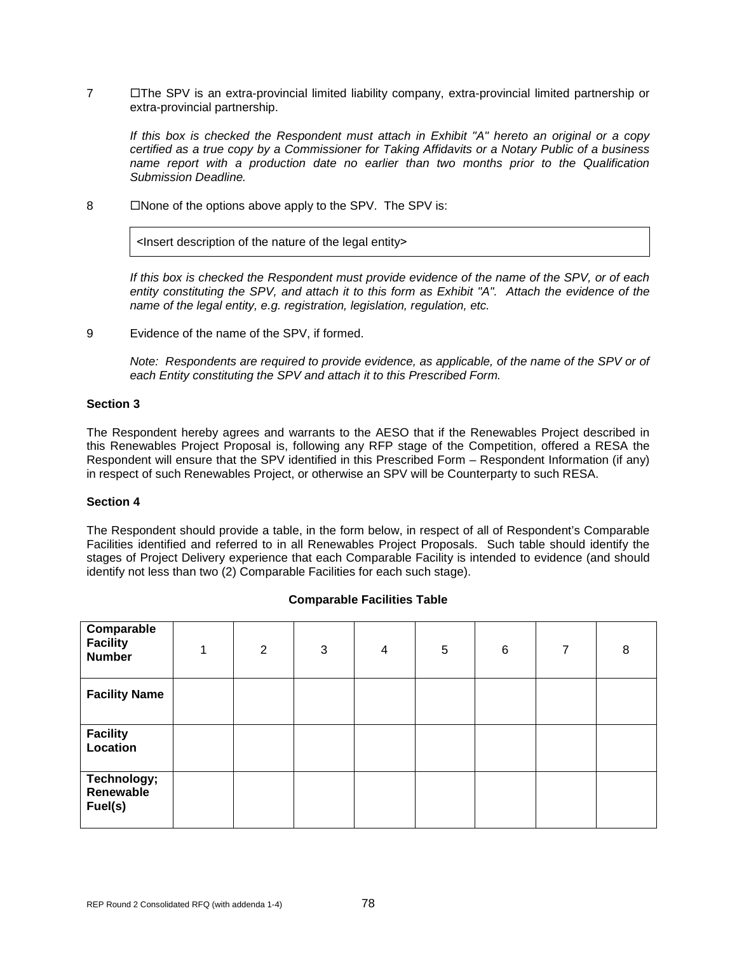7 **The SPV** is an extra-provincial limited liability company, extra-provincial limited partnership or extra-provincial partnership.

*If this box is checked the Respondent must attach in Exhibit "A" hereto an original or a copy certified as a true copy by a Commissioner for Taking Affidavits or a Notary Public of a business name report with a production date no earlier than two months prior to the Qualification Submission Deadline.*

8 Mone of the options above apply to the SPV. The SPV is:

<Insert description of the nature of the legal entity>

*If this box is checked the Respondent must provide evidence of the name of the SPV, or of each entity constituting the SPV, and attach it to this form as Exhibit "A". Attach the evidence of the name of the legal entity, e.g. registration, legislation, regulation, etc.*

9 Evidence of the name of the SPV, if formed.

*Note: Respondents are required to provide evidence, as applicable, of the name of the SPV or of each Entity constituting the SPV and attach it to this Prescribed Form.*

#### **Section 3**

The Respondent hereby agrees and warrants to the AESO that if the Renewables Project described in this Renewables Project Proposal is, following any RFP stage of the Competition, offered a RESA the Respondent will ensure that the SPV identified in this Prescribed Form – Respondent Information (if any) in respect of such Renewables Project, or otherwise an SPV will be Counterparty to such RESA.

#### **Section 4**

The Respondent should provide a table, in the form below, in respect of all of Respondent's Comparable Facilities identified and referred to in all Renewables Project Proposals. Such table should identify the stages of Project Delivery experience that each Comparable Facility is intended to evidence (and should identify not less than two (2) Comparable Facilities for each such stage).

| Comparable<br><b>Facility</b><br><b>Number</b> | 4 | $\overline{2}$ | 3 | 4 | 5 | 6 | $\overline{7}$ | 8 |
|------------------------------------------------|---|----------------|---|---|---|---|----------------|---|
| <b>Facility Name</b>                           |   |                |   |   |   |   |                |   |
| <b>Facility</b><br>Location                    |   |                |   |   |   |   |                |   |
| Technology;<br>Renewable<br>Fuel(s)            |   |                |   |   |   |   |                |   |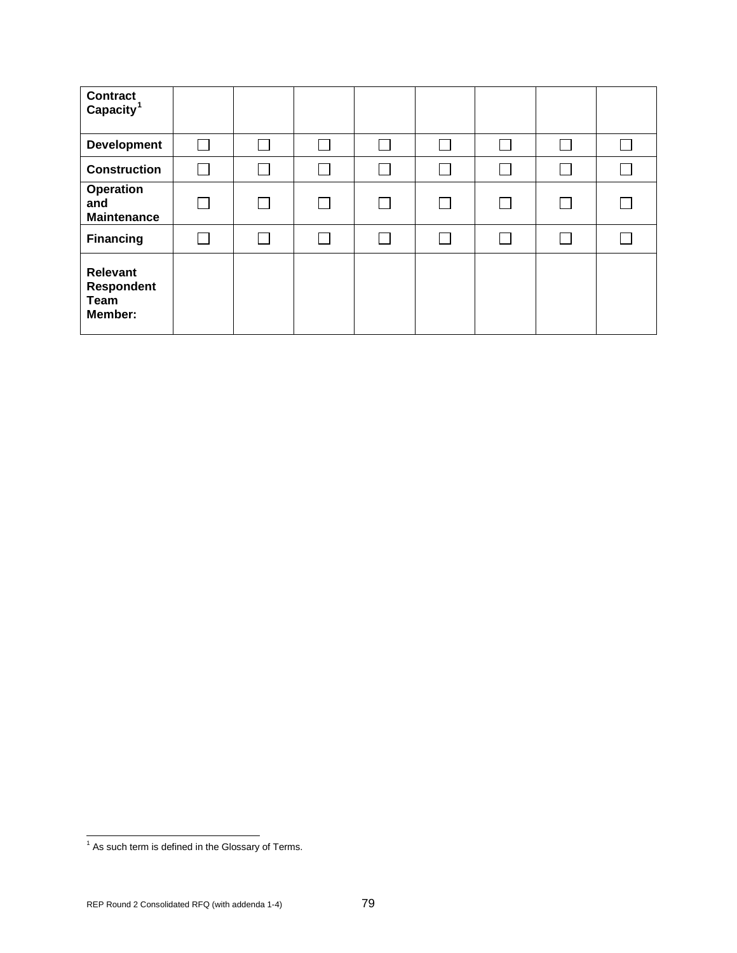| <b>Contract</b><br>Capacity <sup>1</sup>                       |               |        |  |  |  |
|----------------------------------------------------------------|---------------|--------|--|--|--|
| <b>Development</b>                                             | $\mathcal{L}$ | $\sim$ |  |  |  |
| <b>Construction</b>                                            |               |        |  |  |  |
| Operation<br>and<br><b>Maintenance</b>                         |               | $\Box$ |  |  |  |
| <b>Financing</b>                                               |               |        |  |  |  |
| <b>Relevant</b><br><b>Respondent</b><br><b>Team</b><br>Member: |               |        |  |  |  |

<span id="page-83-0"></span> $<sup>1</sup>$  As such term is defined in the Glossary of Terms.</sup>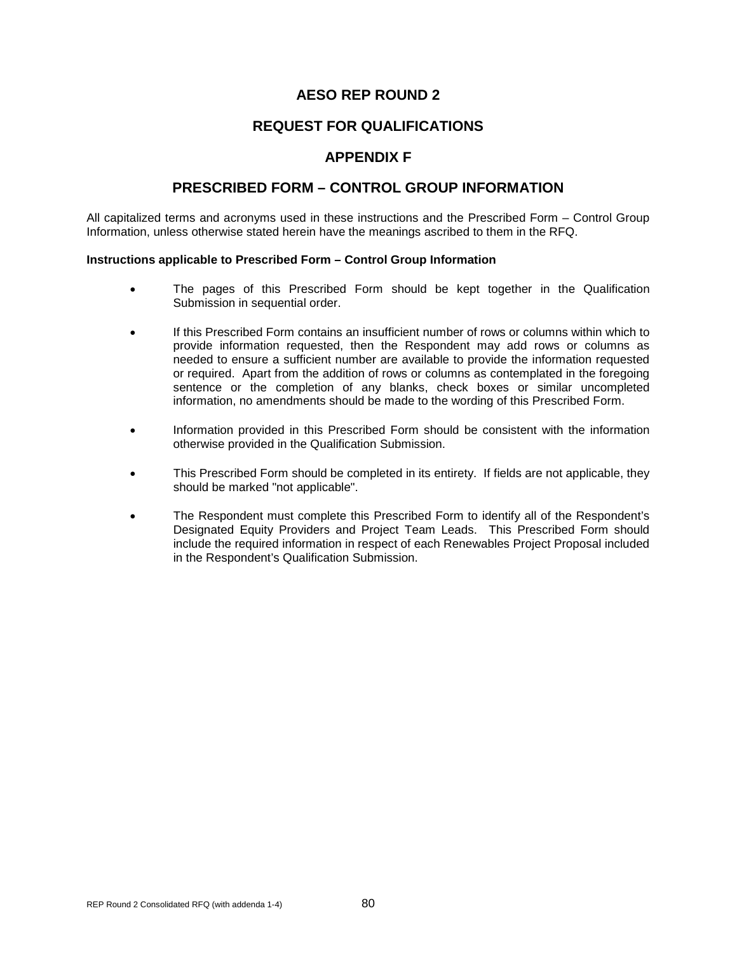## **REQUEST FOR QUALIFICATIONS**

### **APPENDIX F**

### **PRESCRIBED FORM – CONTROL GROUP INFORMATION**

All capitalized terms and acronyms used in these instructions and the Prescribed Form – Control Group Information, unless otherwise stated herein have the meanings ascribed to them in the RFQ.

#### **Instructions applicable to Prescribed Form – Control Group Information**

- The pages of this Prescribed Form should be kept together in the Qualification Submission in sequential order.
- If this Prescribed Form contains an insufficient number of rows or columns within which to provide information requested, then the Respondent may add rows or columns as needed to ensure a sufficient number are available to provide the information requested or required. Apart from the addition of rows or columns as contemplated in the foregoing sentence or the completion of any blanks, check boxes or similar uncompleted information, no amendments should be made to the wording of this Prescribed Form.
- Information provided in this Prescribed Form should be consistent with the information otherwise provided in the Qualification Submission.
- This Prescribed Form should be completed in its entirety. If fields are not applicable, they should be marked "not applicable".
- The Respondent must complete this Prescribed Form to identify all of the Respondent's Designated Equity Providers and Project Team Leads. This Prescribed Form should include the required information in respect of each Renewables Project Proposal included in the Respondent's Qualification Submission.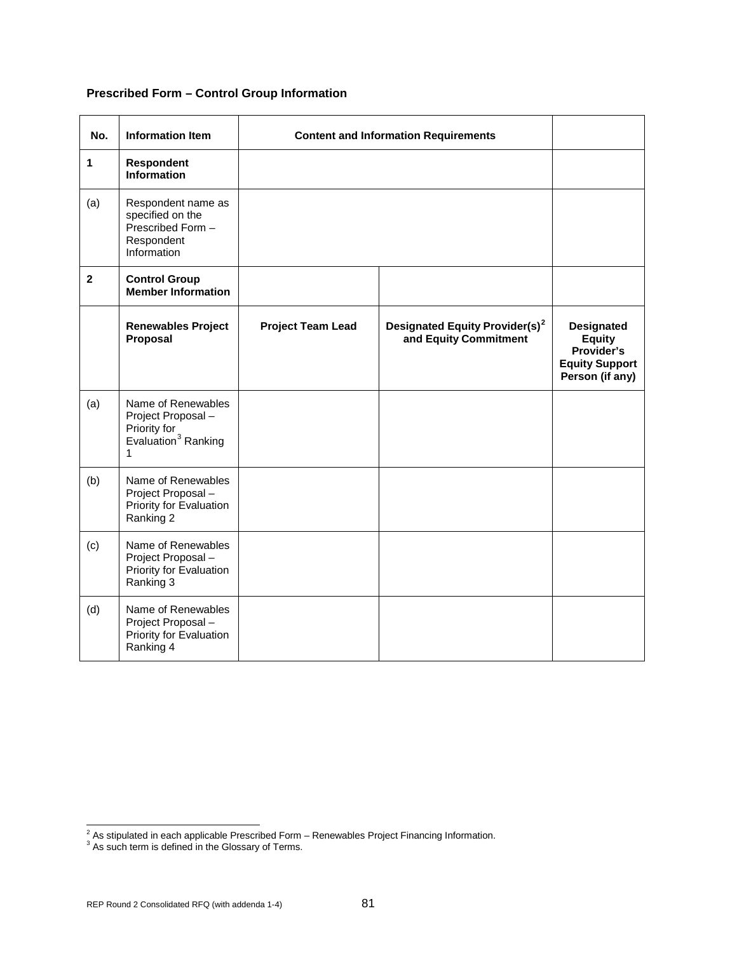# **Prescribed Form – Control Group Information**

| No.            | <b>Information Item</b>                                                                          | <b>Content and Information Requirements</b> |                                                                     |                                                                                              |
|----------------|--------------------------------------------------------------------------------------------------|---------------------------------------------|---------------------------------------------------------------------|----------------------------------------------------------------------------------------------|
| 1              | Respondent<br><b>Information</b>                                                                 |                                             |                                                                     |                                                                                              |
| (a)            | Respondent name as<br>specified on the<br>Prescribed Form -<br>Respondent<br>Information         |                                             |                                                                     |                                                                                              |
| $\overline{2}$ | <b>Control Group</b><br><b>Member Information</b>                                                |                                             |                                                                     |                                                                                              |
|                | <b>Renewables Project</b><br>Proposal                                                            | <b>Project Team Lead</b>                    | Designated Equity Provider(s) <sup>2</sup><br>and Equity Commitment | <b>Designated</b><br><b>Equity</b><br>Provider's<br><b>Equity Support</b><br>Person (if any) |
| (a)            | Name of Renewables<br>Project Proposal -<br>Priority for<br>Evaluation <sup>3</sup> Ranking<br>1 |                                             |                                                                     |                                                                                              |
| (b)            | Name of Renewables<br>Project Proposal -<br>Priority for Evaluation<br>Ranking 2                 |                                             |                                                                     |                                                                                              |
| (c)            | Name of Renewables<br>Project Proposal -<br>Priority for Evaluation<br>Ranking 3                 |                                             |                                                                     |                                                                                              |
| (d)            | Name of Renewables<br>Project Proposal -<br>Priority for Evaluation<br>Ranking 4                 |                                             |                                                                     |                                                                                              |

<span id="page-85-1"></span><span id="page-85-0"></span> $\frac{2}{3}$  As stipulated in each applicable Prescribed Form – Renewables Project Financing Information.  $\frac{3}{3}$  As such term is defined in the Glossary of Terms.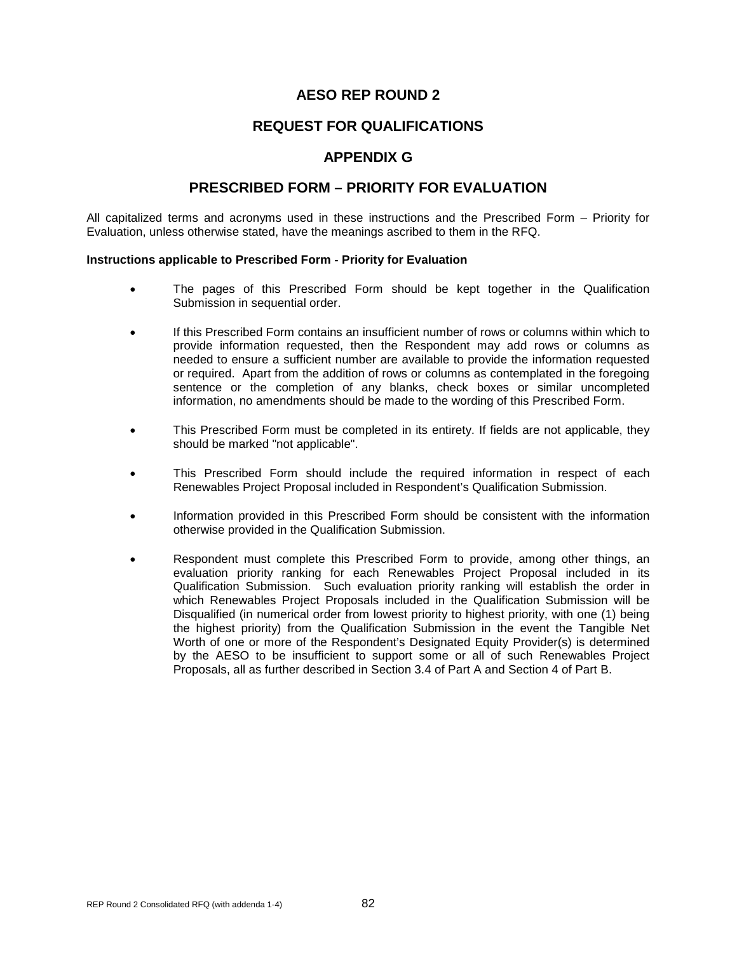## **REQUEST FOR QUALIFICATIONS**

## **APPENDIX G**

## **PRESCRIBED FORM – PRIORITY FOR EVALUATION**

All capitalized terms and acronyms used in these instructions and the Prescribed Form – Priority for Evaluation, unless otherwise stated, have the meanings ascribed to them in the RFQ.

#### **Instructions applicable to Prescribed Form - Priority for Evaluation**

- The pages of this Prescribed Form should be kept together in the Qualification Submission in sequential order.
- If this Prescribed Form contains an insufficient number of rows or columns within which to provide information requested, then the Respondent may add rows or columns as needed to ensure a sufficient number are available to provide the information requested or required. Apart from the addition of rows or columns as contemplated in the foregoing sentence or the completion of any blanks, check boxes or similar uncompleted information, no amendments should be made to the wording of this Prescribed Form.
- This Prescribed Form must be completed in its entirety. If fields are not applicable, they should be marked "not applicable".
- This Prescribed Form should include the required information in respect of each Renewables Project Proposal included in Respondent's Qualification Submission.
- Information provided in this Prescribed Form should be consistent with the information otherwise provided in the Qualification Submission.
- Respondent must complete this Prescribed Form to provide, among other things, an evaluation priority ranking for each Renewables Project Proposal included in its Qualification Submission. Such evaluation priority ranking will establish the order in which Renewables Project Proposals included in the Qualification Submission will be Disqualified (in numerical order from lowest priority to highest priority, with one (1) being the highest priority) from the Qualification Submission in the event the Tangible Net Worth of one or more of the Respondent's Designated Equity Provider(s) is determined by the AESO to be insufficient to support some or all of such Renewables Project Proposals, all as further described in Section 3.4 of Part A and Section 4 of Part B.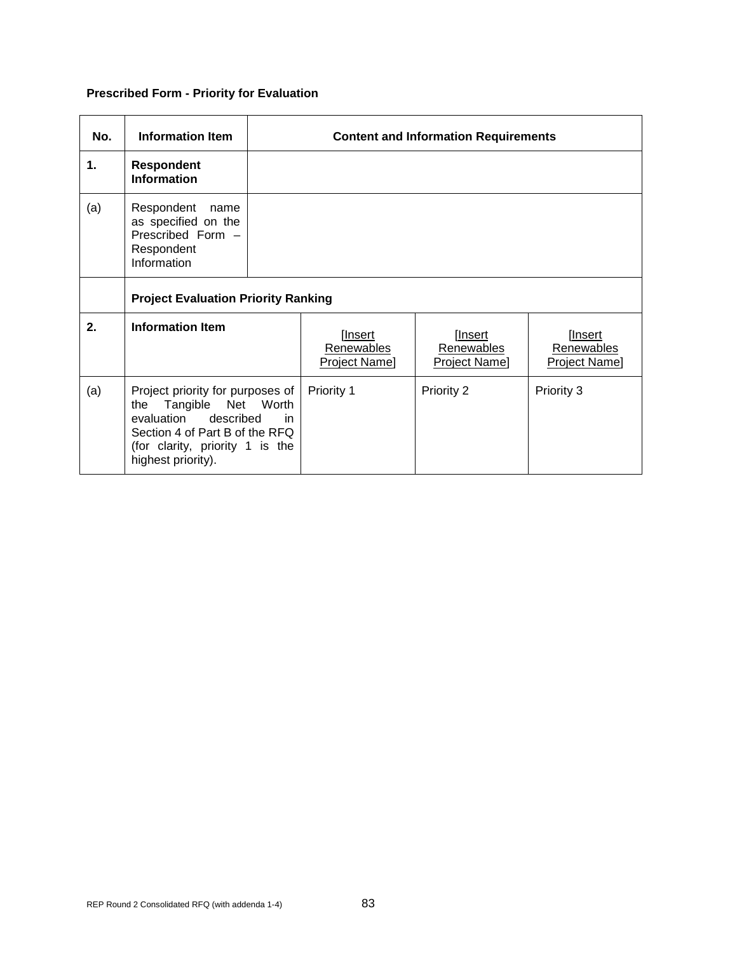# **Prescribed Form - Priority for Evaluation**

| No. | <b>Information Item</b>                                                                                                                                                                       | <b>Content and Information Requirements</b> |                                        |                                        |                                        |
|-----|-----------------------------------------------------------------------------------------------------------------------------------------------------------------------------------------------|---------------------------------------------|----------------------------------------|----------------------------------------|----------------------------------------|
| 1.  | <b>Respondent</b><br><b>Information</b>                                                                                                                                                       |                                             |                                        |                                        |                                        |
| (a) | Respondent<br>name<br>as specified on the<br>Prescribed Form -<br>Respondent<br>Information                                                                                                   |                                             |                                        |                                        |                                        |
|     | <b>Project Evaluation Priority Ranking</b>                                                                                                                                                    |                                             |                                        |                                        |                                        |
| 2.  | <b>Information Item</b>                                                                                                                                                                       |                                             | [Insert<br>Renewables<br>Project Name] | [Insert<br>Renewables<br>Project Name] | [Insert<br>Renewables<br>Project Name] |
| (a) | Project priority for purposes of<br>Worth<br>Tangible<br>Net<br>the<br>evaluation described<br>in.<br>Section 4 of Part B of the RFQ<br>(for clarity, priority 1 is the<br>highest priority). |                                             | Priority 1                             | Priority 2                             | Priority 3                             |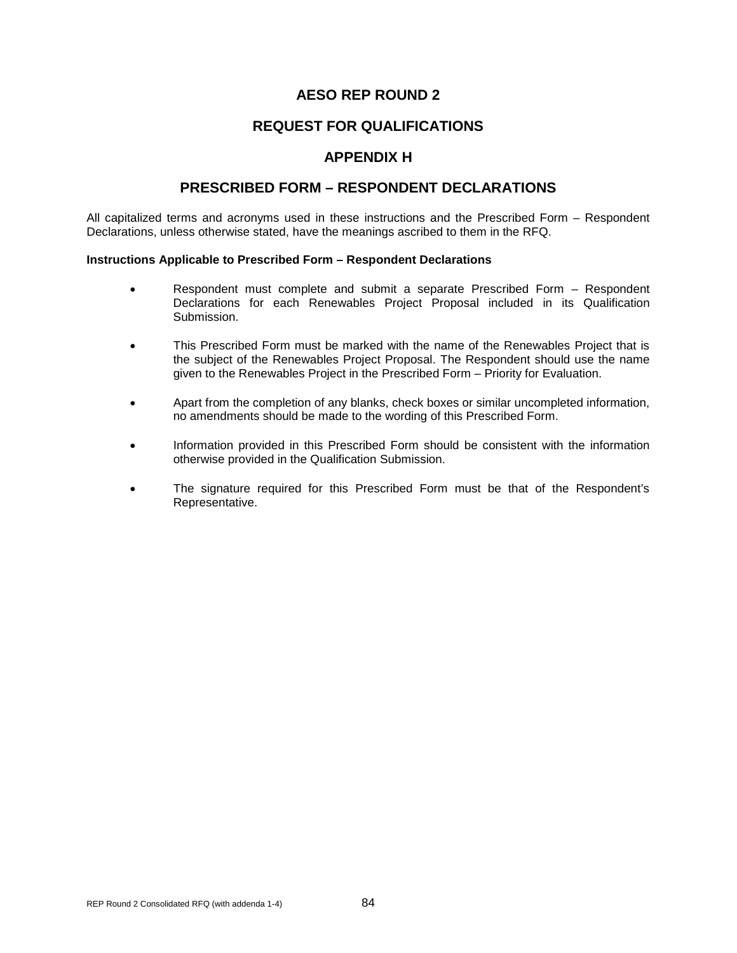## **REQUEST FOR QUALIFICATIONS**

### **APPENDIX H**

### **PRESCRIBED FORM – RESPONDENT DECLARATIONS**

All capitalized terms and acronyms used in these instructions and the Prescribed Form – Respondent Declarations, unless otherwise stated, have the meanings ascribed to them in the RFQ.

#### **Instructions Applicable to Prescribed Form – Respondent Declarations**

- Respondent must complete and submit a separate Prescribed Form Respondent Declarations for each Renewables Project Proposal included in its Qualification Submission.
- This Prescribed Form must be marked with the name of the Renewables Project that is the subject of the Renewables Project Proposal. The Respondent should use the name given to the Renewables Project in the Prescribed Form – Priority for Evaluation.
- Apart from the completion of any blanks, check boxes or similar uncompleted information, no amendments should be made to the wording of this Prescribed Form.
- Information provided in this Prescribed Form should be consistent with the information otherwise provided in the Qualification Submission.
- The signature required for this Prescribed Form must be that of the Respondent's Representative.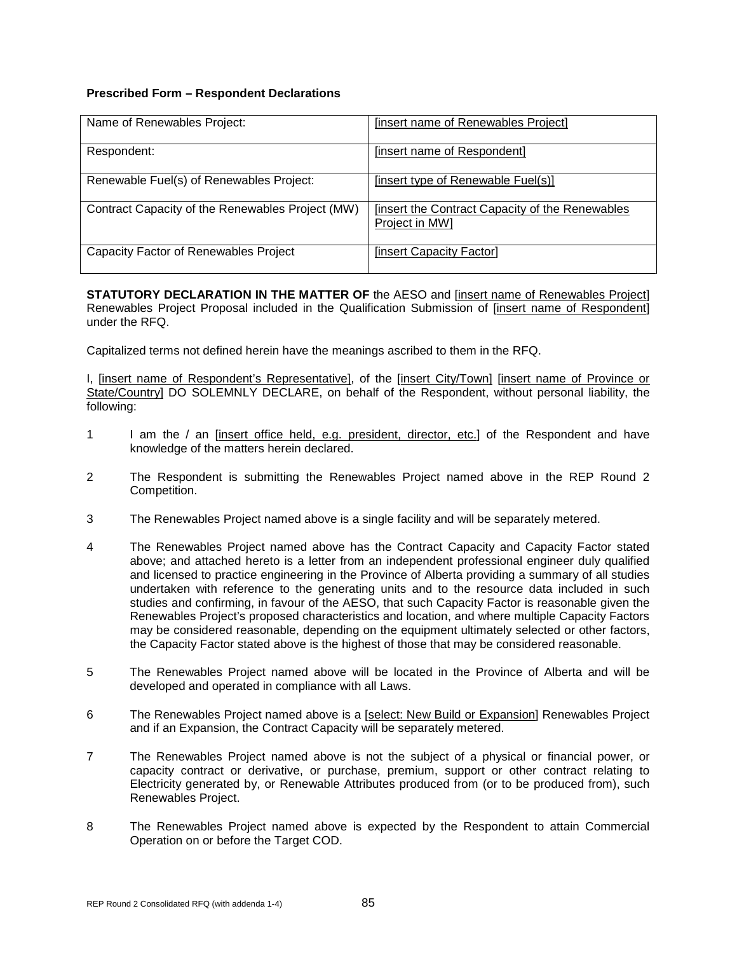### **Prescribed Form – Respondent Declarations**

| Name of Renewables Project:                      | [insert name of Renewables Project]                                     |
|--------------------------------------------------|-------------------------------------------------------------------------|
| Respondent:                                      | [insert name of Respondent]                                             |
| Renewable Fuel(s) of Renewables Project:         | [insert type of Renewable Fuel(s)]                                      |
| Contract Capacity of the Renewables Project (MW) | <b>Insert the Contract Capacity of the Renewables</b><br>Project in MW1 |
| Capacity Factor of Renewables Project            | [insert Capacity Factor]                                                |

**STATUTORY DECLARATION IN THE MATTER OF** the AESO and [insert name of Renewables Project] Renewables Project Proposal included in the Qualification Submission of [insert name of Respondent] under the RFQ.

Capitalized terms not defined herein have the meanings ascribed to them in the RFQ.

I, [insert name of Respondent's Representative], of the [insert City/Town] [insert name of Province or State/Country] DO SOLEMNLY DECLARE, on behalf of the Respondent, without personal liability, the following:

- 1 I am the / an [insert office held, e.g. president, director, etc.] of the Respondent and have knowledge of the matters herein declared.
- 2 The Respondent is submitting the Renewables Project named above in the REP Round 2 Competition.
- 3 The Renewables Project named above is a single facility and will be separately metered.
- 4 The Renewables Project named above has the Contract Capacity and Capacity Factor stated above; and attached hereto is a letter from an independent professional engineer duly qualified and licensed to practice engineering in the Province of Alberta providing a summary of all studies undertaken with reference to the generating units and to the resource data included in such studies and confirming, in favour of the AESO, that such Capacity Factor is reasonable given the Renewables Project's proposed characteristics and location, and where multiple Capacity Factors may be considered reasonable, depending on the equipment ultimately selected or other factors, the Capacity Factor stated above is the highest of those that may be considered reasonable.
- 5 The Renewables Project named above will be located in the Province of Alberta and will be developed and operated in compliance with all Laws.
- 6 The Renewables Project named above is a [select: New Build or Expansion] Renewables Project and if an Expansion, the Contract Capacity will be separately metered.
- 7 The Renewables Project named above is not the subject of a physical or financial power, or capacity contract or derivative, or purchase, premium, support or other contract relating to Electricity generated by, or Renewable Attributes produced from (or to be produced from), such Renewables Project.
- 8 The Renewables Project named above is expected by the Respondent to attain Commercial Operation on or before the Target COD.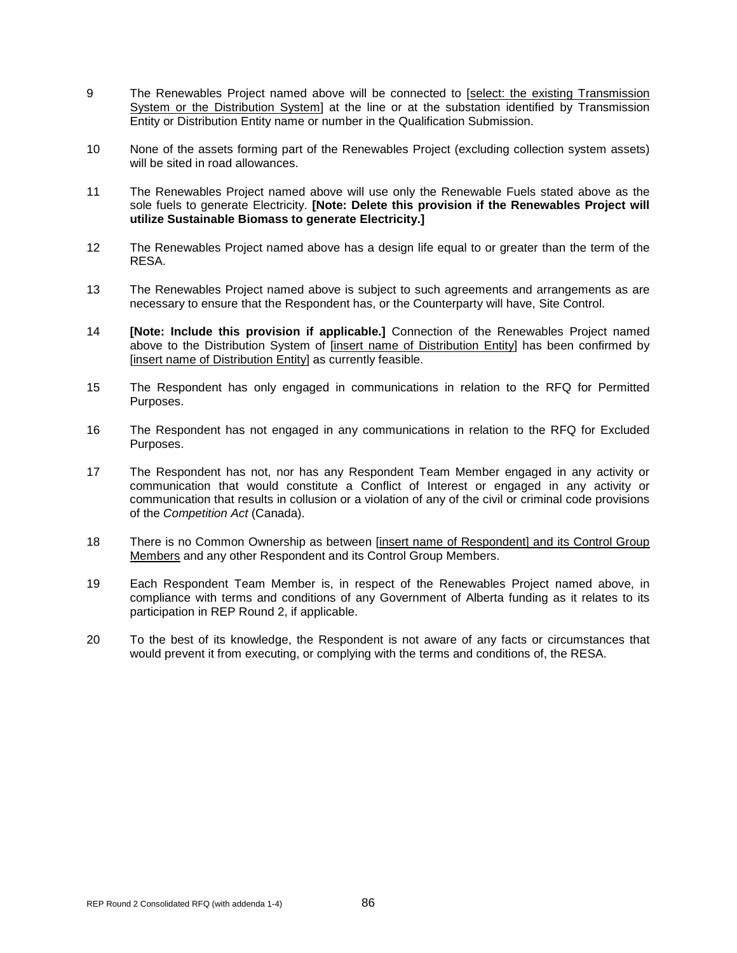- 9 The Renewables Project named above will be connected to [select: the existing Transmission] System or the Distribution System] at the line or at the substation identified by Transmission Entity or Distribution Entity name or number in the Qualification Submission.
- 10 None of the assets forming part of the Renewables Project (excluding collection system assets) will be sited in road allowances.
- 11 The Renewables Project named above will use only the Renewable Fuels stated above as the sole fuels to generate Electricity. **[Note: Delete this provision if the Renewables Project will utilize Sustainable Biomass to generate Electricity.]**
- 12 The Renewables Project named above has a design life equal to or greater than the term of the RESA.
- 13 The Renewables Project named above is subject to such agreements and arrangements as are necessary to ensure that the Respondent has, or the Counterparty will have, Site Control.
- 14 **[Note: Include this provision if applicable.]** Connection of the Renewables Project named above to the Distribution System of [insert name of Distribution Entity] has been confirmed by [insert name of Distribution Entity] as currently feasible.
- 15 The Respondent has only engaged in communications in relation to the RFQ for Permitted Purposes.
- 16 The Respondent has not engaged in any communications in relation to the RFQ for Excluded Purposes.
- 17 The Respondent has not, nor has any Respondent Team Member engaged in any activity or communication that would constitute a Conflict of Interest or engaged in any activity or communication that results in collusion or a violation of any of the civil or criminal code provisions of the *Competition Act* (Canada).
- 18 There is no Common Ownership as between [insert name of Respondent] and its Control Group Members and any other Respondent and its Control Group Members.
- 19 Each Respondent Team Member is, in respect of the Renewables Project named above, in compliance with terms and conditions of any Government of Alberta funding as it relates to its participation in REP Round 2, if applicable.
- 20 To the best of its knowledge, the Respondent is not aware of any facts or circumstances that would prevent it from executing, or complying with the terms and conditions of, the RESA.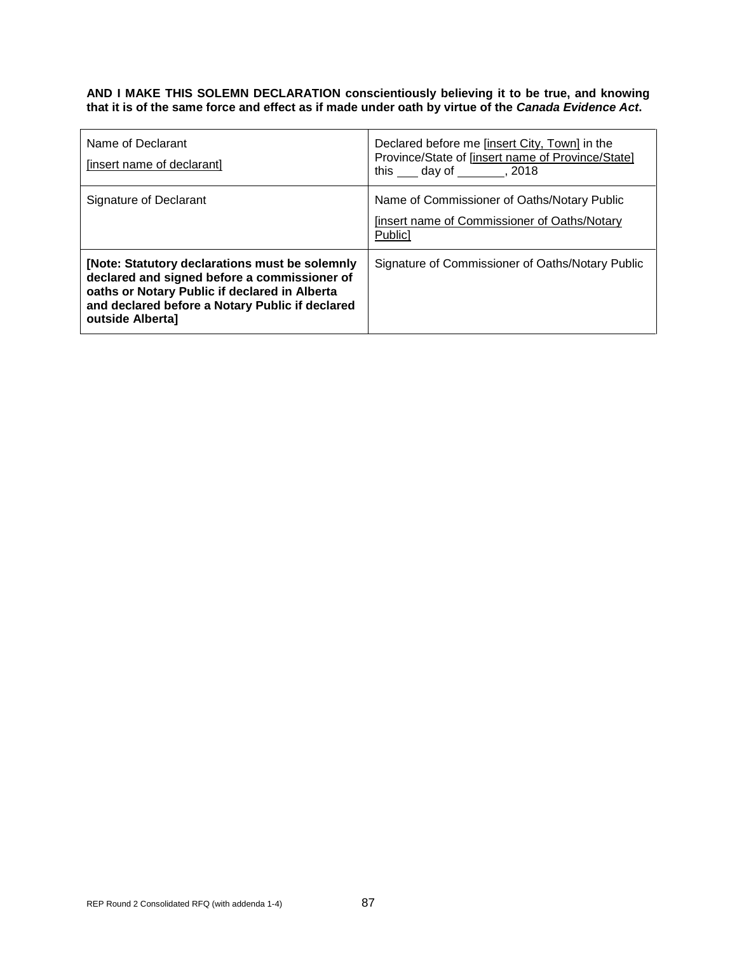#### **AND I MAKE THIS SOLEMN DECLARATION conscientiously believing it to be true, and knowing that it is of the same force and effect as if made under oath by virtue of the** *Canada Evidence Act***.**

| Name of Declarant<br>[insert name of declarant]                                                                                                                                                                        | Declared before me [insert City, Town] in the<br>Province/State of [insert name of Province/State]<br>this day of , 2018 |
|------------------------------------------------------------------------------------------------------------------------------------------------------------------------------------------------------------------------|--------------------------------------------------------------------------------------------------------------------------|
| Signature of Declarant                                                                                                                                                                                                 | Name of Commissioner of Oaths/Notary Public<br>finsert name of Commissioner of Oaths/Notary<br>Public]                   |
| [Note: Statutory declarations must be solemnly<br>declared and signed before a commissioner of<br>oaths or Notary Public if declared in Alberta<br>and declared before a Notary Public if declared<br>outside Alberta] | Signature of Commissioner of Oaths/Notary Public                                                                         |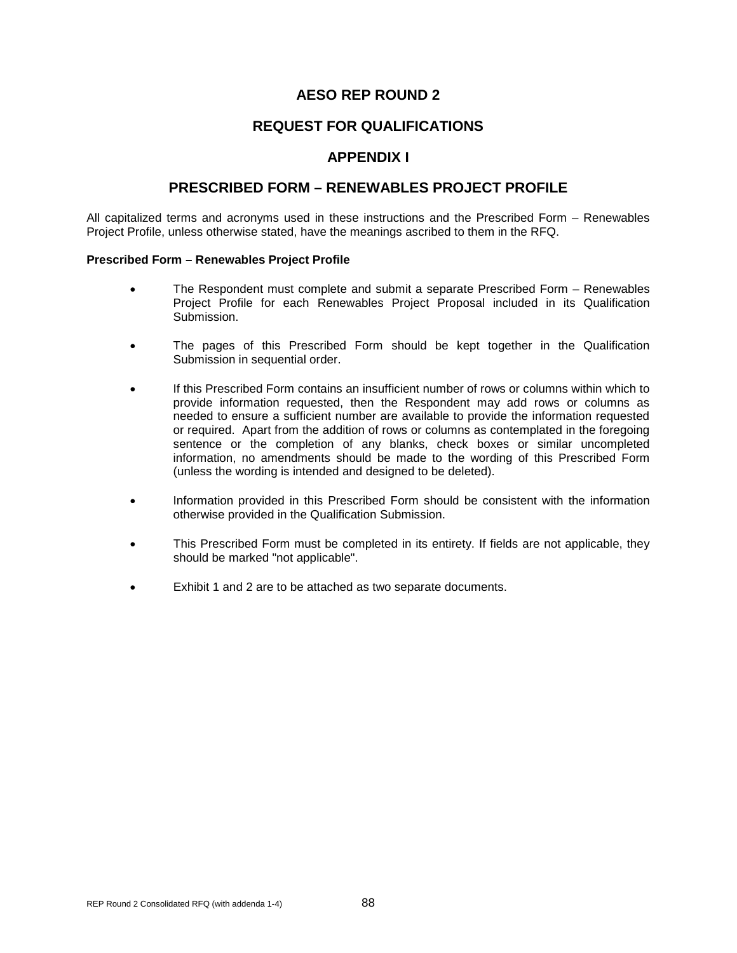## **REQUEST FOR QUALIFICATIONS**

### **APPENDIX I**

### **PRESCRIBED FORM – RENEWABLES PROJECT PROFILE**

All capitalized terms and acronyms used in these instructions and the Prescribed Form – Renewables Project Profile, unless otherwise stated, have the meanings ascribed to them in the RFQ.

#### **Prescribed Form – Renewables Project Profile**

- The Respondent must complete and submit a separate Prescribed Form Renewables Project Profile for each Renewables Project Proposal included in its Qualification Submission.
- The pages of this Prescribed Form should be kept together in the Qualification Submission in sequential order.
- If this Prescribed Form contains an insufficient number of rows or columns within which to provide information requested, then the Respondent may add rows or columns as needed to ensure a sufficient number are available to provide the information requested or required. Apart from the addition of rows or columns as contemplated in the foregoing sentence or the completion of any blanks, check boxes or similar uncompleted information, no amendments should be made to the wording of this Prescribed Form (unless the wording is intended and designed to be deleted).
- Information provided in this Prescribed Form should be consistent with the information otherwise provided in the Qualification Submission.
- This Prescribed Form must be completed in its entirety. If fields are not applicable, they should be marked "not applicable".
- Exhibit 1 and 2 are to be attached as two separate documents.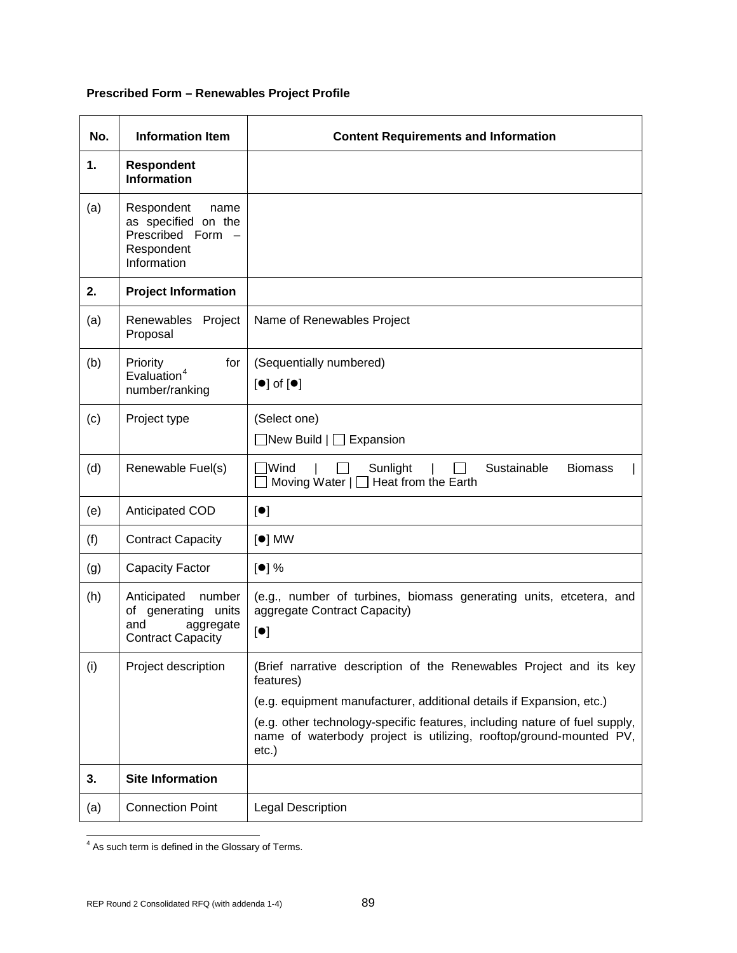# **Prescribed Form – Renewables Project Profile**

| No. | <b>Information Item</b>                                                                   | <b>Content Requirements and Information</b>                                                                                                                  |
|-----|-------------------------------------------------------------------------------------------|--------------------------------------------------------------------------------------------------------------------------------------------------------------|
| 1.  | <b>Respondent</b><br><b>Information</b>                                                   |                                                                                                                                                              |
| (a) | Respondent<br>name<br>as specified on the<br>Prescribed Form<br>Respondent<br>Information |                                                                                                                                                              |
| 2.  | <b>Project Information</b>                                                                |                                                                                                                                                              |
| (a) | Renewables Project<br>Proposal                                                            | Name of Renewables Project                                                                                                                                   |
| (b) | for<br>Priority<br>Evaluation <sup>4</sup><br>number/ranking                              | (Sequentially numbered)<br>$\left[\bullet\right]$ of $\left[\bullet\right]$                                                                                  |
| (c) | Project type                                                                              | (Select one)<br>$\exists$ New Build $\Box$ Expansion                                                                                                         |
| (d) | Renewable Fuel(s)                                                                         | ⊺Wind<br>Sunlight<br>Sustainable<br><b>Biomass</b><br>$\Box$<br>Moving Water   □ Heat from the Earth                                                         |
| (e) | Anticipated COD                                                                           | [•]                                                                                                                                                          |
| (f) | <b>Contract Capacity</b>                                                                  | $\lceil \bullet \rceil$ MW                                                                                                                                   |
| (g) | <b>Capacity Factor</b>                                                                    | [•] %                                                                                                                                                        |
| (h) | Anticipated number<br>of generating units<br>and<br>aggregate<br><b>Contract Capacity</b> | (e.g., number of turbines, biomass generating units, etcetera, and<br>aggregate Contract Capacity)<br>[•]                                                    |
| (i) | Project description                                                                       | (Brief narrative description of the Renewables Project and its key<br>features)                                                                              |
|     |                                                                                           | (e.g. equipment manufacturer, additional details if Expansion, etc.)                                                                                         |
|     |                                                                                           | (e.g. other technology-specific features, including nature of fuel supply,<br>name of waterbody project is utilizing, rooftop/ground-mounted PV,<br>$etc.$ ) |
| 3.  | <b>Site Information</b>                                                                   |                                                                                                                                                              |
| (a) | <b>Connection Point</b>                                                                   | <b>Legal Description</b>                                                                                                                                     |

<span id="page-93-0"></span><sup>&</sup>lt;sup>4</sup> As such term is defined in the Glossary of Terms.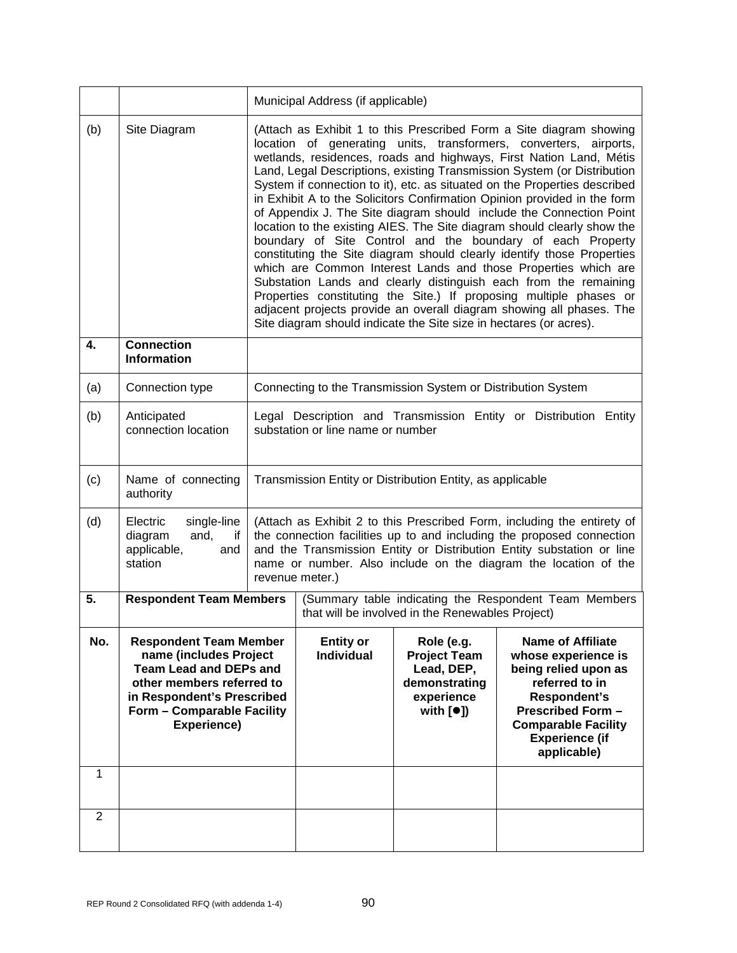|                |                                                                                                                                                                                                  |                                                                                                                                                                                                                                                                                                                                                                                                                                                                                                                                                                                                                                                                                                                                                                                                                                                                                                                                                                                                                                                                                                        | Municipal Address (if applicable)                                                                         |                                                                                                                  |                                                                                                                                                                                                                                                                                              |
|----------------|--------------------------------------------------------------------------------------------------------------------------------------------------------------------------------------------------|--------------------------------------------------------------------------------------------------------------------------------------------------------------------------------------------------------------------------------------------------------------------------------------------------------------------------------------------------------------------------------------------------------------------------------------------------------------------------------------------------------------------------------------------------------------------------------------------------------------------------------------------------------------------------------------------------------------------------------------------------------------------------------------------------------------------------------------------------------------------------------------------------------------------------------------------------------------------------------------------------------------------------------------------------------------------------------------------------------|-----------------------------------------------------------------------------------------------------------|------------------------------------------------------------------------------------------------------------------|----------------------------------------------------------------------------------------------------------------------------------------------------------------------------------------------------------------------------------------------------------------------------------------------|
| (b)            | Site Diagram                                                                                                                                                                                     | (Attach as Exhibit 1 to this Prescribed Form a Site diagram showing<br>location of generating units, transformers, converters, airports,<br>wetlands, residences, roads and highways, First Nation Land, Métis<br>Land, Legal Descriptions, existing Transmission System (or Distribution<br>System if connection to it), etc. as situated on the Properties described<br>in Exhibit A to the Solicitors Confirmation Opinion provided in the form<br>of Appendix J. The Site diagram should include the Connection Point<br>location to the existing AIES. The Site diagram should clearly show the<br>boundary of Site Control and the boundary of each Property<br>constituting the Site diagram should clearly identify those Properties<br>which are Common Interest Lands and those Properties which are<br>Substation Lands and clearly distinguish each from the remaining<br>Properties constituting the Site.) If proposing multiple phases or<br>adjacent projects provide an overall diagram showing all phases. The<br>Site diagram should indicate the Site size in hectares (or acres). |                                                                                                           |                                                                                                                  |                                                                                                                                                                                                                                                                                              |
| 4.             | <b>Connection</b><br><b>Information</b>                                                                                                                                                          |                                                                                                                                                                                                                                                                                                                                                                                                                                                                                                                                                                                                                                                                                                                                                                                                                                                                                                                                                                                                                                                                                                        |                                                                                                           |                                                                                                                  |                                                                                                                                                                                                                                                                                              |
| (a)            | Connection type                                                                                                                                                                                  |                                                                                                                                                                                                                                                                                                                                                                                                                                                                                                                                                                                                                                                                                                                                                                                                                                                                                                                                                                                                                                                                                                        |                                                                                                           | Connecting to the Transmission System or Distribution System                                                     |                                                                                                                                                                                                                                                                                              |
| (b)            | Anticipated<br>connection location                                                                                                                                                               |                                                                                                                                                                                                                                                                                                                                                                                                                                                                                                                                                                                                                                                                                                                                                                                                                                                                                                                                                                                                                                                                                                        | substation or line name or number                                                                         |                                                                                                                  | Legal Description and Transmission Entity or Distribution Entity                                                                                                                                                                                                                             |
| (c)            | Name of connecting<br>authority                                                                                                                                                                  |                                                                                                                                                                                                                                                                                                                                                                                                                                                                                                                                                                                                                                                                                                                                                                                                                                                                                                                                                                                                                                                                                                        |                                                                                                           | Transmission Entity or Distribution Entity, as applicable                                                        |                                                                                                                                                                                                                                                                                              |
| (d)            | Electric<br>single-line<br>diagram<br>and,<br>if<br>applicable,<br>and<br>station                                                                                                                |                                                                                                                                                                                                                                                                                                                                                                                                                                                                                                                                                                                                                                                                                                                                                                                                                                                                                                                                                                                                                                                                                                        | revenue meter.)                                                                                           |                                                                                                                  | (Attach as Exhibit 2 to this Prescribed Form, including the entirety of<br>the connection facilities up to and including the proposed connection<br>and the Transmission Entity or Distribution Entity substation or line<br>name or number. Also include on the diagram the location of the |
| 5.             | <b>Respondent Team Members</b>                                                                                                                                                                   |                                                                                                                                                                                                                                                                                                                                                                                                                                                                                                                                                                                                                                                                                                                                                                                                                                                                                                                                                                                                                                                                                                        | (Summary table indicating the Respondent Team Members<br>that will be involved in the Renewables Project) |                                                                                                                  |                                                                                                                                                                                                                                                                                              |
| No.            | <b>Respondent Team Member</b><br>name (includes Project<br><b>Team Lead and DEPs and</b><br>other members referred to<br>in Respondent's Prescribed<br>Form - Comparable Facility<br>Experience) |                                                                                                                                                                                                                                                                                                                                                                                                                                                                                                                                                                                                                                                                                                                                                                                                                                                                                                                                                                                                                                                                                                        | <b>Entity or</b><br><b>Individual</b>                                                                     | Role (e.g.<br><b>Project Team</b><br>Lead, DEP,<br>demonstrating<br>experience<br>with $\lceil \bullet \rceil$ ) | <b>Name of Affiliate</b><br>whose experience is<br>being relied upon as<br>referred to in<br>Respondent's<br><b>Prescribed Form -</b><br><b>Comparable Facility</b><br><b>Experience (if</b><br>applicable)                                                                                  |
| 1              |                                                                                                                                                                                                  |                                                                                                                                                                                                                                                                                                                                                                                                                                                                                                                                                                                                                                                                                                                                                                                                                                                                                                                                                                                                                                                                                                        |                                                                                                           |                                                                                                                  |                                                                                                                                                                                                                                                                                              |
| $\overline{2}$ |                                                                                                                                                                                                  |                                                                                                                                                                                                                                                                                                                                                                                                                                                                                                                                                                                                                                                                                                                                                                                                                                                                                                                                                                                                                                                                                                        |                                                                                                           |                                                                                                                  |                                                                                                                                                                                                                                                                                              |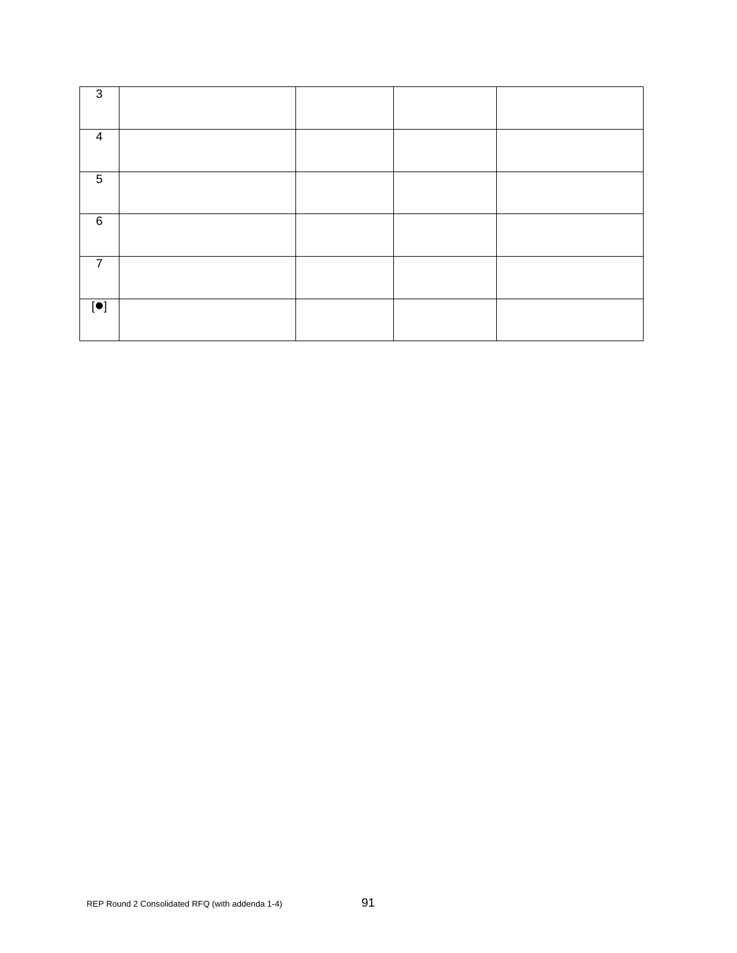| 3                 |  |  |
|-------------------|--|--|
| $\overline{4}$    |  |  |
| $\sqrt{5}$        |  |  |
| $\,6\,$           |  |  |
| $\overline{7}$    |  |  |
| $\boxed{\bullet}$ |  |  |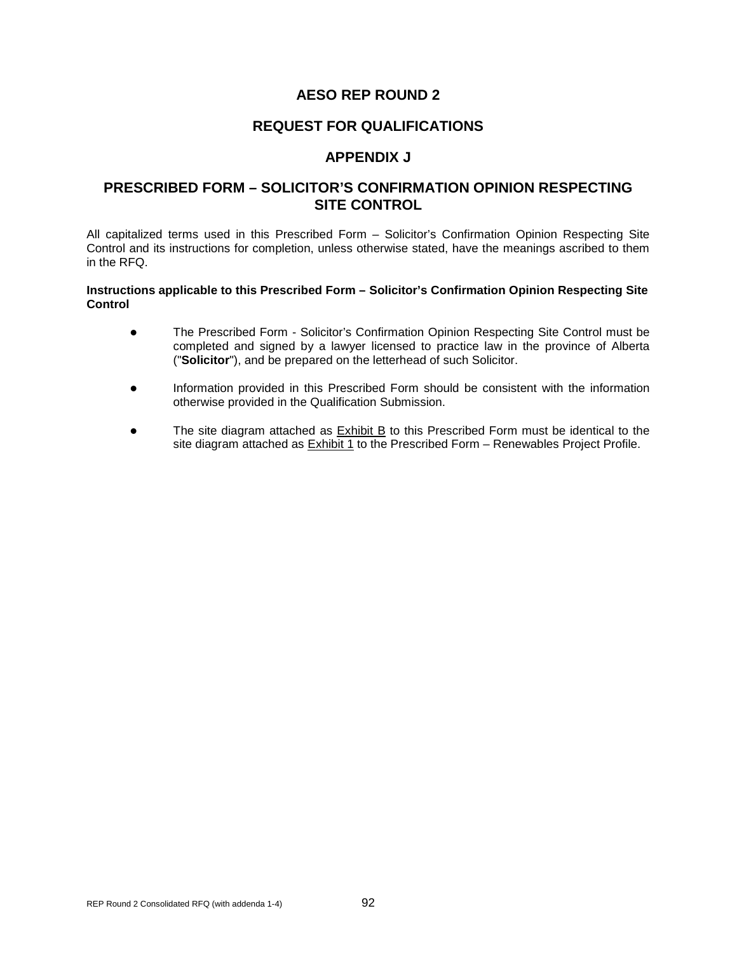### **REQUEST FOR QUALIFICATIONS**

### **APPENDIX J**

### **PRESCRIBED FORM – SOLICITOR'S CONFIRMATION OPINION RESPECTING SITE CONTROL**

All capitalized terms used in this Prescribed Form – Solicitor's Confirmation Opinion Respecting Site Control and its instructions for completion, unless otherwise stated, have the meanings ascribed to them in the RFQ.

#### **Instructions applicable to this Prescribed Form – Solicitor's Confirmation Opinion Respecting Site Control**

- The Prescribed Form Solicitor's Confirmation Opinion Respecting Site Control must be completed and signed by a lawyer licensed to practice law in the province of Alberta ("**Solicitor**"), and be prepared on the letterhead of such Solicitor.
- Information provided in this Prescribed Form should be consistent with the information otherwise provided in the Qualification Submission.
- The site diagram attached as **Exhibit B** to this Prescribed Form must be identical to the site diagram attached as Exhibit 1 to the Prescribed Form – Renewables Project Profile.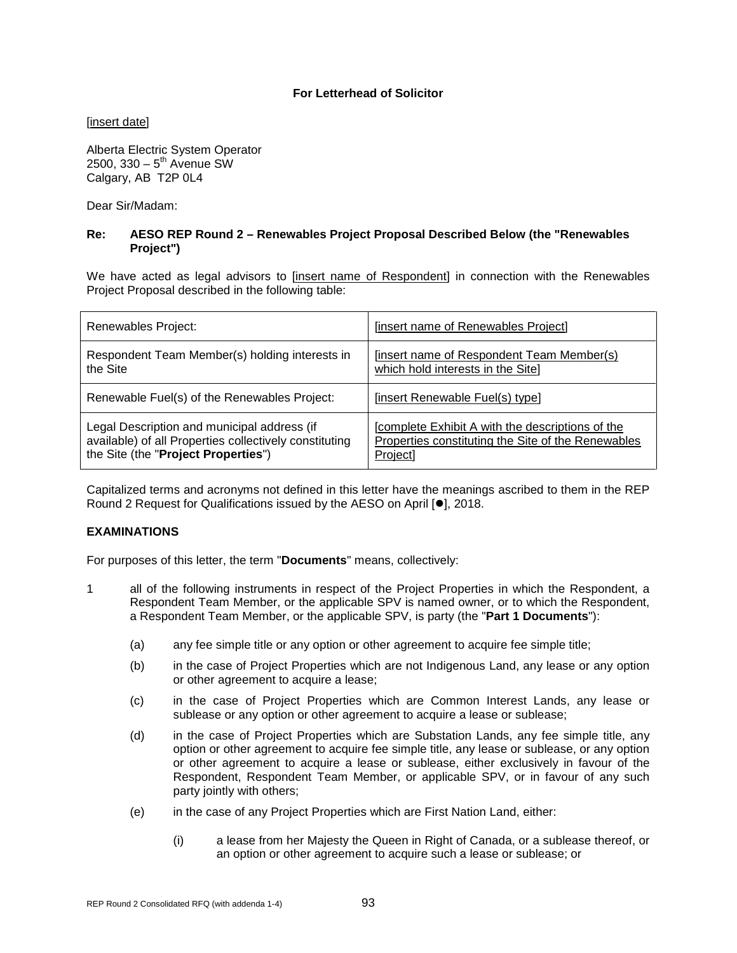#### **For Letterhead of Solicitor**

[insert date]

Alberta Electric System Operator 2500,  $330 - 5^{th}$  Avenue SW Calgary, AB T2P 0L4

Dear Sir/Madam:

#### **Re: AESO REP Round 2 – Renewables Project Proposal Described Below (the "Renewables Project")**

We have acted as legal advisors to [insert name of Respondent] in connection with the Renewables Project Proposal described in the following table:

| Renewables Project:                                    | [insert name of Renewables Project]                |
|--------------------------------------------------------|----------------------------------------------------|
| Respondent Team Member(s) holding interests in         | [insert name of Respondent Team Member(s)          |
| the Site                                               | which hold interests in the Site]                  |
| Renewable Fuel(s) of the Renewables Project:           | [insert Renewable Fuel(s) type]                    |
| Legal Description and municipal address (if            | Complete Exhibit A with the descriptions of the    |
| available) of all Properties collectively constituting | Properties constituting the Site of the Renewables |
| the Site (the "Project Properties")                    | Project]                                           |

Capitalized terms and acronyms not defined in this letter have the meanings ascribed to them in the REP Round 2 Request for Qualifications issued by the AESO on April [ $\bullet$ ], 2018.

### **EXAMINATIONS**

For purposes of this letter, the term "**Documents**" means, collectively:

- 1 all of the following instruments in respect of the Project Properties in which the Respondent, a Respondent Team Member, or the applicable SPV is named owner, or to which the Respondent, a Respondent Team Member, or the applicable SPV, is party (the "**Part 1 Documents**"):
	- (a) any fee simple title or any option or other agreement to acquire fee simple title;
	- (b) in the case of Project Properties which are not Indigenous Land, any lease or any option or other agreement to acquire a lease;
	- (c) in the case of Project Properties which are Common Interest Lands, any lease or sublease or any option or other agreement to acquire a lease or sublease;
	- (d) in the case of Project Properties which are Substation Lands, any fee simple title, any option or other agreement to acquire fee simple title, any lease or sublease, or any option or other agreement to acquire a lease or sublease, either exclusively in favour of the Respondent, Respondent Team Member, or applicable SPV, or in favour of any such party jointly with others;
	- (e) in the case of any Project Properties which are First Nation Land, either:
		- (i) a lease from her Majesty the Queen in Right of Canada, or a sublease thereof, or an option or other agreement to acquire such a lease or sublease; or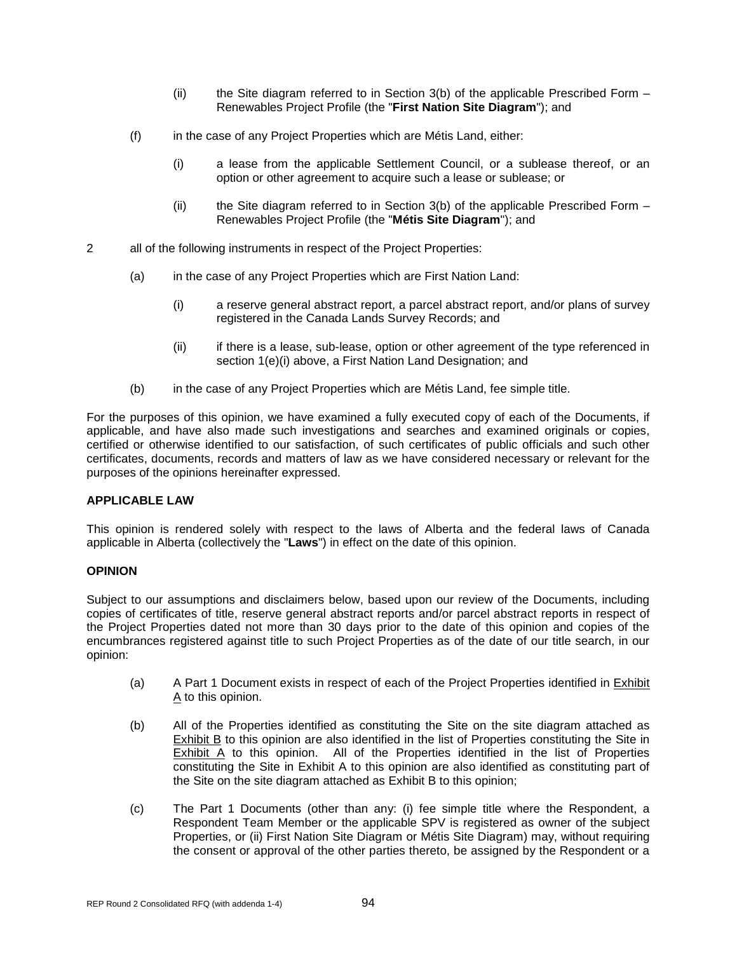- (ii) the Site diagram referred to in Section 3(b) of the applicable Prescribed Form Renewables Project Profile (the "**First Nation Site Diagram**"); and
- (f) in the case of any Project Properties which are Métis Land, either:
	- (i) a lease from the applicable Settlement Council, or a sublease thereof, or an option or other agreement to acquire such a lease or sublease; or
	- $(i)$  the Site diagram referred to in Section 3(b) of the applicable Prescribed Form Renewables Project Profile (the "**Métis Site Diagram**"); and
- 2 all of the following instruments in respect of the Project Properties:
	- (a) in the case of any Project Properties which are First Nation Land:
		- (i) a reserve general abstract report, a parcel abstract report, and/or plans of survey registered in the Canada Lands Survey Records; and
		- (ii) if there is a lease, sub-lease, option or other agreement of the type referenced in section 1(e)(i) above, a First Nation Land Designation; and
	- (b) in the case of any Project Properties which are Métis Land, fee simple title.

For the purposes of this opinion, we have examined a fully executed copy of each of the Documents, if applicable, and have also made such investigations and searches and examined originals or copies, certified or otherwise identified to our satisfaction, of such certificates of public officials and such other certificates, documents, records and matters of law as we have considered necessary or relevant for the purposes of the opinions hereinafter expressed.

#### **APPLICABLE LAW**

This opinion is rendered solely with respect to the laws of Alberta and the federal laws of Canada applicable in Alberta (collectively the "**Laws**") in effect on the date of this opinion.

#### **OPINION**

Subject to our assumptions and disclaimers below, based upon our review of the Documents, including copies of certificates of title, reserve general abstract reports and/or parcel abstract reports in respect of the Project Properties dated not more than 30 days prior to the date of this opinion and copies of the encumbrances registered against title to such Project Properties as of the date of our title search, in our opinion:

- (a) A Part 1 Document exists in respect of each of the Project Properties identified in Exhibit A to this opinion.
- (b) All of the Properties identified as constituting the Site on the site diagram attached as Exhibit B to this opinion are also identified in the list of Properties constituting the Site in Exhibit A to this opinion. All of the Properties identified in the list of Properties constituting the Site in Exhibit A to this opinion are also identified as constituting part of the Site on the site diagram attached as Exhibit B to this opinion;
- (c) The Part 1 Documents (other than any: (i) fee simple title where the Respondent, a Respondent Team Member or the applicable SPV is registered as owner of the subject Properties, or (ii) First Nation Site Diagram or Métis Site Diagram) may, without requiring the consent or approval of the other parties thereto, be assigned by the Respondent or a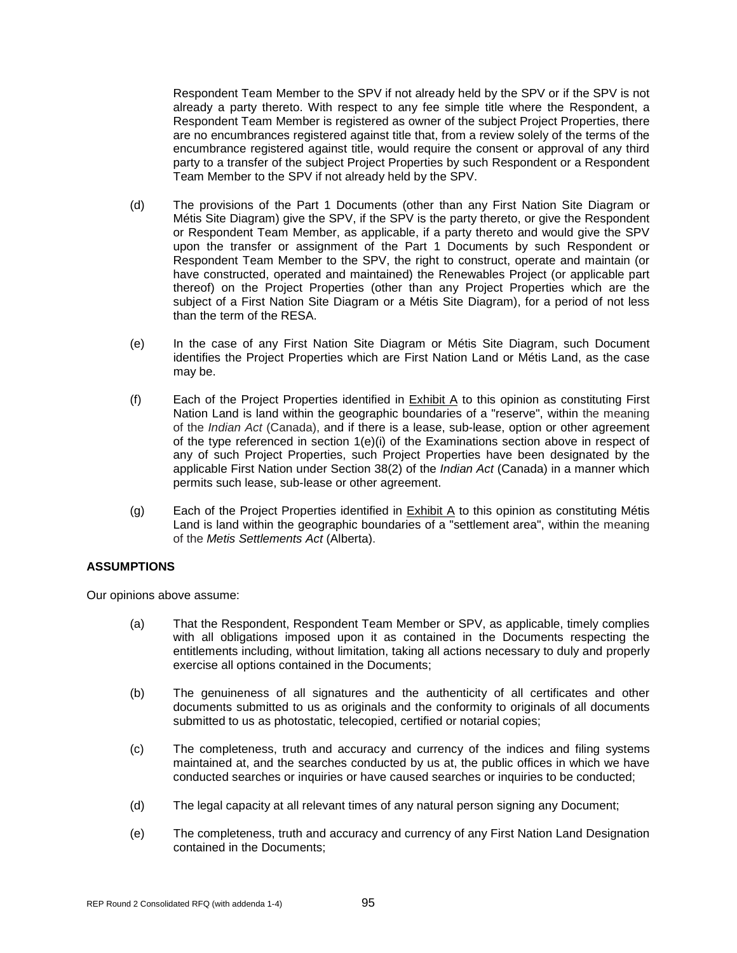Respondent Team Member to the SPV if not already held by the SPV or if the SPV is not already a party thereto. With respect to any fee simple title where the Respondent, a Respondent Team Member is registered as owner of the subject Project Properties, there are no encumbrances registered against title that, from a review solely of the terms of the encumbrance registered against title, would require the consent or approval of any third party to a transfer of the subject Project Properties by such Respondent or a Respondent Team Member to the SPV if not already held by the SPV.

- (d) The provisions of the Part 1 Documents (other than any First Nation Site Diagram or Métis Site Diagram) give the SPV, if the SPV is the party thereto, or give the Respondent or Respondent Team Member, as applicable, if a party thereto and would give the SPV upon the transfer or assignment of the Part 1 Documents by such Respondent or Respondent Team Member to the SPV, the right to construct, operate and maintain (or have constructed, operated and maintained) the Renewables Project (or applicable part thereof) on the Project Properties (other than any Project Properties which are the subject of a First Nation Site Diagram or a Métis Site Diagram), for a period of not less than the term of the RESA.
- (e) In the case of any First Nation Site Diagram or Métis Site Diagram, such Document identifies the Project Properties which are First Nation Land or Métis Land, as the case may be.
- (f) Each of the Project Properties identified in Exhibit A to this opinion as constituting First Nation Land is land within the geographic boundaries of a "reserve", within the meaning of the *Indian Act* (Canada), and if there is a lease, sub-lease, option or other agreement of the type referenced in section  $1(e)(i)$  of the Examinations section above in respect of any of such Project Properties, such Project Properties have been designated by the applicable First Nation under Section 38(2) of the *Indian Act* (Canada) in a manner which permits such lease, sub-lease or other agreement.
- (g) Each of the Project Properties identified in Exhibit A to this opinion as constituting Métis Land is land within the geographic boundaries of a "settlement area", within the meaning of the *Metis Settlements Act* (Alberta).

#### **ASSUMPTIONS**

Our opinions above assume:

- (a) That the Respondent, Respondent Team Member or SPV, as applicable, timely complies with all obligations imposed upon it as contained in the Documents respecting the entitlements including, without limitation, taking all actions necessary to duly and properly exercise all options contained in the Documents;
- (b) The genuineness of all signatures and the authenticity of all certificates and other documents submitted to us as originals and the conformity to originals of all documents submitted to us as photostatic, telecopied, certified or notarial copies;
- (c) The completeness, truth and accuracy and currency of the indices and filing systems maintained at, and the searches conducted by us at, the public offices in which we have conducted searches or inquiries or have caused searches or inquiries to be conducted;
- (d) The legal capacity at all relevant times of any natural person signing any Document;
- (e) The completeness, truth and accuracy and currency of any First Nation Land Designation contained in the Documents;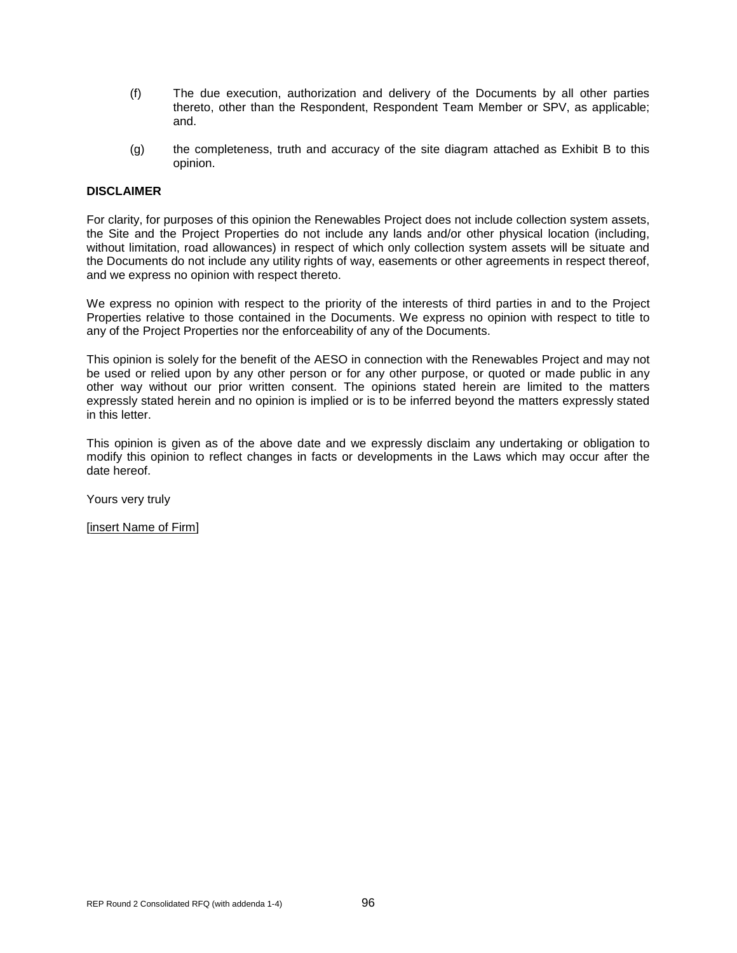- (f) The due execution, authorization and delivery of the Documents by all other parties thereto, other than the Respondent, Respondent Team Member or SPV, as applicable; and.
- (g) the completeness, truth and accuracy of the site diagram attached as Exhibit B to this opinion.

#### **DISCLAIMER**

For clarity, for purposes of this opinion the Renewables Project does not include collection system assets, the Site and the Project Properties do not include any lands and/or other physical location (including, without limitation, road allowances) in respect of which only collection system assets will be situate and the Documents do not include any utility rights of way, easements or other agreements in respect thereof, and we express no opinion with respect thereto.

We express no opinion with respect to the priority of the interests of third parties in and to the Project Properties relative to those contained in the Documents. We express no opinion with respect to title to any of the Project Properties nor the enforceability of any of the Documents.

This opinion is solely for the benefit of the AESO in connection with the Renewables Project and may not be used or relied upon by any other person or for any other purpose, or quoted or made public in any other way without our prior written consent. The opinions stated herein are limited to the matters expressly stated herein and no opinion is implied or is to be inferred beyond the matters expressly stated in this letter.

This opinion is given as of the above date and we expressly disclaim any undertaking or obligation to modify this opinion to reflect changes in facts or developments in the Laws which may occur after the date hereof.

Yours very truly

[insert Name of Firm]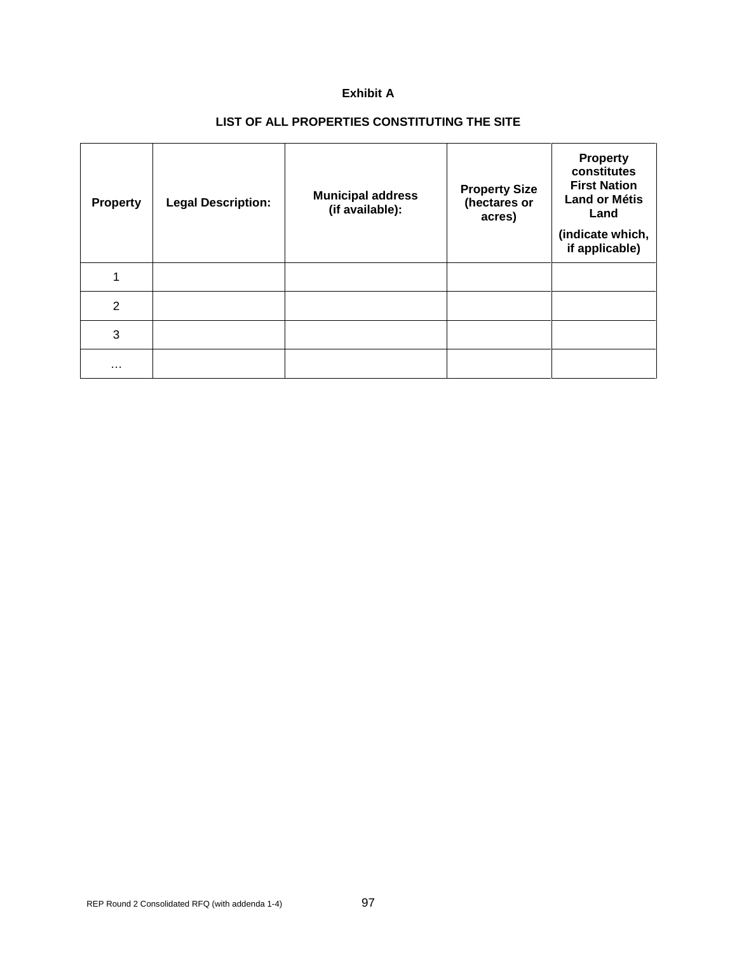### **Exhibit A**

# **LIST OF ALL PROPERTIES CONSTITUTING THE SITE**

| <b>Property</b> | <b>Legal Description:</b> | <b>Municipal address</b><br>(if available): | <b>Property Size</b><br>(hectares or<br>acres) | <b>Property</b><br>constitutes<br><b>First Nation</b><br><b>Land or Métis</b><br>Land<br>(indicate which,<br>if applicable) |
|-----------------|---------------------------|---------------------------------------------|------------------------------------------------|-----------------------------------------------------------------------------------------------------------------------------|
| 1               |                           |                                             |                                                |                                                                                                                             |
| $\overline{2}$  |                           |                                             |                                                |                                                                                                                             |
| 3               |                           |                                             |                                                |                                                                                                                             |
| $\cdots$        |                           |                                             |                                                |                                                                                                                             |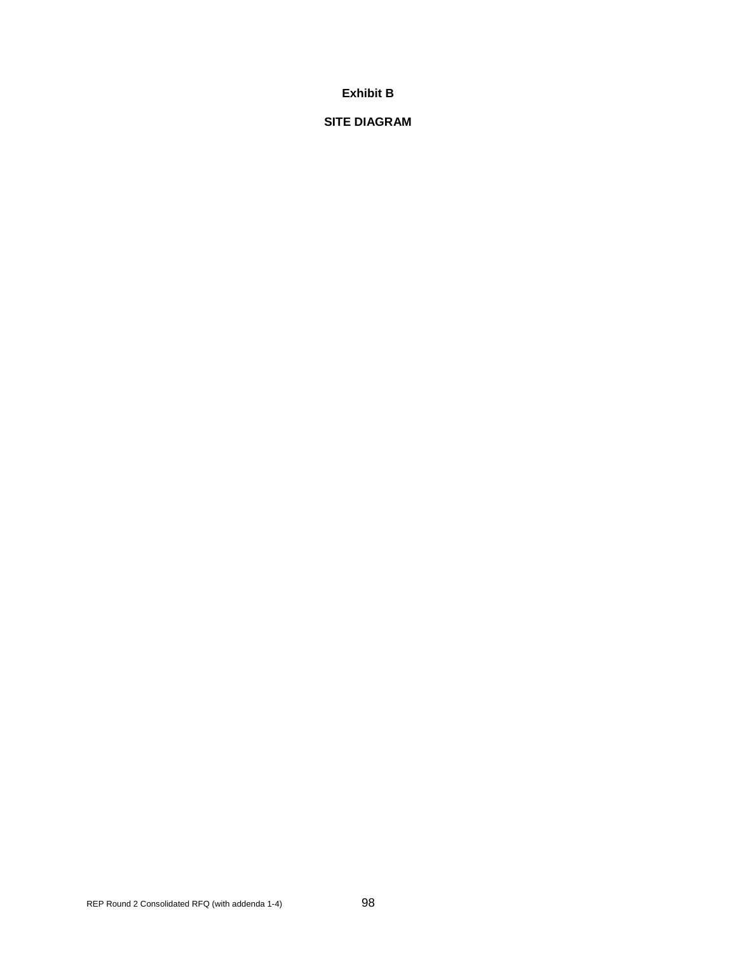### **Exhibit B**

### **SITE DIAGRAM**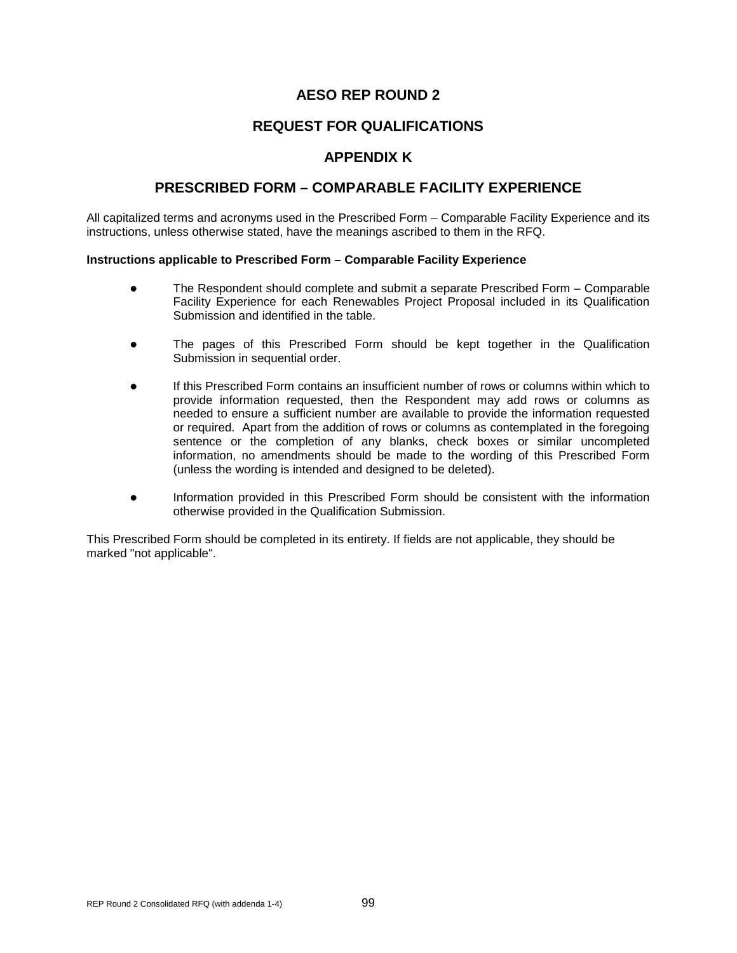# **REQUEST FOR QUALIFICATIONS**

## **APPENDIX K**

## **PRESCRIBED FORM – COMPARABLE FACILITY EXPERIENCE**

All capitalized terms and acronyms used in the Prescribed Form – Comparable Facility Experience and its instructions, unless otherwise stated, have the meanings ascribed to them in the RFQ.

#### **Instructions applicable to Prescribed Form – Comparable Facility Experience**

- The Respondent should complete and submit a separate Prescribed Form Comparable Facility Experience for each Renewables Project Proposal included in its Qualification Submission and identified in the table.
- The pages of this Prescribed Form should be kept together in the Qualification Submission in sequential order.
- If this Prescribed Form contains an insufficient number of rows or columns within which to provide information requested, then the Respondent may add rows or columns as needed to ensure a sufficient number are available to provide the information requested or required. Apart from the addition of rows or columns as contemplated in the foregoing sentence or the completion of any blanks, check boxes or similar uncompleted information, no amendments should be made to the wording of this Prescribed Form (unless the wording is intended and designed to be deleted).
- Information provided in this Prescribed Form should be consistent with the information otherwise provided in the Qualification Submission.

This Prescribed Form should be completed in its entirety. If fields are not applicable, they should be marked "not applicable".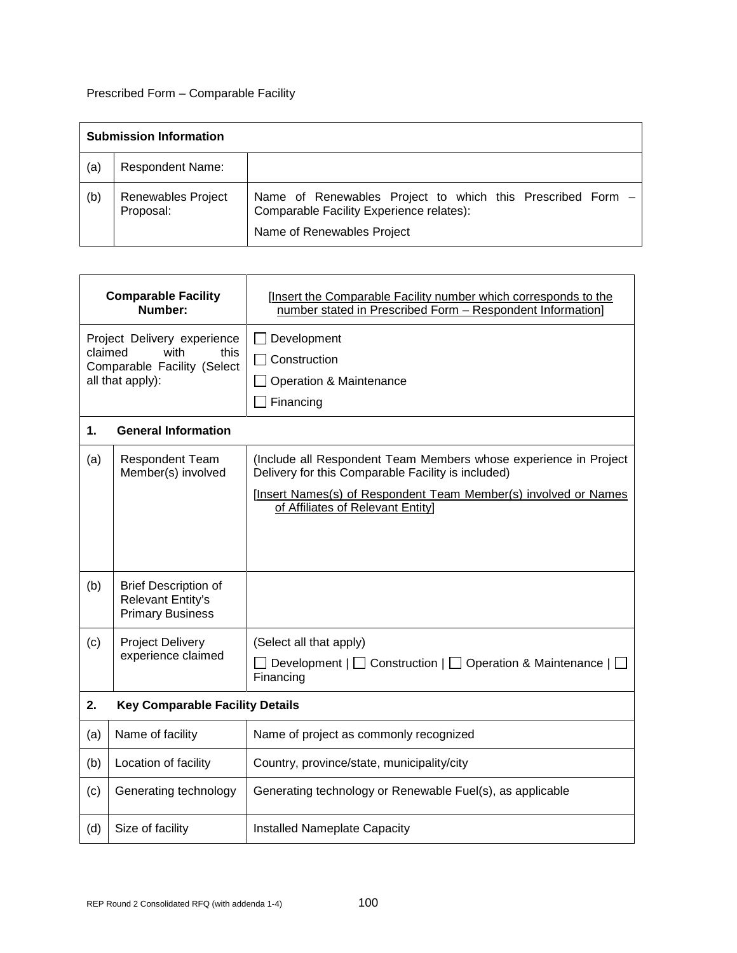# Prescribed Form – Comparable Facility

|     | <b>Submission Information</b>   |                                                                                                                                      |  |  |
|-----|---------------------------------|--------------------------------------------------------------------------------------------------------------------------------------|--|--|
| (a) | <b>Respondent Name:</b>         |                                                                                                                                      |  |  |
| (b) | Renewables Project<br>Proposal: | Name of Renewables Project to which this Prescribed Form -<br>Comparable Facility Experience relates):<br>Name of Renewables Project |  |  |

| <b>Comparable Facility</b><br>Number:                                                                     |                                                                                    | [Insert the Comparable Facility number which corresponds to the<br>number stated in Prescribed Form - Respondent Information]                                                                                                  |  |
|-----------------------------------------------------------------------------------------------------------|------------------------------------------------------------------------------------|--------------------------------------------------------------------------------------------------------------------------------------------------------------------------------------------------------------------------------|--|
| Project Delivery experience<br>claimed<br>with<br>this<br>Comparable Facility (Select<br>all that apply): |                                                                                    | Development<br>Construction<br>Operation & Maintenance<br>Financing                                                                                                                                                            |  |
| 1.                                                                                                        | <b>General Information</b>                                                         |                                                                                                                                                                                                                                |  |
| (a)                                                                                                       | <b>Respondent Team</b><br>Member(s) involved                                       | (Include all Respondent Team Members whose experience in Project<br>Delivery for this Comparable Facility is included)<br>[Insert Names(s) of Respondent Team Member(s) involved or Names<br>of Affiliates of Relevant Entity] |  |
|                                                                                                           |                                                                                    |                                                                                                                                                                                                                                |  |
| (b)                                                                                                       | <b>Brief Description of</b><br><b>Relevant Entity's</b><br><b>Primary Business</b> |                                                                                                                                                                                                                                |  |
| (c)                                                                                                       | <b>Project Delivery</b><br>experience claimed                                      | (Select all that apply)<br>Development $ \Box$ Construction $ \Box$ Operation & Maintenance $ \Box$<br>Financing                                                                                                               |  |
| 2.                                                                                                        | <b>Key Comparable Facility Details</b>                                             |                                                                                                                                                                                                                                |  |
| (a)                                                                                                       | Name of facility                                                                   | Name of project as commonly recognized                                                                                                                                                                                         |  |
| (b)                                                                                                       | Location of facility                                                               | Country, province/state, municipality/city                                                                                                                                                                                     |  |
| (c)                                                                                                       | Generating technology                                                              | Generating technology or Renewable Fuel(s), as applicable                                                                                                                                                                      |  |
| (d)                                                                                                       | Size of facility                                                                   | <b>Installed Nameplate Capacity</b>                                                                                                                                                                                            |  |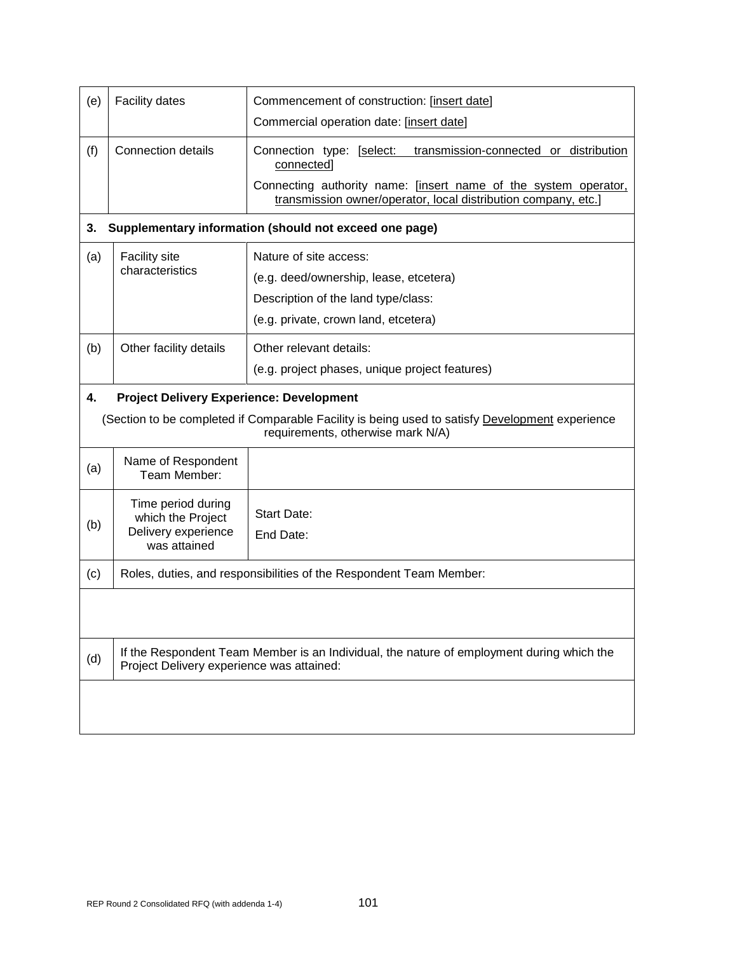| (e) | <b>Facility dates</b>                                                                                                                                                                   | Commencement of construction: [insert date]<br>Commercial operation date: [insert date]                                                                                                                                |  |  |
|-----|-----------------------------------------------------------------------------------------------------------------------------------------------------------------------------------------|------------------------------------------------------------------------------------------------------------------------------------------------------------------------------------------------------------------------|--|--|
| (f) | <b>Connection details</b>                                                                                                                                                               | Connection type: [select:<br>transmission-connected or distribution<br>connected]<br>Connecting authority name: [insert name of the system operator,<br>transmission owner/operator, local distribution company, etc.] |  |  |
| 3.  |                                                                                                                                                                                         | Supplementary information (should not exceed one page)                                                                                                                                                                 |  |  |
| (a) | <b>Facility site</b><br>characteristics                                                                                                                                                 | Nature of site access:<br>(e.g. deed/ownership, lease, etcetera)<br>Description of the land type/class:<br>(e.g. private, crown land, etcetera)                                                                        |  |  |
| (b) | Other facility details                                                                                                                                                                  | Other relevant details:<br>(e.g. project phases, unique project features)                                                                                                                                              |  |  |
| 4.  | <b>Project Delivery Experience: Development</b><br>(Section to be completed if Comparable Facility is being used to satisfy Development experience<br>requirements, otherwise mark N/A) |                                                                                                                                                                                                                        |  |  |
| (a) | Name of Respondent<br>Team Member:                                                                                                                                                      |                                                                                                                                                                                                                        |  |  |
| (b) | Time period during<br>which the Project<br>Delivery experience<br>was attained                                                                                                          | <b>Start Date:</b><br>End Date:                                                                                                                                                                                        |  |  |
| (c) | Roles, duties, and responsibilities of the Respondent Team Member:                                                                                                                      |                                                                                                                                                                                                                        |  |  |
|     |                                                                                                                                                                                         |                                                                                                                                                                                                                        |  |  |
| (d) | If the Respondent Team Member is an Individual, the nature of employment during which the<br>Project Delivery experience was attained:                                                  |                                                                                                                                                                                                                        |  |  |
|     |                                                                                                                                                                                         |                                                                                                                                                                                                                        |  |  |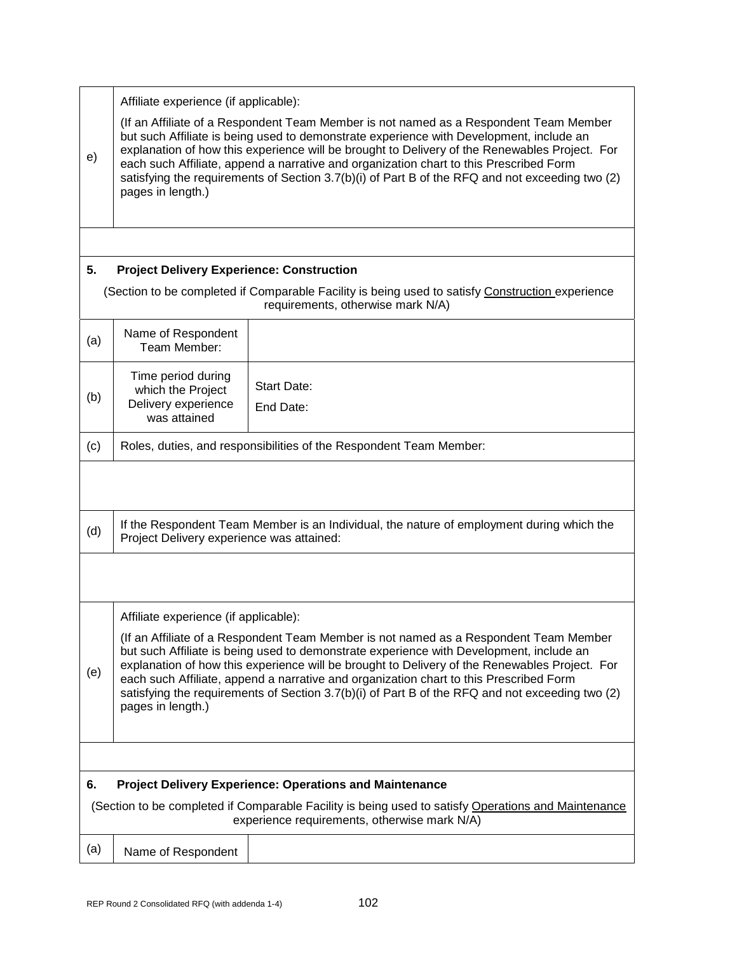|                                                                      | Affiliate experience (if applicable):                                                                                                                                                                                                                                                                                                                                                                                                                                                               |                                                                                                                                       |  |
|----------------------------------------------------------------------|-----------------------------------------------------------------------------------------------------------------------------------------------------------------------------------------------------------------------------------------------------------------------------------------------------------------------------------------------------------------------------------------------------------------------------------------------------------------------------------------------------|---------------------------------------------------------------------------------------------------------------------------------------|--|
| e)                                                                   | (If an Affiliate of a Respondent Team Member is not named as a Respondent Team Member<br>but such Affiliate is being used to demonstrate experience with Development, include an<br>explanation of how this experience will be brought to Delivery of the Renewables Project. For<br>each such Affiliate, append a narrative and organization chart to this Prescribed Form<br>satisfying the requirements of Section 3.7(b)(i) of Part B of the RFQ and not exceeding two (2)<br>pages in length.) |                                                                                                                                       |  |
|                                                                      |                                                                                                                                                                                                                                                                                                                                                                                                                                                                                                     |                                                                                                                                       |  |
| 5.                                                                   | <b>Project Delivery Experience: Construction</b>                                                                                                                                                                                                                                                                                                                                                                                                                                                    |                                                                                                                                       |  |
|                                                                      |                                                                                                                                                                                                                                                                                                                                                                                                                                                                                                     | (Section to be completed if Comparable Facility is being used to satisfy Construction experience<br>requirements, otherwise mark N/A) |  |
| (a)                                                                  | Name of Respondent<br>Team Member:                                                                                                                                                                                                                                                                                                                                                                                                                                                                  |                                                                                                                                       |  |
| (b)                                                                  | Time period during<br>which the Project<br>Delivery experience<br>was attained                                                                                                                                                                                                                                                                                                                                                                                                                      | <b>Start Date:</b><br>End Date:                                                                                                       |  |
| (c)                                                                  |                                                                                                                                                                                                                                                                                                                                                                                                                                                                                                     | Roles, duties, and responsibilities of the Respondent Team Member:                                                                    |  |
|                                                                      |                                                                                                                                                                                                                                                                                                                                                                                                                                                                                                     |                                                                                                                                       |  |
| (d)                                                                  | If the Respondent Team Member is an Individual, the nature of employment during which the<br>Project Delivery experience was attained:                                                                                                                                                                                                                                                                                                                                                              |                                                                                                                                       |  |
|                                                                      |                                                                                                                                                                                                                                                                                                                                                                                                                                                                                                     |                                                                                                                                       |  |
|                                                                      | Affiliate experience (if applicable):                                                                                                                                                                                                                                                                                                                                                                                                                                                               |                                                                                                                                       |  |
| (e)                                                                  | (If an Affiliate of a Respondent Team Member is not named as a Respondent Team Member<br>but such Affiliate is being used to demonstrate experience with Development, include an<br>explanation of how this experience will be brought to Delivery of the Renewables Project. For<br>each such Affiliate, append a narrative and organization chart to this Prescribed Form<br>satisfying the requirements of Section 3.7(b)(i) of Part B of the RFQ and not exceeding two (2)<br>pages in length.) |                                                                                                                                       |  |
|                                                                      |                                                                                                                                                                                                                                                                                                                                                                                                                                                                                                     |                                                                                                                                       |  |
| <b>Project Delivery Experience: Operations and Maintenance</b><br>6. |                                                                                                                                                                                                                                                                                                                                                                                                                                                                                                     |                                                                                                                                       |  |
|                                                                      | (Section to be completed if Comparable Facility is being used to satisfy Operations and Maintenance<br>experience requirements, otherwise mark N/A)                                                                                                                                                                                                                                                                                                                                                 |                                                                                                                                       |  |
| (a)                                                                  | Name of Respondent                                                                                                                                                                                                                                                                                                                                                                                                                                                                                  |                                                                                                                                       |  |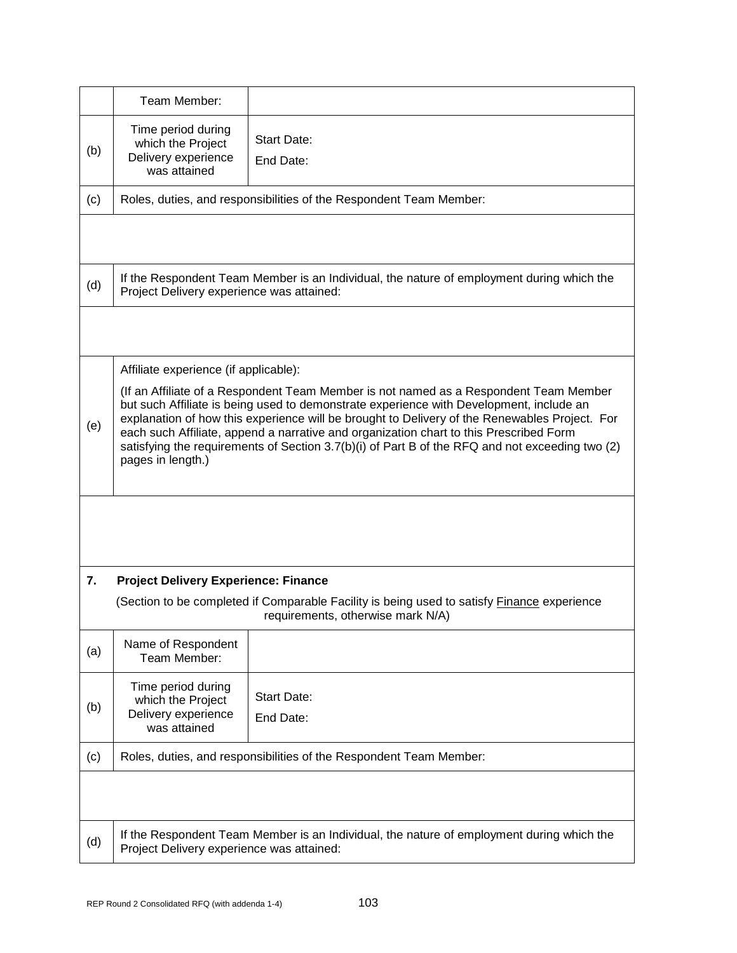|     | Team Member:                                                                                                                                                                                                                                                                                                                                                                                                                                                                                        |                                                                    |  |  |  |
|-----|-----------------------------------------------------------------------------------------------------------------------------------------------------------------------------------------------------------------------------------------------------------------------------------------------------------------------------------------------------------------------------------------------------------------------------------------------------------------------------------------------------|--------------------------------------------------------------------|--|--|--|
| (b) | Time period during<br>which the Project<br>Delivery experience<br>was attained                                                                                                                                                                                                                                                                                                                                                                                                                      | <b>Start Date:</b><br>End Date:                                    |  |  |  |
| (c) |                                                                                                                                                                                                                                                                                                                                                                                                                                                                                                     | Roles, duties, and responsibilities of the Respondent Team Member: |  |  |  |
|     |                                                                                                                                                                                                                                                                                                                                                                                                                                                                                                     |                                                                    |  |  |  |
| (d) | If the Respondent Team Member is an Individual, the nature of employment during which the<br>Project Delivery experience was attained:                                                                                                                                                                                                                                                                                                                                                              |                                                                    |  |  |  |
|     |                                                                                                                                                                                                                                                                                                                                                                                                                                                                                                     |                                                                    |  |  |  |
|     | Affiliate experience (if applicable):                                                                                                                                                                                                                                                                                                                                                                                                                                                               |                                                                    |  |  |  |
| (e) | (If an Affiliate of a Respondent Team Member is not named as a Respondent Team Member<br>but such Affiliate is being used to demonstrate experience with Development, include an<br>explanation of how this experience will be brought to Delivery of the Renewables Project. For<br>each such Affiliate, append a narrative and organization chart to this Prescribed Form<br>satisfying the requirements of Section 3.7(b)(i) of Part B of the RFQ and not exceeding two (2)<br>pages in length.) |                                                                    |  |  |  |
|     |                                                                                                                                                                                                                                                                                                                                                                                                                                                                                                     |                                                                    |  |  |  |
| 7.  | <b>Project Delivery Experience: Finance</b>                                                                                                                                                                                                                                                                                                                                                                                                                                                         |                                                                    |  |  |  |
|     | (Section to be completed if Comparable Facility is being used to satisfy Finance experience<br>requirements, otherwise mark N/A)                                                                                                                                                                                                                                                                                                                                                                    |                                                                    |  |  |  |
| (a) | Name of Respondent<br>Team Member:                                                                                                                                                                                                                                                                                                                                                                                                                                                                  |                                                                    |  |  |  |
| (b) | Time period during<br>which the Project<br>Delivery experience<br>was attained                                                                                                                                                                                                                                                                                                                                                                                                                      | <b>Start Date:</b><br>End Date:                                    |  |  |  |
| (c) | Roles, duties, and responsibilities of the Respondent Team Member:                                                                                                                                                                                                                                                                                                                                                                                                                                  |                                                                    |  |  |  |
|     |                                                                                                                                                                                                                                                                                                                                                                                                                                                                                                     |                                                                    |  |  |  |
| (d) | If the Respondent Team Member is an Individual, the nature of employment during which the<br>Project Delivery experience was attained:                                                                                                                                                                                                                                                                                                                                                              |                                                                    |  |  |  |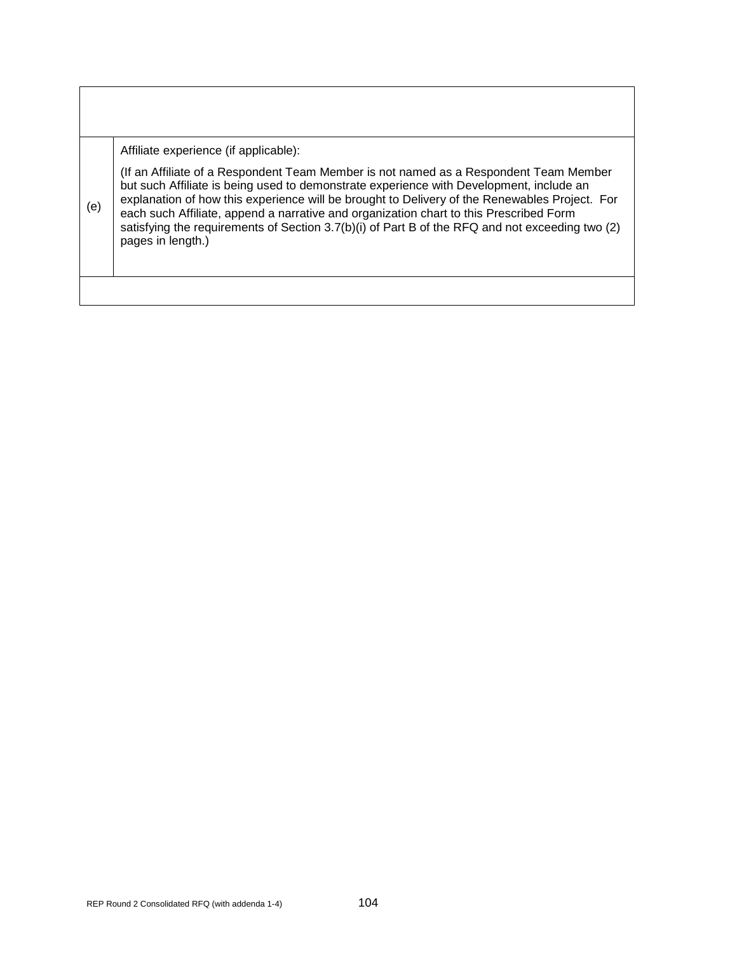|     | Affiliate experience (if applicable):                                                                                                                                                                                                                                                                                                                                                                                                                                                              |
|-----|----------------------------------------------------------------------------------------------------------------------------------------------------------------------------------------------------------------------------------------------------------------------------------------------------------------------------------------------------------------------------------------------------------------------------------------------------------------------------------------------------|
| (e) | If an Affiliate of a Respondent Team Member is not named as a Respondent Team Member<br>but such Affiliate is being used to demonstrate experience with Development, include an<br>explanation of how this experience will be brought to Delivery of the Renewables Project. For<br>each such Affiliate, append a narrative and organization chart to this Prescribed Form<br>satisfying the requirements of Section 3.7(b)(i) of Part B of the RFQ and not exceeding two (2)<br>pages in length.) |
|     |                                                                                                                                                                                                                                                                                                                                                                                                                                                                                                    |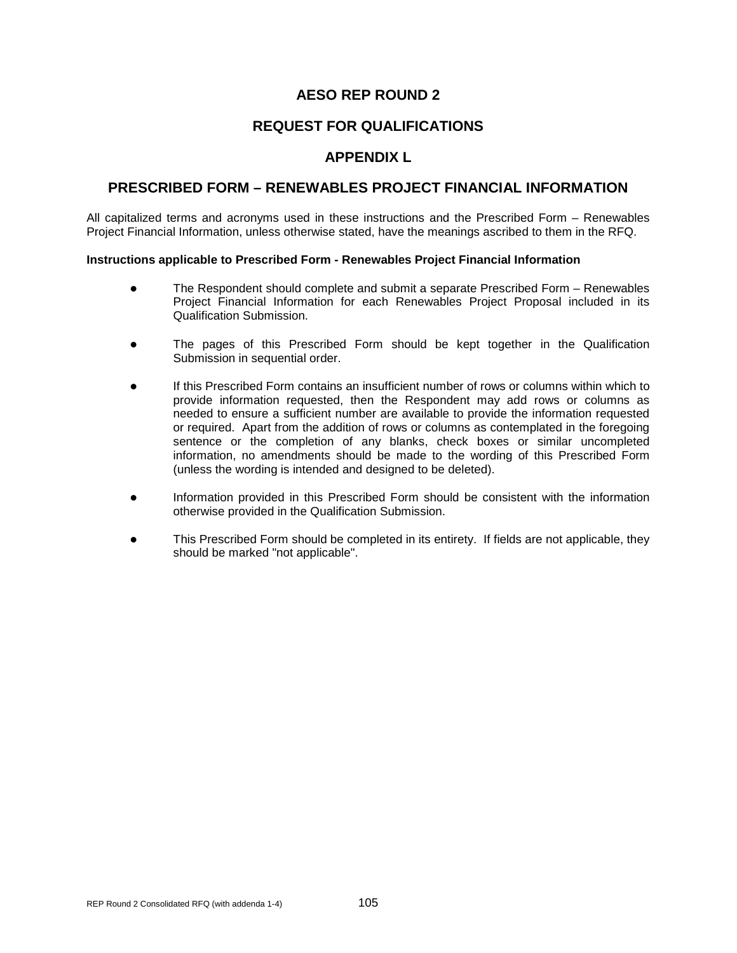## **REQUEST FOR QUALIFICATIONS**

## **APPENDIX L**

### **PRESCRIBED FORM – RENEWABLES PROJECT FINANCIAL INFORMATION**

All capitalized terms and acronyms used in these instructions and the Prescribed Form – Renewables Project Financial Information, unless otherwise stated, have the meanings ascribed to them in the RFQ.

#### **Instructions applicable to Prescribed Form - Renewables Project Financial Information**

- The Respondent should complete and submit a separate Prescribed Form Renewables Project Financial Information for each Renewables Project Proposal included in its Qualification Submission.
- The pages of this Prescribed Form should be kept together in the Qualification Submission in sequential order.
- If this Prescribed Form contains an insufficient number of rows or columns within which to provide information requested, then the Respondent may add rows or columns as needed to ensure a sufficient number are available to provide the information requested or required. Apart from the addition of rows or columns as contemplated in the foregoing sentence or the completion of any blanks, check boxes or similar uncompleted information, no amendments should be made to the wording of this Prescribed Form (unless the wording is intended and designed to be deleted).
- Information provided in this Prescribed Form should be consistent with the information otherwise provided in the Qualification Submission.
- This Prescribed Form should be completed in its entirety. If fields are not applicable, they should be marked "not applicable".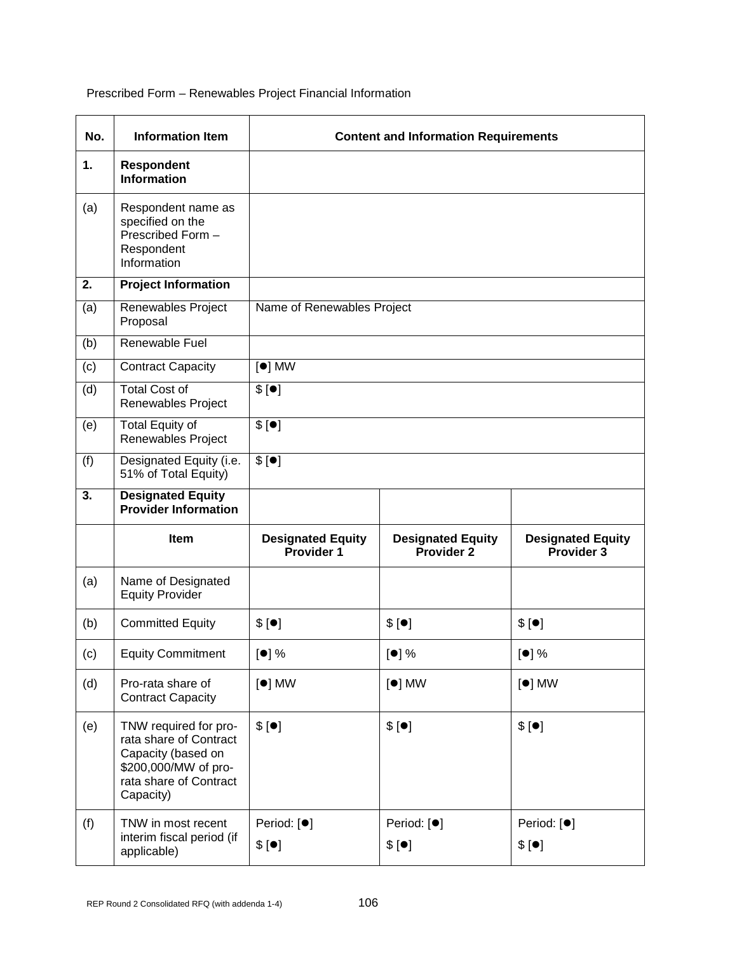Prescribed Form – Renewables Project Financial Information

| No. | <b>Information Item</b>                                                                                                              | <b>Content and Information Requirements</b> |                                        |                                        |  |
|-----|--------------------------------------------------------------------------------------------------------------------------------------|---------------------------------------------|----------------------------------------|----------------------------------------|--|
| 1.  | Respondent<br><b>Information</b>                                                                                                     |                                             |                                        |                                        |  |
| (a) | Respondent name as<br>specified on the<br>Prescribed Form -<br>Respondent<br>Information                                             |                                             |                                        |                                        |  |
| 2.  | <b>Project Information</b>                                                                                                           |                                             |                                        |                                        |  |
| (a) | Renewables Project<br>Proposal                                                                                                       | Name of Renewables Project                  |                                        |                                        |  |
| (b) | Renewable Fuel                                                                                                                       |                                             |                                        |                                        |  |
| (c) | <b>Contract Capacity</b>                                                                                                             | $[•]$ MW                                    |                                        |                                        |  |
| (d) | <b>Total Cost of</b><br>Renewables Project                                                                                           | \$[•]                                       |                                        |                                        |  |
| (e) | <b>Total Equity of</b><br>Renewables Project                                                                                         | \$[•]                                       |                                        |                                        |  |
| (f) | Designated Equity (i.e.<br>51% of Total Equity)                                                                                      | \$[•]                                       |                                        |                                        |  |
| 3.  | <b>Designated Equity</b><br><b>Provider Information</b>                                                                              |                                             |                                        |                                        |  |
|     | <b>Item</b>                                                                                                                          | <b>Designated Equity</b><br>Provider 1      | <b>Designated Equity</b><br>Provider 2 | <b>Designated Equity</b><br>Provider 3 |  |
| (a) | Name of Designated<br><b>Equity Provider</b>                                                                                         |                                             |                                        |                                        |  |
| (b) | <b>Committed Equity</b>                                                                                                              | \$[•]                                       | \$[•]                                  | \$[•]                                  |  |
| (c) | <b>Equity Commitment</b>                                                                                                             | $\left[\bullet\right]\%$                    | $\left[\bullet\right]$ %               | $\left[\bullet\right]$ %               |  |
| (d) | Pro-rata share of<br><b>Contract Capacity</b>                                                                                        | $[•]$ MW                                    | $[•]$ MW                               | $\lceil \bullet \rceil$ MW             |  |
| (e) | TNW required for pro-<br>rata share of Contract<br>Capacity (based on<br>\$200,000/MW of pro-<br>rata share of Contract<br>Capacity) | \$[•]                                       | \$[•]                                  | \$[•]                                  |  |
| (f) | TNW in most recent<br>interim fiscal period (if<br>applicable)                                                                       | Period: [ <sup>●</sup> ]<br>\$[•]           | Period: [ <sup>●</sup> ]<br>\$[•]      | Period: [ <sup>●</sup> ]<br>\$[•]      |  |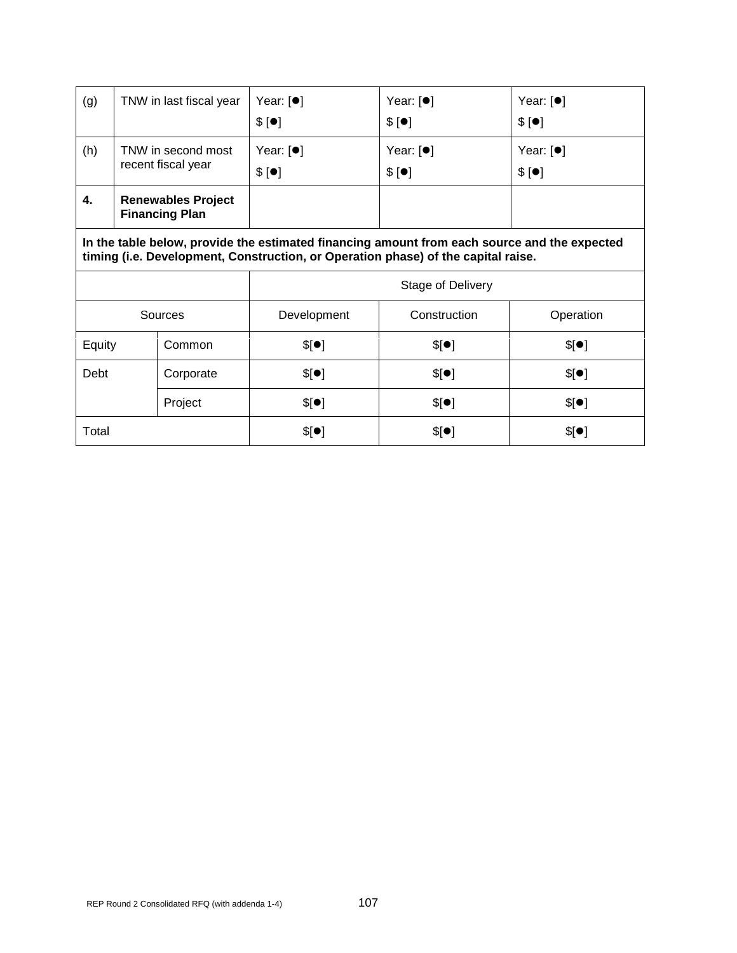| (g) | TNW in last fiscal year                            | Year: $[•]$<br>\$[•] | Year: $[•]$<br>\$[•] | Year: $[•]$<br>\$[•] |
|-----|----------------------------------------------------|----------------------|----------------------|----------------------|
| (h) | TNW in second most<br>recent fiscal year           | Year: $[•]$<br>\$[•] | Year: $[•]$<br>\$[•] | Year: $[•]$<br>\$[•] |
| 4.  | <b>Renewables Project</b><br><b>Financing Plan</b> |                      |                      |                      |

**In the table below, provide the estimated financing amount from each source and the expected timing (i.e. Development, Construction, or Operation phase) of the capital raise.**

|         |           | <b>Stage of Delivery</b> |              |           |
|---------|-----------|--------------------------|--------------|-----------|
| Sources |           | Development              | Construction | Operation |
| Equity  | Common    | \$[•]                    | \$[•]        | \$[•]     |
| Debt    | Corporate | \$[•]                    | \$[•]        | \$[•]     |
|         | Project   | \$[•]                    | \$[•]        | \$[•]     |
| Total   |           | \$[•]                    | \$[•]        | \$[•]     |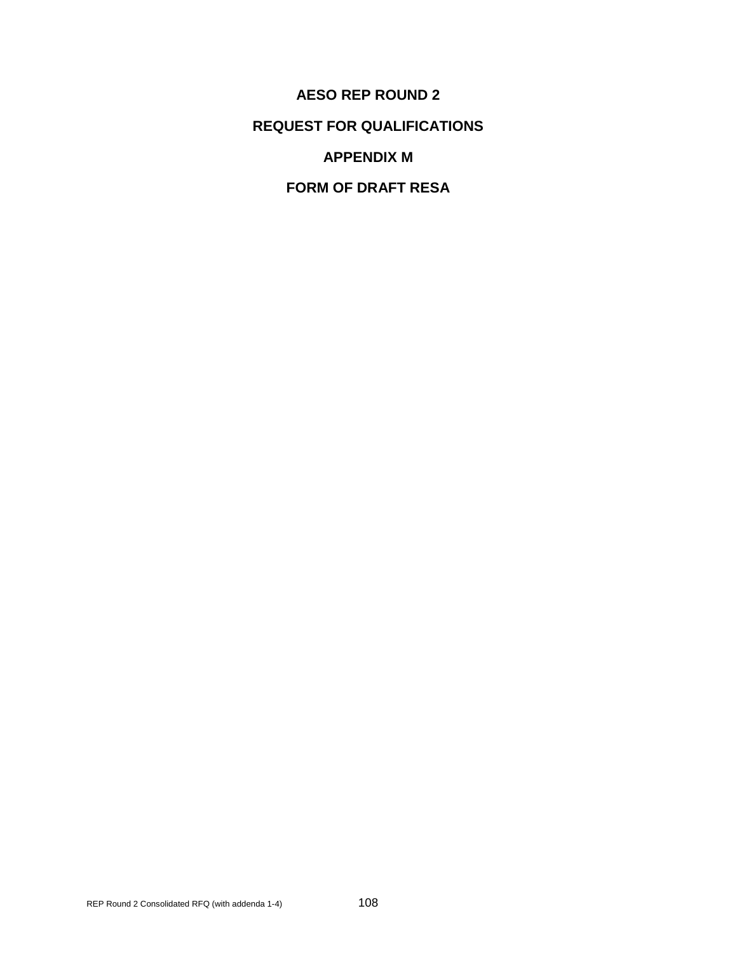**AESO REP ROUND 2 REQUEST FOR QUALIFICATIONS APPENDIX M**

**FORM OF DRAFT RESA**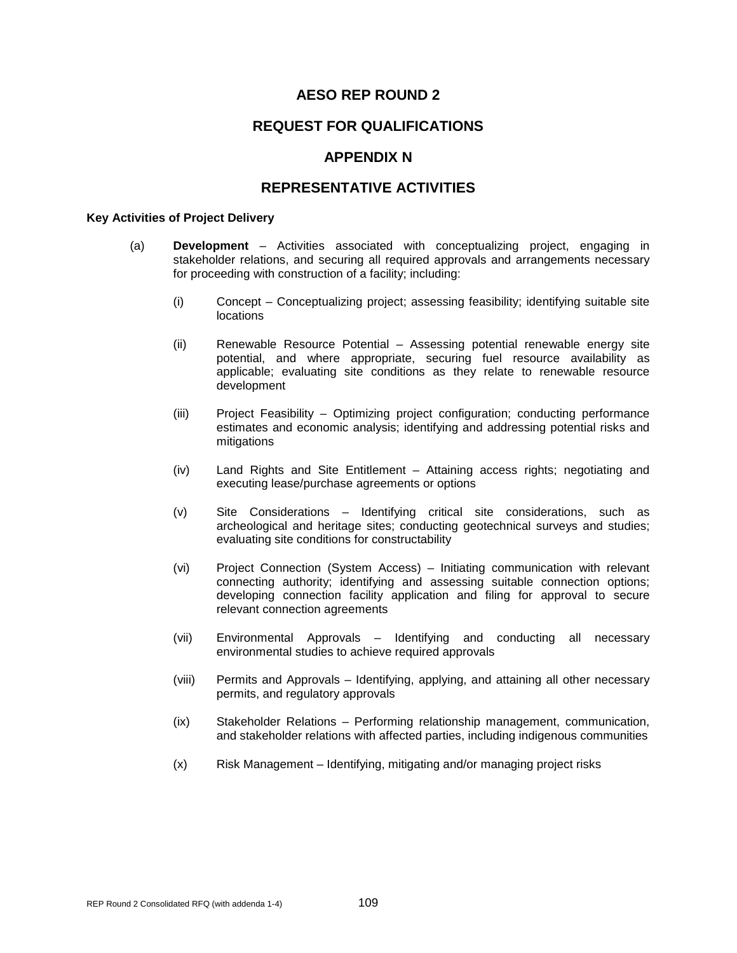### **REQUEST FOR QUALIFICATIONS**

### **APPENDIX N**

### **REPRESENTATIVE ACTIVITIES**

#### **Key Activities of Project Delivery**

- (a) **Development** Activities associated with conceptualizing project, engaging in stakeholder relations, and securing all required approvals and arrangements necessary for proceeding with construction of a facility; including:
	- (i) Concept Conceptualizing project; assessing feasibility; identifying suitable site locations
	- (ii) Renewable Resource Potential Assessing potential renewable energy site potential, and where appropriate, securing fuel resource availability as applicable; evaluating site conditions as they relate to renewable resource development
	- (iii) Project Feasibility Optimizing project configuration; conducting performance estimates and economic analysis; identifying and addressing potential risks and mitigations
	- (iv) Land Rights and Site Entitlement Attaining access rights; negotiating and executing lease/purchase agreements or options
	- (v) Site Considerations Identifying critical site considerations, such as archeological and heritage sites; conducting geotechnical surveys and studies; evaluating site conditions for constructability
	- (vi) Project Connection (System Access) Initiating communication with relevant connecting authority; identifying and assessing suitable connection options; developing connection facility application and filing for approval to secure relevant connection agreements
	- (vii) Environmental Approvals Identifying and conducting all necessary environmental studies to achieve required approvals
	- (viii) Permits and Approvals Identifying, applying, and attaining all other necessary permits, and regulatory approvals
	- (ix) Stakeholder Relations Performing relationship management, communication, and stakeholder relations with affected parties, including indigenous communities
	- (x) Risk Management Identifying, mitigating and/or managing project risks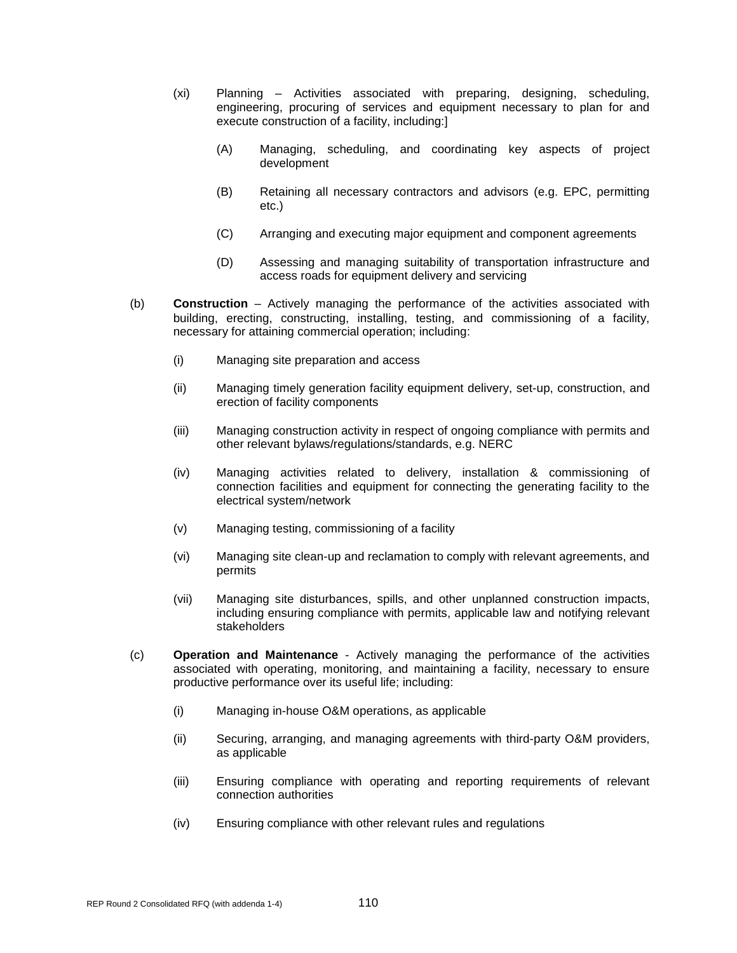- (xi) Planning Activities associated with preparing, designing, scheduling, engineering, procuring of services and equipment necessary to plan for and execute construction of a facility, including:]
	- (A) Managing, scheduling, and coordinating key aspects of project development
	- (B) Retaining all necessary contractors and advisors (e.g. EPC, permitting etc.)
	- (C) Arranging and executing major equipment and component agreements
	- (D) Assessing and managing suitability of transportation infrastructure and access roads for equipment delivery and servicing
- (b) **Construction** Actively managing the performance of the activities associated with building, erecting, constructing, installing, testing, and commissioning of a facility, necessary for attaining commercial operation; including:
	- (i) Managing site preparation and access
	- (ii) Managing timely generation facility equipment delivery, set-up, construction, and erection of facility components
	- (iii) Managing construction activity in respect of ongoing compliance with permits and other relevant bylaws/regulations/standards, e.g. NERC
	- (iv) Managing activities related to delivery, installation & commissioning of connection facilities and equipment for connecting the generating facility to the electrical system/network
	- (v) Managing testing, commissioning of a facility
	- (vi) Managing site clean-up and reclamation to comply with relevant agreements, and permits
	- (vii) Managing site disturbances, spills, and other unplanned construction impacts, including ensuring compliance with permits, applicable law and notifying relevant stakeholders
- (c) **Operation and Maintenance** Actively managing the performance of the activities associated with operating, monitoring, and maintaining a facility, necessary to ensure productive performance over its useful life; including:
	- (i) Managing in-house O&M operations, as applicable
	- (ii) Securing, arranging, and managing agreements with third-party O&M providers, as applicable
	- (iii) Ensuring compliance with operating and reporting requirements of relevant connection authorities
	- (iv) Ensuring compliance with other relevant rules and regulations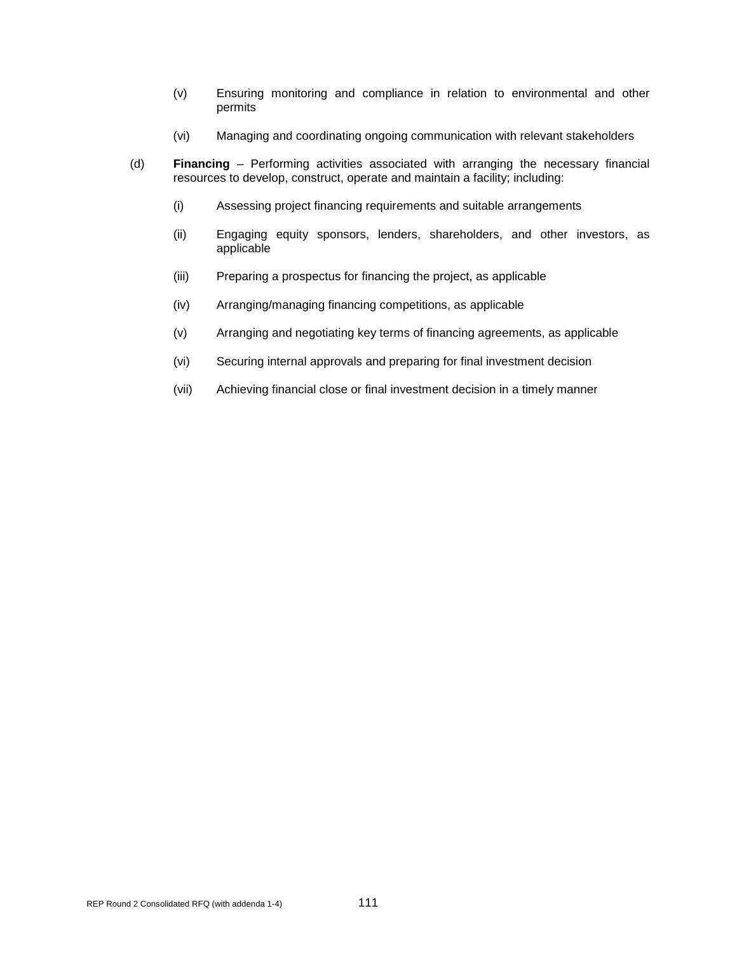- (v) Ensuring monitoring and compliance in relation to environmental and other permits
- (vi) Managing and coordinating ongoing communication with relevant stakeholders
- (d) **Financing** Performing activities associated with arranging the necessary financial resources to develop, construct, operate and maintain a facility; including:
	- (i) Assessing project financing requirements and suitable arrangements
	- (ii) Engaging equity sponsors, lenders, shareholders, and other investors, as applicable
	- (iii) Preparing a prospectus for financing the project, as applicable
	- (iv) Arranging/managing financing competitions, as applicable
	- (v) Arranging and negotiating key terms of financing agreements, as applicable
	- (vi) Securing internal approvals and preparing for final investment decision
	- (vii) Achieving financial close or final investment decision in a timely manner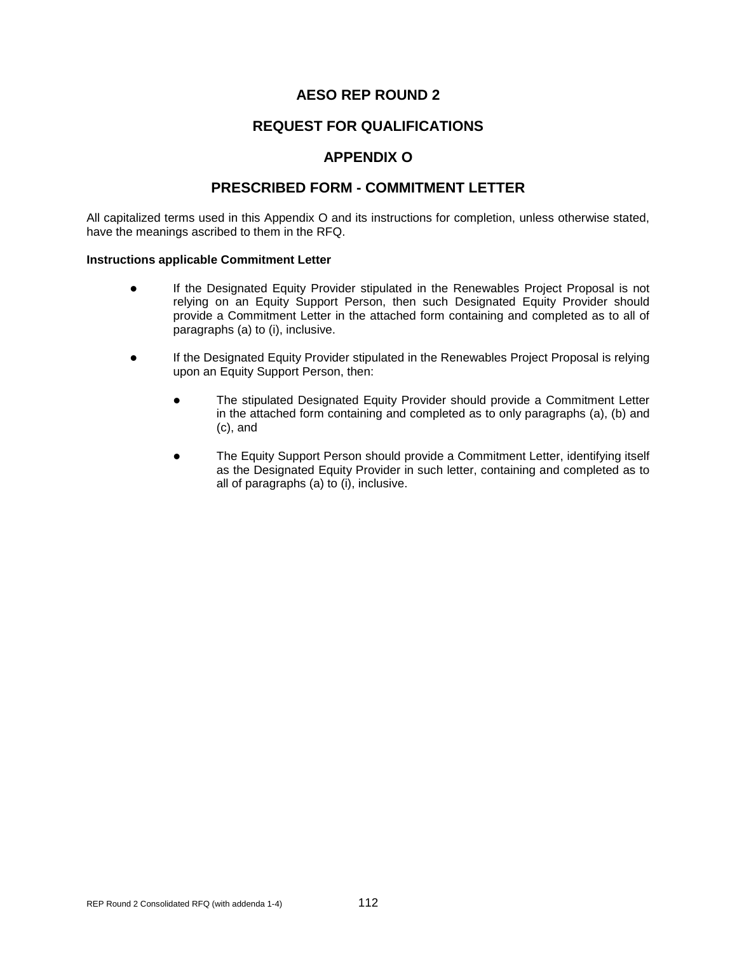## **REQUEST FOR QUALIFICATIONS**

## **APPENDIX O**

## **PRESCRIBED FORM - COMMITMENT LETTER**

All capitalized terms used in this Appendix O and its instructions for completion, unless otherwise stated, have the meanings ascribed to them in the RFQ.

#### **Instructions applicable Commitment Letter**

- If the Designated Equity Provider stipulated in the Renewables Project Proposal is not relying on an Equity Support Person, then such Designated Equity Provider should provide a Commitment Letter in the attached form containing and completed as to all of paragraphs (a) to (i), inclusive.
- If the Designated Equity Provider stipulated in the Renewables Project Proposal is relying upon an Equity Support Person, then:
	- The stipulated Designated Equity Provider should provide a Commitment Letter in the attached form containing and completed as to only paragraphs (a), (b) and (c), and
	- The Equity Support Person should provide a Commitment Letter, identifying itself as the Designated Equity Provider in such letter, containing and completed as to all of paragraphs (a) to (i), inclusive.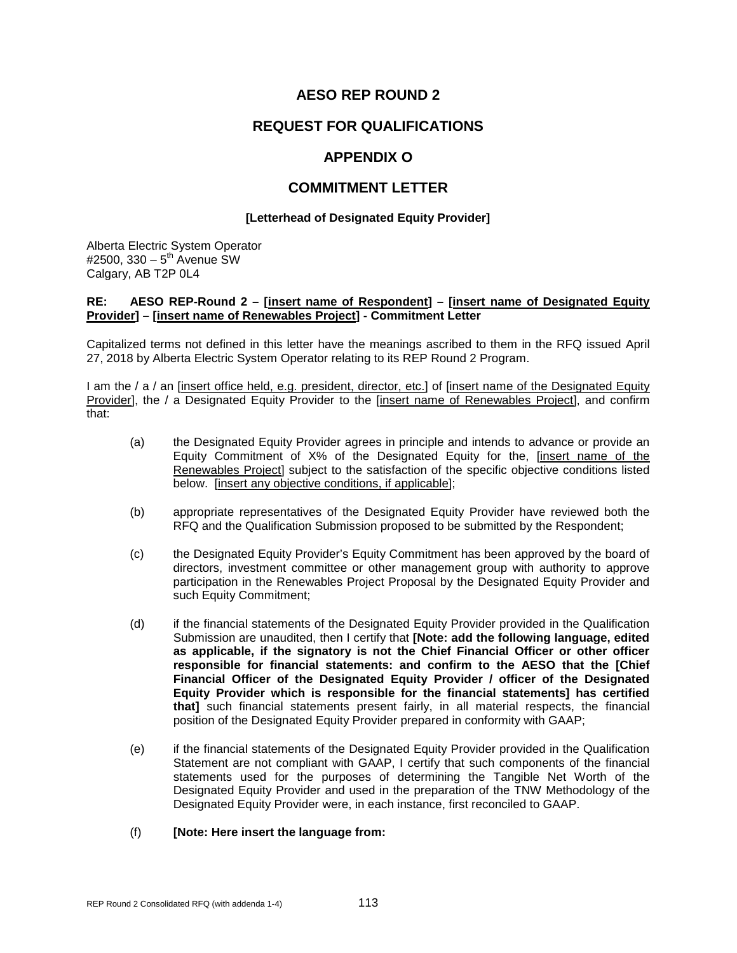## **REQUEST FOR QUALIFICATIONS**

## **APPENDIX O**

### **COMMITMENT LETTER**

#### **[Letterhead of Designated Equity Provider]**

Alberta Electric System Operator #2500, 330 –  $5^{th}$  Avenue SW Calgary, AB T2P 0L4

#### **RE: AESO REP-Round 2 – [insert name of Respondent] – [insert name of Designated Equity Provider] – [insert name of Renewables Project] - Commitment Letter**

Capitalized terms not defined in this letter have the meanings ascribed to them in the RFQ issued April 27, 2018 by Alberta Electric System Operator relating to its REP Round 2 Program.

I am the / a / an [insert office held, e.g. president, director, etc.] of [insert name of the Designated Equity Provider], the / a Designated Equity Provider to the [insert name of Renewables Project], and confirm that:

- (a) the Designated Equity Provider agrees in principle and intends to advance or provide an Equity Commitment of X% of the Designated Equity for the, [insert name of the Renewables Project] subject to the satisfaction of the specific objective conditions listed below. [insert any objective conditions, if applicable];
- (b) appropriate representatives of the Designated Equity Provider have reviewed both the RFQ and the Qualification Submission proposed to be submitted by the Respondent;
- (c) the Designated Equity Provider's Equity Commitment has been approved by the board of directors, investment committee or other management group with authority to approve participation in the Renewables Project Proposal by the Designated Equity Provider and such Equity Commitment;
- (d) if the financial statements of the Designated Equity Provider provided in the Qualification Submission are unaudited, then I certify that **[Note: add the following language, edited as applicable, if the signatory is not the Chief Financial Officer or other officer responsible for financial statements: and confirm to the AESO that the [Chief Financial Officer of the Designated Equity Provider / officer of the Designated Equity Provider which is responsible for the financial statements] has certified that]** such financial statements present fairly, in all material respects, the financial position of the Designated Equity Provider prepared in conformity with GAAP;
- (e) if the financial statements of the Designated Equity Provider provided in the Qualification Statement are not compliant with GAAP, I certify that such components of the financial statements used for the purposes of determining the Tangible Net Worth of the Designated Equity Provider and used in the preparation of the TNW Methodology of the Designated Equity Provider were, in each instance, first reconciled to GAAP.

#### (f) **[Note: Here insert the language from:**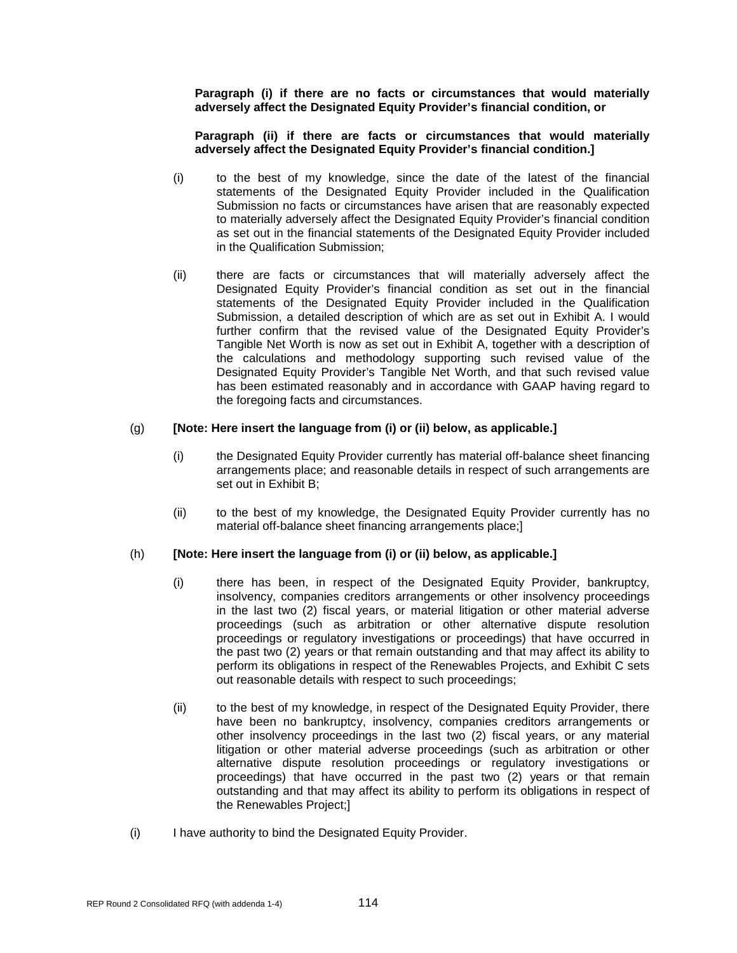**Paragraph (i) if there are no facts or circumstances that would materially adversely affect the Designated Equity Provider's financial condition, or**

#### **Paragraph (ii) if there are facts or circumstances that would materially adversely affect the Designated Equity Provider's financial condition.]**

- (i) to the best of my knowledge, since the date of the latest of the financial statements of the Designated Equity Provider included in the Qualification Submission no facts or circumstances have arisen that are reasonably expected to materially adversely affect the Designated Equity Provider's financial condition as set out in the financial statements of the Designated Equity Provider included in the Qualification Submission;
- (ii) there are facts or circumstances that will materially adversely affect the Designated Equity Provider's financial condition as set out in the financial statements of the Designated Equity Provider included in the Qualification Submission, a detailed description of which are as set out in Exhibit A. I would further confirm that the revised value of the Designated Equity Provider's Tangible Net Worth is now as set out in Exhibit A, together with a description of the calculations and methodology supporting such revised value of the Designated Equity Provider's Tangible Net Worth, and that such revised value has been estimated reasonably and in accordance with GAAP having regard to the foregoing facts and circumstances.

#### (g) **[Note: Here insert the language from (i) or (ii) below, as applicable.]**

- (i) the Designated Equity Provider currently has material off-balance sheet financing arrangements place; and reasonable details in respect of such arrangements are set out in Exhibit B;
- (ii) to the best of my knowledge, the Designated Equity Provider currently has no material off-balance sheet financing arrangements place;]

#### (h) **[Note: Here insert the language from (i) or (ii) below, as applicable.]**

- (i) there has been, in respect of the Designated Equity Provider, bankruptcy, insolvency, companies creditors arrangements or other insolvency proceedings in the last two (2) fiscal years, or material litigation or other material adverse proceedings (such as arbitration or other alternative dispute resolution proceedings or regulatory investigations or proceedings) that have occurred in the past two (2) years or that remain outstanding and that may affect its ability to perform its obligations in respect of the Renewables Projects, and Exhibit C sets out reasonable details with respect to such proceedings;
- (ii) to the best of my knowledge, in respect of the Designated Equity Provider, there have been no bankruptcy, insolvency, companies creditors arrangements or other insolvency proceedings in the last two (2) fiscal years, or any material litigation or other material adverse proceedings (such as arbitration or other alternative dispute resolution proceedings or regulatory investigations or proceedings) that have occurred in the past two (2) years or that remain outstanding and that may affect its ability to perform its obligations in respect of the Renewables Project;]
- (i) I have authority to bind the Designated Equity Provider.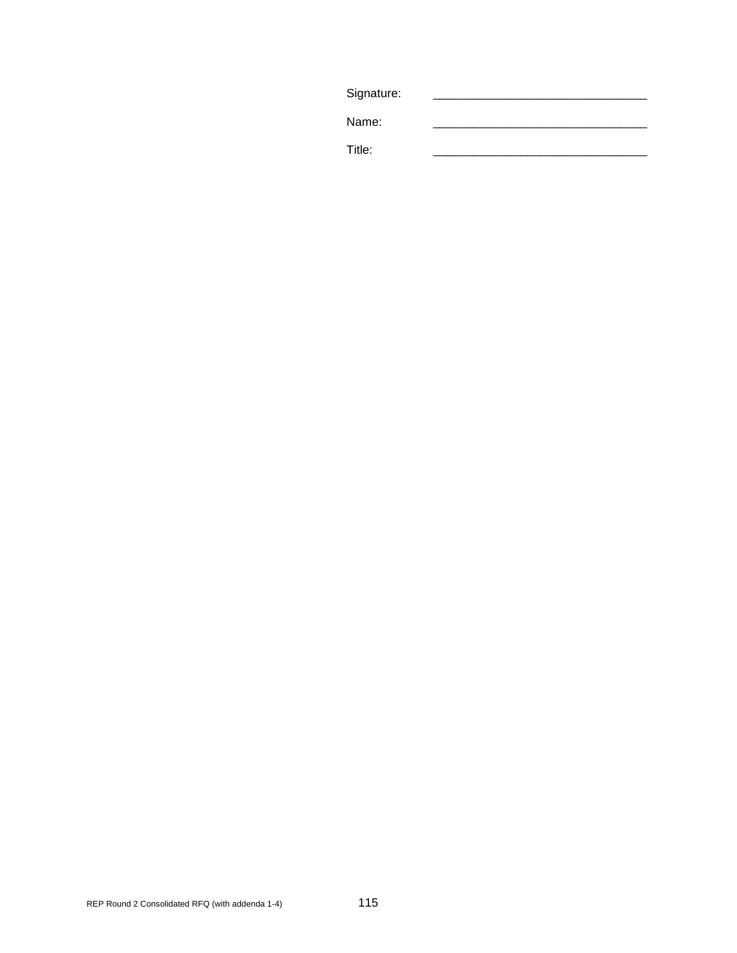| Signature: |  |
|------------|--|
| Name:      |  |
| Title:     |  |